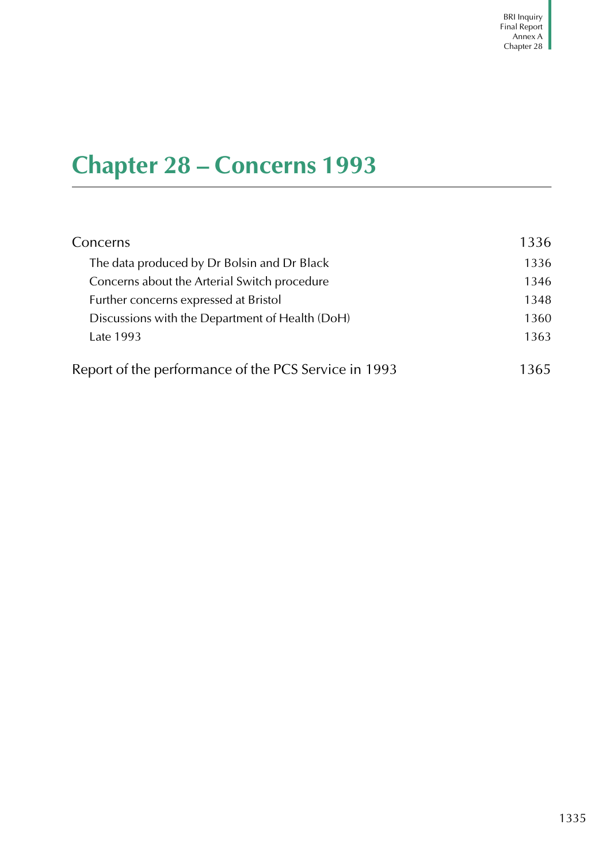# **Chapter 28 – [C](#page-1-0)oncerns 1993**

| Concerns                                             | 1336 |
|------------------------------------------------------|------|
| The data produced by Dr Bolsin and Dr Black          | 1336 |
| Concerns about the Arterial Switch procedure         | 1346 |
| Further concerns expressed at Bristol                | 1348 |
| Discussions with the Department of Health (DoH)      | 1360 |
| Late 1993                                            | 1363 |
| Report of the performance of the PCS Service in 1993 | 1365 |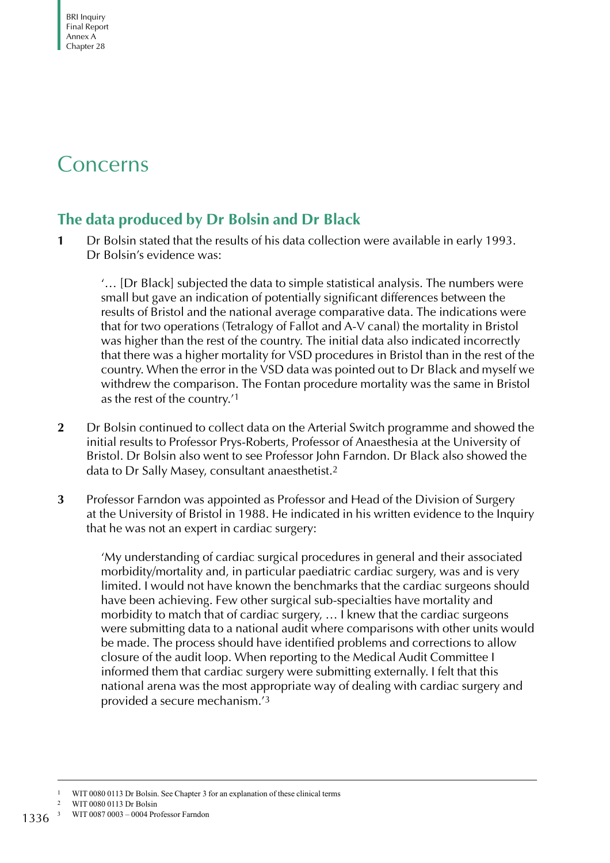## <span id="page-1-0"></span>Concerns

## <span id="page-1-1"></span>**The data produced by Dr Bolsin and Dr Black**

**1** Dr Bolsin stated that the results of his data collection were available in early 1993. Dr Bolsin's evidence was:

'… [Dr Black] subjected the data to simple statistical analysis. The numbers were small but gave an indication of potentially significant differences between the results of Bristol and the national average comparative data. The indications were that for two operations (Tetralogy of Fallot and A-V canal) the mortality in Bristol was higher than the rest of the country. The initial data also indicated incorrectly that there was a higher mortality for VSD procedures in Bristol than in the rest of the country. When the error in the VSD data was pointed out to Dr Black and myself we withdrew the comparison. The Fontan procedure mortality was the same in Bristol as the rest of the country.'1

- **2** Dr Bolsin continued to collect data on the Arterial Switch programme and showed the initial results to Professor Prys-Roberts, Professor of Anaesthesia at the University of Bristol. Dr Bolsin also went to see Professor John Farndon. Dr Black also showed the data to Dr Sally Masey, consultant anaesthetist.2
- **3** Professor Farndon was appointed as Professor and Head of the Division of Surgery at the University of Bristol in 1988. He indicated in his written evidence to the Inquiry that he was not an expert in cardiac surgery:

'My understanding of cardiac surgical procedures in general and their associated morbidity/mortality and, in particular paediatric cardiac surgery, was and is very limited. I would not have known the benchmarks that the cardiac surgeons should have been achieving. Few other surgical sub-specialties have mortality and morbidity to match that of cardiac surgery, … I knew that the cardiac surgeons were submitting data to a national audit where comparisons with other units would be made. The process should have identified problems and corrections to allow closure of the audit loop. When reporting to the Medical Audit Committee I informed them that cardiac surgery were submitting externally. I felt that this national arena was the most appropriate way of dealing with cardiac surgery and provided a secure mechanism.'3

WIT 0080 0113 Dr Bolsin. See Chapter 3 for an explanation of these clinical terms

<sup>2</sup> WIT 0080 0113 Dr Bolsin

<sup>3</sup> WIT 0087 0003 – 0004 Professor Farndon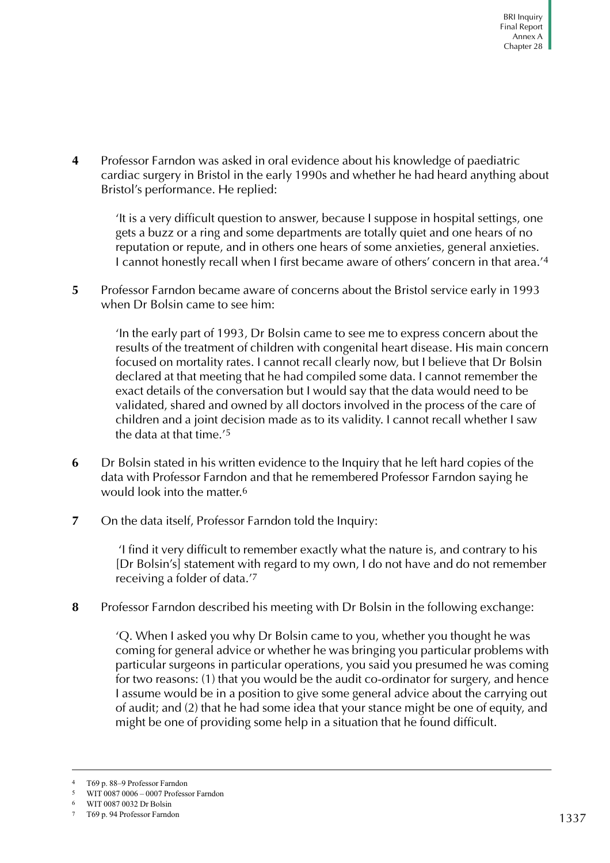**4** Professor Farndon was asked in oral evidence about his knowledge of paediatric cardiac surgery in Bristol in the early 1990s and whether he had heard anything about Bristol's performance. He replied:

'It is a very difficult question to answer, because I suppose in hospital settings, one gets a buzz or a ring and some departments are totally quiet and one hears of no reputation or repute, and in others one hears of some anxieties, general anxieties. I cannot honestly recall when I first became aware of others' concern in that area.'4

**5** Professor Farndon became aware of concerns about the Bristol service early in 1993 when Dr Bolsin came to see him:

'In the early part of 1993, Dr Bolsin came to see me to express concern about the results of the treatment of children with congenital heart disease. His main concern focused on mortality rates. I cannot recall clearly now, but I believe that Dr Bolsin declared at that meeting that he had compiled some data. I cannot remember the exact details of the conversation but I would say that the data would need to be validated, shared and owned by all doctors involved in the process of the care of children and a joint decision made as to its validity. I cannot recall whether I saw the data at that time.'5

- **6** Dr Bolsin stated in his written evidence to the Inquiry that he left hard copies of the data with Professor Farndon and that he remembered Professor Farndon saying he would look into the matter.<sup>6</sup>
- **7** On the data itself, Professor Farndon told the Inquiry:

 'I find it very difficult to remember exactly what the nature is, and contrary to his [Dr Bolsin's] statement with regard to my own, I do not have and do not remember receiving a folder of data.'7

**8** Professor Farndon described his meeting with Dr Bolsin in the following exchange:

'Q. When I asked you why Dr Bolsin came to you, whether you thought he was coming for general advice or whether he was bringing you particular problems with particular surgeons in particular operations, you said you presumed he was coming for two reasons: (1) that you would be the audit co-ordinator for surgery, and hence I assume would be in a position to give some general advice about the carrying out of audit; and (2) that he had some idea that your stance might be one of equity, and might be one of providing some help in a situation that he found difficult.

<sup>4</sup> T69 p. 88–9 Professor Farndon

<sup>5</sup> WIT 0087 0006 – 0007 Professor Farndon

<sup>6</sup> WIT 0087 0032 Dr Bolsin

<sup>7</sup> T69 p. 94 Professor Farndon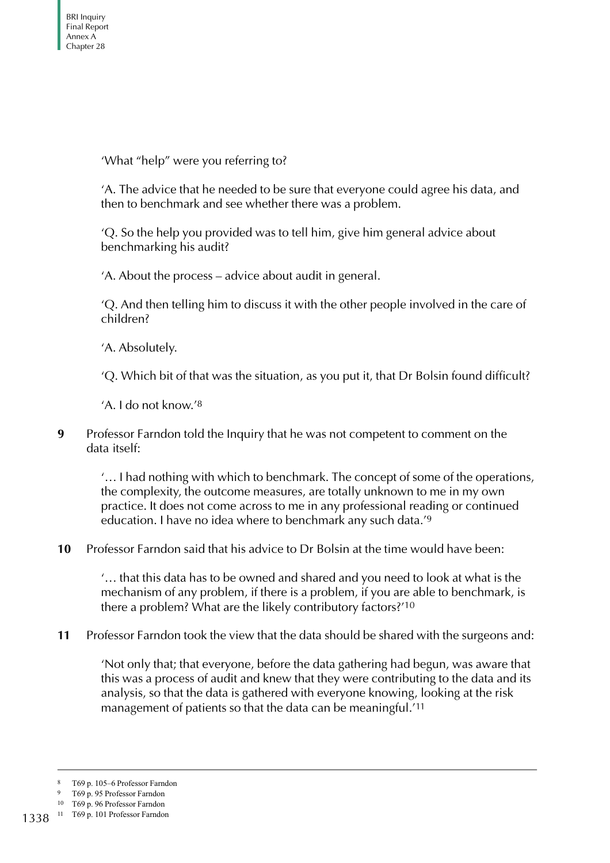'What "help" were you referring to?

'A. The advice that he needed to be sure that everyone could agree his data, and then to benchmark and see whether there was a problem.

'Q. So the help you provided was to tell him, give him general advice about benchmarking his audit?

'A. About the process – advice about audit in general.

'Q. And then telling him to discuss it with the other people involved in the care of children?

'A. Absolutely.

'Q. Which bit of that was the situation, as you put it, that Dr Bolsin found difficult?

'A. I do not know.'8

**9** Professor Farndon told the Inquiry that he was not competent to comment on the data itself:

'… I had nothing with which to benchmark. The concept of some of the operations, the complexity, the outcome measures, are totally unknown to me in my own practice. It does not come across to me in any professional reading or continued education. I have no idea where to benchmark any such data.'9

#### **10** Professor Farndon said that his advice to Dr Bolsin at the time would have been:

'… that this data has to be owned and shared and you need to look at what is the mechanism of any problem, if there is a problem, if you are able to benchmark, is there a problem? What are the likely contributory factors?'10

**11** Professor Farndon took the view that the data should be shared with the surgeons and:

'Not only that; that everyone, before the data gathering had begun, was aware that this was a process of audit and knew that they were contributing to the data and its analysis, so that the data is gathered with everyone knowing, looking at the risk management of patients so that the data can be meaningful.'11

<sup>8</sup> T69 p. 105–6 Professor Farndon

<sup>9</sup> T69 p. 95 Professor Farndon

<sup>10</sup> T69 p. 96 Professor Farndon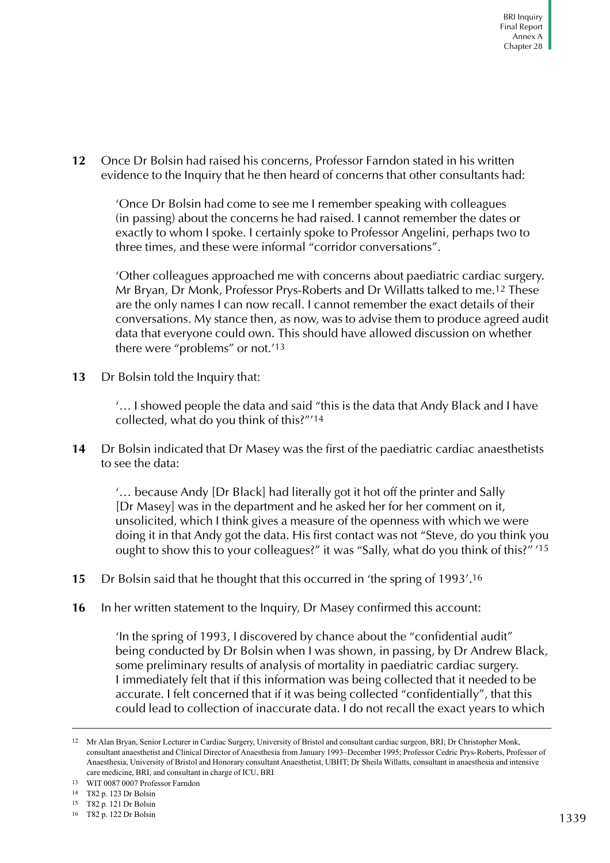**12** Once Dr Bolsin had raised his concerns, Professor Farndon stated in his written evidence to the Inquiry that he then heard of concerns that other consultants had:

'Once Dr Bolsin had come to see me I remember speaking with colleagues (in passing) about the concerns he had raised. I cannot remember the dates or exactly to whom I spoke. I certainly spoke to Professor Angelini, perhaps two to three times, and these were informal "corridor conversations".

'Other colleagues approached me with concerns about paediatric cardiac surgery. Mr Bryan, Dr Monk, Professor Prys-Roberts and Dr Willatts talked to me.12 These are the only names I can now recall. I cannot remember the exact details of their conversations. My stance then, as now, was to advise them to produce agreed audit data that everyone could own. This should have allowed discussion on whether there were "problems" or not.'13

**13** Dr Bolsin told the Inquiry that:

'… I showed people the data and said "this is the data that Andy Black and I have collected, what do you think of this?"'14

**14** Dr Bolsin indicated that Dr Masey was the first of the paediatric cardiac anaesthetists to see the data:

'… because Andy [Dr Black] had literally got it hot off the printer and Sally [Dr Masey] was in the department and he asked her for her comment on it, unsolicited, which I think gives a measure of the openness with which we were doing it in that Andy got the data. His first contact was not "Steve, do you think you ought to show this to your colleagues?" it was "Sally, what do you think of this?'' '15

- **15** Dr Bolsin said that he thought that this occurred in 'the spring of 1993'.16
- **16** In her written statement to the Inquiry, Dr Masey confirmed this account:

'In the spring of 1993, I discovered by chance about the "confidential audit" being conducted by Dr Bolsin when I was shown, in passing, by Dr Andrew Black, some preliminary results of analysis of mortality in paediatric cardiac surgery. I immediately felt that if this information was being collected that it needed to be accurate. I felt concerned that if it was being collected "confidentially", that this could lead to collection of inaccurate data. I do not recall the exact years to which

<sup>12</sup> Mr Alan Bryan, Senior Lecturer in Cardiac Surgery, University of Bristol and consultant cardiac surgeon, BRI; Dr Christopher Monk, consultant anaesthetist and Clinical Director of Anaesthesia from January 1993–December 1995; Professor Cedric Prys-Roberts, Professor of Anaesthesia, University of Bristol and Honorary consultant Anaesthetist, UBHT; Dr Sheila Willatts, consultant in anaesthesia and intensive care medicine, BRI, and consultant in charge of ICU, BRI

<sup>13</sup> WIT 0087 0007 Professor Farndon

<sup>14</sup> T82 p. 123 Dr Bolsin

<sup>15</sup> T82 p. 121 Dr Bolsin

<sup>16</sup> T82 p. 122 Dr Bolsin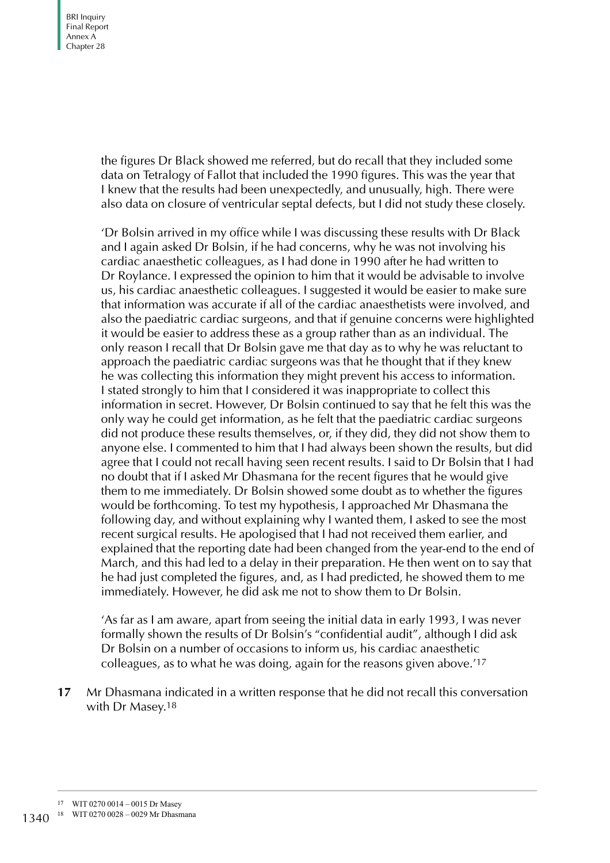the figures Dr Black showed me referred, but do recall that they included some data on Tetralogy of Fallot that included the 1990 figures. This was the year that I knew that the results had been unexpectedly, and unusually, high. There were also data on closure of ventricular septal defects, but I did not study these closely.

'Dr Bolsin arrived in my office while I was discussing these results with Dr Black and I again asked Dr Bolsin, if he had concerns, why he was not involving his cardiac anaesthetic colleagues, as I had done in 1990 after he had written to Dr Roylance. I expressed the opinion to him that it would be advisable to involve us, his cardiac anaesthetic colleagues. I suggested it would be easier to make sure that information was accurate if all of the cardiac anaesthetists were involved, and also the paediatric cardiac surgeons, and that if genuine concerns were highlighted it would be easier to address these as a group rather than as an individual. The only reason I recall that Dr Bolsin gave me that day as to why he was reluctant to approach the paediatric cardiac surgeons was that he thought that if they knew he was collecting this information they might prevent his access to information. I stated strongly to him that I considered it was inappropriate to collect this information in secret. However, Dr Bolsin continued to say that he felt this was the only way he could get information, as he felt that the paediatric cardiac surgeons did not produce these results themselves, or, if they did, they did not show them to anyone else. I commented to him that I had always been shown the results, but did agree that I could not recall having seen recent results. I said to Dr Bolsin that I had no doubt that if I asked Mr Dhasmana for the recent figures that he would give them to me immediately. Dr Bolsin showed some doubt as to whether the figures would be forthcoming. To test my hypothesis, I approached Mr Dhasmana the following day, and without explaining why I wanted them, I asked to see the most recent surgical results. He apologised that I had not received them earlier, and explained that the reporting date had been changed from the year-end to the end of March, and this had led to a delay in their preparation. He then went on to say that he had just completed the figures, and, as I had predicted, he showed them to me immediately. However, he did ask me not to show them to Dr Bolsin.

'As far as I am aware, apart from seeing the initial data in early 1993, I was never formally shown the results of Dr Bolsin's "confidential audit", although I did ask Dr Bolsin on a number of occasions to inform us, his cardiac anaesthetic colleagues, as to what he was doing, again for the reasons given above.'17

**17** Mr Dhasmana indicated in a written response that he did not recall this conversation with Dr Masey.18

<sup>17</sup> WIT 0270 0014 – 0015 Dr Masey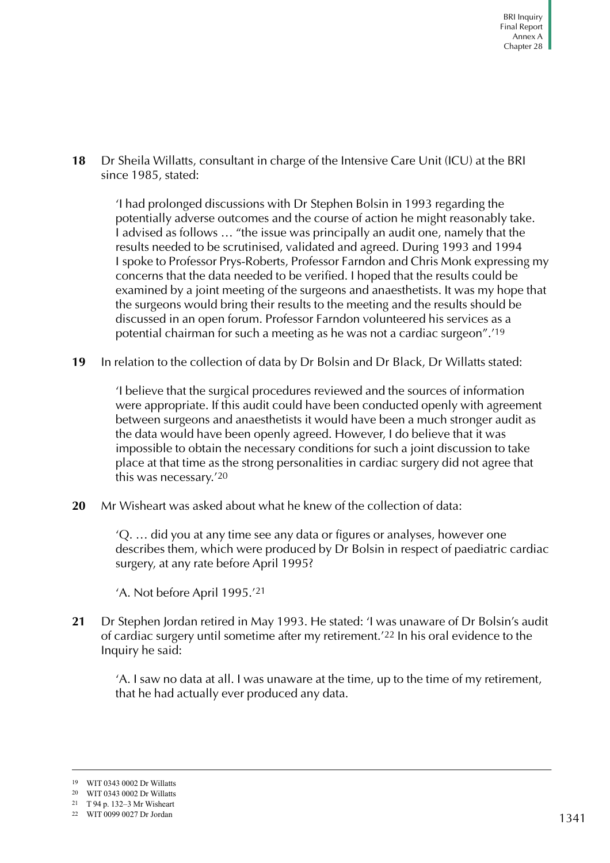**18** Dr Sheila Willatts, consultant in charge of the Intensive Care Unit (ICU) at the BRI since 1985, stated:

'I had prolonged discussions with Dr Stephen Bolsin in 1993 regarding the potentially adverse outcomes and the course of action he might reasonably take. I advised as follows … "the issue was principally an audit one, namely that the results needed to be scrutinised, validated and agreed. During 1993 and 1994 I spoke to Professor Prys-Roberts, Professor Farndon and Chris Monk expressing my concerns that the data needed to be verified. I hoped that the results could be examined by a joint meeting of the surgeons and anaesthetists. It was my hope that the surgeons would bring their results to the meeting and the results should be discussed in an open forum. Professor Farndon volunteered his services as a potential chairman for such a meeting as he was not a cardiac surgeon".'19

**19** In relation to the collection of data by Dr Bolsin and Dr Black, Dr Willatts stated:

'I believe that the surgical procedures reviewed and the sources of information were appropriate. If this audit could have been conducted openly with agreement between surgeons and anaesthetists it would have been a much stronger audit as the data would have been openly agreed. However, I do believe that it was impossible to obtain the necessary conditions for such a joint discussion to take place at that time as the strong personalities in cardiac surgery did not agree that this was necessary.'20

**20** Mr Wisheart was asked about what he knew of the collection of data:

'Q. … did you at any time see any data or figures or analyses, however one describes them, which were produced by Dr Bolsin in respect of paediatric cardiac surgery, at any rate before April 1995?

'A. Not before April 1995.'21

**21** Dr Stephen Jordan retired in May 1993. He stated: 'I was unaware of Dr Bolsin's audit of cardiac surgery until sometime after my retirement.'22 In his oral evidence to the Inquiry he said:

'A. I saw no data at all. I was unaware at the time, up to the time of my retirement, that he had actually ever produced any data.

<sup>19</sup> WIT 0343 0002 Dr Willatts

<sup>20</sup> WIT 0343 0002 Dr Willatts

<sup>21</sup> T 94 p. 132–3 Mr Wisheart

<sup>22</sup> WIT 0099 0027 Dr Jordan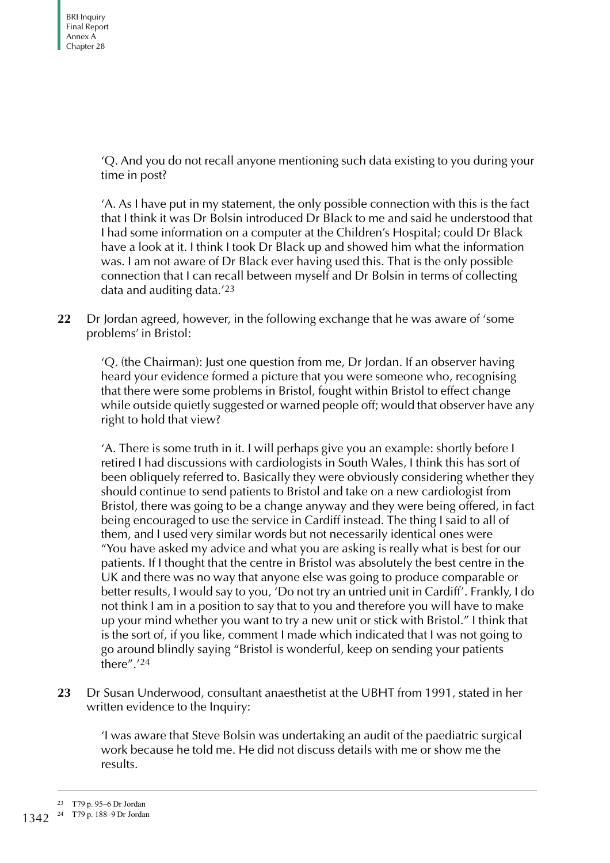'Q. And you do not recall anyone mentioning such data existing to you during your time in post?

'A. As I have put in my statement, the only possible connection with this is the fact that I think it was Dr Bolsin introduced Dr Black to me and said he understood that I had some information on a computer at the Children's Hospital; could Dr Black have a look at it. I think I took Dr Black up and showed him what the information was. I am not aware of Dr Black ever having used this. That is the only possible connection that I can recall between myself and Dr Bolsin in terms of collecting data and auditing data.'23

**22** Dr Jordan agreed, however, in the following exchange that he was aware of 'some problems' in Bristol:

'Q. (the Chairman): Just one question from me, Dr Jordan. If an observer having heard your evidence formed a picture that you were someone who, recognising that there were some problems in Bristol, fought within Bristol to effect change while outside quietly suggested or warned people off; would that observer have any right to hold that view?

'A. There is some truth in it. I will perhaps give you an example: shortly before I retired I had discussions with cardiologists in South Wales, I think this has sort of been obliquely referred to. Basically they were obviously considering whether they should continue to send patients to Bristol and take on a new cardiologist from Bristol, there was going to be a change anyway and they were being offered, in fact being encouraged to use the service in Cardiff instead. The thing I said to all of them, and I used very similar words but not necessarily identical ones were "You have asked my advice and what you are asking is really what is best for our patients. If I thought that the centre in Bristol was absolutely the best centre in the UK and there was no way that anyone else was going to produce comparable or better results, I would say to you, 'Do not try an untried unit in Cardiff'. Frankly, I do not think I am in a position to say that to you and therefore you will have to make up your mind whether you want to try a new unit or stick with Bristol." I think that is the sort of, if you like, comment I made which indicated that I was not going to go around blindly saying "Bristol is wonderful, keep on sending your patients there".'24

**23** Dr Susan Underwood, consultant anaesthetist at the UBHT from 1991, stated in her written evidence to the Inquiry:

'I was aware that Steve Bolsin was undertaking an audit of the paediatric surgical work because he told me. He did not discuss details with me or show me the results.

<sup>23</sup> T79 p. 95–6 Dr Jordan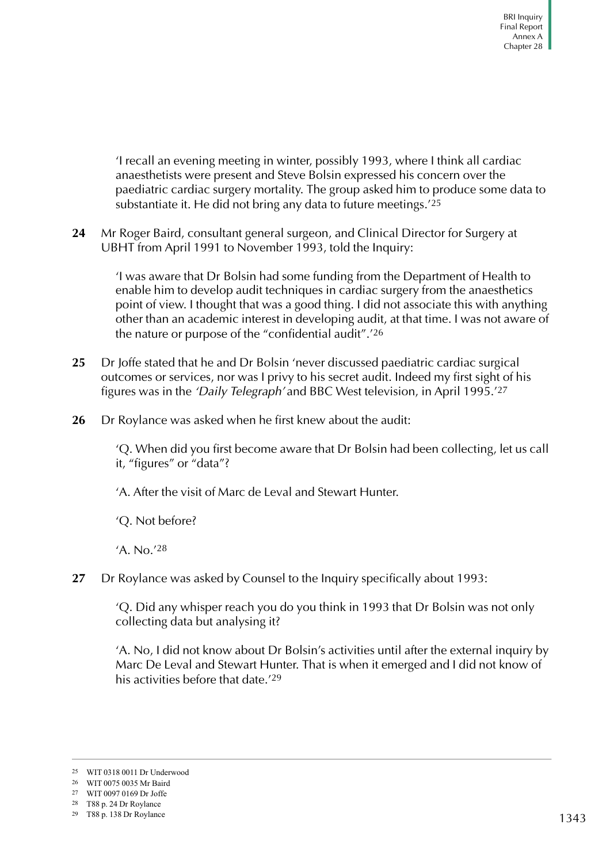'I recall an evening meeting in winter, possibly 1993, where I think all cardiac anaesthetists were present and Steve Bolsin expressed his concern over the paediatric cardiac surgery mortality. The group asked him to produce some data to substantiate it. He did not bring any data to future meetings.'25

**24** Mr Roger Baird, consultant general surgeon, and Clinical Director for Surgery at UBHT from April 1991 to November 1993, told the Inquiry:

'I was aware that Dr Bolsin had some funding from the Department of Health to enable him to develop audit techniques in cardiac surgery from the anaesthetics point of view. I thought that was a good thing. I did not associate this with anything other than an academic interest in developing audit, at that time. I was not aware of the nature or purpose of the "confidential audit".'26

- **25** Dr Joffe stated that he and Dr Bolsin 'never discussed paediatric cardiac surgical outcomes or services, nor was I privy to his secret audit. Indeed my first sight of his figures was in the 'Daily Telegraph' and BBC West television, in April 1995.'27
- **26** Dr Roylance was asked when he first knew about the audit:

'Q. When did you first become aware that Dr Bolsin had been collecting, let us call it, "figures" or "data"?

'A. After the visit of Marc de Leval and Stewart Hunter.

'Q. Not before?

'A. No.'28

**27** Dr Roylance was asked by Counsel to the Inquiry specifically about 1993:

'Q. Did any whisper reach you do you think in 1993 that Dr Bolsin was not only collecting data but analysing it?

'A. No, I did not know about Dr Bolsin's activities until after the external inquiry by Marc De Leval and Stewart Hunter. That is when it emerged and I did not know of his activities before that date.'29

<sup>25</sup> WIT 0318 0011 Dr Underwood

<sup>26</sup> WIT 0075 0035 Mr Baird

<sup>27</sup> WIT 0097 0169 Dr Joffe

<sup>28</sup> T88 p. 24 Dr Roylance

<sup>29</sup> T88 p. 138 Dr Roylance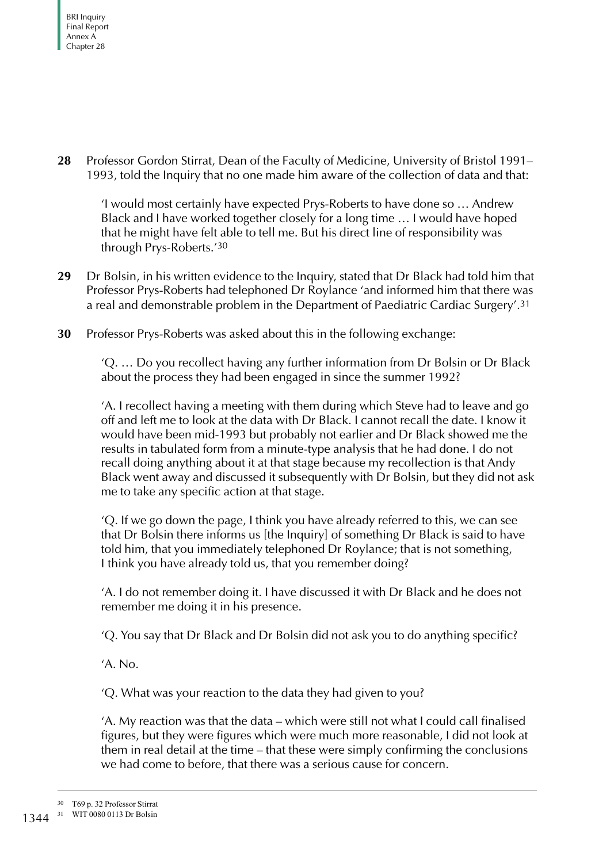**28** Professor Gordon Stirrat, Dean of the Faculty of Medicine, University of Bristol 1991– 1993, told the Inquiry that no one made him aware of the collection of data and that:

'I would most certainly have expected Prys-Roberts to have done so … Andrew Black and I have worked together closely for a long time … I would have hoped that he might have felt able to tell me. But his direct line of responsibility was through Prys-Roberts.'30

- **29** Dr Bolsin, in his written evidence to the Inquiry, stated that Dr Black had told him that Professor Prys-Roberts had telephoned Dr Roylance 'and informed him that there was a real and demonstrable problem in the Department of Paediatric Cardiac Surgery'.31
- **30** Professor Prys-Roberts was asked about this in the following exchange:

'Q. … Do you recollect having any further information from Dr Bolsin or Dr Black about the process they had been engaged in since the summer 1992?

'A. I recollect having a meeting with them during which Steve had to leave and go off and left me to look at the data with Dr Black. I cannot recall the date. I know it would have been mid-1993 but probably not earlier and Dr Black showed me the results in tabulated form from a minute-type analysis that he had done. I do not recall doing anything about it at that stage because my recollection is that Andy Black went away and discussed it subsequently with Dr Bolsin, but they did not ask me to take any specific action at that stage.

'Q. If we go down the page, I think you have already referred to this, we can see that Dr Bolsin there informs us [the Inquiry] of something Dr Black is said to have told him, that you immediately telephoned Dr Roylance; that is not something, I think you have already told us, that you remember doing?

'A. I do not remember doing it. I have discussed it with Dr Black and he does not remember me doing it in his presence.

'Q. You say that Dr Black and Dr Bolsin did not ask you to do anything specific?

'A. No.

'Q. What was your reaction to the data they had given to you?

'A. My reaction was that the data – which were still not what I could call finalised figures, but they were figures which were much more reasonable, I did not look at them in real detail at the time – that these were simply confirming the conclusions we had come to before, that there was a serious cause for concern.

<sup>30</sup> T69 p. 32 Professor Stirrat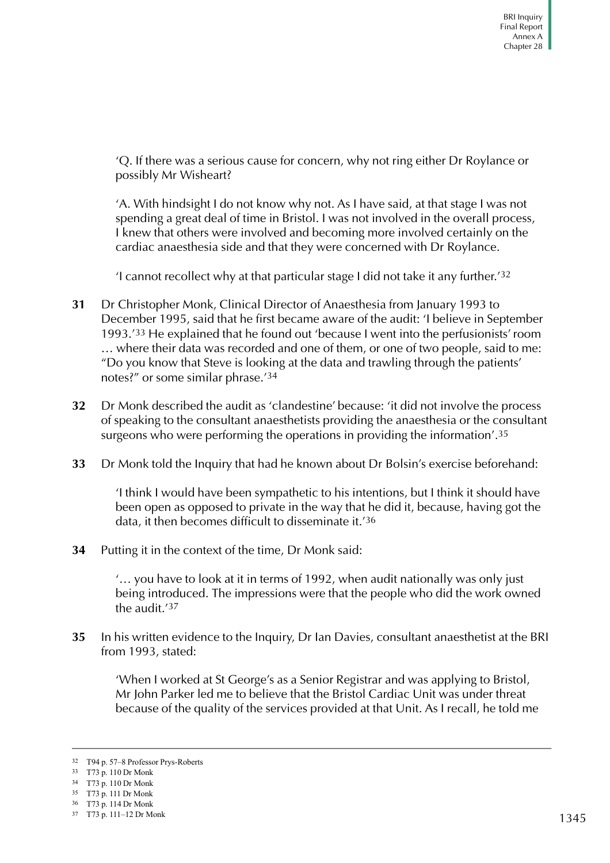'Q. If there was a serious cause for concern, why not ring either Dr Roylance or possibly Mr Wisheart?

'A. With hindsight I do not know why not. As I have said, at that stage I was not spending a great deal of time in Bristol. I was not involved in the overall process, I knew that others were involved and becoming more involved certainly on the cardiac anaesthesia side and that they were concerned with Dr Roylance.

'I cannot recollect why at that particular stage I did not take it any further.'32

- **31** Dr Christopher Monk, Clinical Director of Anaesthesia from January 1993 to December 1995, said that he first became aware of the audit: 'I believe in September 1993.'33 He explained that he found out 'because I went into the perfusionists' room … where their data was recorded and one of them, or one of two people, said to me: "Do you know that Steve is looking at the data and trawling through the patients' notes?" or some similar phrase.'34
- **32** Dr Monk described the audit as 'clandestine' because: 'it did not involve the process of speaking to the consultant anaesthetists providing the anaesthesia or the consultant surgeons who were performing the operations in providing the information'.35
- **33** Dr Monk told the Inquiry that had he known about Dr Bolsin's exercise beforehand:

'I think I would have been sympathetic to his intentions, but I think it should have been open as opposed to private in the way that he did it, because, having got the data, it then becomes difficult to disseminate it.'36

**34** Putting it in the context of the time, Dr Monk said:

'… you have to look at it in terms of 1992, when audit nationally was only just being introduced. The impressions were that the people who did the work owned the audit.'37

**35** In his written evidence to the Inquiry, Dr Ian Davies, consultant anaesthetist at the BRI from 1993, stated:

'When I worked at St George's as a Senior Registrar and was applying to Bristol, Mr John Parker led me to believe that the Bristol Cardiac Unit was under threat because of the quality of the services provided at that Unit. As I recall, he told me

<sup>32</sup> T94 p. 57–8 Professor Prys-Roberts

<sup>33</sup> T73 p. 110 Dr Monk

<sup>34</sup> T73 p. 110 Dr Monk

<sup>35</sup> T73 p. 111 Dr Monk

<sup>36</sup> T73 p. 114 Dr Monk

<sup>37</sup> T73 p. 111–12 Dr Monk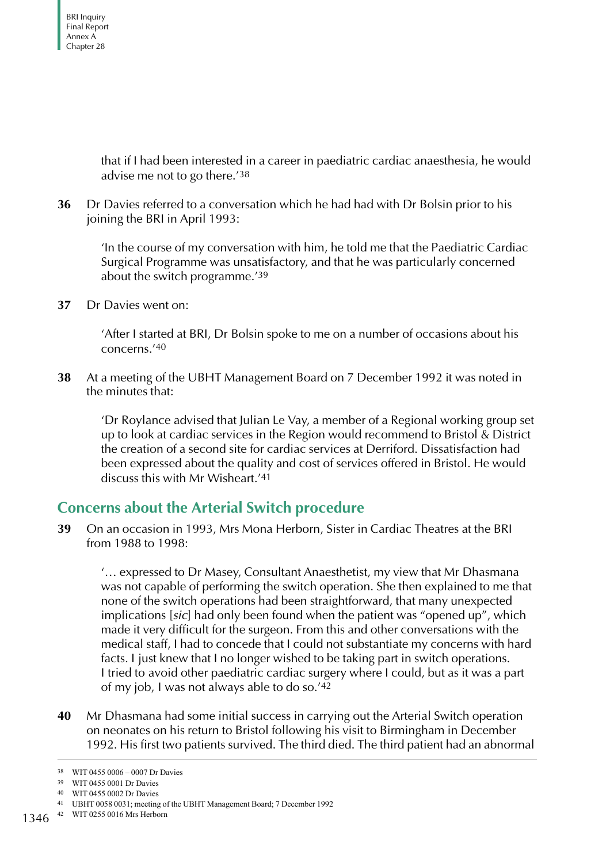that if I had been interested in a career in paediatric cardiac anaesthesia, he would advise me not to go there.'38

**36** Dr Davies referred to a conversation which he had had with Dr Bolsin prior to his joining the BRI in April 1993:

'In the course of my conversation with him, he told me that the Paediatric Cardiac Surgical Programme was unsatisfactory, and that he was particularly concerned about the switch programme.'39

**37** Dr Davies went on:

'After I started at BRI, Dr Bolsin spoke to me on a number of occasions about his concerns.'40

**38** At a meeting of the UBHT Management Board on 7 December 1992 it was noted in the minutes that:

'Dr Roylance advised that Julian Le Vay, a member of a Regional working group set up to look at cardiac services in the Region would recommend to Bristol & District the creation of a second site for cardiac services at Derriford. Dissatisfaction had been expressed about the quality and cost of services offered in Bristol. He would discuss this with Mr Wisheart.'41

## <span id="page-11-0"></span>**Concerns about the Arterial Switch procedure**

**39** On an occasion in 1993, Mrs Mona Herborn, Sister in Cardiac Theatres at the BRI from 1988 to 1998:

'… expressed to Dr Masey, Consultant Anaesthetist, my view that Mr Dhasmana was not capable of performing the switch operation. She then explained to me that none of the switch operations had been straightforward, that many unexpected implications [sic] had only been found when the patient was "opened up", which made it very difficult for the surgeon. From this and other conversations with the medical staff, I had to concede that I could not substantiate my concerns with hard facts. I just knew that I no longer wished to be taking part in switch operations. I tried to avoid other paediatric cardiac surgery where I could, but as it was a part of my job, I was not always able to do so.'42

**40** Mr Dhasmana had some initial success in carrying out the Arterial Switch operation on neonates on his return to Bristol following his visit to Birmingham in December 1992. His first two patients survived. The third died. The third patient had an abnormal

<sup>38</sup> WIT 0455 0006 – 0007 Dr Davies

<sup>39</sup> WIT 0455 0001 Dr Davies

<sup>40</sup> WIT 0455 0002 Dr Davies

<sup>41</sup> UBHT 0058 0031; meeting of the UBHT Management Board; 7 December 1992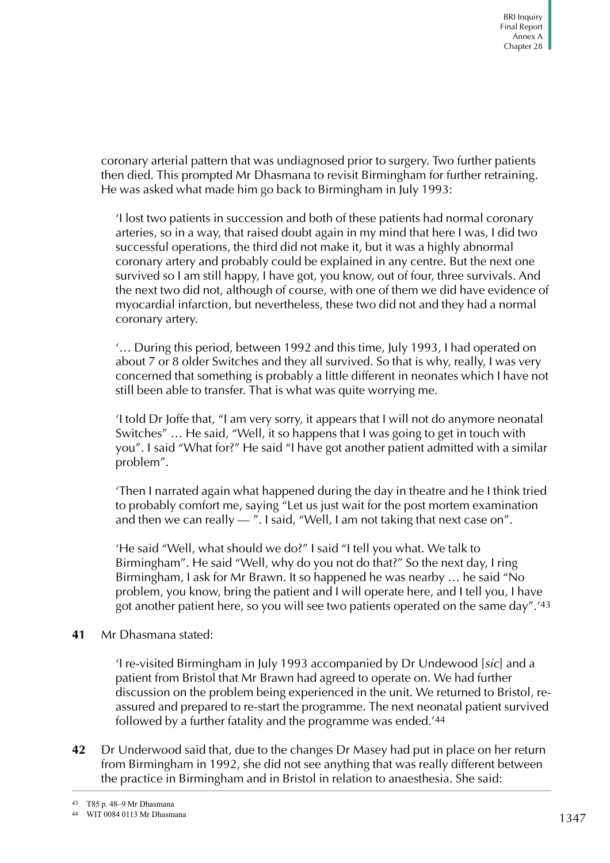coronary arterial pattern that was undiagnosed prior to surgery. Two further patients then died. This prompted Mr Dhasmana to revisit Birmingham for further retraining. He was asked what made him go back to Birmingham in July 1993:

'I lost two patients in succession and both of these patients had normal coronary arteries, so in a way, that raised doubt again in my mind that here I was, I did two successful operations, the third did not make it, but it was a highly abnormal coronary artery and probably could be explained in any centre. But the next one survived so I am still happy, I have got, you know, out of four, three survivals. And the next two did not, although of course, with one of them we did have evidence of myocardial infarction, but nevertheless, these two did not and they had a normal coronary artery.

'… During this period, between 1992 and this time, July 1993, I had operated on about 7 or 8 older Switches and they all survived. So that is why, really, I was very concerned that something is probably a little different in neonates which I have not still been able to transfer. That is what was quite worrying me.

'I told Dr Joffe that, "I am very sorry, it appears that I will not do anymore neonatal Switches" … He said, "Well, it so happens that I was going to get in touch with you". I said "What for?" He said "I have got another patient admitted with a similar problem".

'Then I narrated again what happened during the day in theatre and he I think tried to probably comfort me, saying "Let us just wait for the post mortem examination and then we can really — ". I said, "Well, I am not taking that next case on".

'He said "Well, what should we do?" I said "I tell you what. We talk to Birmingham". He said "Well, why do you not do that?" So the next day, I ring Birmingham, I ask for Mr Brawn. It so happened he was nearby … he said "No problem, you know, bring the patient and I will operate here, and I tell you, I have got another patient here, so you will see two patients operated on the same day".'43

**41** Mr Dhasmana stated:

'I re-visited Birmingham in July 1993 accompanied by Dr Undewood [sic] and a patient from Bristol that Mr Brawn had agreed to operate on. We had further discussion on the problem being experienced in the unit. We returned to Bristol, reassured and prepared to re-start the programme. The next neonatal patient survived followed by a further fatality and the programme was ended.'44

**42** Dr Underwood said that, due to the changes Dr Masey had put in place on her return from Birmingham in 1992, she did not see anything that was really different between the practice in Birmingham and in Bristol in relation to anaesthesia. She said:

<sup>43</sup> T85 p. 48–9 Mr Dhasmana

<sup>44</sup> WIT 0084 0113 Mr Dhasmana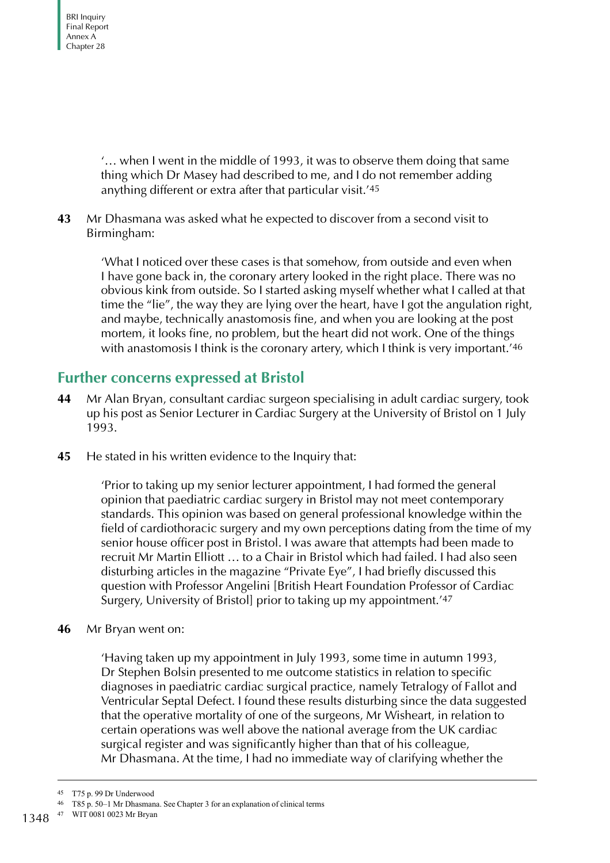'… when I went in the middle of 1993, it was to observe them doing that same thing which Dr Masey had described to me, and I do not remember adding anything different or extra after that particular visit.'45

**43** Mr Dhasmana was asked what he expected to discover from a second visit to Birmingham:

'What I noticed over these cases is that somehow, from outside and even when I have gone back in, the coronary artery looked in the right place. There was no obvious kink from outside. So I started asking myself whether what I called at that time the "lie", the way they are lying over the heart, have I got the angulation right, and maybe, technically anastomosis fine, and when you are looking at the post mortem, it looks fine, no problem, but the heart did not work. One of the things with anastomosis I think is the coronary artery, which I think is very important.<sup>'46</sup>

## <span id="page-13-0"></span>**Further concerns expressed at Bristol**

- **44** Mr Alan Bryan, consultant cardiac surgeon specialising in adult cardiac surgery, took up his post as Senior Lecturer in Cardiac Surgery at the University of Bristol on 1 July 1993.
- **45** He stated in his written evidence to the Inquiry that:

'Prior to taking up my senior lecturer appointment, I had formed the general opinion that paediatric cardiac surgery in Bristol may not meet contemporary standards. This opinion was based on general professional knowledge within the field of cardiothoracic surgery and my own perceptions dating from the time of my senior house officer post in Bristol. I was aware that attempts had been made to recruit Mr Martin Elliott … to a Chair in Bristol which had failed. I had also seen disturbing articles in the magazine "Private Eye", I had briefly discussed this question with Professor Angelini [British Heart Foundation Professor of Cardiac Surgery, University of Bristol] prior to taking up my appointment.'47

**46** Mr Bryan went on:

'Having taken up my appointment in July 1993, some time in autumn 1993, Dr Stephen Bolsin presented to me outcome statistics in relation to specific diagnoses in paediatric cardiac surgical practice, namely Tetralogy of Fallot and Ventricular Septal Defect. I found these results disturbing since the data suggested that the operative mortality of one of the surgeons, Mr Wisheart, in relation to certain operations was well above the national average from the UK cardiac surgical register and was significantly higher than that of his colleague, Mr Dhasmana. At the time, I had no immediate way of clarifying whether the

<sup>45</sup> T75 p. 99 Dr Underwood

<sup>46</sup> T85 p. 50–1 Mr Dhasmana. See Chapter 3 for an explanation of clinical terms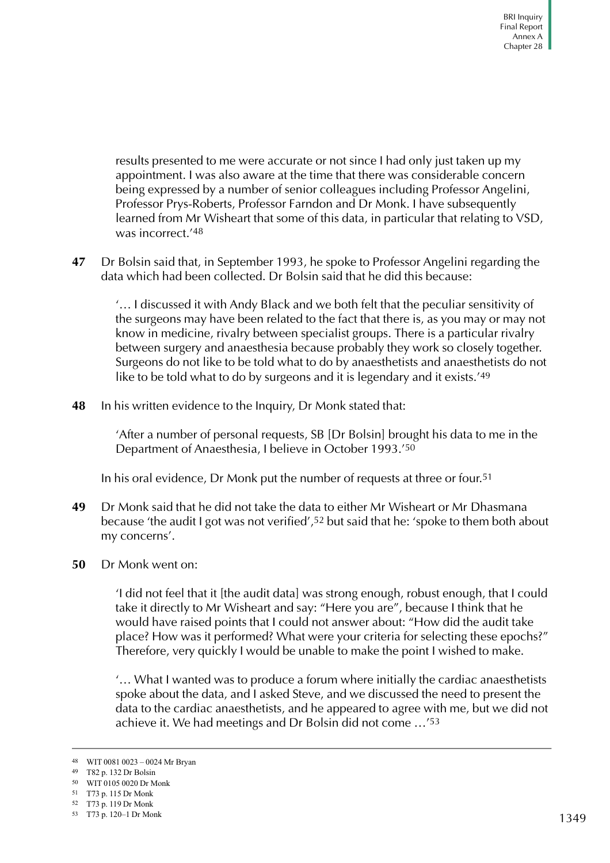results presented to me were accurate or not since I had only just taken up my appointment. I was also aware at the time that there was considerable concern being expressed by a number of senior colleagues including Professor Angelini, Professor Prys-Roberts, Professor Farndon and Dr Monk. I have subsequently learned from Mr Wisheart that some of this data, in particular that relating to VSD, was incorrect.'48

**47** Dr Bolsin said that, in September 1993, he spoke to Professor Angelini regarding the data which had been collected. Dr Bolsin said that he did this because:

'… I discussed it with Andy Black and we both felt that the peculiar sensitivity of the surgeons may have been related to the fact that there is, as you may or may not know in medicine, rivalry between specialist groups. There is a particular rivalry between surgery and anaesthesia because probably they work so closely together. Surgeons do not like to be told what to do by anaesthetists and anaesthetists do not like to be told what to do by surgeons and it is legendary and it exists.<sup>149</sup>

**48** In his written evidence to the Inquiry, Dr Monk stated that:

'After a number of personal requests, SB [Dr Bolsin] brought his data to me in the Department of Anaesthesia, I believe in October 1993.'50

In his oral evidence, Dr Monk put the number of requests at three or four.51

- **49** Dr Monk said that he did not take the data to either Mr Wisheart or Mr Dhasmana because 'the audit I got was not verified',52 but said that he: 'spoke to them both about my concerns'.
- **50** Dr Monk went on:

'I did not feel that it [the audit data] was strong enough, robust enough, that I could take it directly to Mr Wisheart and say: "Here you are", because I think that he would have raised points that I could not answer about: "How did the audit take place? How was it performed? What were your criteria for selecting these epochs?" Therefore, very quickly I would be unable to make the point I wished to make.

'… What I wanted was to produce a forum where initially the cardiac anaesthetists spoke about the data, and I asked Steve, and we discussed the need to present the data to the cardiac anaesthetists, and he appeared to agree with me, but we did not achieve it. We had meetings and Dr Bolsin did not come …'53

<sup>48</sup> WIT 0081 0023 – 0024 Mr Bryan

<sup>49</sup> T82 p. 132 Dr Bolsin

<sup>50</sup> WIT 0105 0020 Dr Monk

<sup>51</sup> T73 p. 115 Dr Monk

<sup>52</sup> T73 p. 119 Dr Monk

<sup>53</sup> T73 p. 120–1 Dr Monk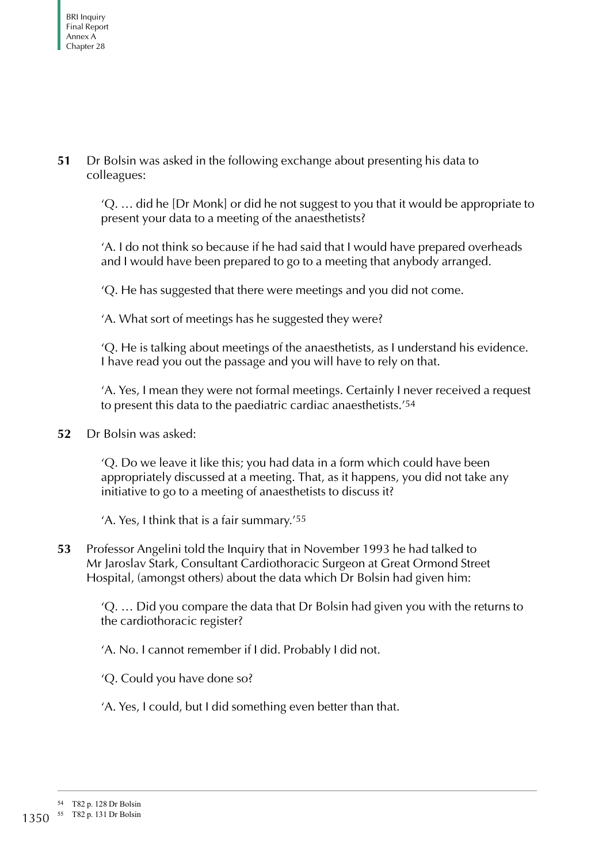**51** Dr Bolsin was asked in the following exchange about presenting his data to colleagues:

> 'Q. … did he [Dr Monk] or did he not suggest to you that it would be appropriate to present your data to a meeting of the anaesthetists?

'A. I do not think so because if he had said that I would have prepared overheads and I would have been prepared to go to a meeting that anybody arranged.

'Q. He has suggested that there were meetings and you did not come.

'A. What sort of meetings has he suggested they were?

'Q. He is talking about meetings of the anaesthetists, as I understand his evidence. I have read you out the passage and you will have to rely on that.

'A. Yes, I mean they were not formal meetings. Certainly I never received a request to present this data to the paediatric cardiac anaesthetists.'54

**52** Dr Bolsin was asked:

'Q. Do we leave it like this; you had data in a form which could have been appropriately discussed at a meeting. That, as it happens, you did not take any initiative to go to a meeting of anaesthetists to discuss it?

'A. Yes, I think that is a fair summary.'55

**53** Professor Angelini told the Inquiry that in November 1993 he had talked to Mr Jaroslav Stark, Consultant Cardiothoracic Surgeon at Great Ormond Street Hospital, (amongst others) about the data which Dr Bolsin had given him:

'Q. … Did you compare the data that Dr Bolsin had given you with the returns to the cardiothoracic register?

'A. No. I cannot remember if I did. Probably I did not.

'Q. Could you have done so?

'A. Yes, I could, but I did something even better than that.

<sup>54</sup> T82 p. 128 Dr Bolsin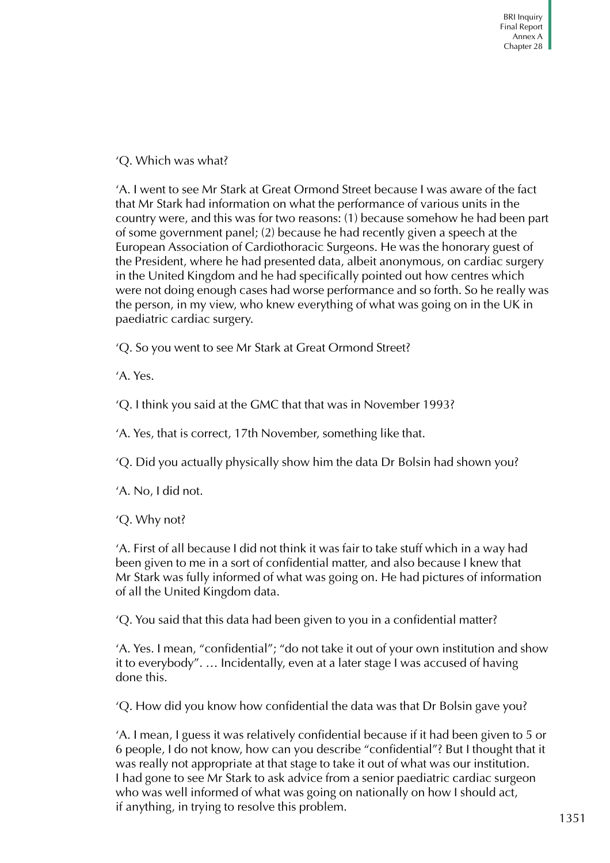'Q. Which was what?

'A. I went to see Mr Stark at Great Ormond Street because I was aware of the fact that Mr Stark had information on what the performance of various units in the country were, and this was for two reasons: (1) because somehow he had been part of some government panel; (2) because he had recently given a speech at the European Association of Cardiothoracic Surgeons. He was the honorary guest of the President, where he had presented data, albeit anonymous, on cardiac surgery in the United Kingdom and he had specifically pointed out how centres which were not doing enough cases had worse performance and so forth. So he really was the person, in my view, who knew everything of what was going on in the UK in paediatric cardiac surgery.

'Q. So you went to see Mr Stark at Great Ormond Street?

'A. Yes.

'Q. I think you said at the GMC that that was in November 1993?

'A. Yes, that is correct, 17th November, something like that.

'Q. Did you actually physically show him the data Dr Bolsin had shown you?

'A. No, I did not.

'Q. Why not?

'A. First of all because I did not think it was fair to take stuff which in a way had been given to me in a sort of confidential matter, and also because I knew that Mr Stark was fully informed of what was going on. He had pictures of information of all the United Kingdom data.

'Q. You said that this data had been given to you in a confidential matter?

'A. Yes. I mean, "confidential"; "do not take it out of your own institution and show it to everybody". … Incidentally, even at a later stage I was accused of having done this.

'Q. How did you know how confidential the data was that Dr Bolsin gave you?

'A. I mean, I guess it was relatively confidential because if it had been given to 5 or 6 people, I do not know, how can you describe "confidential"? But I thought that it was really not appropriate at that stage to take it out of what was our institution. I had gone to see Mr Stark to ask advice from a senior paediatric cardiac surgeon who was well informed of what was going on nationally on how I should act, if anything, in trying to resolve this problem.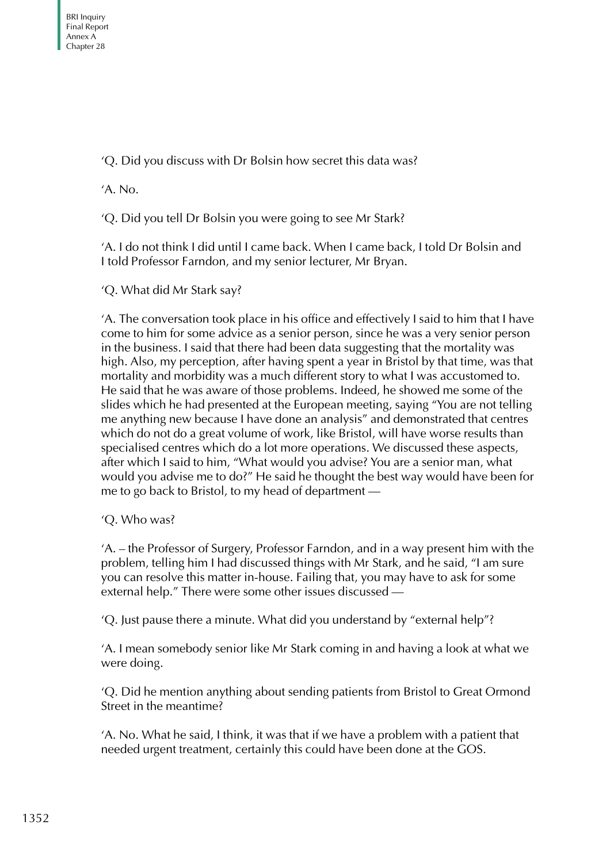'Q. Did you discuss with Dr Bolsin how secret this data was?

'A. No.

'Q. Did you tell Dr Bolsin you were going to see Mr Stark?

'A. I do not think I did until I came back. When I came back, I told Dr Bolsin and I told Professor Farndon, and my senior lecturer, Mr Bryan.

'Q. What did Mr Stark say?

'A. The conversation took place in his office and effectively I said to him that I have come to him for some advice as a senior person, since he was a very senior person in the business. I said that there had been data suggesting that the mortality was high. Also, my perception, after having spent a year in Bristol by that time, was that mortality and morbidity was a much different story to what I was accustomed to. He said that he was aware of those problems. Indeed, he showed me some of the slides which he had presented at the European meeting, saying "You are not telling me anything new because I have done an analysis" and demonstrated that centres which do not do a great volume of work, like Bristol, will have worse results than specialised centres which do a lot more operations. We discussed these aspects, after which I said to him, "What would you advise? You are a senior man, what would you advise me to do?" He said he thought the best way would have been for me to go back to Bristol, to my head of department —

#### 'Q. Who was?

'A. – the Professor of Surgery, Professor Farndon, and in a way present him with the problem, telling him I had discussed things with Mr Stark, and he said, "I am sure you can resolve this matter in-house. Failing that, you may have to ask for some external help." There were some other issues discussed —

'Q. Just pause there a minute. What did you understand by "external help"?

'A. I mean somebody senior like Mr Stark coming in and having a look at what we were doing.

'Q. Did he mention anything about sending patients from Bristol to Great Ormond Street in the meantime?

'A. No. What he said, I think, it was that if we have a problem with a patient that needed urgent treatment, certainly this could have been done at the GOS.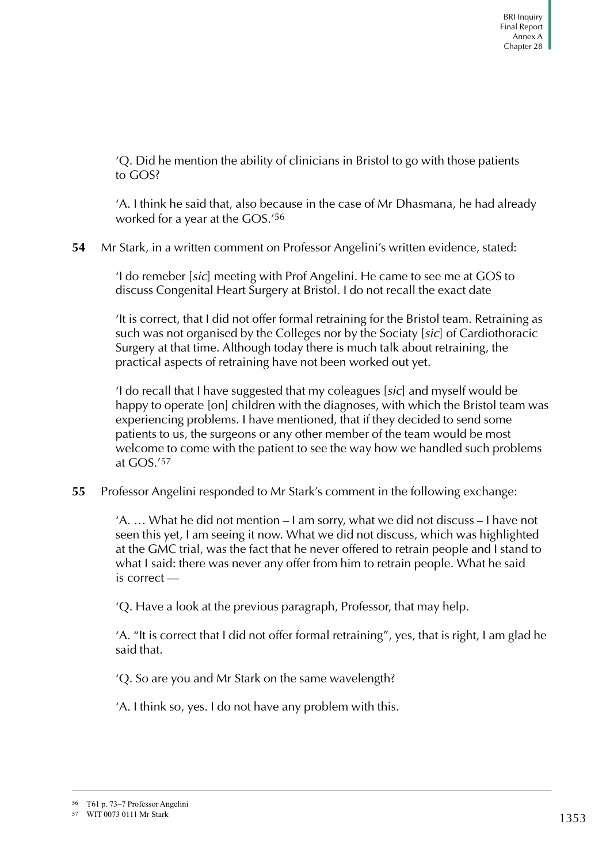'Q. Did he mention the ability of clinicians in Bristol to go with those patients to GOS?

'A. I think he said that, also because in the case of Mr Dhasmana, he had already worked for a year at the GOS.'56

#### **54** Mr Stark, in a written comment on Professor Angelini's written evidence, stated:

'I do remeber [sic] meeting with Prof Angelini. He came to see me at GOS to discuss Congenital Heart Surgery at Bristol. I do not recall the exact date

'It is correct, that I did not offer formal retraining for the Bristol team. Retraining as such was not organised by the Colleges nor by the Sociaty [sic] of Cardiothoracic Surgery at that time. Although today there is much talk about retraining, the practical aspects of retraining have not been worked out yet.

'I do recall that I have suggested that my coleagues [sic] and myself would be happy to operate [on] children with the diagnoses, with which the Bristol team was experiencing problems. I have mentioned, that if they decided to send some patients to us, the surgeons or any other member of the team would be most welcome to come with the patient to see the way how we handled such problems at GOS.'57

#### **55** Professor Angelini responded to Mr Stark's comment in the following exchange:

'A. … What he did not mention – I am sorry, what we did not discuss – I have not seen this yet, I am seeing it now. What we did not discuss, which was highlighted at the GMC trial, was the fact that he never offered to retrain people and I stand to what I said: there was never any offer from him to retrain people. What he said is correct —

'Q. Have a look at the previous paragraph, Professor, that may help.

'A. "It is correct that I did not offer formal retraining", yes, that is right, I am glad he said that.

'Q. So are you and Mr Stark on the same wavelength?

'A. I think so, yes. I do not have any problem with this.

<sup>56</sup> T61 p. 73–7 Professor Angelini

<sup>57</sup> WIT 0073 0111 Mr Stark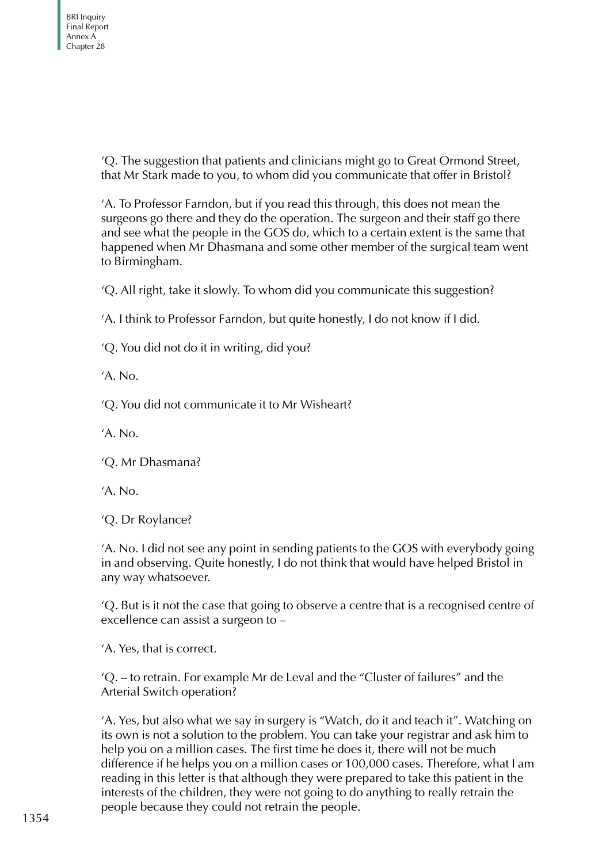'Q. The suggestion that patients and clinicians might go to Great Ormond Street, that Mr Stark made to you, to whom did you communicate that offer in Bristol?

'A. To Professor Farndon, but if you read this through, this does not mean the surgeons go there and they do the operation. The surgeon and their staff go there and see what the people in the GOS do, which to a certain extent is the same that happened when Mr Dhasmana and some other member of the surgical team went to Birmingham.

'Q. All right, take it slowly. To whom did you communicate this suggestion?

'A. I think to Professor Farndon, but quite honestly, I do not know if I did.

'Q. You did not do it in writing, did you?

'A. No.

'Q. You did not communicate it to Mr Wisheart?

'A. No.

'Q. Mr Dhasmana?

'A. No.

'Q. Dr Roylance?

'A. No. I did not see any point in sending patients to the GOS with everybody going in and observing. Quite honestly, I do not think that would have helped Bristol in any way whatsoever.

'Q. But is it not the case that going to observe a centre that is a recognised centre of excellence can assist a surgeon to –

'A. Yes, that is correct.

'Q. – to retrain. For example Mr de Leval and the "Cluster of failures" and the Arterial Switch operation?

'A. Yes, but also what we say in surgery is "Watch, do it and teach it". Watching on its own is not a solution to the problem. You can take your registrar and ask him to help you on a million cases. The first time he does it, there will not be much difference if he helps you on a million cases or 100,000 cases. Therefore, what I am reading in this letter is that although they were prepared to take this patient in the interests of the children, they were not going to do anything to really retrain the people because they could not retrain the people.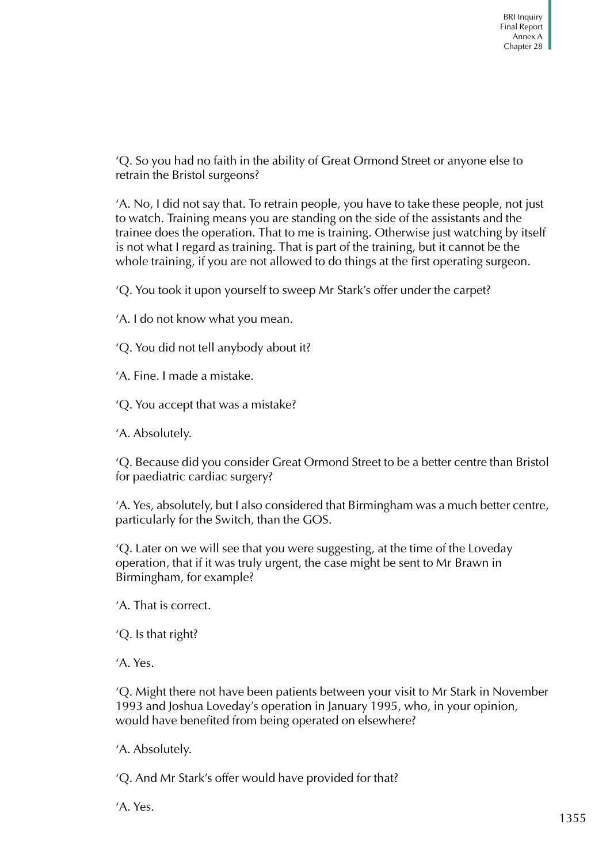'Q. So you had no faith in the ability of Great Ormond Street or anyone else to retrain the Bristol surgeons?

'A. No, I did not say that. To retrain people, you have to take these people, not just to watch. Training means you are standing on the side of the assistants and the trainee does the operation. That to me is training. Otherwise just watching by itself is not what I regard as training. That is part of the training, but it cannot be the whole training, if you are not allowed to do things at the first operating surgeon.

'Q. You took it upon yourself to sweep Mr Stark's offer under the carpet?

'A. I do not know what you mean.

'Q. You did not tell anybody about it?

'A. Fine. I made a mistake.

'Q. You accept that was a mistake?

'A. Absolutely.

'Q. Because did you consider Great Ormond Street to be a better centre than Bristol for paediatric cardiac surgery?

'A. Yes, absolutely, but I also considered that Birmingham was a much better centre, particularly for the Switch, than the GOS.

'Q. Later on we will see that you were suggesting, at the time of the Loveday operation, that if it was truly urgent, the case might be sent to Mr Brawn in Birmingham, for example?

'A. That is correct.

'Q. Is that right?

'A. Yes.

'Q. Might there not have been patients between your visit to Mr Stark in November 1993 and Joshua Loveday's operation in January 1995, who, in your opinion, would have benefited from being operated on elsewhere?

'A. Absolutely.

'Q. And Mr Stark's offer would have provided for that?

'A. Yes.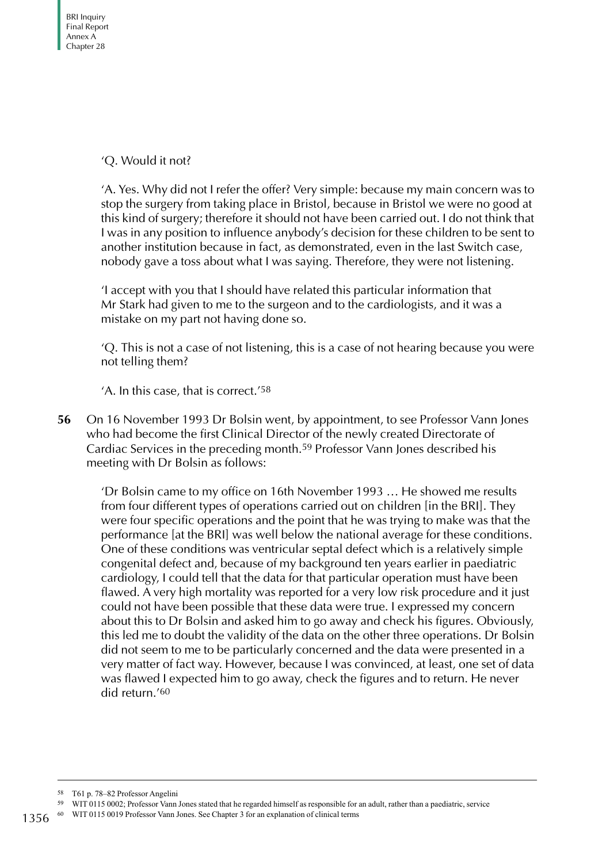'Q. Would it not?

'A. Yes. Why did not I refer the offer? Very simple: because my main concern was to stop the surgery from taking place in Bristol, because in Bristol we were no good at this kind of surgery; therefore it should not have been carried out. I do not think that I was in any position to influence anybody's decision for these children to be sent to another institution because in fact, as demonstrated, even in the last Switch case, nobody gave a toss about what I was saying. Therefore, they were not listening.

'I accept with you that I should have related this particular information that Mr Stark had given to me to the surgeon and to the cardiologists, and it was a mistake on my part not having done so.

'Q. This is not a case of not listening, this is a case of not hearing because you were not telling them?

'A. In this case, that is correct.'58

**56** On 16 November 1993 Dr Bolsin went, by appointment, to see Professor Vann Jones who had become the first Clinical Director of the newly created Directorate of Cardiac Services in the preceding month.59 Professor Vann Jones described his meeting with Dr Bolsin as follows:

'Dr Bolsin came to my office on 16th November 1993 … He showed me results from four different types of operations carried out on children [in the BRI]. They were four specific operations and the point that he was trying to make was that the performance [at the BRI] was well below the national average for these conditions. One of these conditions was ventricular septal defect which is a relatively simple congenital defect and, because of my background ten years earlier in paediatric cardiology, I could tell that the data for that particular operation must have been flawed. A very high mortality was reported for a very low risk procedure and it just could not have been possible that these data were true. I expressed my concern about this to Dr Bolsin and asked him to go away and check his figures. Obviously, this led me to doubt the validity of the data on the other three operations. Dr Bolsin did not seem to me to be particularly concerned and the data were presented in a very matter of fact way. However, because I was convinced, at least, one set of data was flawed I expected him to go away, check the figures and to return. He never did return.'60

<sup>58</sup> T61 p. 78–82 Professor Angelini

<sup>59</sup> WIT 0115 0002; Professor Vann Jones stated that he regarded himself as responsible for an adult, rather than a paediatric, service

<sup>60</sup> WIT 0115 0019 Professor Vann Jones. See Chapter 3 for an explanation of clinical terms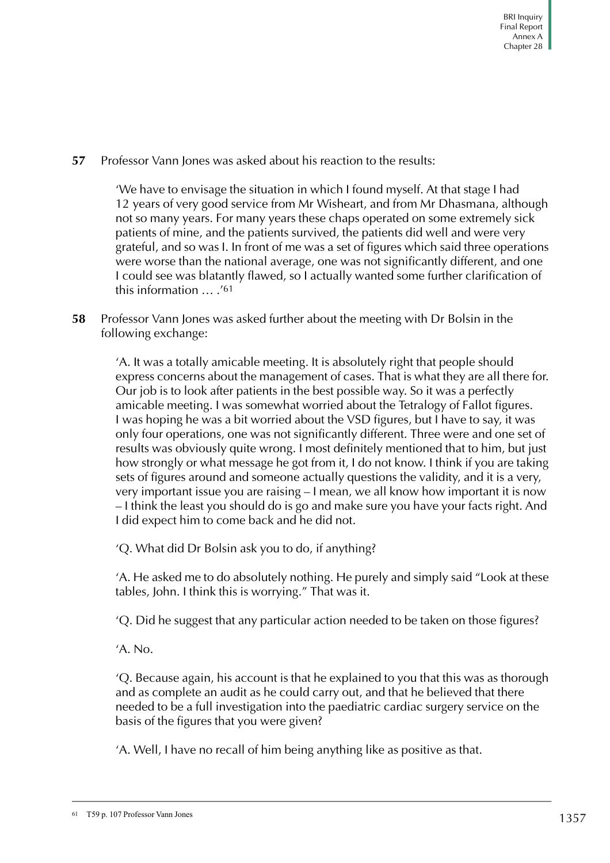#### **57** Professor Vann Jones was asked about his reaction to the results:

'We have to envisage the situation in which I found myself. At that stage I had 12 years of very good service from Mr Wisheart, and from Mr Dhasmana, although not so many years. For many years these chaps operated on some extremely sick patients of mine, and the patients survived, the patients did well and were very grateful, and so was I. In front of me was a set of figures which said three operations were worse than the national average, one was not significantly different, and one I could see was blatantly flawed, so I actually wanted some further clarification of this information … .'61

**58** Professor Vann Jones was asked further about the meeting with Dr Bolsin in the following exchange:

'A. It was a totally amicable meeting. It is absolutely right that people should express concerns about the management of cases. That is what they are all there for. Our job is to look after patients in the best possible way. So it was a perfectly amicable meeting. I was somewhat worried about the Tetralogy of Fallot figures. I was hoping he was a bit worried about the VSD figures, but I have to say, it was only four operations, one was not significantly different. Three were and one set of results was obviously quite wrong. I most definitely mentioned that to him, but just how strongly or what message he got from it, I do not know. I think if you are taking sets of figures around and someone actually questions the validity, and it is a very, very important issue you are raising – I mean, we all know how important it is now – I think the least you should do is go and make sure you have your facts right. And I did expect him to come back and he did not.

'Q. What did Dr Bolsin ask you to do, if anything?

'A. He asked me to do absolutely nothing. He purely and simply said "Look at these tables, John. I think this is worrying." That was it.

'Q. Did he suggest that any particular action needed to be taken on those figures?

'A. No.

'Q. Because again, his account is that he explained to you that this was as thorough and as complete an audit as he could carry out, and that he believed that there needed to be a full investigation into the paediatric cardiac surgery service on the basis of the figures that you were given?

'A. Well, I have no recall of him being anything like as positive as that.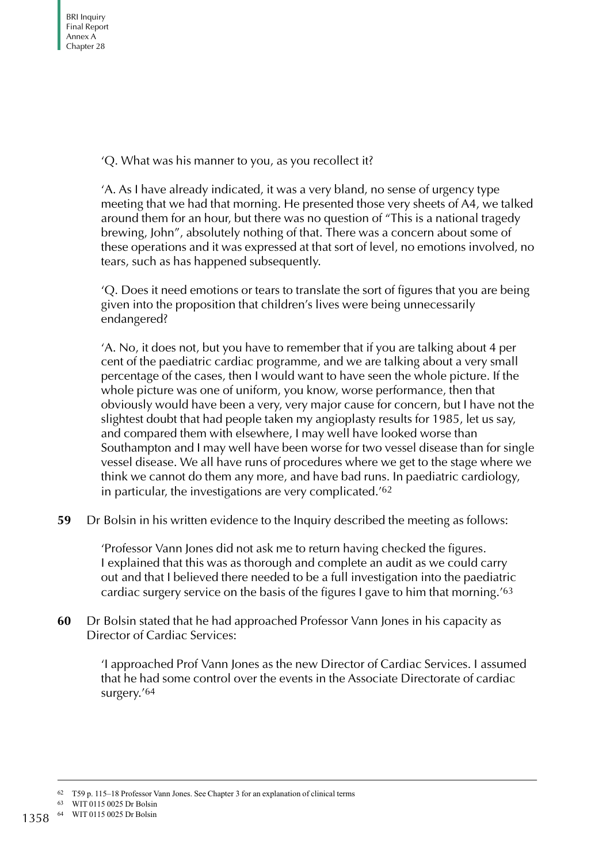'Q. What was his manner to you, as you recollect it?

'A. As I have already indicated, it was a very bland, no sense of urgency type meeting that we had that morning. He presented those very sheets of A4, we talked around them for an hour, but there was no question of "This is a national tragedy brewing, John", absolutely nothing of that. There was a concern about some of these operations and it was expressed at that sort of level, no emotions involved, no tears, such as has happened subsequently.

'Q. Does it need emotions or tears to translate the sort of figures that you are being given into the proposition that children's lives were being unnecessarily endangered?

'A. No, it does not, but you have to remember that if you are talking about 4 per cent of the paediatric cardiac programme, and we are talking about a very small percentage of the cases, then I would want to have seen the whole picture. If the whole picture was one of uniform, you know, worse performance, then that obviously would have been a very, very major cause for concern, but I have not the slightest doubt that had people taken my angioplasty results for 1985, let us say, and compared them with elsewhere, I may well have looked worse than Southampton and I may well have been worse for two vessel disease than for single vessel disease. We all have runs of procedures where we get to the stage where we think we cannot do them any more, and have bad runs. In paediatric cardiology, in particular, the investigations are very complicated.'62

**59** Dr Bolsin in his written evidence to the Inquiry described the meeting as follows:

'Professor Vann Jones did not ask me to return having checked the figures. I explained that this was as thorough and complete an audit as we could carry out and that I believed there needed to be a full investigation into the paediatric cardiac surgery service on the basis of the figures I gave to him that morning.'63

**60** Dr Bolsin stated that he had approached Professor Vann Jones in his capacity as Director of Cardiac Services:

'I approached Prof Vann Jones as the new Director of Cardiac Services. I assumed that he had some control over the events in the Associate Directorate of cardiac surgery.'64

63 WIT 0115 0025 Dr Bolsin

<sup>62</sup> T59 p. 115–18 Professor Vann Jones. See Chapter 3 for an explanation of clinical terms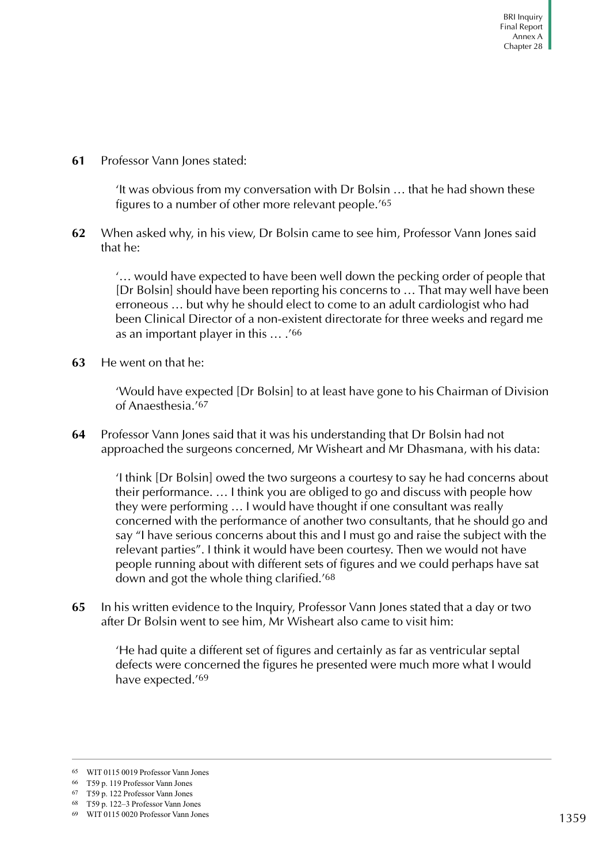**61** Professor Vann Jones stated:

'It was obvious from my conversation with Dr Bolsin … that he had shown these figures to a number of other more relevant people.'65

**62** When asked why, in his view, Dr Bolsin came to see him, Professor Vann Jones said that he:

'… would have expected to have been well down the pecking order of people that [Dr Bolsin] should have been reporting his concerns to … That may well have been erroneous … but why he should elect to come to an adult cardiologist who had been Clinical Director of a non-existent directorate for three weeks and regard me as an important player in this … .'66

**63** He went on that he:

'Would have expected [Dr Bolsin] to at least have gone to his Chairman of Division of Anaesthesia.'67

**64** Professor Vann Jones said that it was his understanding that Dr Bolsin had not approached the surgeons concerned, Mr Wisheart and Mr Dhasmana, with his data:

'I think [Dr Bolsin] owed the two surgeons a courtesy to say he had concerns about their performance. … I think you are obliged to go and discuss with people how they were performing … I would have thought if one consultant was really concerned with the performance of another two consultants, that he should go and say "I have serious concerns about this and I must go and raise the subject with the relevant parties". I think it would have been courtesy. Then we would not have people running about with different sets of figures and we could perhaps have sat down and got the whole thing clarified.'68

**65** In his written evidence to the Inquiry, Professor Vann Jones stated that a day or two after Dr Bolsin went to see him, Mr Wisheart also came to visit him:

'He had quite a different set of figures and certainly as far as ventricular septal defects were concerned the figures he presented were much more what I would have expected.'69

<sup>65</sup> WIT 0115 0019 Professor Vann Jones

<sup>66</sup> T59 p. 119 Professor Vann Jones

<sup>67</sup> T59 p. 122 Professor Vann Jones

<sup>68</sup> T59 p. 122–3 Professor Vann Jones

<sup>69</sup> WIT 0115 0020 Professor Vann Jones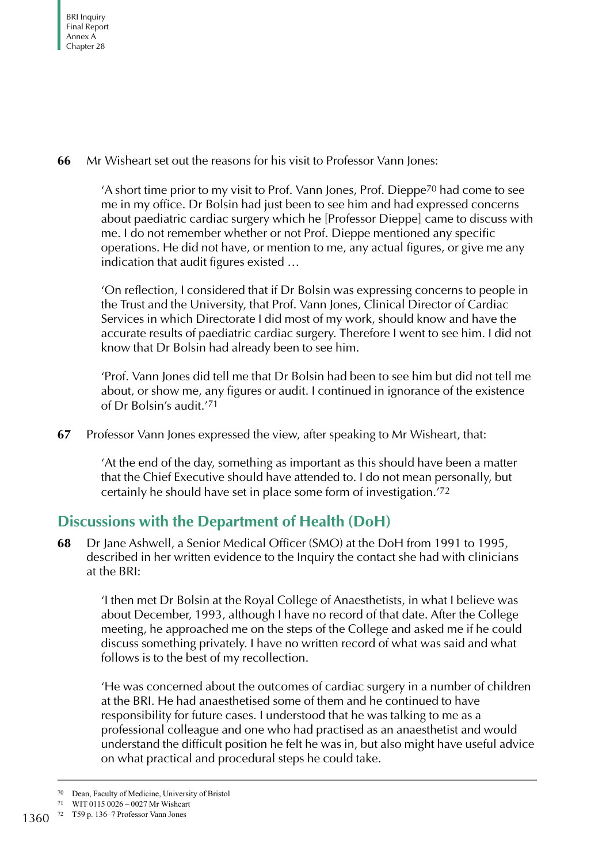**66** Mr Wisheart set out the reasons for his visit to Professor Vann Jones:

'A short time prior to my visit to Prof. Vann Jones, Prof. Dieppe70 had come to see me in my office. Dr Bolsin had just been to see him and had expressed concerns about paediatric cardiac surgery which he [Professor Dieppe] came to discuss with me. I do not remember whether or not Prof. Dieppe mentioned any specific operations. He did not have, or mention to me, any actual figures, or give me any indication that audit figures existed …

'On reflection, I considered that if Dr Bolsin was expressing concerns to people in the Trust and the University, that Prof. Vann Jones, Clinical Director of Cardiac Services in which Directorate I did most of my work, should know and have the accurate results of paediatric cardiac surgery. Therefore I went to see him. I did not know that Dr Bolsin had already been to see him.

'Prof. Vann Jones did tell me that Dr Bolsin had been to see him but did not tell me about, or show me, any figures or audit. I continued in ignorance of the existence of Dr Bolsin's audit.'71

**67** Professor Vann Jones expressed the view, after speaking to Mr Wisheart, that:

'At the end of the day, something as important as this should have been a matter that the Chief Executive should have attended to. I do not mean personally, but certainly he should have set in place some form of investigation.'72

## <span id="page-25-0"></span>**Discussions with the Department of Health (DoH)**

**68** Dr Jane Ashwell, a Senior Medical Officer (SMO) at the DoH from 1991 to 1995, described in her written evidence to the Inquiry the contact she had with clinicians at the BRI:

'I then met Dr Bolsin at the Royal College of Anaesthetists, in what I believe was about December, 1993, although I have no record of that date. After the College meeting, he approached me on the steps of the College and asked me if he could discuss something privately. I have no written record of what was said and what follows is to the best of my recollection.

'He was concerned about the outcomes of cardiac surgery in a number of children at the BRI. He had anaesthetised some of them and he continued to have responsibility for future cases. I understood that he was talking to me as a professional colleague and one who had practised as an anaesthetist and would understand the difficult position he felt he was in, but also might have useful advice on what practical and procedural steps he could take.

<sup>70</sup> Dean, Faculty of Medicine, University of Bristol

<sup>71</sup> WIT 0115 0026 – 0027 Mr Wisheart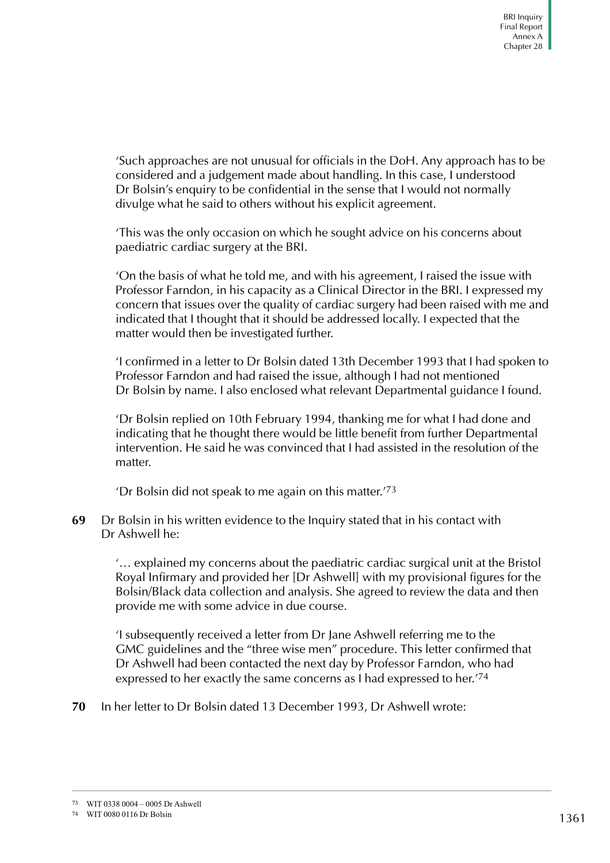'Such approaches are not unusual for officials in the DoH. Any approach has to be considered and a judgement made about handling. In this case, I understood Dr Bolsin's enquiry to be confidential in the sense that I would not normally divulge what he said to others without his explicit agreement.

'This was the only occasion on which he sought advice on his concerns about paediatric cardiac surgery at the BRI.

'On the basis of what he told me, and with his agreement, I raised the issue with Professor Farndon, in his capacity as a Clinical Director in the BRI. I expressed my concern that issues over the quality of cardiac surgery had been raised with me and indicated that I thought that it should be addressed locally. I expected that the matter would then be investigated further.

'I confirmed in a letter to Dr Bolsin dated 13th December 1993 that I had spoken to Professor Farndon and had raised the issue, although I had not mentioned Dr Bolsin by name. I also enclosed what relevant Departmental guidance I found.

'Dr Bolsin replied on 10th February 1994, thanking me for what I had done and indicating that he thought there would be little benefit from further Departmental intervention. He said he was convinced that I had assisted in the resolution of the matter.

'Dr Bolsin did not speak to me again on this matter.'73

**69** Dr Bolsin in his written evidence to the Inquiry stated that in his contact with Dr Ashwell he:

> '… explained my concerns about the paediatric cardiac surgical unit at the Bristol Royal Infirmary and provided her [Dr Ashwell] with my provisional figures for the Bolsin/Black data collection and analysis. She agreed to review the data and then provide me with some advice in due course.

'I subsequently received a letter from Dr Jane Ashwell referring me to the GMC guidelines and the "three wise men" procedure. This letter confirmed that Dr Ashwell had been contacted the next day by Professor Farndon, who had expressed to her exactly the same concerns as I had expressed to her.'74

**70** In her letter to Dr Bolsin dated 13 December 1993, Dr Ashwell wrote:

<sup>73</sup> WIT 0338 0004 – 0005 Dr Ashwell

<sup>74</sup> WIT 0080 0116 Dr Bolsin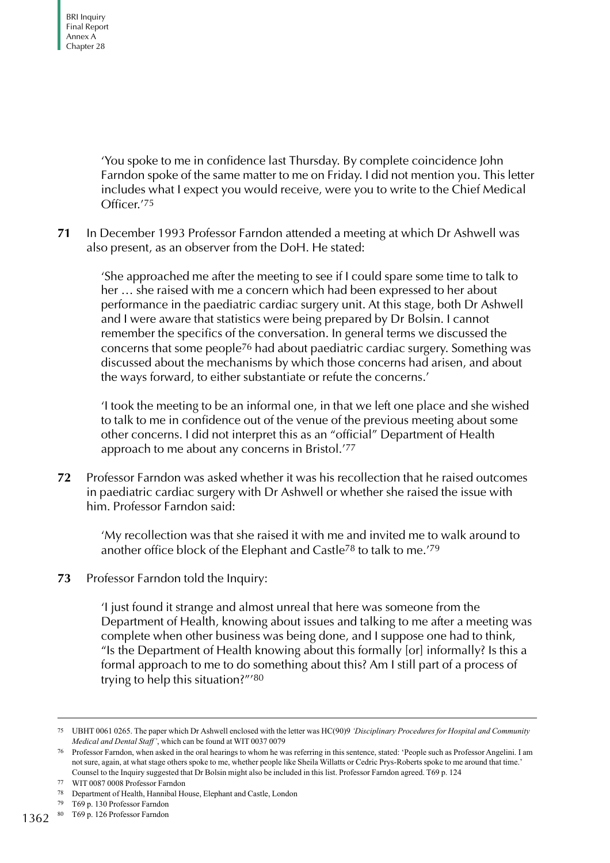'You spoke to me in confidence last Thursday. By complete coincidence John Farndon spoke of the same matter to me on Friday. I did not mention you. This letter includes what I expect you would receive, were you to write to the Chief Medical Officer.'75

**71** In December 1993 Professor Farndon attended a meeting at which Dr Ashwell was also present, as an observer from the DoH. He stated:

'She approached me after the meeting to see if I could spare some time to talk to her … she raised with me a concern which had been expressed to her about performance in the paediatric cardiac surgery unit. At this stage, both Dr Ashwell and I were aware that statistics were being prepared by Dr Bolsin. I cannot remember the specifics of the conversation. In general terms we discussed the concerns that some people76 had about paediatric cardiac surgery. Something was discussed about the mechanisms by which those concerns had arisen, and about the ways forward, to either substantiate or refute the concerns.'

'I took the meeting to be an informal one, in that we left one place and she wished to talk to me in confidence out of the venue of the previous meeting about some other concerns. I did not interpret this as an "official" Department of Health approach to me about any concerns in Bristol.'77

**72** Professor Farndon was asked whether it was his recollection that he raised outcomes in paediatric cardiac surgery with Dr Ashwell or whether she raised the issue with him. Professor Farndon said:

'My recollection was that she raised it with me and invited me to walk around to another office block of the Elephant and Castle78 to talk to me.'79

**73** Professor Farndon told the Inquiry:

'I just found it strange and almost unreal that here was someone from the Department of Health, knowing about issues and talking to me after a meeting was complete when other business was being done, and I suppose one had to think, "Is the Department of Health knowing about this formally [or] informally? Is this a formal approach to me to do something about this? Am I still part of a process of trying to help this situation?"'80

<sup>75</sup> UBHT 0061 0265. The paper which Dr Ashwell enclosed with the letter was HC(90)9 *'Disciplinary Procedures for Hospital and Community Medical and Dental Staff'*, which can be found at WIT 0037 0079

<sup>76</sup> Professor Farndon, when asked in the oral hearings to whom he was referring in this sentence, stated: 'People such as Professor Angelini. I am not sure, again, at what stage others spoke to me, whether people like Sheila Willatts or Cedric Prys-Roberts spoke to me around that time.' Counsel to the Inquiry suggested that Dr Bolsin might also be included in this list. Professor Farndon agreed. T69 p. 124

<sup>77</sup> WIT 0087 0008 Professor Farndon

<sup>78</sup> Department of Health, Hannibal House, Elephant and Castle, London

<sup>79</sup> T69 p. 130 Professor Farndon

<sup>1362</sup> 80 T69 p. 126 Professor Farndon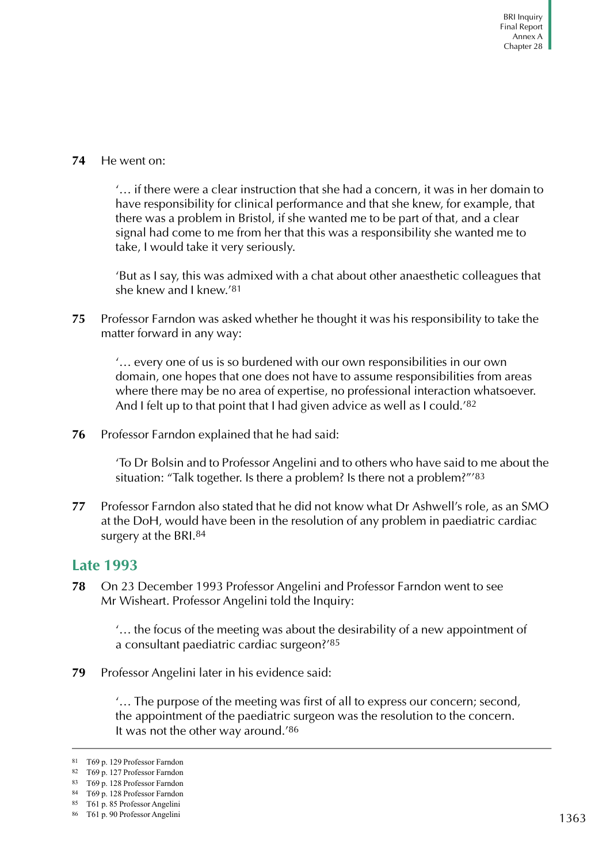#### **74** He went on:

'… if there were a clear instruction that she had a concern, it was in her domain to have responsibility for clinical performance and that she knew, for example, that there was a problem in Bristol, if she wanted me to be part of that, and a clear signal had come to me from her that this was a responsibility she wanted me to take, I would take it very seriously.

'But as I say, this was admixed with a chat about other anaesthetic colleagues that she knew and I knew.'81

**75** Professor Farndon was asked whether he thought it was his responsibility to take the matter forward in any way:

'… every one of us is so burdened with our own responsibilities in our own domain, one hopes that one does not have to assume responsibilities from areas where there may be no area of expertise, no professional interaction whatsoever. And I felt up to that point that I had given advice as well as I could.'82

**76** Professor Farndon explained that he had said:

'To Dr Bolsin and to Professor Angelini and to others who have said to me about the situation: "Talk together. Is there a problem? Is there not a problem?"'83

**77** Professor Farndon also stated that he did not know what Dr Ashwell's role, as an SMO at the DoH, would have been in the resolution of any problem in paediatric cardiac surgery at the BRI.<sup>84</sup>

### <span id="page-28-0"></span>**Late 1993**

**78** On 23 December 1993 Professor Angelini and Professor Farndon went to see Mr Wisheart. Professor Angelini told the Inquiry:

> '… the focus of the meeting was about the desirability of a new appointment of a consultant paediatric cardiac surgeon?'85

**79** Professor Angelini later in his evidence said:

'… The purpose of the meeting was first of all to express our concern; second, the appointment of the paediatric surgeon was the resolution to the concern. It was not the other way around.'86

<sup>81</sup> T69 p. 129 Professor Farndon

<sup>82</sup> T69 p. 127 Professor Farndon

<sup>83</sup> T69 p. 128 Professor Farndon

<sup>84</sup> T69 p. 128 Professor Farndon

<sup>85</sup> T61 p. 85 Professor Angelini

<sup>86</sup> T61 p. 90 Professor Angelini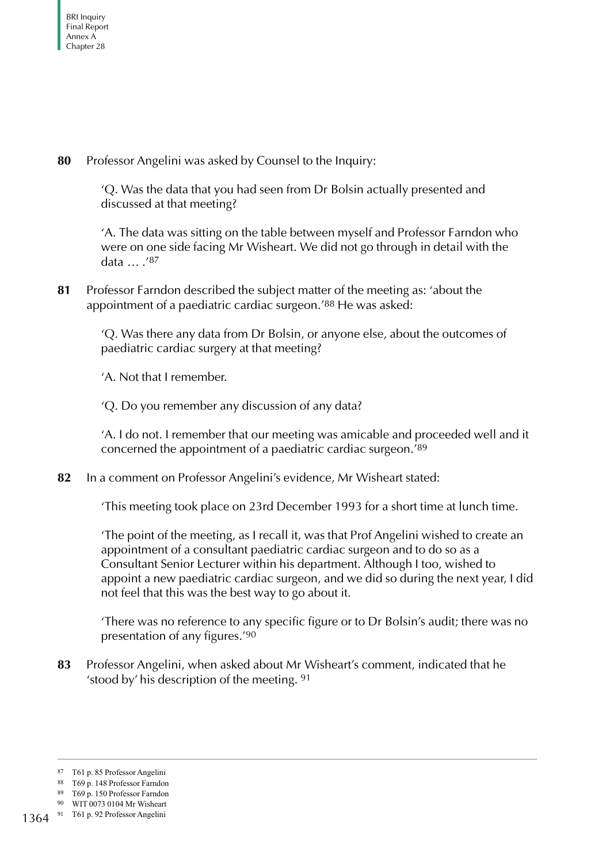**80** Professor Angelini was asked by Counsel to the Inquiry:

'Q. Was the data that you had seen from Dr Bolsin actually presented and discussed at that meeting?

'A. The data was sitting on the table between myself and Professor Farndon who were on one side facing Mr Wisheart. We did not go through in detail with the data … .'87

**81** Professor Farndon described the subject matter of the meeting as: 'about the appointment of a paediatric cardiac surgeon.'88 He was asked:

> 'Q. Was there any data from Dr Bolsin, or anyone else, about the outcomes of paediatric cardiac surgery at that meeting?

'A. Not that I remember.

'Q. Do you remember any discussion of any data?

'A. I do not. I remember that our meeting was amicable and proceeded well and it concerned the appointment of a paediatric cardiac surgeon.'89

**82** In a comment on Professor Angelini's evidence, Mr Wisheart stated:

'This meeting took place on 23rd December 1993 for a short time at lunch time.

'The point of the meeting, as I recall it, was that Prof Angelini wished to create an appointment of a consultant paediatric cardiac surgeon and to do so as a Consultant Senior Lecturer within his department. Although I too, wished to appoint a new paediatric cardiac surgeon, and we did so during the next year, I did not feel that this was the best way to go about it.

'There was no reference to any specific figure or to Dr Bolsin's audit; there was no presentation of any figures.'90

**83** Professor Angelini, when asked about Mr Wisheart's comment, indicated that he 'stood by' his description of the meeting. 91

<sup>87</sup> T61 p. 85 Professor Angelini

<sup>88</sup> T69 p. 148 Professor Farndon

<sup>89</sup> T69 p. 150 Professor Farndon

<sup>90</sup> WIT 0073 0104 Mr Wisheart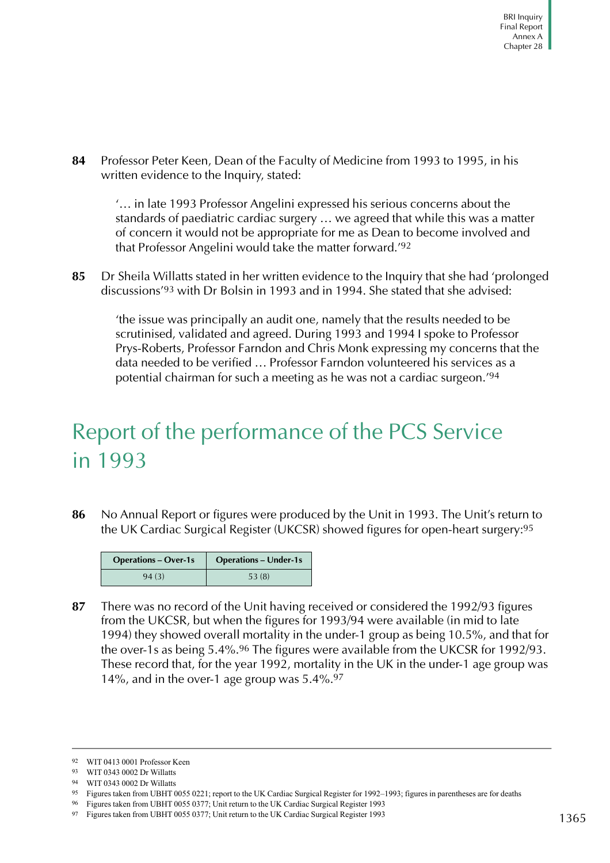**84** Professor Peter Keen, Dean of the Faculty of Medicine from 1993 to 1995, in his written evidence to the Inquiry, stated:

'… in late 1993 Professor Angelini expressed his serious concerns about the standards of paediatric cardiac surgery … we agreed that while this was a matter of concern it would not be appropriate for me as Dean to become involved and that Professor Angelini would take the matter forward.'92

**85** Dr Sheila Willatts stated in her written evidence to the Inquiry that she had 'prolonged discussions'93 with Dr Bolsin in 1993 and in 1994. She stated that she advised:

'the issue was principally an audit one, namely that the results needed to be scrutinised, validated and agreed. During 1993 and 1994 I spoke to Professor Prys-Roberts, Professor Farndon and Chris Monk expressing my concerns that the data needed to be verified … Professor Farndon volunteered his services as a potential chairman for such a meeting as he was not a cardiac surgeon.'94

## <span id="page-30-0"></span>Report of the performance of the PCS Service in 1993

**86** No Annual Report or figures were produced by the Unit in 1993. The Unit's return to the UK Cardiac Surgical Register (UKCSR) showed figures for open-heart surgery:95

| <b>Operations – Over-1s</b> | <b>Operations - Under-1s</b> |
|-----------------------------|------------------------------|
| 94(3)                       | 53(8)                        |

**87** There was no record of the Unit having received or considered the 1992/93 figures from the UKCSR, but when the figures for 1993/94 were available (in mid to late 1994) they showed overall mortality in the under-1 group as being 10.5%, and that for the over-1s as being 5.4%.96 The figures were available from the UKCSR for 1992/93. These record that, for the year 1992, mortality in the UK in the under-1 age group was 14%, and in the over-1 age group was 5.4%.97

<sup>92</sup> WIT 0413 0001 Professor Keen

<sup>93</sup> WIT 0343 0002 Dr Willatts

<sup>94</sup> WIT 0343 0002 Dr Willatts

<sup>95</sup> Figures taken from UBHT 0055 0221; report to the UK Cardiac Surgical Register for 1992–1993; figures in parentheses are for deaths

<sup>96</sup> Figures taken from UBHT 0055 0377; Unit return to the UK Cardiac Surgical Register 1993

<sup>97</sup> Figures taken from UBHT 0055 0377; Unit return to the UK Cardiac Surgical Register 1993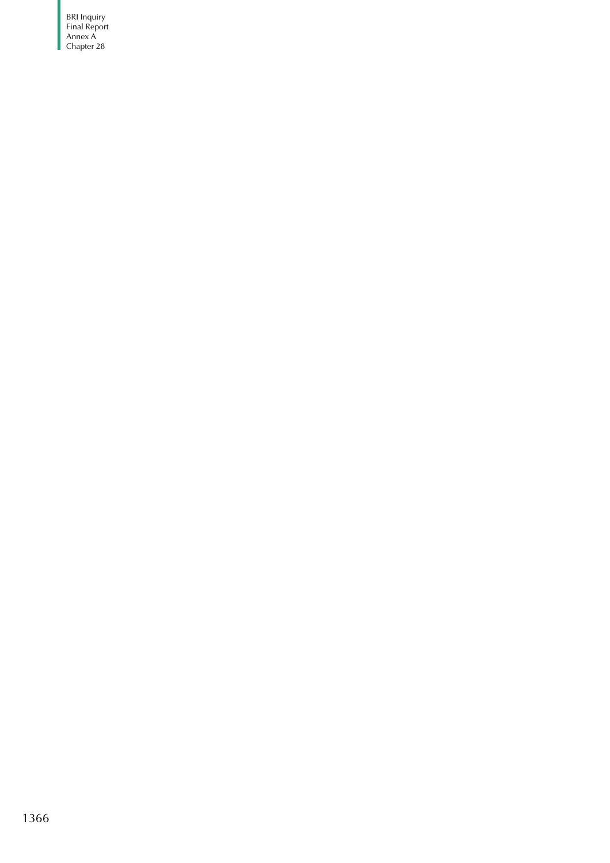BRI Inquiry Final Report Annex A Chapter 28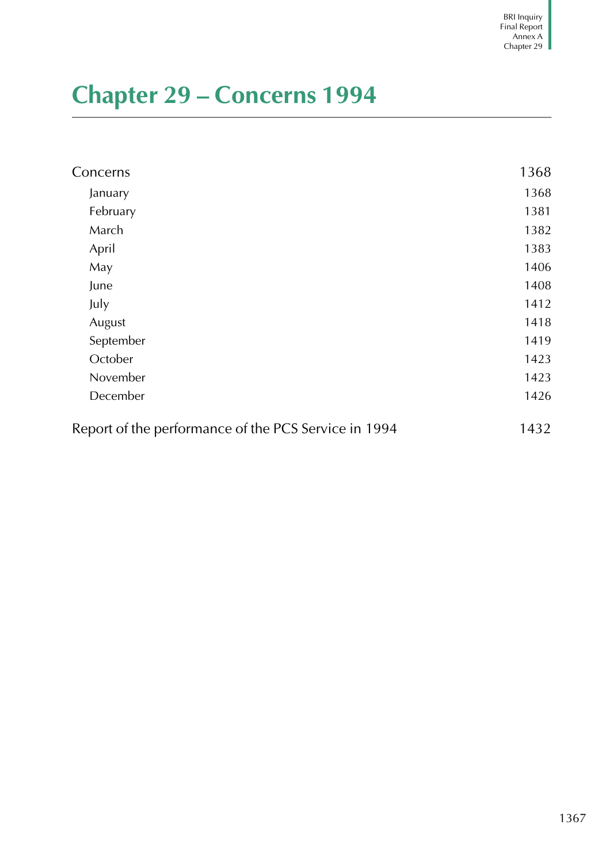# **Chapter 29 – Concerns 1994**

| Concerns                                             | 1368 |
|------------------------------------------------------|------|
|                                                      |      |
| January                                              | 1368 |
| February                                             | 1381 |
| March                                                | 1382 |
| April                                                | 1383 |
| May                                                  | 1406 |
| June                                                 | 1408 |
| July                                                 | 1412 |
| August                                               | 1418 |
| September                                            | 1419 |
| October                                              | 1423 |
| November                                             | 1423 |
| December                                             | 1426 |
| Report of the performance of the PCS Service in 1994 | 1432 |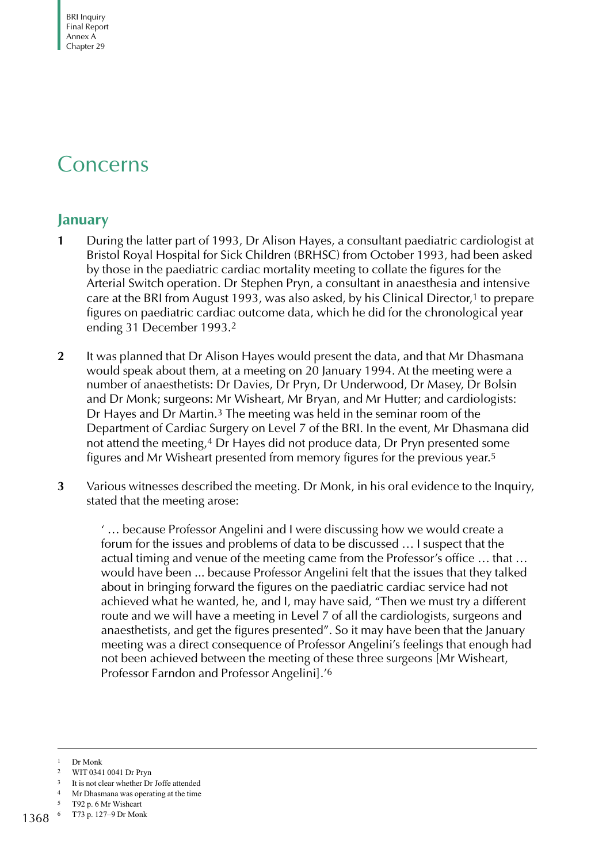BRI Inquiry Final Report Annex A Chapter 29

## <span id="page-33-0"></span>Concerns

## <span id="page-33-1"></span>**January**

- **1** During the latter part of 1993, Dr Alison Hayes, a consultant paediatric cardiologist at Bristol Royal Hospital for Sick Children (BRHSC) from October 1993, had been asked by those in the paediatric cardiac mortality meeting to collate the figures for the Arterial Switch operation. Dr Stephen Pryn, a consultant in anaesthesia and intensive care at the BRI from August 1993, was also asked, by his Clinical Director,<sup>1</sup> to prepare figures on paediatric cardiac outcome data, which he did for the chronological year ending 31 December 1993.2
- **2** It was planned that Dr Alison Hayes would present the data, and that Mr Dhasmana would speak about them, at a meeting on 20 January 1994. At the meeting were a number of anaesthetists: Dr Davies, Dr Pryn, Dr Underwood, Dr Masey, Dr Bolsin and Dr Monk; surgeons: Mr Wisheart, Mr Bryan, and Mr Hutter; and cardiologists: Dr Hayes and Dr Martin.3 The meeting was held in the seminar room of the Department of Cardiac Surgery on Level 7 of the BRI. In the event, Mr Dhasmana did not attend the meeting,4 Dr Hayes did not produce data, Dr Pryn presented some figures and Mr Wisheart presented from memory figures for the previous year.5
- **3** Various witnesses described the meeting. Dr Monk, in his oral evidence to the Inquiry, stated that the meeting arose:

' … because Professor Angelini and I were discussing how we would create a forum for the issues and problems of data to be discussed … I suspect that the actual timing and venue of the meeting came from the Professor's office … that … would have been ... because Professor Angelini felt that the issues that they talked about in bringing forward the figures on the paediatric cardiac service had not achieved what he wanted, he, and I, may have said, "Then we must try a different route and we will have a meeting in Level 7 of all the cardiologists, surgeons and anaesthetists, and get the figures presented". So it may have been that the January meeting was a direct consequence of Professor Angelini's feelings that enough had not been achieved between the meeting of these three surgeons [Mr Wisheart, Professor Farndon and Professor Angelini].'6

<sup>1</sup> Dr Monk

<sup>2</sup> WIT 0341 0041 Dr Pryn

<sup>3</sup> It is not clear whether Dr Joffe attended

Mr Dhasmana was operating at the time

<sup>5</sup> T92 p. 6 Mr Wisheart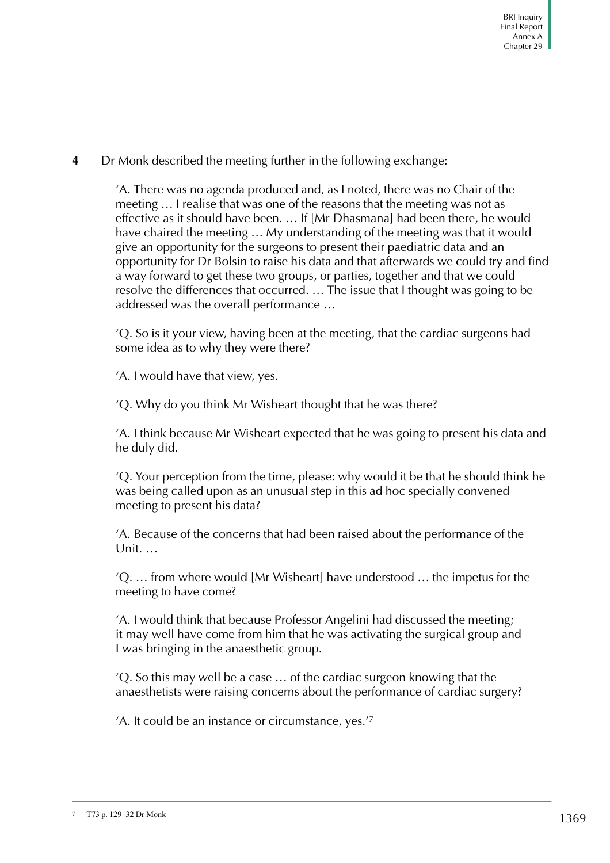#### **4** Dr Monk described the meeting further in the following exchange:

'A. There was no agenda produced and, as I noted, there was no Chair of the meeting … I realise that was one of the reasons that the meeting was not as effective as it should have been. … If [Mr Dhasmana] had been there, he would have chaired the meeting … My understanding of the meeting was that it would give an opportunity for the surgeons to present their paediatric data and an opportunity for Dr Bolsin to raise his data and that afterwards we could try and find a way forward to get these two groups, or parties, together and that we could resolve the differences that occurred. … The issue that I thought was going to be addressed was the overall performance …

'Q. So is it your view, having been at the meeting, that the cardiac surgeons had some idea as to why they were there?

'A. I would have that view, yes.

'Q. Why do you think Mr Wisheart thought that he was there?

'A. I think because Mr Wisheart expected that he was going to present his data and he duly did.

'Q. Your perception from the time, please: why would it be that he should think he was being called upon as an unusual step in this ad hoc specially convened meeting to present his data?

'A. Because of the concerns that had been raised about the performance of the Unit. …

'Q. … from where would [Mr Wisheart] have understood … the impetus for the meeting to have come?

'A. I would think that because Professor Angelini had discussed the meeting; it may well have come from him that he was activating the surgical group and I was bringing in the anaesthetic group.

'Q. So this may well be a case … of the cardiac surgeon knowing that the anaesthetists were raising concerns about the performance of cardiac surgery?

'A. It could be an instance or circumstance, yes.'7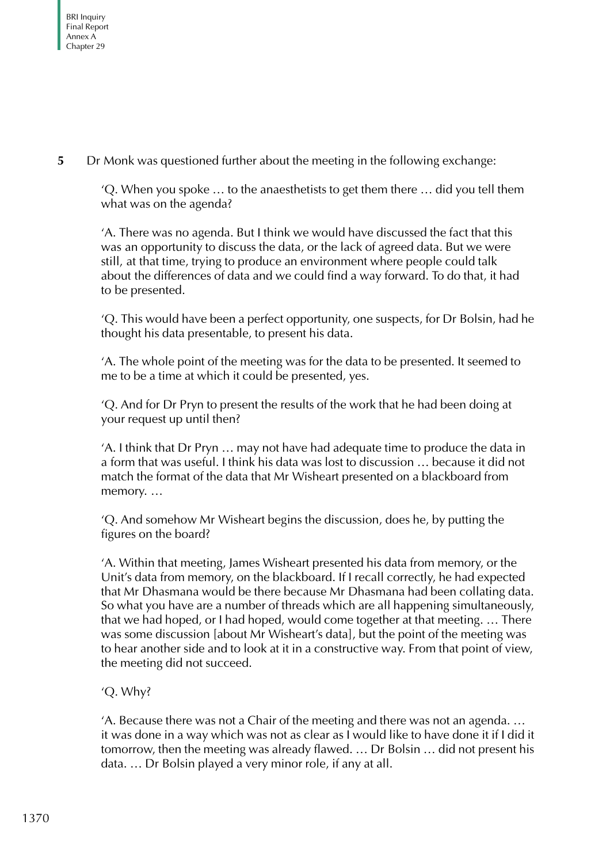**5** Dr Monk was questioned further about the meeting in the following exchange:

'Q. When you spoke … to the anaesthetists to get them there … did you tell them what was on the agenda?

'A. There was no agenda. But I think we would have discussed the fact that this was an opportunity to discuss the data, or the lack of agreed data. But we were still, at that time, trying to produce an environment where people could talk about the differences of data and we could find a way forward. To do that, it had to be presented.

'Q. This would have been a perfect opportunity, one suspects, for Dr Bolsin, had he thought his data presentable, to present his data.

'A. The whole point of the meeting was for the data to be presented. It seemed to me to be a time at which it could be presented, yes.

'Q. And for Dr Pryn to present the results of the work that he had been doing at your request up until then?

'A. I think that Dr Pryn … may not have had adequate time to produce the data in a form that was useful. I think his data was lost to discussion … because it did not match the format of the data that Mr Wisheart presented on a blackboard from memory. …

'Q. And somehow Mr Wisheart begins the discussion, does he, by putting the figures on the board?

'A. Within that meeting, James Wisheart presented his data from memory, or the Unit's data from memory, on the blackboard. If I recall correctly, he had expected that Mr Dhasmana would be there because Mr Dhasmana had been collating data. So what you have are a number of threads which are all happening simultaneously, that we had hoped, or I had hoped, would come together at that meeting. … There was some discussion [about Mr Wisheart's data], but the point of the meeting was to hear another side and to look at it in a constructive way. From that point of view, the meeting did not succeed.

'Q. Why?

'A. Because there was not a Chair of the meeting and there was not an agenda. … it was done in a way which was not as clear as I would like to have done it if I did it tomorrow, then the meeting was already flawed. … Dr Bolsin … did not present his data. … Dr Bolsin played a very minor role, if any at all.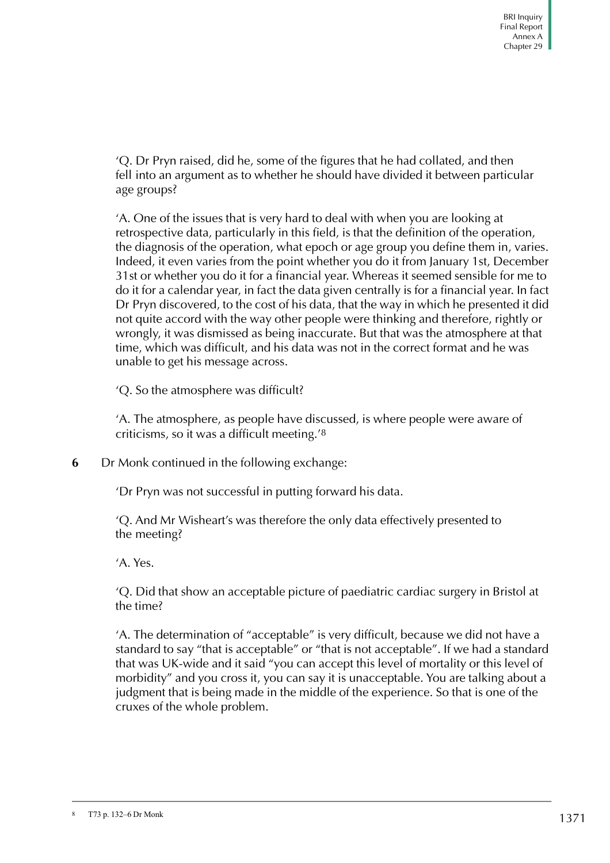'Q. Dr Pryn raised, did he, some of the figures that he had collated, and then fell into an argument as to whether he should have divided it between particular age groups?

'A. One of the issues that is very hard to deal with when you are looking at retrospective data, particularly in this field, is that the definition of the operation, the diagnosis of the operation, what epoch or age group you define them in, varies. Indeed, it even varies from the point whether you do it from January 1st, December 31st or whether you do it for a financial year. Whereas it seemed sensible for me to do it for a calendar year, in fact the data given centrally is for a financial year. In fact Dr Pryn discovered, to the cost of his data, that the way in which he presented it did not quite accord with the way other people were thinking and therefore, rightly or wrongly, it was dismissed as being inaccurate. But that was the atmosphere at that time, which was difficult, and his data was not in the correct format and he was unable to get his message across.

'Q. So the atmosphere was difficult?

'A. The atmosphere, as people have discussed, is where people were aware of criticisms, so it was a difficult meeting.'8

**6** Dr Monk continued in the following exchange:

'Dr Pryn was not successful in putting forward his data.

'Q. And Mr Wisheart's was therefore the only data effectively presented to the meeting?

'A. Yes.

'Q. Did that show an acceptable picture of paediatric cardiac surgery in Bristol at the time?

'A. The determination of "acceptable" is very difficult, because we did not have a standard to say "that is acceptable" or "that is not acceptable". If we had a standard that was UK-wide and it said "you can accept this level of mortality or this level of morbidity" and you cross it, you can say it is unacceptable. You are talking about a judgment that is being made in the middle of the experience. So that is one of the cruxes of the whole problem.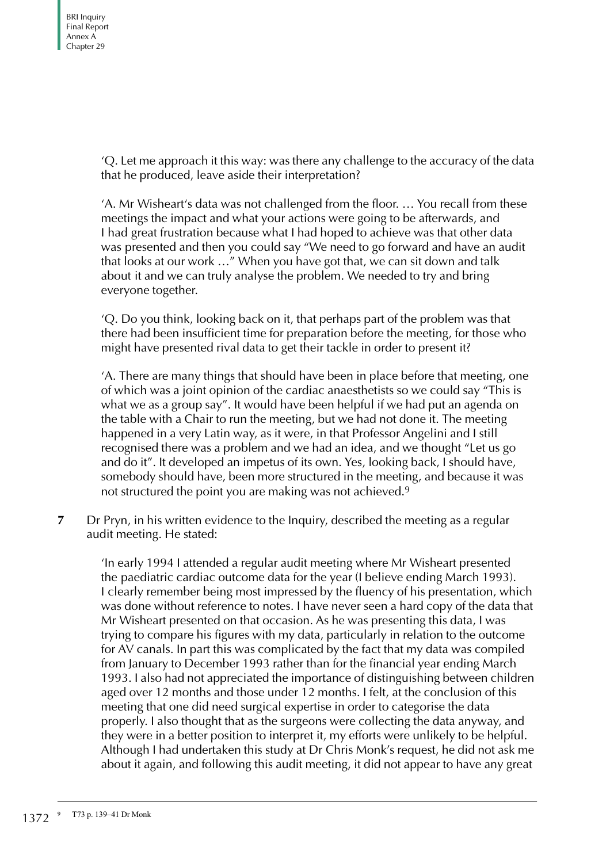'Q. Let me approach it this way: was there any challenge to the accuracy of the data that he produced, leave aside their interpretation?

'A. Mr Wisheart's data was not challenged from the floor. … You recall from these meetings the impact and what your actions were going to be afterwards, and I had great frustration because what I had hoped to achieve was that other data was presented and then you could say "We need to go forward and have an audit that looks at our work …" When you have got that, we can sit down and talk about it and we can truly analyse the problem. We needed to try and bring everyone together.

'Q. Do you think, looking back on it, that perhaps part of the problem was that there had been insufficient time for preparation before the meeting, for those who might have presented rival data to get their tackle in order to present it?

'A. There are many things that should have been in place before that meeting, one of which was a joint opinion of the cardiac anaesthetists so we could say "This is what we as a group say". It would have been helpful if we had put an agenda on the table with a Chair to run the meeting, but we had not done it. The meeting happened in a very Latin way, as it were, in that Professor Angelini and I still recognised there was a problem and we had an idea, and we thought "Let us go and do it". It developed an impetus of its own. Yes, looking back, I should have, somebody should have, been more structured in the meeting, and because it was not structured the point you are making was not achieved.<sup>9</sup>

**7** Dr Pryn, in his written evidence to the Inquiry, described the meeting as a regular audit meeting. He stated:

'In early 1994 I attended a regular audit meeting where Mr Wisheart presented the paediatric cardiac outcome data for the year (I believe ending March 1993). I clearly remember being most impressed by the fluency of his presentation, which was done without reference to notes. I have never seen a hard copy of the data that Mr Wisheart presented on that occasion. As he was presenting this data, I was trying to compare his figures with my data, particularly in relation to the outcome for AV canals. In part this was complicated by the fact that my data was compiled from January to December 1993 rather than for the financial year ending March 1993. I also had not appreciated the importance of distinguishing between children aged over 12 months and those under 12 months. I felt, at the conclusion of this meeting that one did need surgical expertise in order to categorise the data properly. I also thought that as the surgeons were collecting the data anyway, and they were in a better position to interpret it, my efforts were unlikely to be helpful. Although I had undertaken this study at Dr Chris Monk's request, he did not ask me about it again, and following this audit meeting, it did not appear to have any great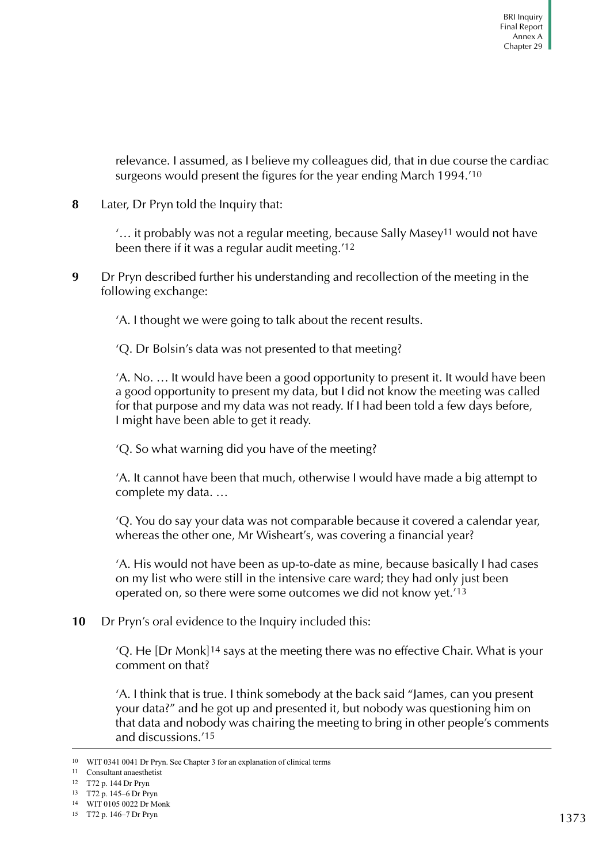relevance. I assumed, as I believe my colleagues did, that in due course the cardiac surgeons would present the figures for the year ending March 1994.'10

**8** Later, Dr Pryn told the Inquiry that:

'… it probably was not a regular meeting, because Sally Masey11 would not have been there if it was a regular audit meeting.'12

**9** Dr Pryn described further his understanding and recollection of the meeting in the following exchange:

'A. I thought we were going to talk about the recent results.

'Q. Dr Bolsin's data was not presented to that meeting?

'A. No. … It would have been a good opportunity to present it. It would have been a good opportunity to present my data, but I did not know the meeting was called for that purpose and my data was not ready. If I had been told a few days before, I might have been able to get it ready.

'Q. So what warning did you have of the meeting?

'A. It cannot have been that much, otherwise I would have made a big attempt to complete my data. …

'Q. You do say your data was not comparable because it covered a calendar year, whereas the other one, Mr Wisheart's, was covering a financial year?

'A. His would not have been as up-to-date as mine, because basically I had cases on my list who were still in the intensive care ward; they had only just been operated on, so there were some outcomes we did not know yet.'13

## **10** Dr Pryn's oral evidence to the Inquiry included this:

'Q. He [Dr Monk]14 says at the meeting there was no effective Chair. What is your comment on that?

'A. I think that is true. I think somebody at the back said "James, can you present your data?" and he got up and presented it, but nobody was questioning him on that data and nobody was chairing the meeting to bring in other people's comments and discussions.'15

<sup>10</sup> WIT 0341 0041 Dr Pryn. See Chapter 3 for an explanation of clinical terms

<sup>11</sup> Consultant anaesthetist

<sup>12</sup> T72 p. 144 Dr Pryn

<sup>13</sup> T72 p. 145–6 Dr Pryn

<sup>14</sup> WIT 0105 0022 Dr Monk

<sup>15</sup> T72 p. 146–7 Dr Pryn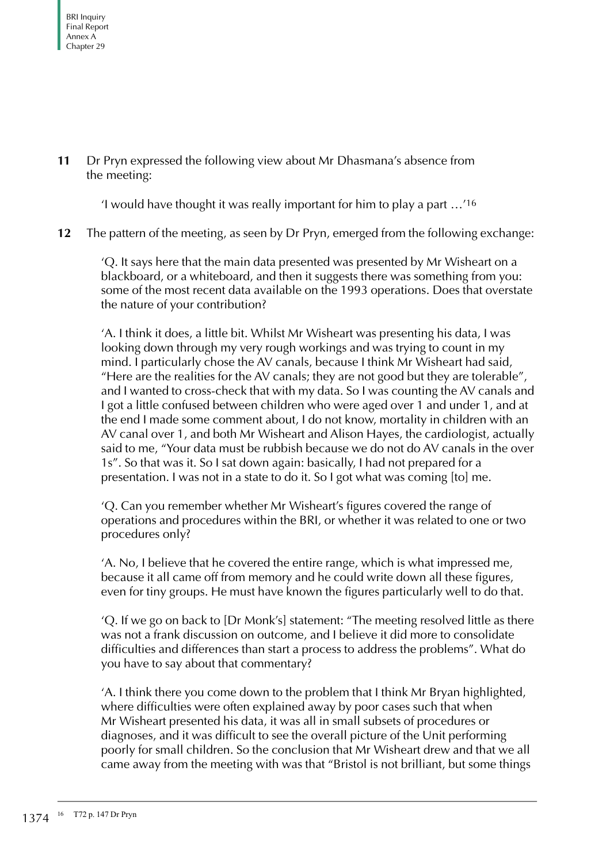**11** Dr Pryn expressed the following view about Mr Dhasmana's absence from the meeting:

'I would have thought it was really important for him to play a part …'16

**12** The pattern of the meeting, as seen by Dr Pryn, emerged from the following exchange:

'Q. It says here that the main data presented was presented by Mr Wisheart on a blackboard, or a whiteboard, and then it suggests there was something from you: some of the most recent data available on the 1993 operations. Does that overstate the nature of your contribution?

'A. I think it does, a little bit. Whilst Mr Wisheart was presenting his data, I was looking down through my very rough workings and was trying to count in my mind. I particularly chose the AV canals, because I think Mr Wisheart had said, "Here are the realities for the AV canals; they are not good but they are tolerable", and I wanted to cross-check that with my data. So I was counting the AV canals and I got a little confused between children who were aged over 1 and under 1, and at the end I made some comment about, I do not know, mortality in children with an AV canal over 1, and both Mr Wisheart and Alison Hayes, the cardiologist, actually said to me, "Your data must be rubbish because we do not do AV canals in the over 1s". So that was it. So I sat down again: basically, I had not prepared for a presentation. I was not in a state to do it. So I got what was coming [to] me.

'Q. Can you remember whether Mr Wisheart's figures covered the range of operations and procedures within the BRI, or whether it was related to one or two procedures only?

'A. No, I believe that he covered the entire range, which is what impressed me, because it all came off from memory and he could write down all these figures, even for tiny groups. He must have known the figures particularly well to do that.

'Q. If we go on back to [Dr Monk's] statement: "The meeting resolved little as there was not a frank discussion on outcome, and I believe it did more to consolidate difficulties and differences than start a process to address the problems". What do you have to say about that commentary?

'A. I think there you come down to the problem that I think Mr Bryan highlighted, where difficulties were often explained away by poor cases such that when Mr Wisheart presented his data, it was all in small subsets of procedures or diagnoses, and it was difficult to see the overall picture of the Unit performing poorly for small children. So the conclusion that Mr Wisheart drew and that we all came away from the meeting with was that "Bristol is not brilliant, but some things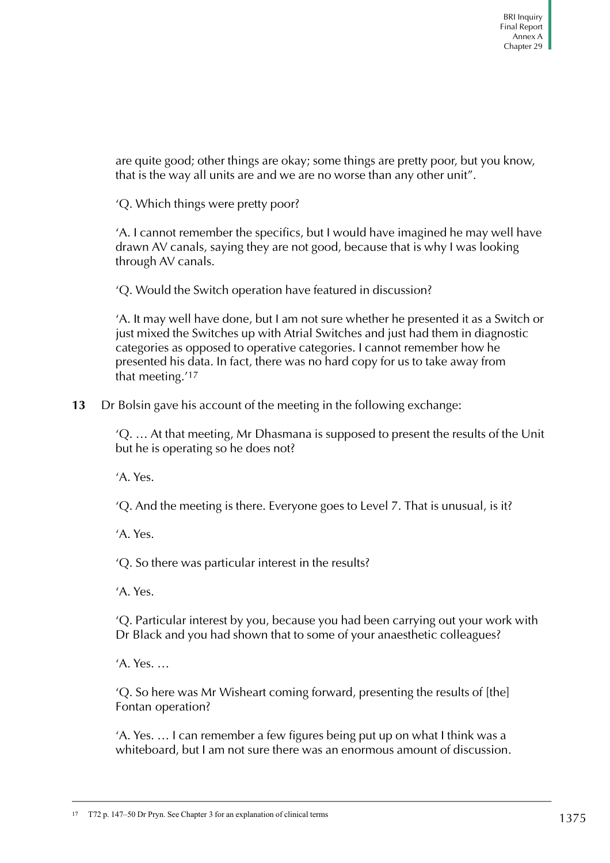are quite good; other things are okay; some things are pretty poor, but you know, that is the way all units are and we are no worse than any other unit".

'Q. Which things were pretty poor?

'A. I cannot remember the specifics, but I would have imagined he may well have drawn AV canals, saying they are not good, because that is why I was looking through AV canals.

'Q. Would the Switch operation have featured in discussion?

'A. It may well have done, but I am not sure whether he presented it as a Switch or just mixed the Switches up with Atrial Switches and just had them in diagnostic categories as opposed to operative categories. I cannot remember how he presented his data. In fact, there was no hard copy for us to take away from that meeting.'17

**13** Dr Bolsin gave his account of the meeting in the following exchange:

'Q. … At that meeting, Mr Dhasmana is supposed to present the results of the Unit but he is operating so he does not?

'A. Yes.

'Q. And the meeting is there. Everyone goes to Level 7. That is unusual, is it?

'A. Yes.

'Q. So there was particular interest in the results?

'A. Yes.

'Q. Particular interest by you, because you had been carrying out your work with Dr Black and you had shown that to some of your anaesthetic colleagues?

'A. Yes. …

'Q. So here was Mr Wisheart coming forward, presenting the results of [the] Fontan operation?

'A. Yes. … I can remember a few figures being put up on what I think was a whiteboard, but I am not sure there was an enormous amount of discussion.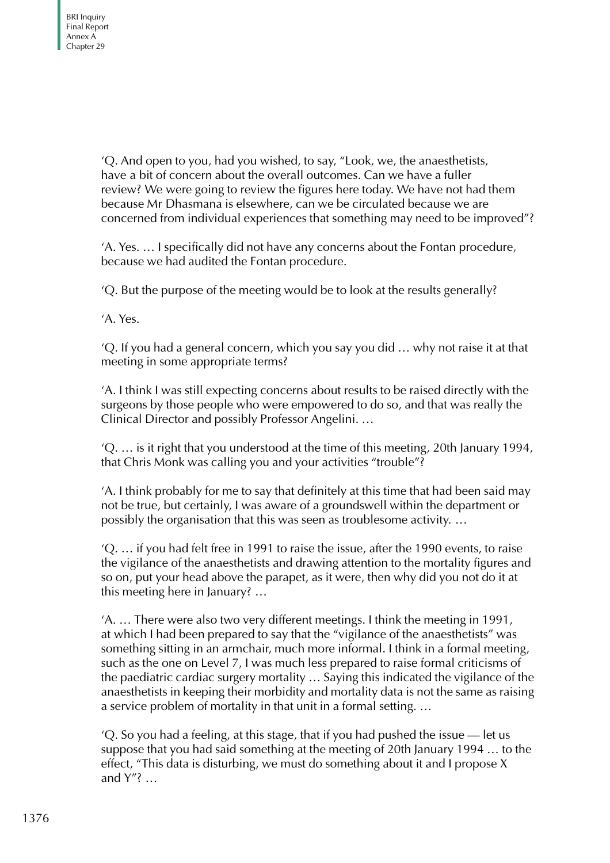'Q. And open to you, had you wished, to say, "Look, we, the anaesthetists, have a bit of concern about the overall outcomes. Can we have a fuller review? We were going to review the figures here today. We have not had them because Mr Dhasmana is elsewhere, can we be circulated because we are concerned from individual experiences that something may need to be improved"?

'A. Yes. … I specifically did not have any concerns about the Fontan procedure, because we had audited the Fontan procedure.

'Q. But the purpose of the meeting would be to look at the results generally?

'A. Yes.

'Q. If you had a general concern, which you say you did … why not raise it at that meeting in some appropriate terms?

'A. I think I was still expecting concerns about results to be raised directly with the surgeons by those people who were empowered to do so, and that was really the Clinical Director and possibly Professor Angelini. …

'Q. … is it right that you understood at the time of this meeting, 20th January 1994, that Chris Monk was calling you and your activities "trouble"?

'A. I think probably for me to say that definitely at this time that had been said may not be true, but certainly, I was aware of a groundswell within the department or possibly the organisation that this was seen as troublesome activity. …

'Q. … if you had felt free in 1991 to raise the issue, after the 1990 events, to raise the vigilance of the anaesthetists and drawing attention to the mortality figures and so on, put your head above the parapet, as it were, then why did you not do it at this meeting here in January? …

'A. … There were also two very different meetings. I think the meeting in 1991, at which I had been prepared to say that the "vigilance of the anaesthetists" was something sitting in an armchair, much more informal. I think in a formal meeting, such as the one on Level 7, I was much less prepared to raise formal criticisms of the paediatric cardiac surgery mortality … Saying this indicated the vigilance of the anaesthetists in keeping their morbidity and mortality data is not the same as raising a service problem of mortality in that unit in a formal setting. …

'Q. So you had a feeling, at this stage, that if you had pushed the issue — let us suppose that you had said something at the meeting of 20th January 1994 … to the effect, "This data is disturbing, we must do something about it and I propose X and Y"? …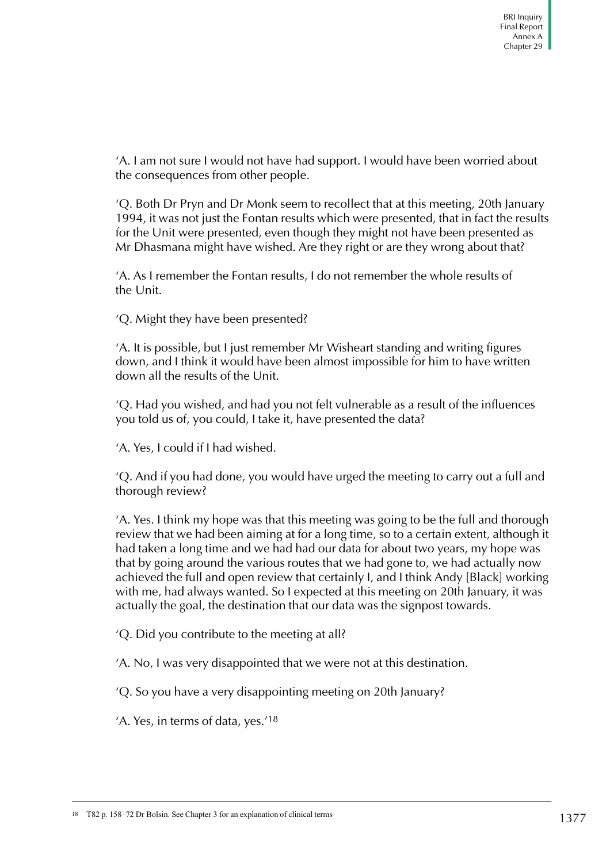'A. I am not sure I would not have had support. I would have been worried about the consequences from other people.

'Q. Both Dr Pryn and Dr Monk seem to recollect that at this meeting, 20th January 1994, it was not just the Fontan results which were presented, that in fact the results for the Unit were presented, even though they might not have been presented as Mr Dhasmana might have wished. Are they right or are they wrong about that?

'A. As I remember the Fontan results, I do not remember the whole results of the Unit.

'Q. Might they have been presented?

'A. It is possible, but I just remember Mr Wisheart standing and writing figures down, and I think it would have been almost impossible for him to have written down all the results of the Unit.

'Q. Had you wished, and had you not felt vulnerable as a result of the influences you told us of, you could, I take it, have presented the data?

'A. Yes, I could if I had wished.

'Q. And if you had done, you would have urged the meeting to carry out a full and thorough review?

'A. Yes. I think my hope was that this meeting was going to be the full and thorough review that we had been aiming at for a long time, so to a certain extent, although it had taken a long time and we had had our data for about two years, my hope was that by going around the various routes that we had gone to, we had actually now achieved the full and open review that certainly I, and I think Andy [Black] working with me, had always wanted. So I expected at this meeting on 20th January, it was actually the goal, the destination that our data was the signpost towards.

'Q. Did you contribute to the meeting at all?

'A. No, I was very disappointed that we were not at this destination.

'Q. So you have a very disappointing meeting on 20th January?

'A. Yes, in terms of data, yes.'18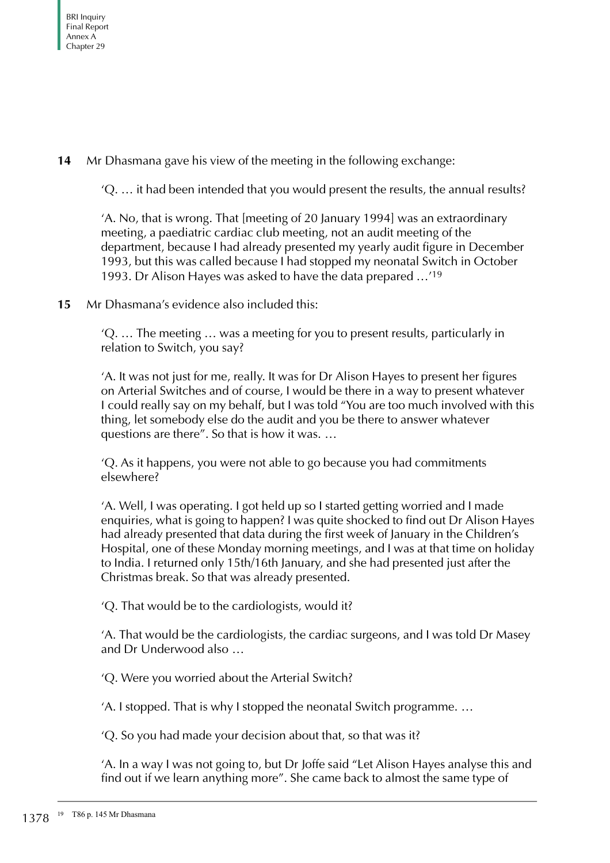**14** Mr Dhasmana gave his view of the meeting in the following exchange:

'Q. … it had been intended that you would present the results, the annual results?

'A. No, that is wrong. That [meeting of 20 January 1994] was an extraordinary meeting, a paediatric cardiac club meeting, not an audit meeting of the department, because I had already presented my yearly audit figure in December 1993, but this was called because I had stopped my neonatal Switch in October 1993. Dr Alison Hayes was asked to have the data prepared …'19

**15** Mr Dhasmana's evidence also included this:

'Q. … The meeting … was a meeting for you to present results, particularly in relation to Switch, you say?

'A. It was not just for me, really. It was for Dr Alison Hayes to present her figures on Arterial Switches and of course, I would be there in a way to present whatever I could really say on my behalf, but I was told "You are too much involved with this thing, let somebody else do the audit and you be there to answer whatever questions are there". So that is how it was. …

'Q. As it happens, you were not able to go because you had commitments elsewhere?

'A. Well, I was operating. I got held up so I started getting worried and I made enquiries, what is going to happen? I was quite shocked to find out Dr Alison Hayes had already presented that data during the first week of January in the Children's Hospital, one of these Monday morning meetings, and I was at that time on holiday to India. I returned only 15th/16th January, and she had presented just after the Christmas break. So that was already presented.

'Q. That would be to the cardiologists, would it?

'A. That would be the cardiologists, the cardiac surgeons, and I was told Dr Masey and Dr Underwood also …

'Q. Were you worried about the Arterial Switch?

'A. I stopped. That is why I stopped the neonatal Switch programme. …

'Q. So you had made your decision about that, so that was it?

'A. In a way I was not going to, but Dr Joffe said "Let Alison Hayes analyse this and find out if we learn anything more". She came back to almost the same type of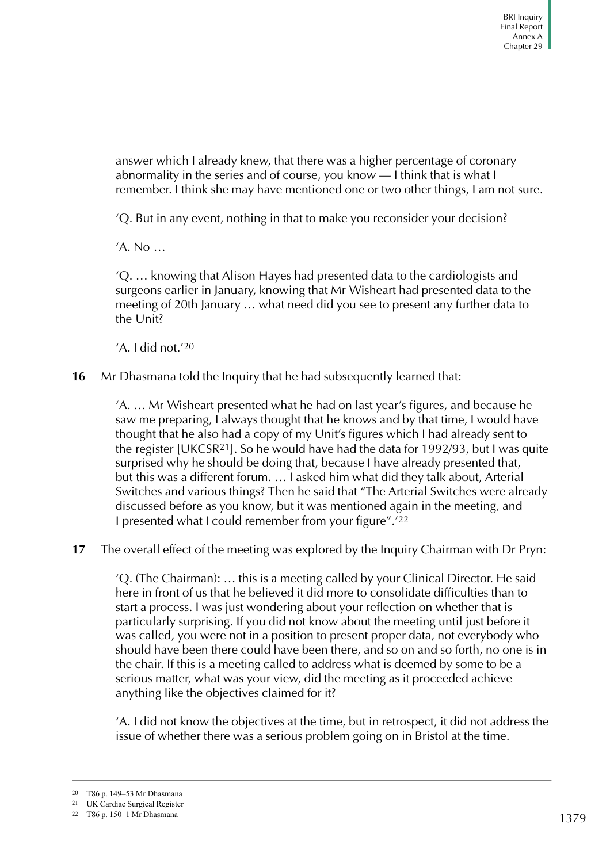answer which I already knew, that there was a higher percentage of coronary abnormality in the series and of course, you know — I think that is what I remember. I think she may have mentioned one or two other things, I am not sure.

'Q. But in any event, nothing in that to make you reconsider your decision?

'A. No …

'Q. … knowing that Alison Hayes had presented data to the cardiologists and surgeons earlier in January, knowing that Mr Wisheart had presented data to the meeting of 20th January … what need did you see to present any further data to the Unit?

'A. I did not.'20

**16** Mr Dhasmana told the Inquiry that he had subsequently learned that:

'A. … Mr Wisheart presented what he had on last year's figures, and because he saw me preparing, I always thought that he knows and by that time, I would have thought that he also had a copy of my Unit's figures which I had already sent to the register [UKCSR21]. So he would have had the data for 1992/93, but I was quite surprised why he should be doing that, because I have already presented that, but this was a different forum. … I asked him what did they talk about, Arterial Switches and various things? Then he said that "The Arterial Switches were already discussed before as you know, but it was mentioned again in the meeting, and I presented what I could remember from your figure".'22

**17** The overall effect of the meeting was explored by the Inquiry Chairman with Dr Pryn:

'Q. (The Chairman): … this is a meeting called by your Clinical Director. He said here in front of us that he believed it did more to consolidate difficulties than to start a process. I was just wondering about your reflection on whether that is particularly surprising. If you did not know about the meeting until just before it was called, you were not in a position to present proper data, not everybody who should have been there could have been there, and so on and so forth, no one is in the chair. If this is a meeting called to address what is deemed by some to be a serious matter, what was your view, did the meeting as it proceeded achieve anything like the objectives claimed for it?

'A. I did not know the objectives at the time, but in retrospect, it did not address the issue of whether there was a serious problem going on in Bristol at the time.

<sup>20</sup> T86 p. 149–53 Mr Dhasmana

<sup>21</sup> UK Cardiac Surgical Register

<sup>22</sup> T86 p. 150–1 Mr Dhasmana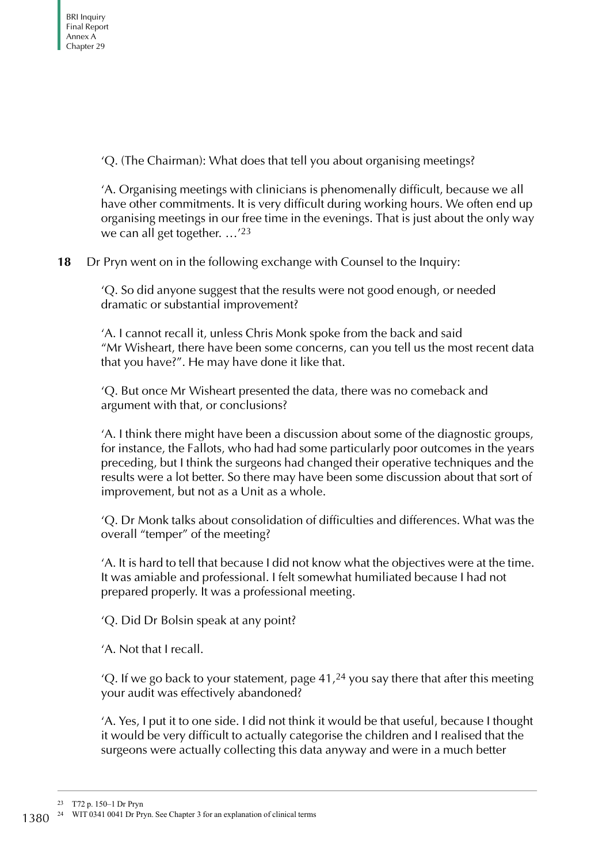'Q. (The Chairman): What does that tell you about organising meetings?

'A. Organising meetings with clinicians is phenomenally difficult, because we all have other commitments. It is very difficult during working hours. We often end up organising meetings in our free time in the evenings. That is just about the only way we can all get together. …'23

**18** Dr Pryn went on in the following exchange with Counsel to the Inquiry:

'Q. So did anyone suggest that the results were not good enough, or needed dramatic or substantial improvement?

'A. I cannot recall it, unless Chris Monk spoke from the back and said "Mr Wisheart, there have been some concerns, can you tell us the most recent data that you have?". He may have done it like that.

'Q. But once Mr Wisheart presented the data, there was no comeback and argument with that, or conclusions?

'A. I think there might have been a discussion about some of the diagnostic groups, for instance, the Fallots, who had had some particularly poor outcomes in the years preceding, but I think the surgeons had changed their operative techniques and the results were a lot better. So there may have been some discussion about that sort of improvement, but not as a Unit as a whole.

'Q. Dr Monk talks about consolidation of difficulties and differences. What was the overall "temper" of the meeting?

'A. It is hard to tell that because I did not know what the objectives were at the time. It was amiable and professional. I felt somewhat humiliated because I had not prepared properly. It was a professional meeting.

'Q. Did Dr Bolsin speak at any point?

'A. Not that I recall.

'Q. If we go back to your statement, page 41,24 you say there that after this meeting your audit was effectively abandoned?

'A. Yes, I put it to one side. I did not think it would be that useful, because I thought it would be very difficult to actually categorise the children and I realised that the surgeons were actually collecting this data anyway and were in a much better

<sup>23</sup> T72 p. 150–1 Dr Pryn

<sup>1380&</sup>lt;sup>24</sup> WIT 0341 0041 Dr Pryn. See Chapter 3 for an explanation of clinical terms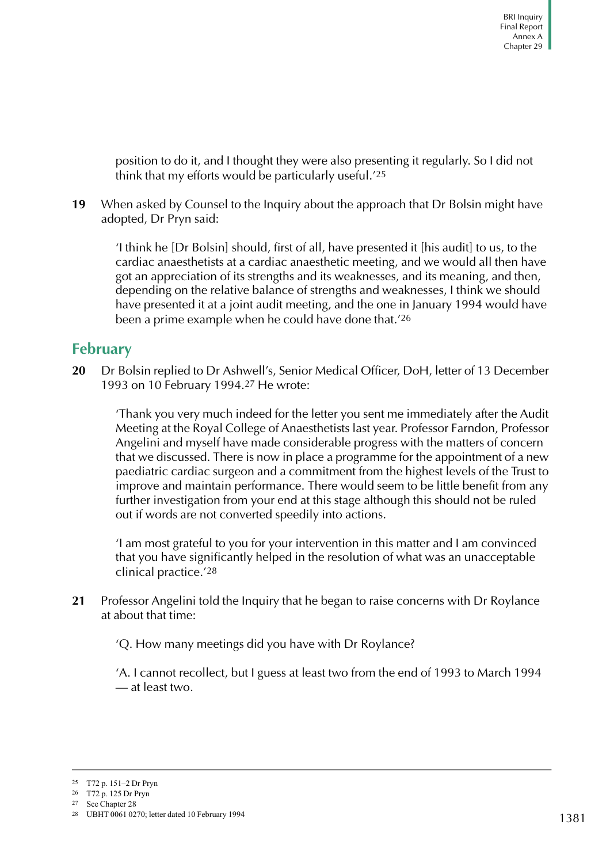position to do it, and I thought they were also presenting it regularly. So I did not think that my efforts would be particularly useful.'25

**19** When asked by Counsel to the Inquiry about the approach that Dr Bolsin might have adopted, Dr Pryn said:

'I think he [Dr Bolsin] should, first of all, have presented it [his audit] to us, to the cardiac anaesthetists at a cardiac anaesthetic meeting, and we would all then have got an appreciation of its strengths and its weaknesses, and its meaning, and then, depending on the relative balance of strengths and weaknesses, I think we should have presented it at a joint audit meeting, and the one in January 1994 would have been a prime example when he could have done that.'26

# **February**

**20** Dr Bolsin replied to Dr Ashwell's, Senior Medical Officer, DoH, letter of 13 December 1993 on 10 February 1994.27 He wrote:

'Thank you very much indeed for the letter you sent me immediately after the Audit Meeting at the Royal College of Anaesthetists last year. Professor Farndon, Professor Angelini and myself have made considerable progress with the matters of concern that we discussed. There is now in place a programme for the appointment of a new paediatric cardiac surgeon and a commitment from the highest levels of the Trust to improve and maintain performance. There would seem to be little benefit from any further investigation from your end at this stage although this should not be ruled out if words are not converted speedily into actions.

'I am most grateful to you for your intervention in this matter and I am convinced that you have significantly helped in the resolution of what was an unacceptable clinical practice.'28

**21** Professor Angelini told the Inquiry that he began to raise concerns with Dr Roylance at about that time:

'Q. How many meetings did you have with Dr Roylance?

'A. I cannot recollect, but I guess at least two from the end of 1993 to March 1994 — at least two.

<sup>25</sup> T72 p. 151–2 Dr Pryn

<sup>26</sup> T72 p. 125 Dr Pryn

<sup>27</sup> See [Chapter 28](#page-0-0)

<sup>28</sup> UBHT 0061 0270; letter dated 10 February 1994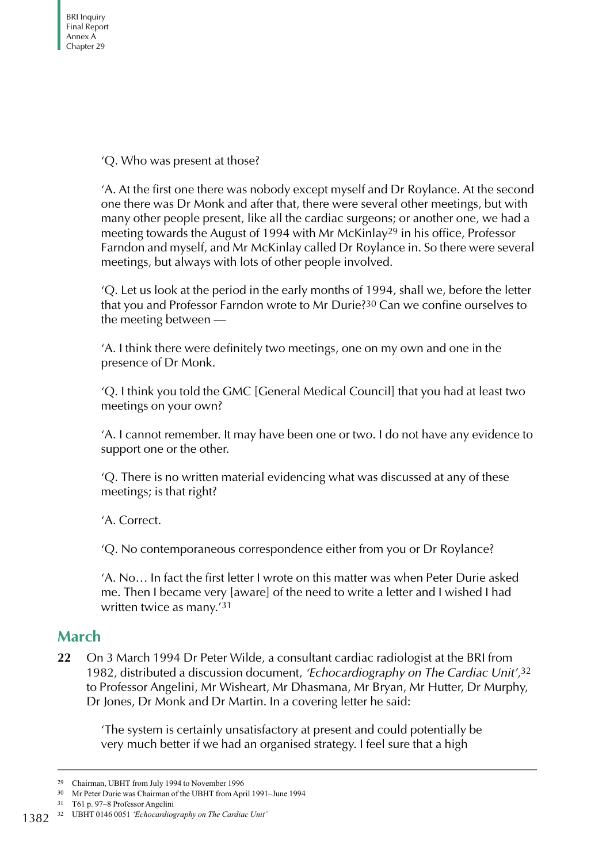### 'Q. Who was present at those?

'A. At the first one there was nobody except myself and Dr Roylance. At the second one there was Dr Monk and after that, there were several other meetings, but with many other people present, like all the cardiac surgeons; or another one, we had a meeting towards the August of 1994 with Mr McKinlay29 in his office, Professor Farndon and myself, and Mr McKinlay called Dr Roylance in. So there were several meetings, but always with lots of other people involved.

'Q. Let us look at the period in the early months of 1994, shall we, before the letter that you and Professor Farndon wrote to Mr Durie?30 Can we confine ourselves to the meeting between —

'A. I think there were definitely two meetings, one on my own and one in the presence of Dr Monk.

'Q. I think you told the GMC [General Medical Council] that you had at least two meetings on your own?

'A. I cannot remember. It may have been one or two. I do not have any evidence to support one or the other.

'Q. There is no written material evidencing what was discussed at any of these meetings; is that right?

'A. Correct.

'Q. No contemporaneous correspondence either from you or Dr Roylance?

'A. No… In fact the first letter I wrote on this matter was when Peter Durie asked me. Then I became very [aware] of the need to write a letter and I wished I had written twice as many.'31

# **March**

**22** On 3 March 1994 Dr Peter Wilde, a consultant cardiac radiologist at the BRI from 1982, distributed a discussion document, 'Echocardiography on The Cardiac Unit',32 to Professor Angelini, Mr Wisheart, Mr Dhasmana, Mr Bryan, Mr Hutter, Dr Murphy, Dr Jones, Dr Monk and Dr Martin. In a covering letter he said:

'The system is certainly unsatisfactory at present and could potentially be very much better if we had an organised strategy. I feel sure that a high

<sup>29</sup> Chairman, UBHT from July 1994 to November 1996

<sup>30</sup> Mr Peter Durie was Chairman of the UBHT from April 1991–June 1994

<sup>31</sup> T61 p. 97–8 Professor Angelini

<sup>1382</sup> 32 UBHT 0146 0051 *'Echocardiography on The Cardiac Unit'*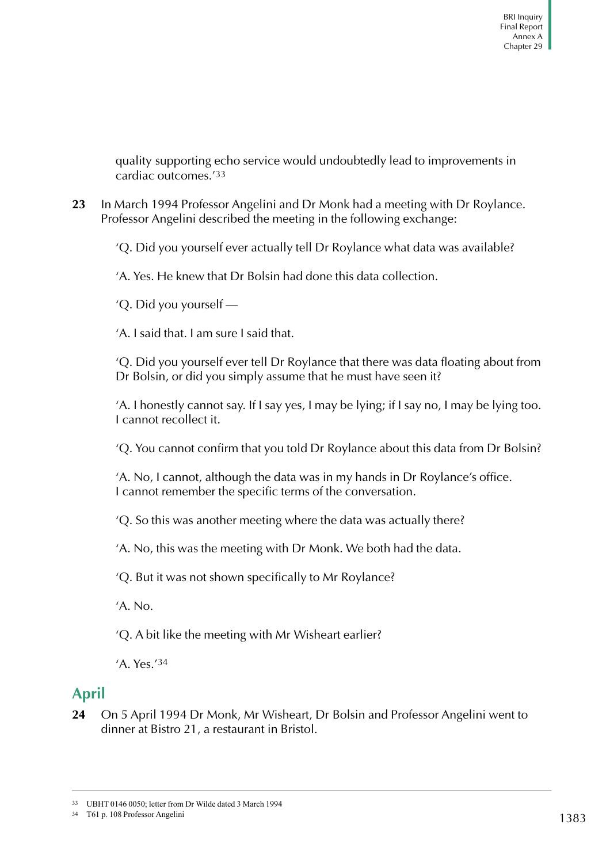quality supporting echo service would undoubtedly lead to improvements in cardiac outcomes.'33

**23** In March 1994 Professor Angelini and Dr Monk had a meeting with Dr Roylance. Professor Angelini described the meeting in the following exchange:

'Q. Did you yourself ever actually tell Dr Roylance what data was available?

'A. Yes. He knew that Dr Bolsin had done this data collection.

'Q. Did you yourself —

'A. I said that. I am sure I said that.

'Q. Did you yourself ever tell Dr Roylance that there was data floating about from Dr Bolsin, or did you simply assume that he must have seen it?

'A. I honestly cannot say. If I say yes, I may be lying; if I say no, I may be lying too. I cannot recollect it.

'Q. You cannot confirm that you told Dr Roylance about this data from Dr Bolsin?

'A. No, I cannot, although the data was in my hands in Dr Roylance's office. I cannot remember the specific terms of the conversation.

'Q. So this was another meeting where the data was actually there?

'A. No, this was the meeting with Dr Monk. We both had the data.

'Q. But it was not shown specifically to Mr Roylance?

'A. No.

'Q. A bit like the meeting with Mr Wisheart earlier?

'A. Yes.'34

# **April**

**24** On 5 April 1994 Dr Monk, Mr Wisheart, Dr Bolsin and Professor Angelini went to dinner at Bistro 21, a restaurant in Bristol.

<sup>33</sup> UBHT 0146 0050; letter from Dr Wilde dated 3 March 1994

<sup>34</sup> T61 p. 108 Professor Angelini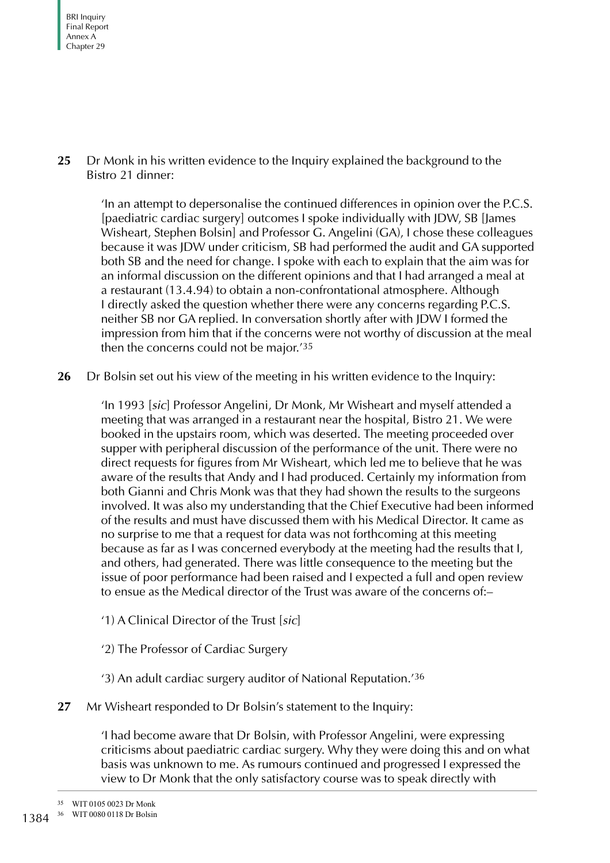**25** Dr Monk in his written evidence to the Inquiry explained the background to the Bistro 21 dinner:

'In an attempt to depersonalise the continued differences in opinion over the P.C.S. [paediatric cardiac surgery] outcomes I spoke individually with JDW, SB [James Wisheart, Stephen Bolsin] and Professor G. Angelini (GA), I chose these colleagues because it was JDW under criticism, SB had performed the audit and GA supported both SB and the need for change. I spoke with each to explain that the aim was for an informal discussion on the different opinions and that I had arranged a meal at a restaurant (13.4.94) to obtain a non-confrontational atmosphere. Although I directly asked the question whether there were any concerns regarding P.C.S. neither SB nor GA replied. In conversation shortly after with JDW I formed the impression from him that if the concerns were not worthy of discussion at the meal then the concerns could not be major.'35

**26** Dr Bolsin set out his view of the meeting in his written evidence to the Inquiry:

'In 1993 [sic] Professor Angelini, Dr Monk, Mr Wisheart and myself attended a meeting that was arranged in a restaurant near the hospital, Bistro 21. We were booked in the upstairs room, which was deserted. The meeting proceeded over supper with peripheral discussion of the performance of the unit. There were no direct requests for figures from Mr Wisheart, which led me to believe that he was aware of the results that Andy and I had produced. Certainly my information from both Gianni and Chris Monk was that they had shown the results to the surgeons involved. It was also my understanding that the Chief Executive had been informed of the results and must have discussed them with his Medical Director. It came as no surprise to me that a request for data was not forthcoming at this meeting because as far as I was concerned everybody at the meeting had the results that I, and others, had generated. There was little consequence to the meeting but the issue of poor performance had been raised and I expected a full and open review to ensue as the Medical director of the Trust was aware of the concerns of:–

- '1) A Clinical Director of the Trust [sic]
- '2) The Professor of Cardiac Surgery
- '3) An adult cardiac surgery auditor of National Reputation.'36
- **27** Mr Wisheart responded to Dr Bolsin's statement to the Inquiry:

'I had become aware that Dr Bolsin, with Professor Angelini, were expressing criticisms about paediatric cardiac surgery. Why they were doing this and on what basis was unknown to me. As rumours continued and progressed I expressed the view to Dr Monk that the only satisfactory course was to speak directly with

35 WIT 0105 0023 Dr Monk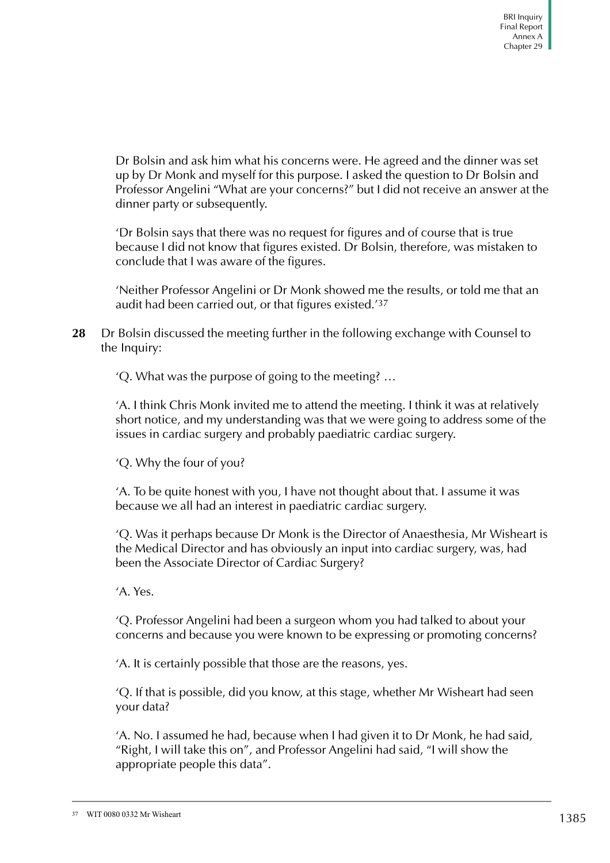Dr Bolsin and ask him what his concerns were. He agreed and the dinner was set up by Dr Monk and myself for this purpose. I asked the question to Dr Bolsin and Professor Angelini "What are your concerns?" but I did not receive an answer at the dinner party or subsequently.

'Dr Bolsin says that there was no request for figures and of course that is true because I did not know that figures existed. Dr Bolsin, therefore, was mistaken to conclude that I was aware of the figures.

'Neither Professor Angelini or Dr Monk showed me the results, or told me that an audit had been carried out, or that figures existed.'37

**28** Dr Bolsin discussed the meeting further in the following exchange with Counsel to the Inquiry:

'Q. What was the purpose of going to the meeting? …

'A. I think Chris Monk invited me to attend the meeting. I think it was at relatively short notice, and my understanding was that we were going to address some of the issues in cardiac surgery and probably paediatric cardiac surgery.

'Q. Why the four of you?

'A. To be quite honest with you, I have not thought about that. I assume it was because we all had an interest in paediatric cardiac surgery.

'Q. Was it perhaps because Dr Monk is the Director of Anaesthesia, Mr Wisheart is the Medical Director and has obviously an input into cardiac surgery, was, had been the Associate Director of Cardiac Surgery?

'A. Yes.

'Q. Professor Angelini had been a surgeon whom you had talked to about your concerns and because you were known to be expressing or promoting concerns?

'A. It is certainly possible that those are the reasons, yes.

'Q. If that is possible, did you know, at this stage, whether Mr Wisheart had seen your data?

'A. No. I assumed he had, because when I had given it to Dr Monk, he had said, "Right, I will take this on", and Professor Angelini had said, "I will show the appropriate people this data".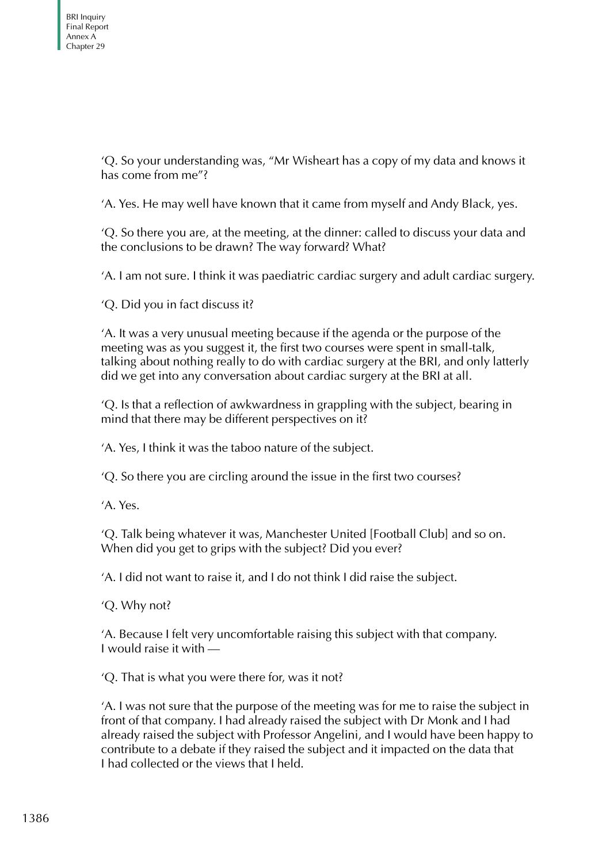'Q. So your understanding was, "Mr Wisheart has a copy of my data and knows it has come from me"?

'A. Yes. He may well have known that it came from myself and Andy Black, yes.

'Q. So there you are, at the meeting, at the dinner: called to discuss your data and the conclusions to be drawn? The way forward? What?

'A. I am not sure. I think it was paediatric cardiac surgery and adult cardiac surgery.

'Q. Did you in fact discuss it?

'A. It was a very unusual meeting because if the agenda or the purpose of the meeting was as you suggest it, the first two courses were spent in small-talk, talking about nothing really to do with cardiac surgery at the BRI, and only latterly did we get into any conversation about cardiac surgery at the BRI at all.

'Q. Is that a reflection of awkwardness in grappling with the subject, bearing in mind that there may be different perspectives on it?

'A. Yes, I think it was the taboo nature of the subject.

'Q. So there you are circling around the issue in the first two courses?

'A. Yes.

'Q. Talk being whatever it was, Manchester United [Football Club] and so on. When did you get to grips with the subject? Did you ever?

'A. I did not want to raise it, and I do not think I did raise the subject.

'Q. Why not?

'A. Because I felt very uncomfortable raising this subject with that company. I would raise it with —

'Q. That is what you were there for, was it not?

'A. I was not sure that the purpose of the meeting was for me to raise the subject in front of that company. I had already raised the subject with Dr Monk and I had already raised the subject with Professor Angelini, and I would have been happy to contribute to a debate if they raised the subject and it impacted on the data that I had collected or the views that I held.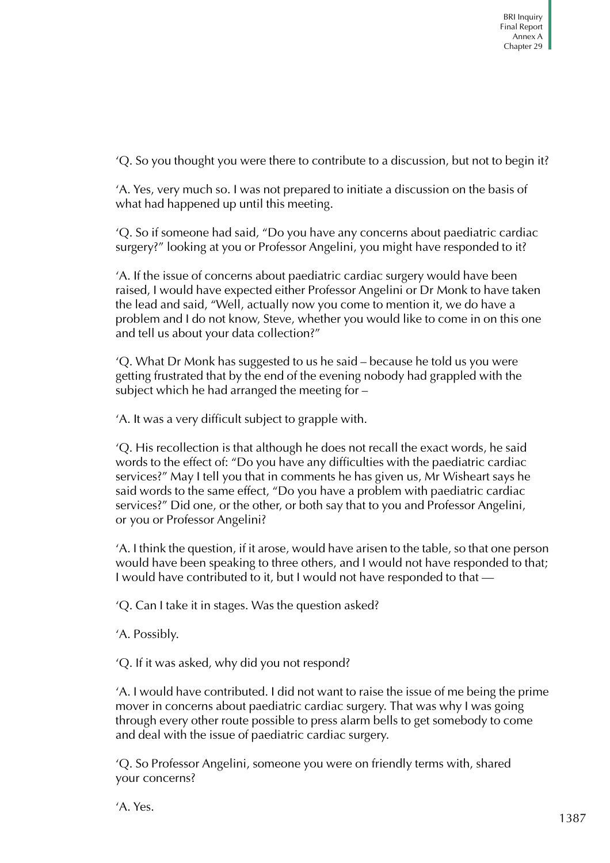'Q. So you thought you were there to contribute to a discussion, but not to begin it?

'A. Yes, very much so. I was not prepared to initiate a discussion on the basis of what had happened up until this meeting.

'Q. So if someone had said, "Do you have any concerns about paediatric cardiac surgery?" looking at you or Professor Angelini, you might have responded to it?

'A. If the issue of concerns about paediatric cardiac surgery would have been raised, I would have expected either Professor Angelini or Dr Monk to have taken the lead and said, "Well, actually now you come to mention it, we do have a problem and I do not know, Steve, whether you would like to come in on this one and tell us about your data collection?"

'Q. What Dr Monk has suggested to us he said – because he told us you were getting frustrated that by the end of the evening nobody had grappled with the subject which he had arranged the meeting for –

'A. It was a very difficult subject to grapple with.

'Q. His recollection is that although he does not recall the exact words, he said words to the effect of: "Do you have any difficulties with the paediatric cardiac services?" May I tell you that in comments he has given us, Mr Wisheart says he said words to the same effect, "Do you have a problem with paediatric cardiac services?" Did one, or the other, or both say that to you and Professor Angelini, or you or Professor Angelini?

'A. I think the question, if it arose, would have arisen to the table, so that one person would have been speaking to three others, and I would not have responded to that; I would have contributed to it, but I would not have responded to that —

'Q. Can I take it in stages. Was the question asked?

'A. Possibly.

'Q. If it was asked, why did you not respond?

'A. I would have contributed. I did not want to raise the issue of me being the prime mover in concerns about paediatric cardiac surgery. That was why I was going through every other route possible to press alarm bells to get somebody to come and deal with the issue of paediatric cardiac surgery.

'Q. So Professor Angelini, someone you were on friendly terms with, shared your concerns?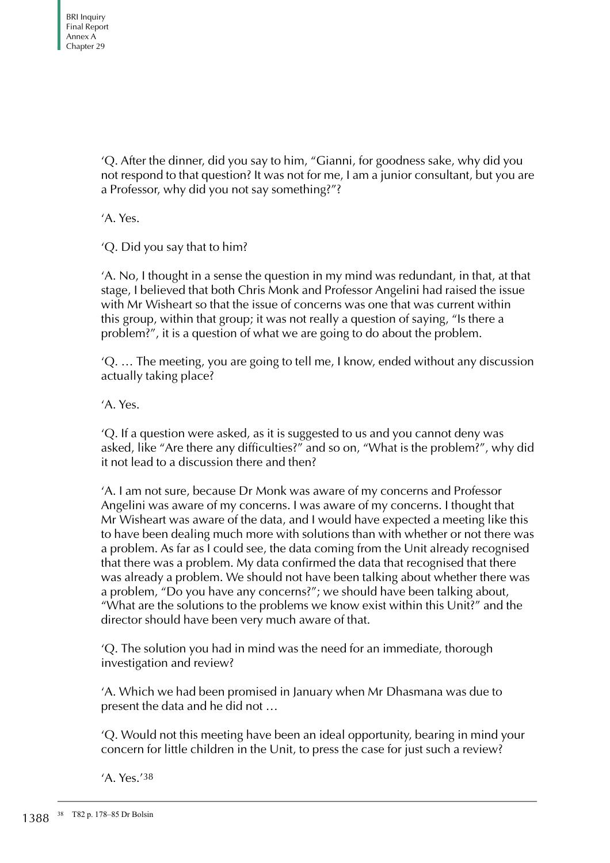'Q. After the dinner, did you say to him, "Gianni, for goodness sake, why did you not respond to that question? It was not for me, I am a junior consultant, but you are a Professor, why did you not say something?"?

'A. Yes.

'Q. Did you say that to him?

'A. No, I thought in a sense the question in my mind was redundant, in that, at that stage, I believed that both Chris Monk and Professor Angelini had raised the issue with Mr Wisheart so that the issue of concerns was one that was current within this group, within that group; it was not really a question of saying, "Is there a problem?", it is a question of what we are going to do about the problem.

'Q. … The meeting, you are going to tell me, I know, ended without any discussion actually taking place?

'A. Yes.

'Q. If a question were asked, as it is suggested to us and you cannot deny was asked, like "Are there any difficulties?" and so on, "What is the problem?", why did it not lead to a discussion there and then?

'A. I am not sure, because Dr Monk was aware of my concerns and Professor Angelini was aware of my concerns. I was aware of my concerns. I thought that Mr Wisheart was aware of the data, and I would have expected a meeting like this to have been dealing much more with solutions than with whether or not there was a problem. As far as I could see, the data coming from the Unit already recognised that there was a problem. My data confirmed the data that recognised that there was already a problem. We should not have been talking about whether there was a problem, "Do you have any concerns?"; we should have been talking about, "What are the solutions to the problems we know exist within this Unit?" and the director should have been very much aware of that.

'Q. The solution you had in mind was the need for an immediate, thorough investigation and review?

'A. Which we had been promised in January when Mr Dhasmana was due to present the data and he did not …

'Q. Would not this meeting have been an ideal opportunity, bearing in mind your concern for little children in the Unit, to press the case for just such a review?

'A. Yes.'38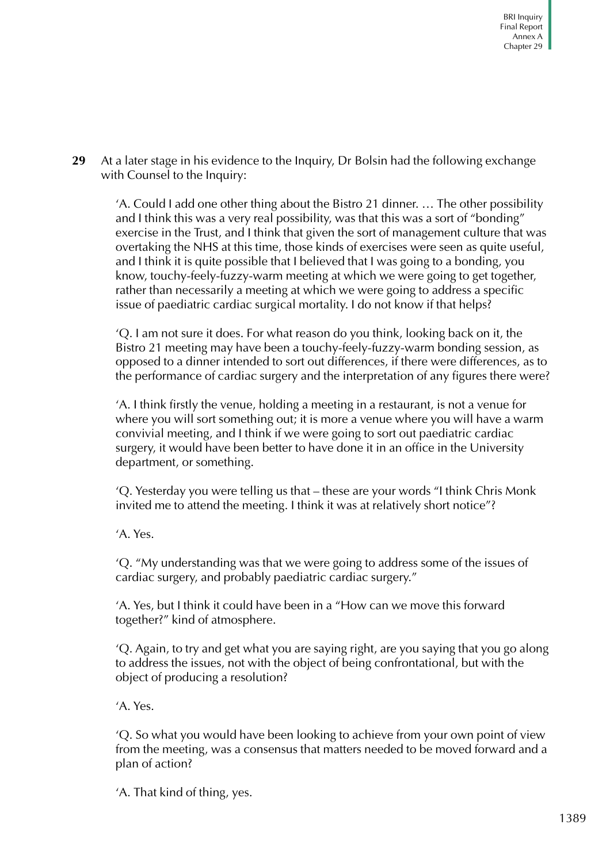**29** At a later stage in his evidence to the Inquiry, Dr Bolsin had the following exchange with Counsel to the Inquiry:

'A. Could I add one other thing about the Bistro 21 dinner. … The other possibility and I think this was a very real possibility, was that this was a sort of "bonding" exercise in the Trust, and I think that given the sort of management culture that was overtaking the NHS at this time, those kinds of exercises were seen as quite useful, and I think it is quite possible that I believed that I was going to a bonding, you know, touchy-feely-fuzzy-warm meeting at which we were going to get together, rather than necessarily a meeting at which we were going to address a specific issue of paediatric cardiac surgical mortality. I do not know if that helps?

'Q. I am not sure it does. For what reason do you think, looking back on it, the Bistro 21 meeting may have been a touchy-feely-fuzzy-warm bonding session, as opposed to a dinner intended to sort out differences, if there were differences, as to the performance of cardiac surgery and the interpretation of any figures there were?

'A. I think firstly the venue, holding a meeting in a restaurant, is not a venue for where you will sort something out; it is more a venue where you will have a warm convivial meeting, and I think if we were going to sort out paediatric cardiac surgery, it would have been better to have done it in an office in the University department, or something.

'Q. Yesterday you were telling us that – these are your words "I think Chris Monk invited me to attend the meeting. I think it was at relatively short notice"?

'A. Yes.

'Q. "My understanding was that we were going to address some of the issues of cardiac surgery, and probably paediatric cardiac surgery."

'A. Yes, but I think it could have been in a "How can we move this forward together?" kind of atmosphere.

'Q. Again, to try and get what you are saying right, are you saying that you go along to address the issues, not with the object of being confrontational, but with the object of producing a resolution?

'A. Yes.

'Q. So what you would have been looking to achieve from your own point of view from the meeting, was a consensus that matters needed to be moved forward and a plan of action?

'A. That kind of thing, yes.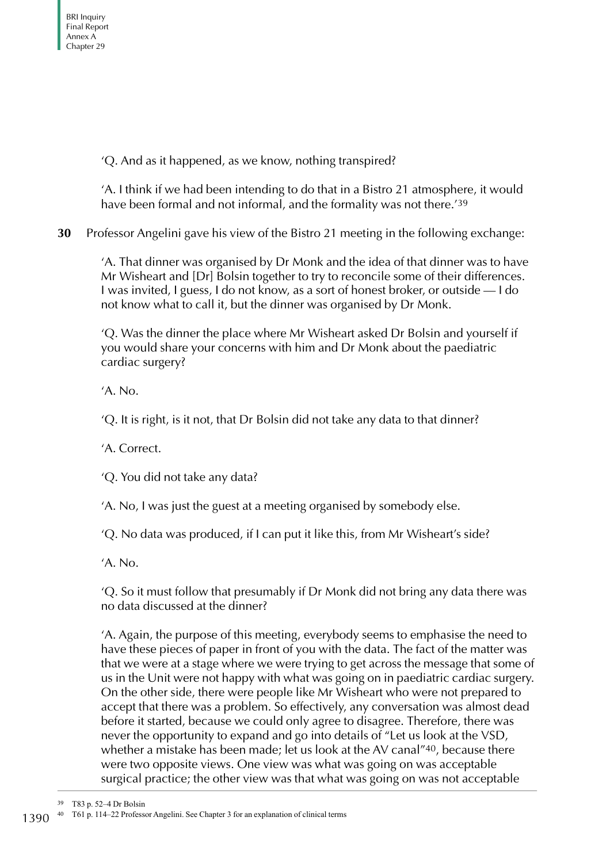'Q. And as it happened, as we know, nothing transpired?

'A. I think if we had been intending to do that in a Bistro 21 atmosphere, it would have been formal and not informal, and the formality was not there.<sup>'39</sup>

**30** Professor Angelini gave his view of the Bistro 21 meeting in the following exchange:

'A. That dinner was organised by Dr Monk and the idea of that dinner was to have Mr Wisheart and [Dr] Bolsin together to try to reconcile some of their differences. I was invited, I guess, I do not know, as a sort of honest broker, or outside — I do not know what to call it, but the dinner was organised by Dr Monk.

'Q. Was the dinner the place where Mr Wisheart asked Dr Bolsin and yourself if you would share your concerns with him and Dr Monk about the paediatric cardiac surgery?

'A. No.

'Q. It is right, is it not, that Dr Bolsin did not take any data to that dinner?

'A. Correct.

'Q. You did not take any data?

'A. No, I was just the guest at a meeting organised by somebody else.

'Q. No data was produced, if I can put it like this, from Mr Wisheart's side?

'A. No.

'Q. So it must follow that presumably if Dr Monk did not bring any data there was no data discussed at the dinner?

'A. Again, the purpose of this meeting, everybody seems to emphasise the need to have these pieces of paper in front of you with the data. The fact of the matter was that we were at a stage where we were trying to get across the message that some of us in the Unit were not happy with what was going on in paediatric cardiac surgery. On the other side, there were people like Mr Wisheart who were not prepared to accept that there was a problem. So effectively, any conversation was almost dead before it started, because we could only agree to disagree. Therefore, there was never the opportunity to expand and go into details of "Let us look at the VSD, whether a mistake has been made; let us look at the AV canal"40, because there were two opposite views. One view was what was going on was acceptable surgical practice; the other view was that what was going on was not acceptable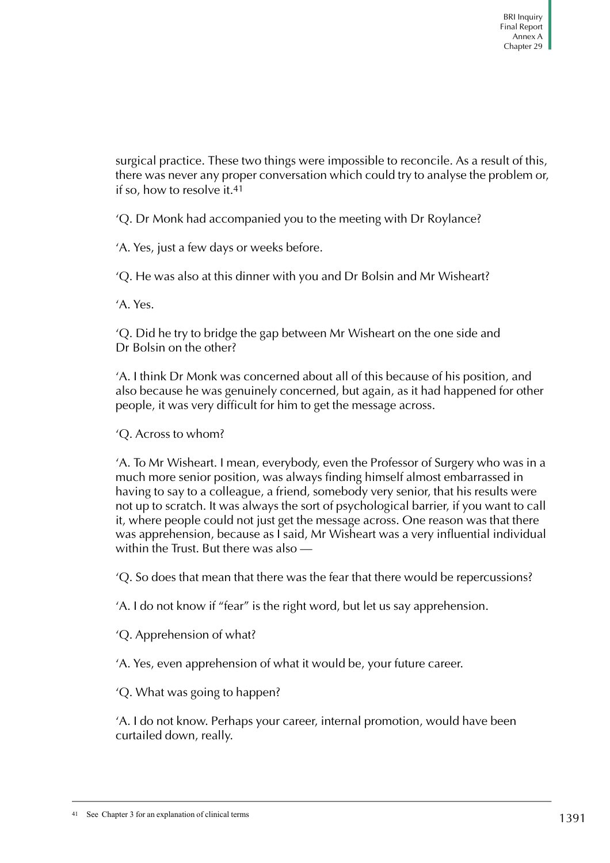surgical practice. These two things were impossible to reconcile. As a result of this, there was never any proper conversation which could try to analyse the problem or, if so, how to resolve it.41

'Q. Dr Monk had accompanied you to the meeting with Dr Roylance?

'A. Yes, just a few days or weeks before.

'Q. He was also at this dinner with you and Dr Bolsin and Mr Wisheart?

'A. Yes.

'Q. Did he try to bridge the gap between Mr Wisheart on the one side and Dr Bolsin on the other?

'A. I think Dr Monk was concerned about all of this because of his position, and also because he was genuinely concerned, but again, as it had happened for other people, it was very difficult for him to get the message across.

'Q. Across to whom?

'A. To Mr Wisheart. I mean, everybody, even the Professor of Surgery who was in a much more senior position, was always finding himself almost embarrassed in having to say to a colleague, a friend, somebody very senior, that his results were not up to scratch. It was always the sort of psychological barrier, if you want to call it, where people could not just get the message across. One reason was that there was apprehension, because as I said, Mr Wisheart was a very influential individual within the Trust. But there was also  $-$ 

'Q. So does that mean that there was the fear that there would be repercussions?

'A. I do not know if "fear" is the right word, but let us say apprehension.

'Q. Apprehension of what?

'A. Yes, even apprehension of what it would be, your future career.

'Q. What was going to happen?

'A. I do not know. Perhaps your career, internal promotion, would have been curtailed down, really.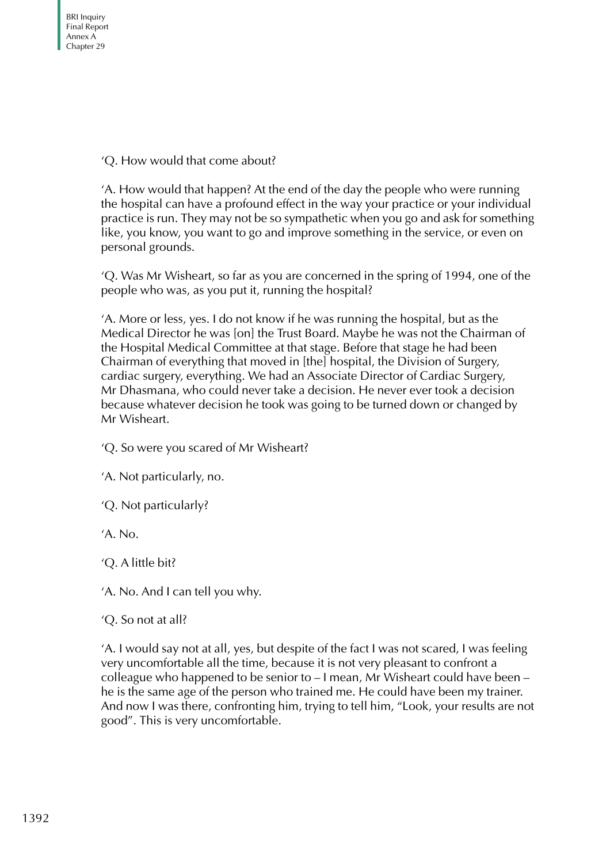### 'Q. How would that come about?

'A. How would that happen? At the end of the day the people who were running the hospital can have a profound effect in the way your practice or your individual practice is run. They may not be so sympathetic when you go and ask for something like, you know, you want to go and improve something in the service, or even on personal grounds.

'Q. Was Mr Wisheart, so far as you are concerned in the spring of 1994, one of the people who was, as you put it, running the hospital?

'A. More or less, yes. I do not know if he was running the hospital, but as the Medical Director he was [on] the Trust Board. Maybe he was not the Chairman of the Hospital Medical Committee at that stage. Before that stage he had been Chairman of everything that moved in [the] hospital, the Division of Surgery, cardiac surgery, everything. We had an Associate Director of Cardiac Surgery, Mr Dhasmana, who could never take a decision. He never ever took a decision because whatever decision he took was going to be turned down or changed by Mr Wisheart.

- 'Q. So were you scared of Mr Wisheart?
- 'A. Not particularly, no.
- 'Q. Not particularly?

'A. No.

'Q. A little bit?

'A. No. And I can tell you why.

'Q. So not at all?

'A. I would say not at all, yes, but despite of the fact I was not scared, I was feeling very uncomfortable all the time, because it is not very pleasant to confront a colleague who happened to be senior to – I mean, Mr Wisheart could have been – he is the same age of the person who trained me. He could have been my trainer. And now I was there, confronting him, trying to tell him, "Look, your results are not good". This is very uncomfortable.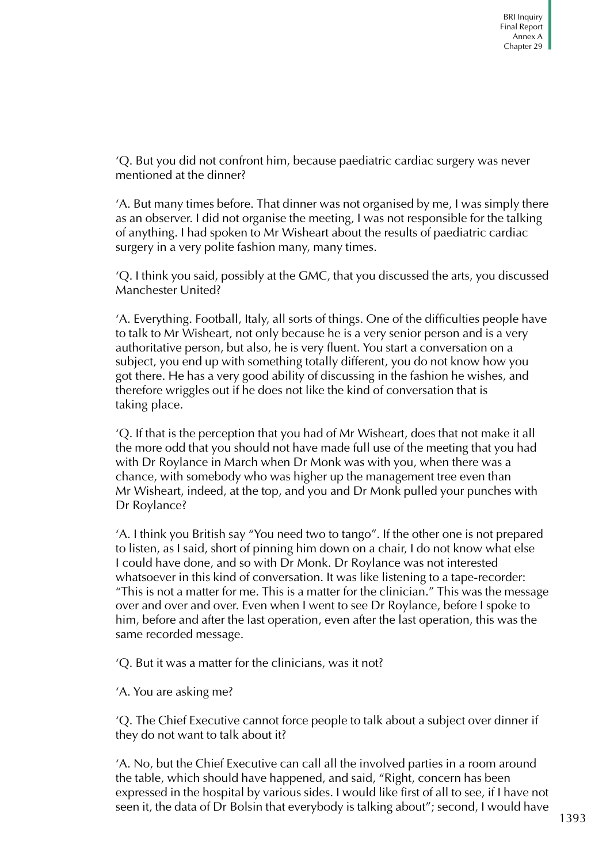'Q. But you did not confront him, because paediatric cardiac surgery was never mentioned at the dinner?

'A. But many times before. That dinner was not organised by me, I was simply there as an observer. I did not organise the meeting, I was not responsible for the talking of anything. I had spoken to Mr Wisheart about the results of paediatric cardiac surgery in a very polite fashion many, many times.

'Q. I think you said, possibly at the GMC, that you discussed the arts, you discussed Manchester United?

'A. Everything. Football, Italy, all sorts of things. One of the difficulties people have to talk to Mr Wisheart, not only because he is a very senior person and is a very authoritative person, but also, he is very fluent. You start a conversation on a subject, you end up with something totally different, you do not know how you got there. He has a very good ability of discussing in the fashion he wishes, and therefore wriggles out if he does not like the kind of conversation that is taking place.

'Q. If that is the perception that you had of Mr Wisheart, does that not make it all the more odd that you should not have made full use of the meeting that you had with Dr Roylance in March when Dr Monk was with you, when there was a chance, with somebody who was higher up the management tree even than Mr Wisheart, indeed, at the top, and you and Dr Monk pulled your punches with Dr Roylance?

'A. I think you British say "You need two to tango". If the other one is not prepared to listen, as I said, short of pinning him down on a chair, I do not know what else I could have done, and so with Dr Monk. Dr Roylance was not interested whatsoever in this kind of conversation. It was like listening to a tape-recorder: "This is not a matter for me. This is a matter for the clinician." This was the message over and over and over. Even when I went to see Dr Roylance, before I spoke to him, before and after the last operation, even after the last operation, this was the same recorded message.

'Q. But it was a matter for the clinicians, was it not?

'A. You are asking me?

'Q. The Chief Executive cannot force people to talk about a subject over dinner if they do not want to talk about it?

'A. No, but the Chief Executive can call all the involved parties in a room around the table, which should have happened, and said, "Right, concern has been expressed in the hospital by various sides. I would like first of all to see, if I have not seen it, the data of Dr Bolsin that everybody is talking about"; second, I would have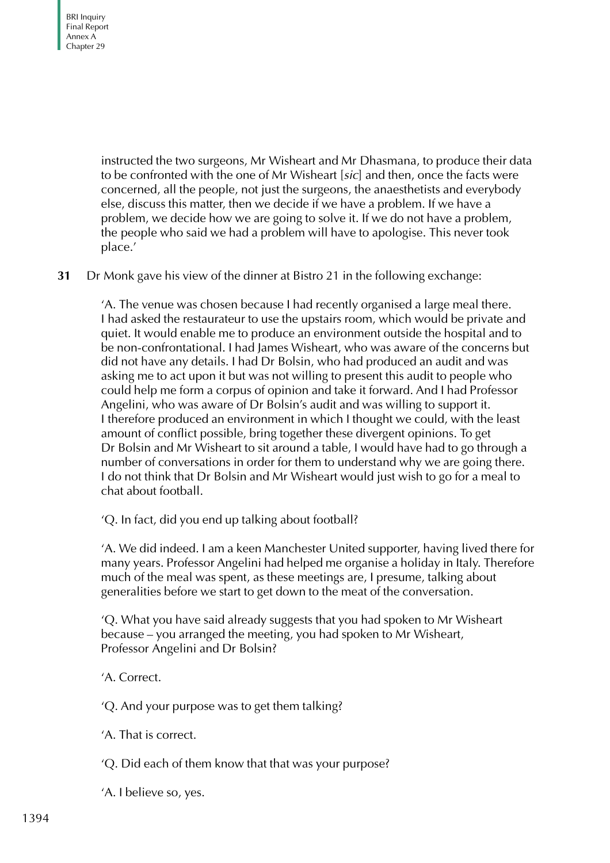instructed the two surgeons, Mr Wisheart and Mr Dhasmana, to produce their data to be confronted with the one of Mr Wisheart [sic] and then, once the facts were concerned, all the people, not just the surgeons, the anaesthetists and everybody else, discuss this matter, then we decide if we have a problem. If we have a problem, we decide how we are going to solve it. If we do not have a problem, the people who said we had a problem will have to apologise. This never took place.'

**31** Dr Monk gave his view of the dinner at Bistro 21 in the following exchange:

'A. The venue was chosen because I had recently organised a large meal there. I had asked the restaurateur to use the upstairs room, which would be private and quiet. It would enable me to produce an environment outside the hospital and to be non-confrontational. I had James Wisheart, who was aware of the concerns but did not have any details. I had Dr Bolsin, who had produced an audit and was asking me to act upon it but was not willing to present this audit to people who could help me form a corpus of opinion and take it forward. And I had Professor Angelini, who was aware of Dr Bolsin's audit and was willing to support it. I therefore produced an environment in which I thought we could, with the least amount of conflict possible, bring together these divergent opinions. To get Dr Bolsin and Mr Wisheart to sit around a table, I would have had to go through a number of conversations in order for them to understand why we are going there. I do not think that Dr Bolsin and Mr Wisheart would just wish to go for a meal to chat about football.

'Q. In fact, did you end up talking about football?

'A. We did indeed. I am a keen Manchester United supporter, having lived there for many years. Professor Angelini had helped me organise a holiday in Italy. Therefore much of the meal was spent, as these meetings are, I presume, talking about generalities before we start to get down to the meat of the conversation.

'Q. What you have said already suggests that you had spoken to Mr Wisheart because – you arranged the meeting, you had spoken to Mr Wisheart, Professor Angelini and Dr Bolsin?

'A. Correct.

'Q. And your purpose was to get them talking?

- 'A. That is correct.
- 'Q. Did each of them know that that was your purpose?
- 'A. I believe so, yes.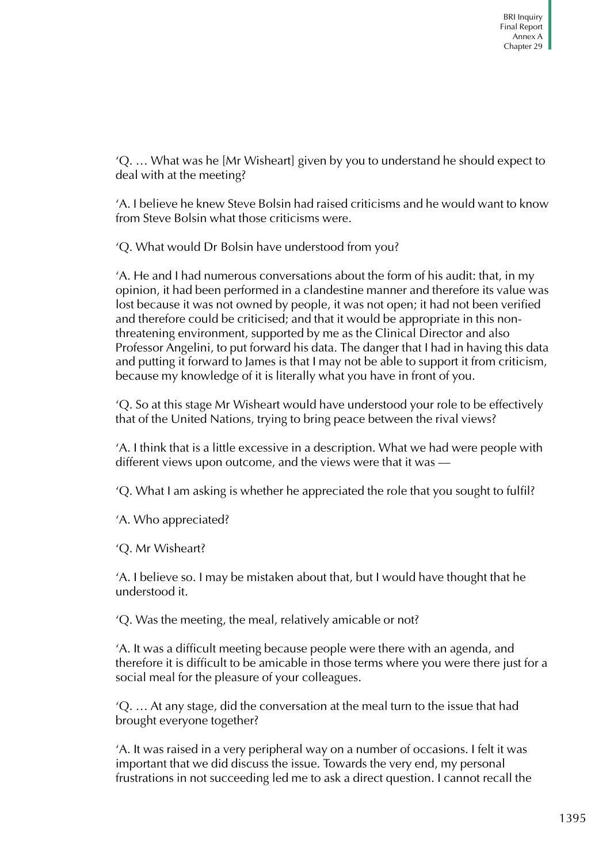'Q. … What was he [Mr Wisheart] given by you to understand he should expect to deal with at the meeting?

'A. I believe he knew Steve Bolsin had raised criticisms and he would want to know from Steve Bolsin what those criticisms were.

'Q. What would Dr Bolsin have understood from you?

'A. He and I had numerous conversations about the form of his audit: that, in my opinion, it had been performed in a clandestine manner and therefore its value was lost because it was not owned by people, it was not open; it had not been verified and therefore could be criticised; and that it would be appropriate in this nonthreatening environment, supported by me as the Clinical Director and also Professor Angelini, to put forward his data. The danger that I had in having this data and putting it forward to James is that I may not be able to support it from criticism, because my knowledge of it is literally what you have in front of you.

'Q. So at this stage Mr Wisheart would have understood your role to be effectively that of the United Nations, trying to bring peace between the rival views?

'A. I think that is a little excessive in a description. What we had were people with different views upon outcome, and the views were that it was —

'Q. What I am asking is whether he appreciated the role that you sought to fulfil?

'A. Who appreciated?

'Q. Mr Wisheart?

'A. I believe so. I may be mistaken about that, but I would have thought that he understood it.

'Q. Was the meeting, the meal, relatively amicable or not?

'A. It was a difficult meeting because people were there with an agenda, and therefore it is difficult to be amicable in those terms where you were there just for a social meal for the pleasure of your colleagues.

'Q. … At any stage, did the conversation at the meal turn to the issue that had brought everyone together?

'A. It was raised in a very peripheral way on a number of occasions. I felt it was important that we did discuss the issue. Towards the very end, my personal frustrations in not succeeding led me to ask a direct question. I cannot recall the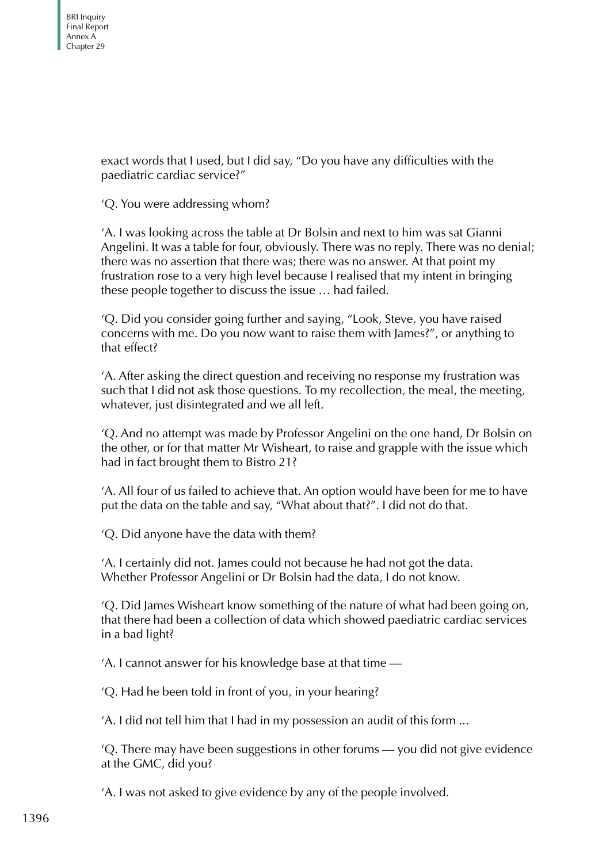exact words that I used, but I did say, "Do you have any difficulties with the paediatric cardiac service?"

'Q. You were addressing whom?

'A. I was looking across the table at Dr Bolsin and next to him was sat Gianni Angelini. It was a table for four, obviously. There was no reply. There was no denial; there was no assertion that there was; there was no answer. At that point my frustration rose to a very high level because I realised that my intent in bringing these people together to discuss the issue … had failed.

'Q. Did you consider going further and saying, "Look, Steve, you have raised concerns with me. Do you now want to raise them with James?", or anything to that effect?

'A. After asking the direct question and receiving no response my frustration was such that I did not ask those questions. To my recollection, the meal, the meeting, whatever, just disintegrated and we all left.

'Q. And no attempt was made by Professor Angelini on the one hand, Dr Bolsin on the other, or for that matter Mr Wisheart, to raise and grapple with the issue which had in fact brought them to Bistro 21?

'A. All four of us failed to achieve that. An option would have been for me to have put the data on the table and say, "What about that?". I did not do that.

'Q. Did anyone have the data with them?

'A. I certainly did not. James could not because he had not got the data. Whether Professor Angelini or Dr Bolsin had the data, I do not know.

'Q. Did James Wisheart know something of the nature of what had been going on, that there had been a collection of data which showed paediatric cardiac services in a bad light?

'A. I cannot answer for his knowledge base at that time —

'Q. Had he been told in front of you, in your hearing?

'A. I did not tell him that I had in my possession an audit of this form ...

'Q. There may have been suggestions in other forums — you did not give evidence at the GMC, did you?

'A. I was not asked to give evidence by any of the people involved.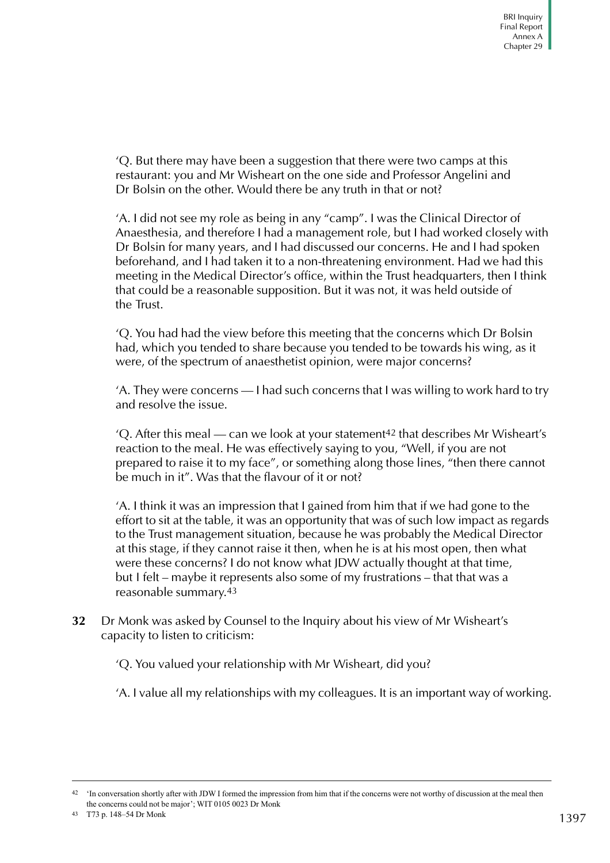'Q. But there may have been a suggestion that there were two camps at this restaurant: you and Mr Wisheart on the one side and Professor Angelini and Dr Bolsin on the other. Would there be any truth in that or not?

'A. I did not see my role as being in any "camp". I was the Clinical Director of Anaesthesia, and therefore I had a management role, but I had worked closely with Dr Bolsin for many years, and I had discussed our concerns. He and I had spoken beforehand, and I had taken it to a non-threatening environment. Had we had this meeting in the Medical Director's office, within the Trust headquarters, then I think that could be a reasonable supposition. But it was not, it was held outside of the Trust.

'Q. You had had the view before this meeting that the concerns which Dr Bolsin had, which you tended to share because you tended to be towards his wing, as it were, of the spectrum of anaesthetist opinion, were major concerns?

'A. They were concerns — I had such concerns that I was willing to work hard to try and resolve the issue.

'Q. After this meal — can we look at your statement42 that describes Mr Wisheart's reaction to the meal. He was effectively saying to you, "Well, if you are not prepared to raise it to my face", or something along those lines, "then there cannot be much in it". Was that the flavour of it or not?

'A. I think it was an impression that I gained from him that if we had gone to the effort to sit at the table, it was an opportunity that was of such low impact as regards to the Trust management situation, because he was probably the Medical Director at this stage, if they cannot raise it then, when he is at his most open, then what were these concerns? I do not know what JDW actually thought at that time, but I felt – maybe it represents also some of my frustrations – that that was a reasonable summary.43

**32** Dr Monk was asked by Counsel to the Inquiry about his view of Mr Wisheart's capacity to listen to criticism:

'Q. You valued your relationship with Mr Wisheart, did you?

'A. I value all my relationships with my colleagues. It is an important way of working.

<sup>&</sup>lt;sup>42</sup> 'In conversation shortly after with JDW I formed the impression from him that if the concerns were not worthy of discussion at the meal then the concerns could not be major'; WIT 0105 0023 Dr Monk

<sup>43</sup> T73 p. 148–54 Dr Monk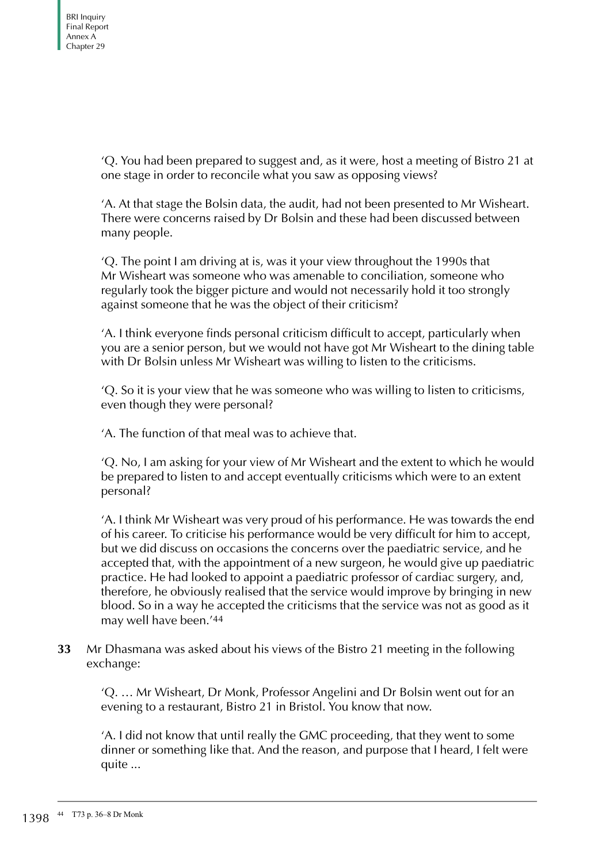'Q. You had been prepared to suggest and, as it were, host a meeting of Bistro 21 at one stage in order to reconcile what you saw as opposing views?

'A. At that stage the Bolsin data, the audit, had not been presented to Mr Wisheart. There were concerns raised by Dr Bolsin and these had been discussed between many people.

'Q. The point I am driving at is, was it your view throughout the 1990s that Mr Wisheart was someone who was amenable to conciliation, someone who regularly took the bigger picture and would not necessarily hold it too strongly against someone that he was the object of their criticism?

'A. I think everyone finds personal criticism difficult to accept, particularly when you are a senior person, but we would not have got Mr Wisheart to the dining table with Dr Bolsin unless Mr Wisheart was willing to listen to the criticisms.

'Q. So it is your view that he was someone who was willing to listen to criticisms, even though they were personal?

'A. The function of that meal was to achieve that.

'Q. No, I am asking for your view of Mr Wisheart and the extent to which he would be prepared to listen to and accept eventually criticisms which were to an extent personal?

'A. I think Mr Wisheart was very proud of his performance. He was towards the end of his career. To criticise his performance would be very difficult for him to accept, but we did discuss on occasions the concerns over the paediatric service, and he accepted that, with the appointment of a new surgeon, he would give up paediatric practice. He had looked to appoint a paediatric professor of cardiac surgery, and, therefore, he obviously realised that the service would improve by bringing in new blood. So in a way he accepted the criticisms that the service was not as good as it may well have been.'44

**33** Mr Dhasmana was asked about his views of the Bistro 21 meeting in the following exchange:

'Q. … Mr Wisheart, Dr Monk, Professor Angelini and Dr Bolsin went out for an evening to a restaurant, Bistro 21 in Bristol. You know that now.

'A. I did not know that until really the GMC proceeding, that they went to some dinner or something like that. And the reason, and purpose that I heard, I felt were quite ...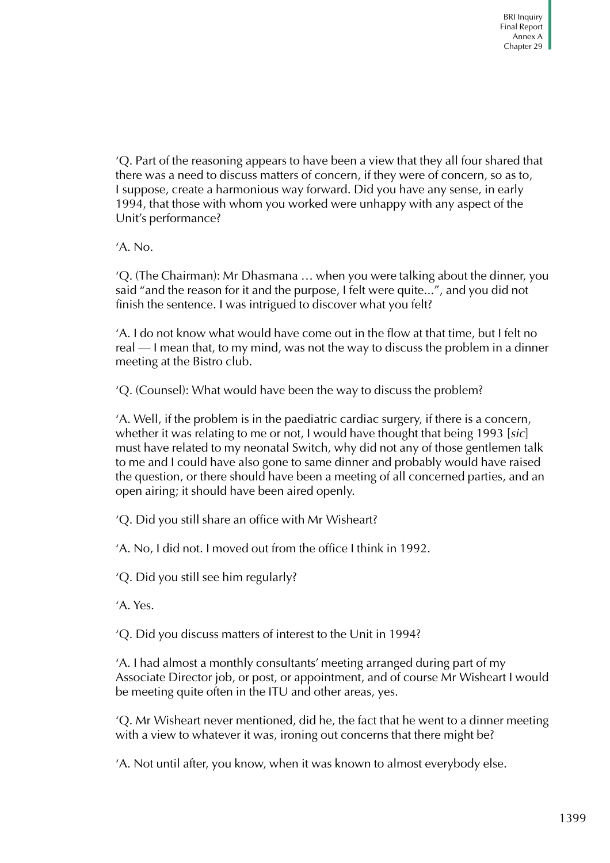'Q. Part of the reasoning appears to have been a view that they all four shared that there was a need to discuss matters of concern, if they were of concern, so as to, I suppose, create a harmonious way forward. Did you have any sense, in early 1994, that those with whom you worked were unhappy with any aspect of the Unit's performance?

'A. No.

'Q. (The Chairman): Mr Dhasmana … when you were talking about the dinner, you said "and the reason for it and the purpose, I felt were quite...", and you did not finish the sentence. I was intrigued to discover what you felt?

'A. I do not know what would have come out in the flow at that time, but I felt no real — I mean that, to my mind, was not the way to discuss the problem in a dinner meeting at the Bistro club.

'Q. (Counsel): What would have been the way to discuss the problem?

'A. Well, if the problem is in the paediatric cardiac surgery, if there is a concern, whether it was relating to me or not, I would have thought that being 1993 [sic] must have related to my neonatal Switch, why did not any of those gentlemen talk to me and I could have also gone to same dinner and probably would have raised the question, or there should have been a meeting of all concerned parties, and an open airing; it should have been aired openly.

'Q. Did you still share an office with Mr Wisheart?

'A. No, I did not. I moved out from the office I think in 1992.

'Q. Did you still see him regularly?

'A. Yes.

'Q. Did you discuss matters of interest to the Unit in 1994?

'A. I had almost a monthly consultants' meeting arranged during part of my Associate Director job, or post, or appointment, and of course Mr Wisheart I would be meeting quite often in the ITU and other areas, yes.

'Q. Mr Wisheart never mentioned, did he, the fact that he went to a dinner meeting with a view to whatever it was, ironing out concerns that there might be?

'A. Not until after, you know, when it was known to almost everybody else.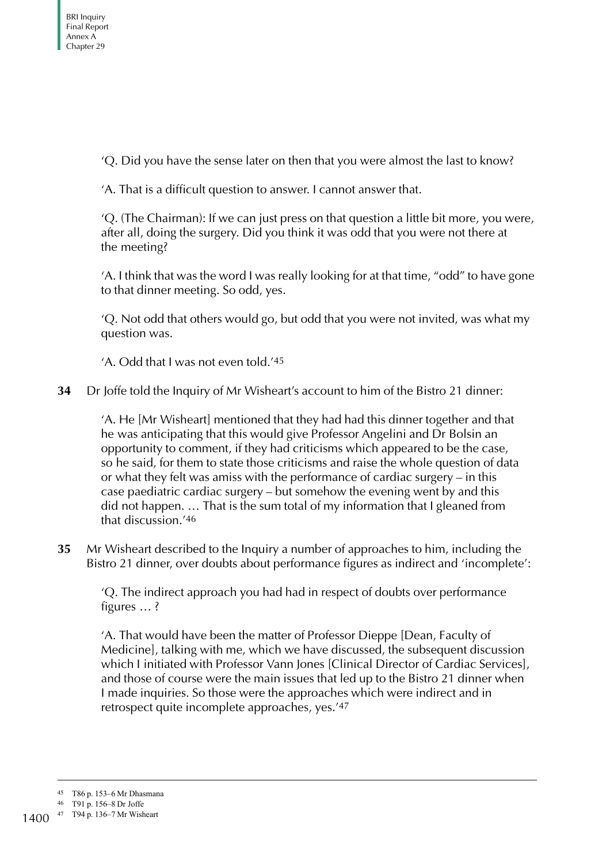'Q. Did you have the sense later on then that you were almost the last to know?

'A. That is a difficult question to answer. I cannot answer that.

'Q. (The Chairman): If we can just press on that question a little bit more, you were, after all, doing the surgery. Did you think it was odd that you were not there at the meeting?

'A. I think that was the word I was really looking for at that time, "odd" to have gone to that dinner meeting. So odd, yes.

'Q. Not odd that others would go, but odd that you were not invited, was what my question was.

'A. Odd that I was not even told.'45

**34** Dr Joffe told the Inquiry of Mr Wisheart's account to him of the Bistro 21 dinner:

'A. He [Mr Wisheart] mentioned that they had had this dinner together and that he was anticipating that this would give Professor Angelini and Dr Bolsin an opportunity to comment, if they had criticisms which appeared to be the case, so he said, for them to state those criticisms and raise the whole question of data or what they felt was amiss with the performance of cardiac surgery – in this case paediatric cardiac surgery – but somehow the evening went by and this did not happen. … That is the sum total of my information that I gleaned from that discussion.'46

**35** Mr Wisheart described to the Inquiry a number of approaches to him, including the Bistro 21 dinner, over doubts about performance figures as indirect and 'incomplete':

'Q. The indirect approach you had had in respect of doubts over performance figures … ?

'A. That would have been the matter of Professor Dieppe [Dean, Faculty of Medicine], talking with me, which we have discussed, the subsequent discussion which I initiated with Professor Vann Jones [Clinical Director of Cardiac Services], and those of course were the main issues that led up to the Bistro 21 dinner when I made inquiries. So those were the approaches which were indirect and in retrospect quite incomplete approaches, yes.'47

<sup>45</sup> T86 p. 153–6 Mr Dhasmana

<sup>46</sup> T91 p. 156–8 Dr Joffe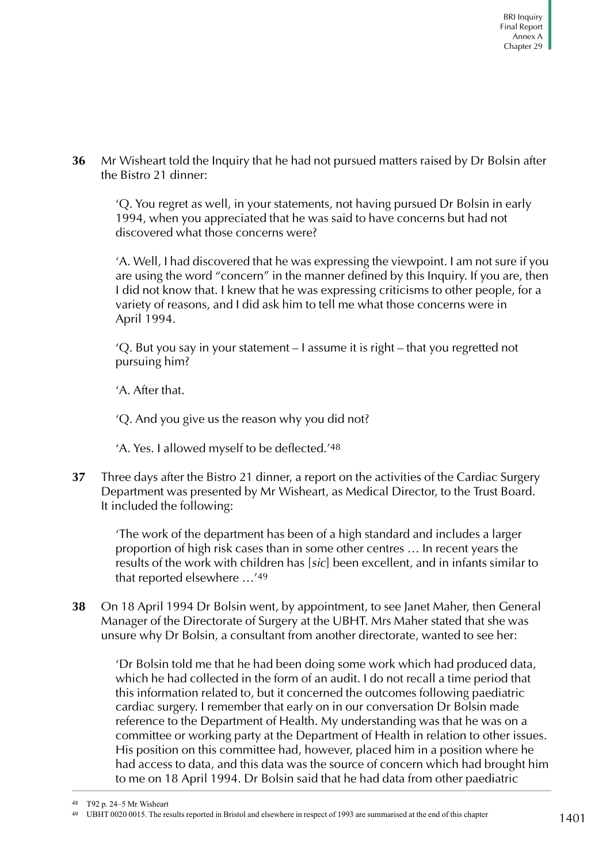**36** Mr Wisheart told the Inquiry that he had not pursued matters raised by Dr Bolsin after the Bistro 21 dinner:

'Q. You regret as well, in your statements, not having pursued Dr Bolsin in early 1994, when you appreciated that he was said to have concerns but had not discovered what those concerns were?

'A. Well, I had discovered that he was expressing the viewpoint. I am not sure if you are using the word "concern" in the manner defined by this Inquiry. If you are, then I did not know that. I knew that he was expressing criticisms to other people, for a variety of reasons, and I did ask him to tell me what those concerns were in April 1994.

'Q. But you say in your statement – I assume it is right – that you regretted not pursuing him?

'A. After that.

'Q. And you give us the reason why you did not?

'A. Yes. I allowed myself to be deflected.'48

**37** Three days after the Bistro 21 dinner, a report on the activities of the Cardiac Surgery Department was presented by Mr Wisheart, as Medical Director, to the Trust Board. It included the following:

'The work of the department has been of a high standard and includes a larger proportion of high risk cases than in some other centres … In recent years the results of the work with children has [sic] been excellent, and in infants similar to that reported elsewhere …'49

**38** On 18 April 1994 Dr Bolsin went, by appointment, to see Janet Maher, then General Manager of the Directorate of Surgery at the UBHT. Mrs Maher stated that she was unsure why Dr Bolsin, a consultant from another directorate, wanted to see her:

'Dr Bolsin told me that he had been doing some work which had produced data, which he had collected in the form of an audit. I do not recall a time period that this information related to, but it concerned the outcomes following paediatric cardiac surgery. I remember that early on in our conversation Dr Bolsin made reference to the Department of Health. My understanding was that he was on a committee or working party at the Department of Health in relation to other issues. His position on this committee had, however, placed him in a position where he had access to data, and this data was the source of concern which had brought him to me on 18 April 1994. Dr Bolsin said that he had data from other paediatric

<sup>48</sup> T92 p. 24–5 Mr Wisheart

<sup>49</sup> UBHT 0020 0015. The results reported in Bristol and elsewhere in respect of 1993 are summarised at the end of this chapter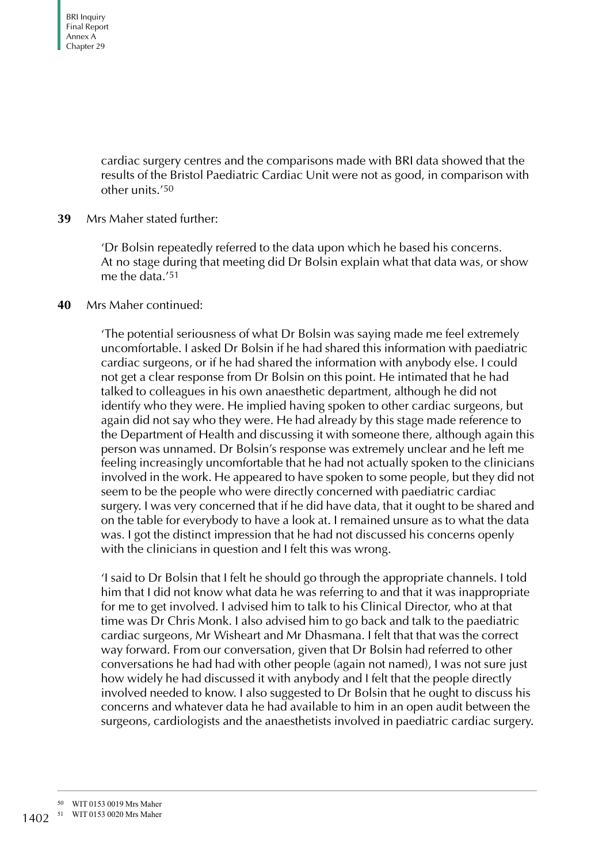cardiac surgery centres and the comparisons made with BRI data showed that the results of the Bristol Paediatric Cardiac Unit were not as good, in comparison with other units.'50

#### **39** Mrs Maher stated further:

'Dr Bolsin repeatedly referred to the data upon which he based his concerns. At no stage during that meeting did Dr Bolsin explain what that data was, or show me the data.'51

#### **40** Mrs Maher continued:

'The potential seriousness of what Dr Bolsin was saying made me feel extremely uncomfortable. I asked Dr Bolsin if he had shared this information with paediatric cardiac surgeons, or if he had shared the information with anybody else. I could not get a clear response from Dr Bolsin on this point. He intimated that he had talked to colleagues in his own anaesthetic department, although he did not identify who they were. He implied having spoken to other cardiac surgeons, but again did not say who they were. He had already by this stage made reference to the Department of Health and discussing it with someone there, although again this person was unnamed. Dr Bolsin's response was extremely unclear and he left me feeling increasingly uncomfortable that he had not actually spoken to the clinicians involved in the work. He appeared to have spoken to some people, but they did not seem to be the people who were directly concerned with paediatric cardiac surgery. I was very concerned that if he did have data, that it ought to be shared and on the table for everybody to have a look at. I remained unsure as to what the data was. I got the distinct impression that he had not discussed his concerns openly with the clinicians in question and I felt this was wrong.

'I said to Dr Bolsin that I felt he should go through the appropriate channels. I told him that I did not know what data he was referring to and that it was inappropriate for me to get involved. I advised him to talk to his Clinical Director, who at that time was Dr Chris Monk. I also advised him to go back and talk to the paediatric cardiac surgeons, Mr Wisheart and Mr Dhasmana. I felt that that was the correct way forward. From our conversation, given that Dr Bolsin had referred to other conversations he had had with other people (again not named), I was not sure just how widely he had discussed it with anybody and I felt that the people directly involved needed to know. I also suggested to Dr Bolsin that he ought to discuss his concerns and whatever data he had available to him in an open audit between the surgeons, cardiologists and the anaesthetists involved in paediatric cardiac surgery.

<sup>50</sup> WIT 0153 0019 Mrs Maher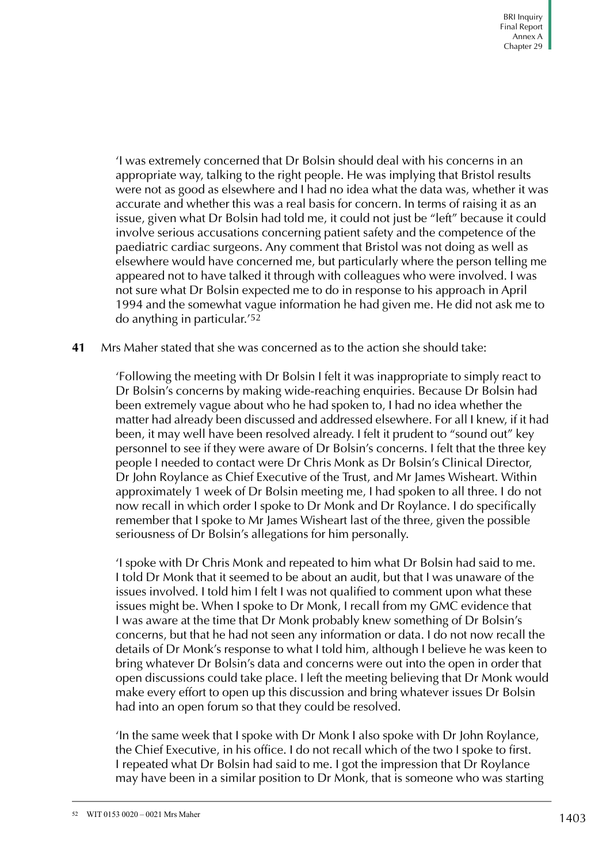'I was extremely concerned that Dr Bolsin should deal with his concerns in an appropriate way, talking to the right people. He was implying that Bristol results were not as good as elsewhere and I had no idea what the data was, whether it was accurate and whether this was a real basis for concern. In terms of raising it as an issue, given what Dr Bolsin had told me, it could not just be "left" because it could involve serious accusations concerning patient safety and the competence of the paediatric cardiac surgeons. Any comment that Bristol was not doing as well as elsewhere would have concerned me, but particularly where the person telling me appeared not to have talked it through with colleagues who were involved. I was not sure what Dr Bolsin expected me to do in response to his approach in April 1994 and the somewhat vague information he had given me. He did not ask me to do anything in particular.'52

#### **41** Mrs Maher stated that she was concerned as to the action she should take:

'Following the meeting with Dr Bolsin I felt it was inappropriate to simply react to Dr Bolsin's concerns by making wide-reaching enquiries. Because Dr Bolsin had been extremely vague about who he had spoken to, I had no idea whether the matter had already been discussed and addressed elsewhere. For all I knew, if it had been, it may well have been resolved already. I felt it prudent to "sound out" key personnel to see if they were aware of Dr Bolsin's concerns. I felt that the three key people I needed to contact were Dr Chris Monk as Dr Bolsin's Clinical Director, Dr John Roylance as Chief Executive of the Trust, and Mr James Wisheart. Within approximately 1 week of Dr Bolsin meeting me, I had spoken to all three. I do not now recall in which order I spoke to Dr Monk and Dr Roylance. I do specifically remember that I spoke to Mr James Wisheart last of the three, given the possible seriousness of Dr Bolsin's allegations for him personally.

'I spoke with Dr Chris Monk and repeated to him what Dr Bolsin had said to me. I told Dr Monk that it seemed to be about an audit, but that I was unaware of the issues involved. I told him I felt I was not qualified to comment upon what these issues might be. When I spoke to Dr Monk, I recall from my GMC evidence that I was aware at the time that Dr Monk probably knew something of Dr Bolsin's concerns, but that he had not seen any information or data. I do not now recall the details of Dr Monk's response to what I told him, although I believe he was keen to bring whatever Dr Bolsin's data and concerns were out into the open in order that open discussions could take place. I left the meeting believing that Dr Monk would make every effort to open up this discussion and bring whatever issues Dr Bolsin had into an open forum so that they could be resolved.

'In the same week that I spoke with Dr Monk I also spoke with Dr John Roylance, the Chief Executive, in his office. I do not recall which of the two I spoke to first. I repeated what Dr Bolsin had said to me. I got the impression that Dr Roylance may have been in a similar position to Dr Monk, that is someone who was starting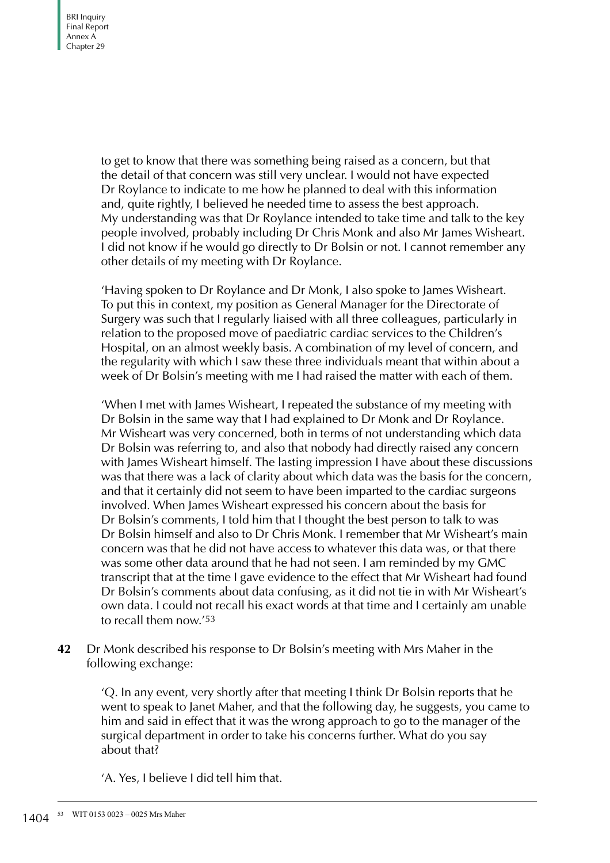to get to know that there was something being raised as a concern, but that the detail of that concern was still very unclear. I would not have expected Dr Roylance to indicate to me how he planned to deal with this information and, quite rightly, I believed he needed time to assess the best approach. My understanding was that Dr Roylance intended to take time and talk to the key people involved, probably including Dr Chris Monk and also Mr James Wisheart. I did not know if he would go directly to Dr Bolsin or not. I cannot remember any other details of my meeting with Dr Roylance.

'Having spoken to Dr Roylance and Dr Monk, I also spoke to James Wisheart. To put this in context, my position as General Manager for the Directorate of Surgery was such that I regularly liaised with all three colleagues, particularly in relation to the proposed move of paediatric cardiac services to the Children's Hospital, on an almost weekly basis. A combination of my level of concern, and the regularity with which I saw these three individuals meant that within about a week of Dr Bolsin's meeting with me I had raised the matter with each of them.

'When I met with James Wisheart, I repeated the substance of my meeting with Dr Bolsin in the same way that I had explained to Dr Monk and Dr Roylance. Mr Wisheart was very concerned, both in terms of not understanding which data Dr Bolsin was referring to, and also that nobody had directly raised any concern with James Wisheart himself. The lasting impression I have about these discussions was that there was a lack of clarity about which data was the basis for the concern, and that it certainly did not seem to have been imparted to the cardiac surgeons involved. When James Wisheart expressed his concern about the basis for Dr Bolsin's comments, I told him that I thought the best person to talk to was Dr Bolsin himself and also to Dr Chris Monk. I remember that Mr Wisheart's main concern was that he did not have access to whatever this data was, or that there was some other data around that he had not seen. I am reminded by my GMC transcript that at the time I gave evidence to the effect that Mr Wisheart had found Dr Bolsin's comments about data confusing, as it did not tie in with Mr Wisheart's own data. I could not recall his exact words at that time and I certainly am unable to recall them now.'53

**42** Dr Monk described his response to Dr Bolsin's meeting with Mrs Maher in the following exchange:

'Q. In any event, very shortly after that meeting I think Dr Bolsin reports that he went to speak to Janet Maher, and that the following day, he suggests, you came to him and said in effect that it was the wrong approach to go to the manager of the surgical department in order to take his concerns further. What do you say about that?

'A. Yes, I believe I did tell him that.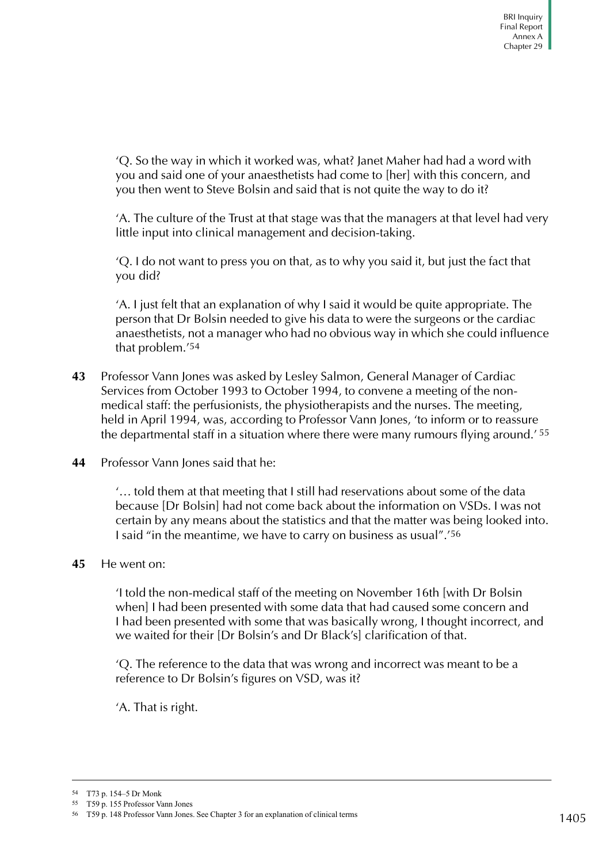'Q. So the way in which it worked was, what? Janet Maher had had a word with you and said one of your anaesthetists had come to [her] with this concern, and you then went to Steve Bolsin and said that is not quite the way to do it?

'A. The culture of the Trust at that stage was that the managers at that level had very little input into clinical management and decision-taking.

'Q. I do not want to press you on that, as to why you said it, but just the fact that you did?

'A. I just felt that an explanation of why I said it would be quite appropriate. The person that Dr Bolsin needed to give his data to were the surgeons or the cardiac anaesthetists, not a manager who had no obvious way in which she could influence that problem.'54

- **43** Professor Vann Jones was asked by Lesley Salmon, General Manager of Cardiac Services from October 1993 to October 1994, to convene a meeting of the nonmedical staff: the perfusionists, the physiotherapists and the nurses. The meeting, held in April 1994, was, according to Professor Vann Jones, 'to inform or to reassure the departmental staff in a situation where there were many rumours flying around.' 55
- **44** Professor Vann Jones said that he:

'… told them at that meeting that I still had reservations about some of the data because [Dr Bolsin] had not come back about the information on VSDs. I was not certain by any means about the statistics and that the matter was being looked into. I said "in the meantime, we have to carry on business as usual".'56

#### **45** He went on:

'I told the non-medical staff of the meeting on November 16th [with Dr Bolsin when] I had been presented with some data that had caused some concern and I had been presented with some that was basically wrong, I thought incorrect, and we waited for their [Dr Bolsin's and Dr Black's] clarification of that.

'Q. The reference to the data that was wrong and incorrect was meant to be a reference to Dr Bolsin's figures on VSD, was it?

'A. That is right.

<sup>54</sup> T73 p. 154–5 Dr Monk

<sup>55</sup> T59 p. 155 Professor Vann Jones

<sup>56</sup> T59 p. 148 Professor Vann Jones. See Chapter 3 for an explanation of clinical terms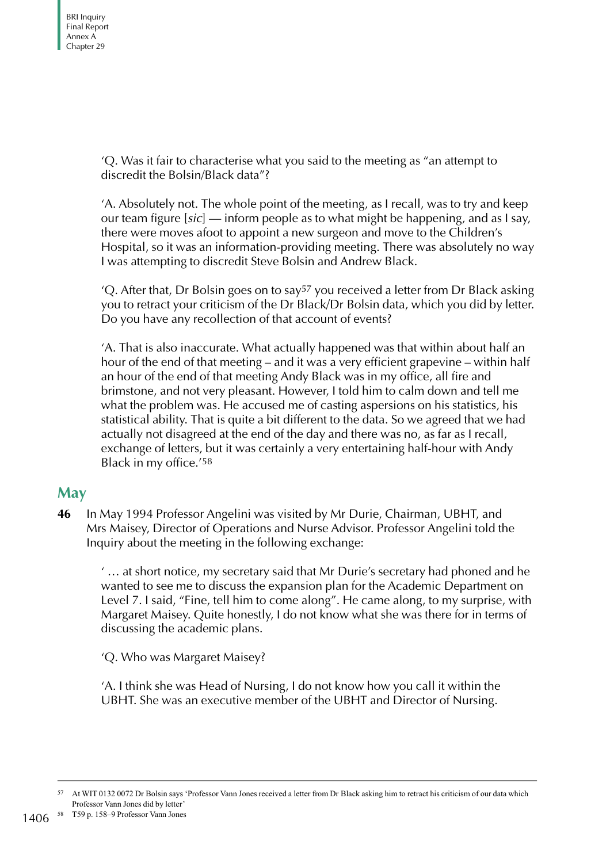'Q. Was it fair to characterise what you said to the meeting as "an attempt to discredit the Bolsin/Black data"?

'A. Absolutely not. The whole point of the meeting, as I recall, was to try and keep our team figure  $[sic]$  — inform people as to what might be happening, and as I say, there were moves afoot to appoint a new surgeon and move to the Children's Hospital, so it was an information-providing meeting. There was absolutely no way I was attempting to discredit Steve Bolsin and Andrew Black.

 $\degree$ Q. After that, Dr Bolsin goes on to say<sup>57</sup> you received a letter from Dr Black asking you to retract your criticism of the Dr Black/Dr Bolsin data, which you did by letter. Do you have any recollection of that account of events?

'A. That is also inaccurate. What actually happened was that within about half an hour of the end of that meeting – and it was a very efficient grapevine – within half an hour of the end of that meeting Andy Black was in my office, all fire and brimstone, and not very pleasant. However, I told him to calm down and tell me what the problem was. He accused me of casting aspersions on his statistics, his statistical ability. That is quite a bit different to the data. So we agreed that we had actually not disagreed at the end of the day and there was no, as far as I recall, exchange of letters, but it was certainly a very entertaining half-hour with Andy Black in my office.'58

# **May**

**46** In May 1994 Professor Angelini was visited by Mr Durie, Chairman, UBHT, and Mrs Maisey, Director of Operations and Nurse Advisor. Professor Angelini told the Inquiry about the meeting in the following exchange:

' … at short notice, my secretary said that Mr Durie's secretary had phoned and he wanted to see me to discuss the expansion plan for the Academic Department on Level 7. I said, "Fine, tell him to come along". He came along, to my surprise, with Margaret Maisey. Quite honestly, I do not know what she was there for in terms of discussing the academic plans.

'Q. Who was Margaret Maisey?

'A. I think she was Head of Nursing, I do not know how you call it within the UBHT. She was an executive member of the UBHT and Director of Nursing.

58 T59 p. 158–9 Professor Vann Jones

<sup>57</sup> At WIT 0132 0072 Dr Bolsin says 'Professor Vann Jones received a letter from Dr Black asking him to retract his criticism of our data which Professor Vann Jones did by letter'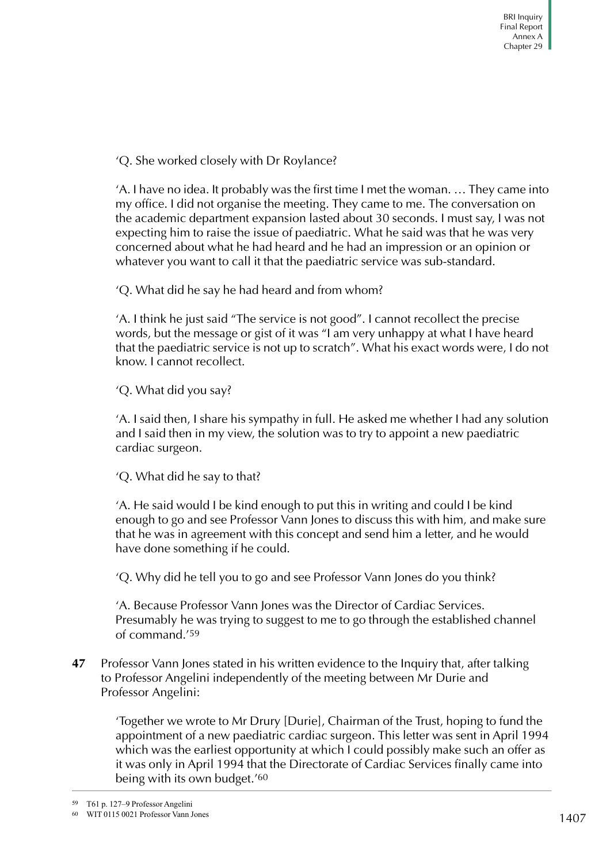'Q. She worked closely with Dr Roylance?

'A. I have no idea. It probably was the first time I met the woman. … They came into my office. I did not organise the meeting. They came to me. The conversation on the academic department expansion lasted about 30 seconds. I must say, I was not expecting him to raise the issue of paediatric. What he said was that he was very concerned about what he had heard and he had an impression or an opinion or whatever you want to call it that the paediatric service was sub-standard.

'Q. What did he say he had heard and from whom?

'A. I think he just said "The service is not good". I cannot recollect the precise words, but the message or gist of it was "I am very unhappy at what I have heard that the paediatric service is not up to scratch". What his exact words were, I do not know. I cannot recollect.

'Q. What did you say?

'A. I said then, I share his sympathy in full. He asked me whether I had any solution and I said then in my view, the solution was to try to appoint a new paediatric cardiac surgeon.

'Q. What did he say to that?

'A. He said would I be kind enough to put this in writing and could I be kind enough to go and see Professor Vann Jones to discuss this with him, and make sure that he was in agreement with this concept and send him a letter, and he would have done something if he could.

'Q. Why did he tell you to go and see Professor Vann Jones do you think?

'A. Because Professor Vann Jones was the Director of Cardiac Services. Presumably he was trying to suggest to me to go through the established channel of command.'59

**47** Professor Vann Jones stated in his written evidence to the Inquiry that, after talking to Professor Angelini independently of the meeting between Mr Durie and Professor Angelini:

'Together we wrote to Mr Drury [Durie], Chairman of the Trust, hoping to fund the appointment of a new paediatric cardiac surgeon. This letter was sent in April 1994 which was the earliest opportunity at which I could possibly make such an offer as it was only in April 1994 that the Directorate of Cardiac Services finally came into being with its own budget.'60

<sup>59</sup> T61 p. 127–9 Professor Angelini

<sup>60</sup> WIT 0115 0021 Professor Vann Jones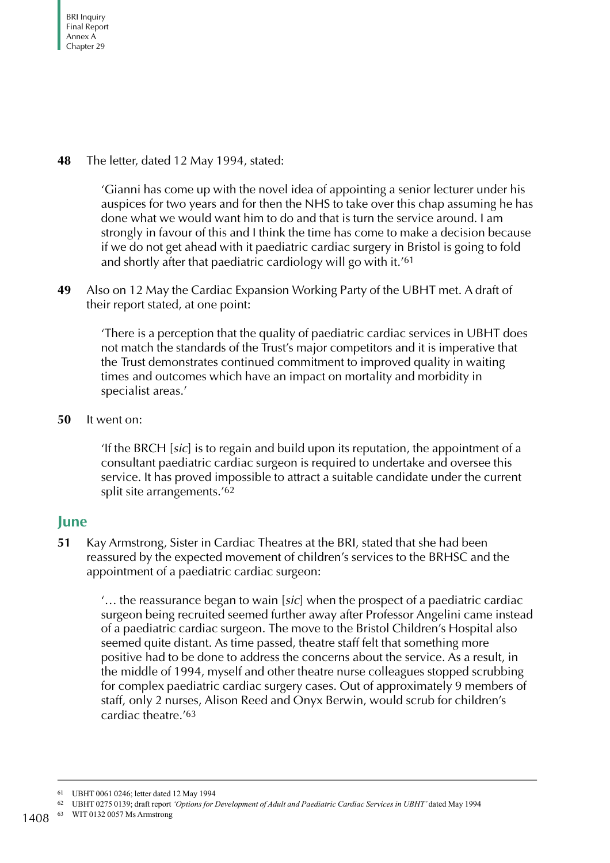**48** The letter, dated 12 May 1994, stated:

'Gianni has come up with the novel idea of appointing a senior lecturer under his auspices for two years and for then the NHS to take over this chap assuming he has done what we would want him to do and that is turn the service around. I am strongly in favour of this and I think the time has come to make a decision because if we do not get ahead with it paediatric cardiac surgery in Bristol is going to fold and shortly after that paediatric cardiology will go with it.'61

**49** Also on 12 May the Cardiac Expansion Working Party of the UBHT met. A draft of their report stated, at one point:

'There is a perception that the quality of paediatric cardiac services in UBHT does not match the standards of the Trust's major competitors and it is imperative that the Trust demonstrates continued commitment to improved quality in waiting times and outcomes which have an impact on mortality and morbidity in specialist areas.'

**50** It went on:

'If the BRCH [sic] is to regain and build upon its reputation, the appointment of a consultant paediatric cardiac surgeon is required to undertake and oversee this service. It has proved impossible to attract a suitable candidate under the current split site arrangements.'62

## **June**

**51** Kay Armstrong, Sister in Cardiac Theatres at the BRI, stated that she had been reassured by the expected movement of children's services to the BRHSC and the appointment of a paediatric cardiac surgeon:

'… the reassurance began to wain [sic] when the prospect of a paediatric cardiac surgeon being recruited seemed further away after Professor Angelini came instead of a paediatric cardiac surgeon. The move to the Bristol Children's Hospital also seemed quite distant. As time passed, theatre staff felt that something more positive had to be done to address the concerns about the service. As a result, in the middle of 1994, myself and other theatre nurse colleagues stopped scrubbing for complex paediatric cardiac surgery cases. Out of approximately 9 members of staff, only 2 nurses, Alison Reed and Onyx Berwin, would scrub for children's cardiac theatre.'63

<sup>61</sup> UBHT 0061 0246; letter dated 12 May 1994

<sup>62</sup> UBHT 0275 0139; draft report *'Options for Development of Adult and Paediatric Cardiac Services in UBHT'* dated May 1994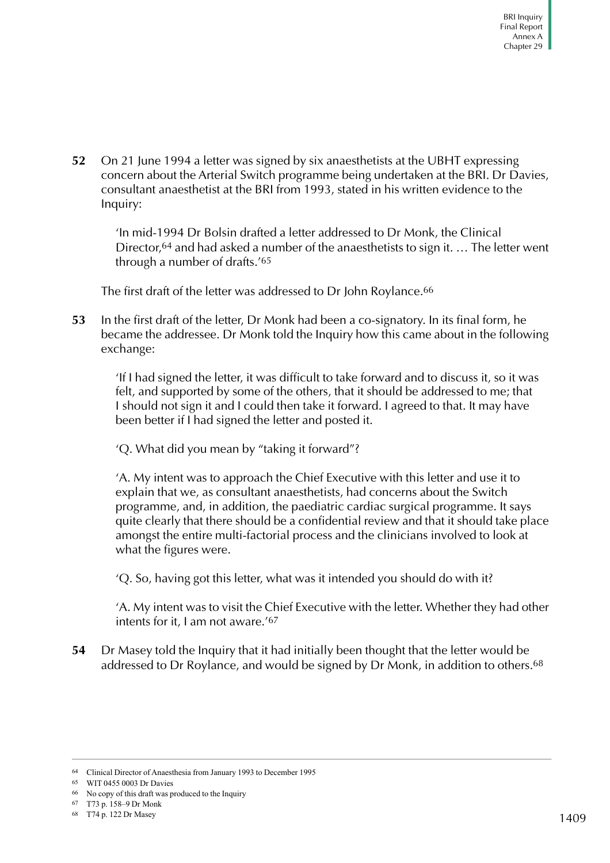**52** On 21 June 1994 a letter was signed by six anaesthetists at the UBHT expressing concern about the Arterial Switch programme being undertaken at the BRI. Dr Davies, consultant anaesthetist at the BRI from 1993, stated in his written evidence to the Inquiry:

'In mid-1994 Dr Bolsin drafted a letter addressed to Dr Monk, the Clinical Director,<sup>64</sup> and had asked a number of the anaesthetists to sign it. ... The letter went through a number of drafts.'65

The first draft of the letter was addressed to Dr John Roylance.<sup>66</sup>

**53** In the first draft of the letter, Dr Monk had been a co-signatory. In its final form, he became the addressee. Dr Monk told the Inquiry how this came about in the following exchange:

'If I had signed the letter, it was difficult to take forward and to discuss it, so it was felt, and supported by some of the others, that it should be addressed to me; that I should not sign it and I could then take it forward. I agreed to that. It may have been better if I had signed the letter and posted it.

'Q. What did you mean by "taking it forward"?

'A. My intent was to approach the Chief Executive with this letter and use it to explain that we, as consultant anaesthetists, had concerns about the Switch programme, and, in addition, the paediatric cardiac surgical programme. It says quite clearly that there should be a confidential review and that it should take place amongst the entire multi-factorial process and the clinicians involved to look at what the figures were.

'Q. So, having got this letter, what was it intended you should do with it?

'A. My intent was to visit the Chief Executive with the letter. Whether they had other intents for it, I am not aware.'67

**54** Dr Masey told the Inquiry that it had initially been thought that the letter would be addressed to Dr Roylance, and would be signed by Dr Monk, in addition to others.<sup>68</sup>

<sup>64</sup> Clinical Director of Anaesthesia from January 1993 to December 1995

<sup>65</sup> WIT 0455 0003 Dr Davies

<sup>66</sup> No copy of this draft was produced to the Inquiry

<sup>67</sup> T73 p. 158–9 Dr Monk

<sup>68</sup> T74 p. 122 Dr Masey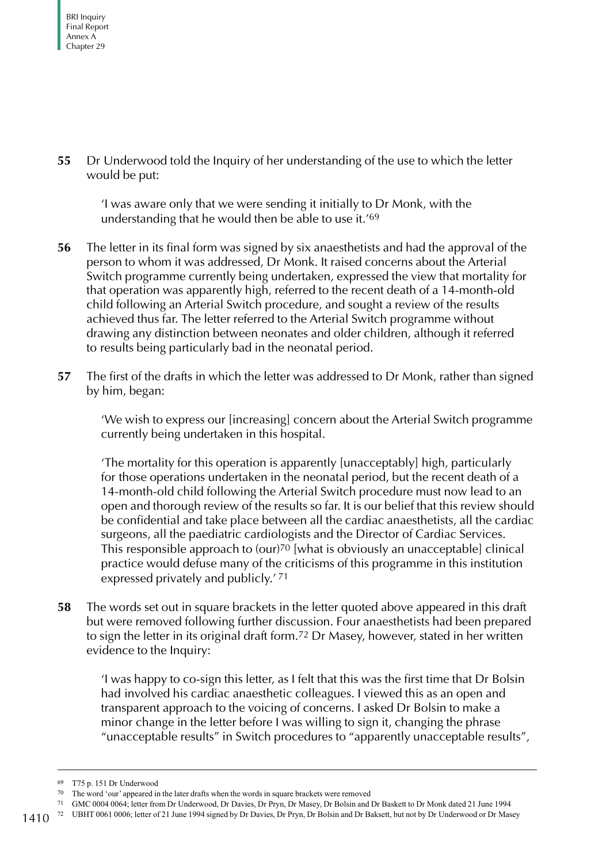**55** Dr Underwood told the Inquiry of her understanding of the use to which the letter would be put:

'I was aware only that we were sending it initially to Dr Monk, with the understanding that he would then be able to use it.'69

- **56** The letter in its final form was signed by six anaesthetists and had the approval of the person to whom it was addressed, Dr Monk. It raised concerns about the Arterial Switch programme currently being undertaken, expressed the view that mortality for that operation was apparently high, referred to the recent death of a 14-month-old child following an Arterial Switch procedure, and sought a review of the results achieved thus far. The letter referred to the Arterial Switch programme without drawing any distinction between neonates and older children, although it referred to results being particularly bad in the neonatal period.
- **57** The first of the drafts in which the letter was addressed to Dr Monk, rather than signed by him, began:

'We wish to express our [increasing] concern about the Arterial Switch programme currently being undertaken in this hospital.

'The mortality for this operation is apparently [unacceptably] high, particularly for those operations undertaken in the neonatal period, but the recent death of a 14-month-old child following the Arterial Switch procedure must now lead to an open and thorough review of the results so far. It is our belief that this review should be confidential and take place between all the cardiac anaesthetists, all the cardiac surgeons, all the paediatric cardiologists and the Director of Cardiac Services. This responsible approach to (our)70 [what is obviously an unacceptable] clinical practice would defuse many of the criticisms of this programme in this institution expressed privately and publicly.' 71

**58** The words set out in square brackets in the letter quoted above appeared in this draft but were removed following further discussion. Four anaesthetists had been prepared to sign the letter in its original draft form.72 Dr Masey, however, stated in her written evidence to the Inquiry:

'I was happy to co-sign this letter, as I felt that this was the first time that Dr Bolsin had involved his cardiac anaesthetic colleagues. I viewed this as an open and transparent approach to the voicing of concerns. I asked Dr Bolsin to make a minor change in the letter before I was willing to sign it, changing the phrase "unacceptable results" in Switch procedures to "apparently unacceptable results",

<sup>69</sup> T75 p. 151 Dr Underwood

<sup>70</sup> The word 'our' appeared in the later drafts when the words in square brackets were removed

<sup>71</sup> GMC 0004 0064; letter from Dr Underwood, Dr Davies, Dr Pryn, Dr Masey, Dr Bolsin and Dr Baskett to Dr Monk dated 21 June 1994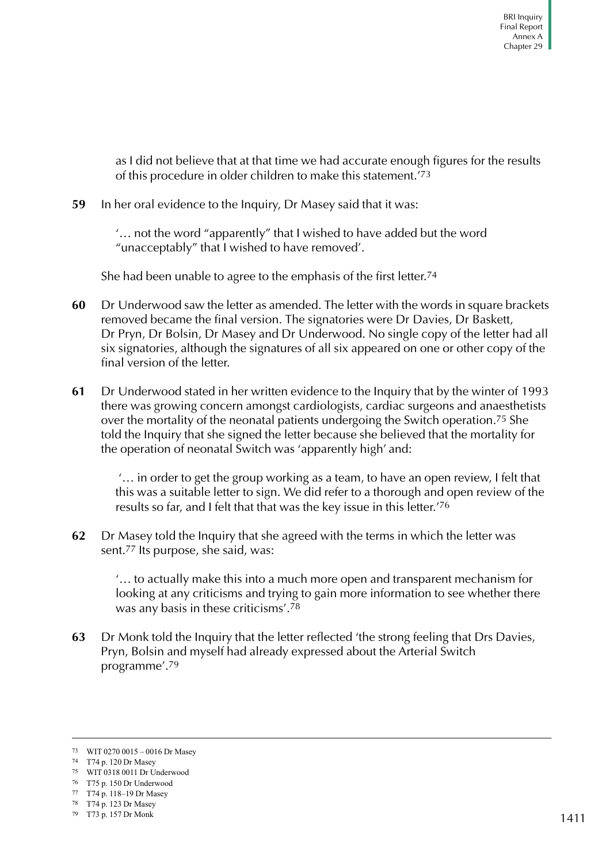as I did not believe that at that time we had accurate enough figures for the results of this procedure in older children to make this statement.'73

**59** In her oral evidence to the Inquiry, Dr Masey said that it was:

'… not the word "apparently" that I wished to have added but the word "unacceptably" that I wished to have removed'.

She had been unable to agree to the emphasis of the first letter.74

- **60** Dr Underwood saw the letter as amended. The letter with the words in square brackets removed became the final version. The signatories were Dr Davies, Dr Baskett, Dr Pryn, Dr Bolsin, Dr Masey and Dr Underwood. No single copy of the letter had all six signatories, although the signatures of all six appeared on one or other copy of the final version of the letter.
- **61** Dr Underwood stated in her written evidence to the Inquiry that by the winter of 1993 there was growing concern amongst cardiologists, cardiac surgeons and anaesthetists over the mortality of the neonatal patients undergoing the Switch operation.75 She told the Inquiry that she signed the letter because she believed that the mortality for the operation of neonatal Switch was 'apparently high' and:

 '… in order to get the group working as a team, to have an open review, I felt that this was a suitable letter to sign. We did refer to a thorough and open review of the results so far, and I felt that that was the key issue in this letter.'76

**62** Dr Masey told the Inquiry that she agreed with the terms in which the letter was sent.77 Its purpose, she said, was:

'… to actually make this into a much more open and transparent mechanism for looking at any criticisms and trying to gain more information to see whether there was any basis in these criticisms'.78

**63** Dr Monk told the Inquiry that the letter reflected 'the strong feeling that Drs Davies, Pryn, Bolsin and myself had already expressed about the Arterial Switch programme'.79

<sup>73</sup> WIT 0270 0015 – 0016 Dr Masey

<sup>74</sup> T74 p. 120 Dr Masey

<sup>75</sup> WIT 0318 0011 Dr Underwood

<sup>76</sup> T75 p. 150 Dr Underwood

<sup>77</sup> T74 p. 118–19 Dr Masey

<sup>78</sup> T74 p. 123 Dr Masey

<sup>79</sup> T73 p. 157 Dr Monk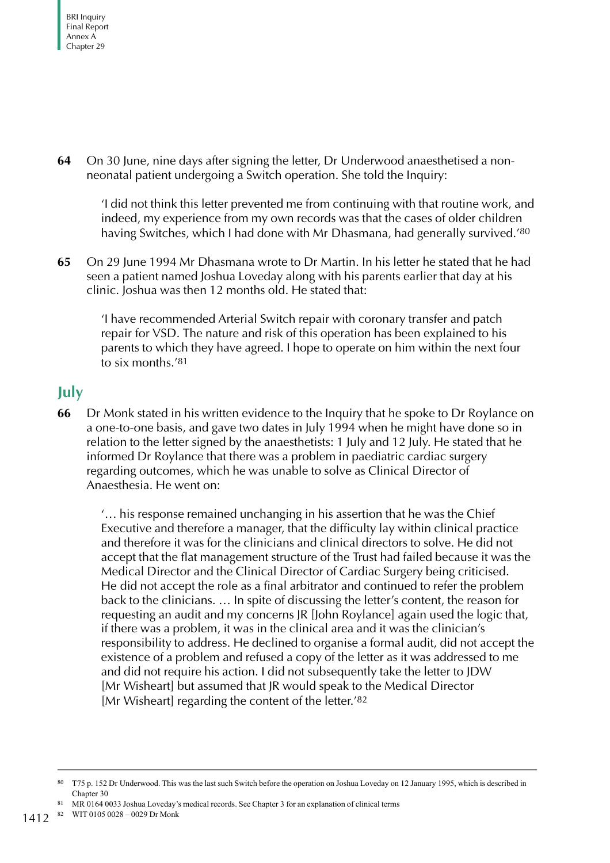**64** On 30 June, nine days after signing the letter, Dr Underwood anaesthetised a nonneonatal patient undergoing a Switch operation. She told the Inquiry:

'I did not think this letter prevented me from continuing with that routine work, and indeed, my experience from my own records was that the cases of older children having Switches, which I had done with Mr Dhasmana, had generally survived.<sup>'80</sup>

**65** On 29 June 1994 Mr Dhasmana wrote to Dr Martin. In his letter he stated that he had seen a patient named Joshua Loveday along with his parents earlier that day at his clinic. Joshua was then 12 months old. He stated that:

'I have recommended Arterial Switch repair with coronary transfer and patch repair for VSD. The nature and risk of this operation has been explained to his parents to which they have agreed. I hope to operate on him within the next four to six months.'81

## **July**

**66** Dr Monk stated in his written evidence to the Inquiry that he spoke to Dr Roylance on a one-to-one basis, and gave two dates in July 1994 when he might have done so in relation to the letter signed by the anaesthetists: 1 July and 12 July. He stated that he informed Dr Roylance that there was a problem in paediatric cardiac surgery regarding outcomes, which he was unable to solve as Clinical Director of Anaesthesia. He went on:

'… his response remained unchanging in his assertion that he was the Chief Executive and therefore a manager, that the difficulty lay within clinical practice and therefore it was for the clinicians and clinical directors to solve. He did not accept that the flat management structure of the Trust had failed because it was the Medical Director and the Clinical Director of Cardiac Surgery being criticised. He did not accept the role as a final arbitrator and continued to refer the problem back to the clinicians. … In spite of discussing the letter's content, the reason for requesting an audit and my concerns JR [John Roylance] again used the logic that, if there was a problem, it was in the clinical area and it was the clinician's responsibility to address. He declined to organise a formal audit, did not accept the existence of a problem and refused a copy of the letter as it was addressed to me and did not require his action. I did not subsequently take the letter to JDW [Mr Wisheart] but assumed that JR would speak to the Medical Director [Mr Wisheart] regarding the content of the letter.<sup>'82</sup>

81 MR 0164 0033 Joshua Loveday's medical records. See Chapter 3 for an explanation of clinical terms

<sup>80</sup> T75 p. 152 Dr Underwood. This was the last such Switch before the operation on Joshua Loveday on 12 January 1995, which is described in [Chapter 30](#page-98-0)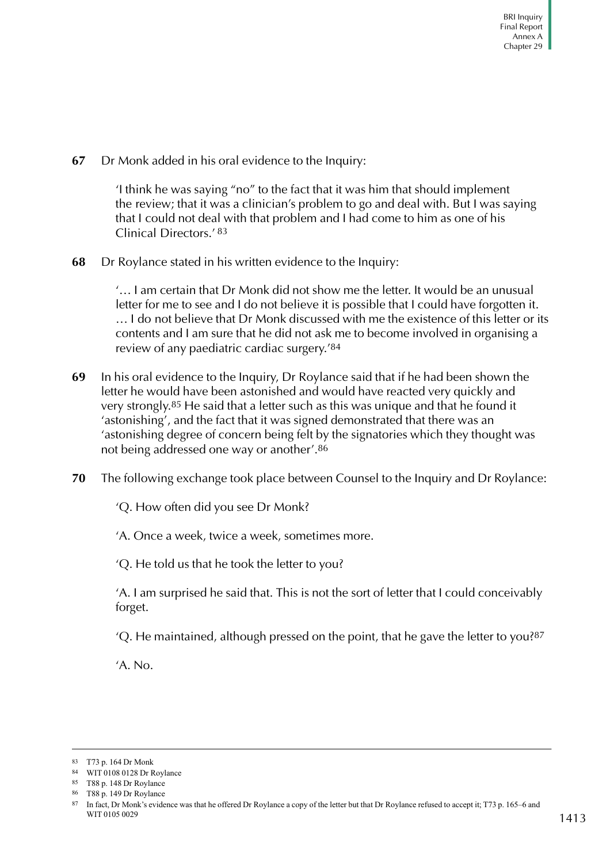**67** Dr Monk added in his oral evidence to the Inquiry:

'I think he was saying "no" to the fact that it was him that should implement the review; that it was a clinician's problem to go and deal with. But I was saying that I could not deal with that problem and I had come to him as one of his Clinical Directors.' 83

**68** Dr Roylance stated in his written evidence to the Inquiry:

'… I am certain that Dr Monk did not show me the letter. It would be an unusual letter for me to see and I do not believe it is possible that I could have forgotten it. … I do not believe that Dr Monk discussed with me the existence of this letter or its contents and I am sure that he did not ask me to become involved in organising a review of any paediatric cardiac surgery.'84

- **69** In his oral evidence to the Inquiry, Dr Roylance said that if he had been shown the letter he would have been astonished and would have reacted very quickly and very strongly.85 He said that a letter such as this was unique and that he found it 'astonishing', and the fact that it was signed demonstrated that there was an 'astonishing degree of concern being felt by the signatories which they thought was not being addressed one way or another'.86
- **70** The following exchange took place between Counsel to the Inquiry and Dr Roylance:

'Q. How often did you see Dr Monk?

- 'A. Once a week, twice a week, sometimes more.
- 'Q. He told us that he took the letter to you?

'A. I am surprised he said that. This is not the sort of letter that I could conceivably forget.

 $Q$ . He maintained, although pressed on the point, that he gave the letter to you?<sup>87</sup>

 $'A$ . No.

<sup>83</sup> T73 p. 164 Dr Monk

<sup>84</sup> WIT 0108 0128 Dr Roylance

<sup>85</sup> T88 p. 148 Dr Roylance

<sup>86</sup> T88 p. 149 Dr Roylance

<sup>87</sup> In fact, Dr Monk's evidence was that he offered Dr Roylance a copy of the letter but that Dr Roylance refused to accept it; T73 p. 165–6 and WIT 0105 0029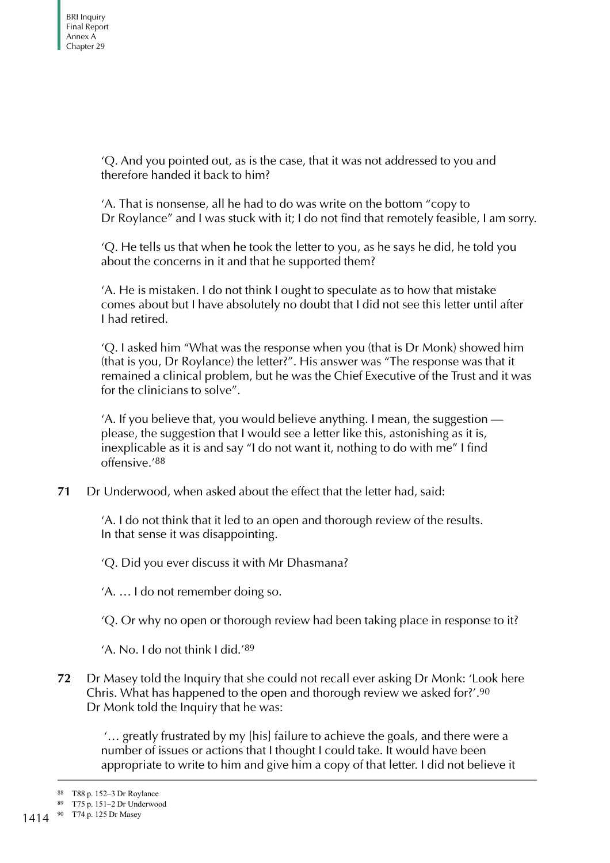'Q. And you pointed out, as is the case, that it was not addressed to you and therefore handed it back to him?

'A. That is nonsense, all he had to do was write on the bottom "copy to Dr Roylance" and I was stuck with it; I do not find that remotely feasible, I am sorry.

'Q. He tells us that when he took the letter to you, as he says he did, he told you about the concerns in it and that he supported them?

'A. He is mistaken. I do not think I ought to speculate as to how that mistake comes about but I have absolutely no doubt that I did not see this letter until after I had retired.

'Q. I asked him "What was the response when you (that is Dr Monk) showed him (that is you, Dr Roylance) the letter?". His answer was "The response was that it remained a clinical problem, but he was the Chief Executive of the Trust and it was for the clinicians to solve".

'A. If you believe that, you would believe anything. I mean, the suggestion please, the suggestion that I would see a letter like this, astonishing as it is, inexplicable as it is and say "I do not want it, nothing to do with me" I find offensive.'88

**71** Dr Underwood, when asked about the effect that the letter had, said:

'A. I do not think that it led to an open and thorough review of the results. In that sense it was disappointing.

'Q. Did you ever discuss it with Mr Dhasmana?

'A. … I do not remember doing so.

'Q. Or why no open or thorough review had been taking place in response to it?

'A. No. I do not think I did.'89

**72** Dr Masey told the Inquiry that she could not recall ever asking Dr Monk: 'Look here Chris. What has happened to the open and thorough review we asked for?'.90 Dr Monk told the Inquiry that he was:

 '… greatly frustrated by my [his] failure to achieve the goals, and there were a number of issues or actions that I thought I could take. It would have been appropriate to write to him and give him a copy of that letter. I did not believe it

<sup>88</sup> T88 p. 152–3 Dr Roylance

<sup>89</sup> T75 p. 151–2 Dr Underwood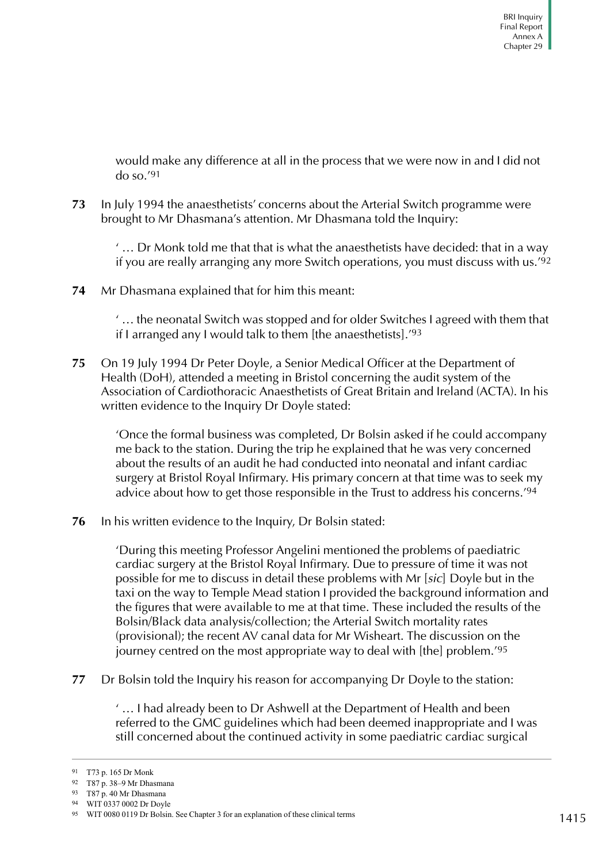would make any difference at all in the process that we were now in and I did not do so.'91

**73** In July 1994 the anaesthetists' concerns about the Arterial Switch programme were brought to Mr Dhasmana's attention. Mr Dhasmana told the Inquiry:

' … Dr Monk told me that that is what the anaesthetists have decided: that in a way if you are really arranging any more Switch operations, you must discuss with us.'92

**74** Mr Dhasmana explained that for him this meant:

' … the neonatal Switch was stopped and for older Switches I agreed with them that if I arranged any I would talk to them [the anaesthetists].'93

**75** On 19 July 1994 Dr Peter Doyle, a Senior Medical Officer at the Department of Health (DoH), attended a meeting in Bristol concerning the audit system of the Association of Cardiothoracic Anaesthetists of Great Britain and Ireland (ACTA). In his written evidence to the Inquiry Dr Doyle stated:

'Once the formal business was completed, Dr Bolsin asked if he could accompany me back to the station. During the trip he explained that he was very concerned about the results of an audit he had conducted into neonatal and infant cardiac surgery at Bristol Royal Infirmary. His primary concern at that time was to seek my advice about how to get those responsible in the Trust to address his concerns.<sup>194</sup>

**76** In his written evidence to the Inquiry, Dr Bolsin stated:

'During this meeting Professor Angelini mentioned the problems of paediatric cardiac surgery at the Bristol Royal Infirmary. Due to pressure of time it was not possible for me to discuss in detail these problems with Mr [sic] Doyle but in the taxi on the way to Temple Mead station I provided the background information and the figures that were available to me at that time. These included the results of the Bolsin/Black data analysis/collection; the Arterial Switch mortality rates (provisional); the recent AV canal data for Mr Wisheart. The discussion on the journey centred on the most appropriate way to deal with [the] problem.'95

**77** Dr Bolsin told the Inquiry his reason for accompanying Dr Doyle to the station:

' … I had already been to Dr Ashwell at the Department of Health and been referred to the GMC guidelines which had been deemed inappropriate and I was still concerned about the continued activity in some paediatric cardiac surgical

<sup>91</sup> T73 p. 165 Dr Monk

<sup>92</sup> T87 p. 38–9 Mr Dhasmana

<sup>93</sup> T87 p. 40 Mr Dhasmana

<sup>94</sup> WIT 0337 0002 Dr Doyle

<sup>95</sup> WIT 0080 0119 Dr Bolsin. See Chapter 3 for an explanation of these clinical terms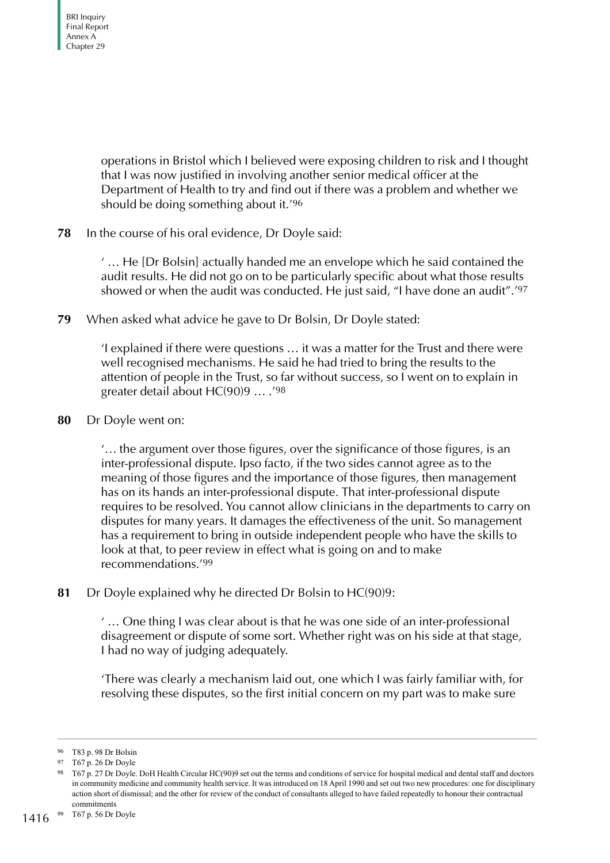operations in Bristol which I believed were exposing children to risk and I thought that I was now justified in involving another senior medical officer at the Department of Health to try and find out if there was a problem and whether we should be doing something about it.'96

#### **78** In the course of his oral evidence, Dr Doyle said:

' … He [Dr Bolsin] actually handed me an envelope which he said contained the audit results. He did not go on to be particularly specific about what those results showed or when the audit was conducted. He just said, "I have done an audit".'97

**79** When asked what advice he gave to Dr Bolsin, Dr Doyle stated:

'I explained if there were questions … it was a matter for the Trust and there were well recognised mechanisms. He said he had tried to bring the results to the attention of people in the Trust, so far without success, so I went on to explain in greater detail about HC(90)9 … .'98

#### **80** Dr Doyle went on:

'… the argument over those figures, over the significance of those figures, is an inter-professional dispute. Ipso facto, if the two sides cannot agree as to the meaning of those figures and the importance of those figures, then management has on its hands an inter-professional dispute. That inter-professional dispute requires to be resolved. You cannot allow clinicians in the departments to carry on disputes for many years. It damages the effectiveness of the unit. So management has a requirement to bring in outside independent people who have the skills to look at that, to peer review in effect what is going on and to make recommendations.'99

#### **81** Dr Doyle explained why he directed Dr Bolsin to HC(90)9:

' … One thing I was clear about is that he was one side of an inter-professional disagreement or dispute of some sort. Whether right was on his side at that stage, I had no way of judging adequately.

'There was clearly a mechanism laid out, one which I was fairly familiar with, for resolving these disputes, so the first initial concern on my part was to make sure

<sup>96</sup> T83 p. 98 Dr Bolsin

<sup>97</sup> T67 p. 26 Dr Doyle

<sup>98</sup> T67 p. 27 Dr Doyle. DoH Health Circular HC(90)9 set out the terms and conditions of service for hospital medical and dental staff and doctors in community medicine and community health service. It was introduced on 18 April 1990 and set out two new procedures: one for disciplinary action short of dismissal; and the other for review of the conduct of consultants alleged to have failed repeatedly to honour their contractual commitments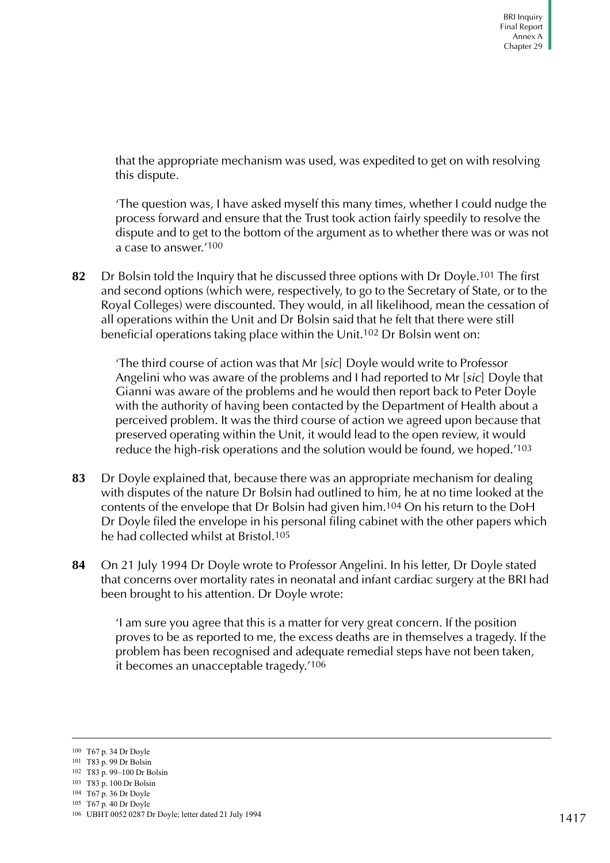that the appropriate mechanism was used, was expedited to get on with resolving this dispute.

'The question was, I have asked myself this many times, whether I could nudge the process forward and ensure that the Trust took action fairly speedily to resolve the dispute and to get to the bottom of the argument as to whether there was or was not a case to answer.'100

**82** Dr Bolsin told the Inquiry that he discussed three options with Dr Doyle.101 The first and second options (which were, respectively, to go to the Secretary of State, or to the Royal Colleges) were discounted. They would, in all likelihood, mean the cessation of all operations within the Unit and Dr Bolsin said that he felt that there were still beneficial operations taking place within the Unit.102 Dr Bolsin went on:

'The third course of action was that Mr [sic] Doyle would write to Professor Angelini who was aware of the problems and I had reported to Mr [sic] Doyle that Gianni was aware of the problems and he would then report back to Peter Doyle with the authority of having been contacted by the Department of Health about a perceived problem. It was the third course of action we agreed upon because that preserved operating within the Unit, it would lead to the open review, it would reduce the high-risk operations and the solution would be found, we hoped.'103

- **83** Dr Doyle explained that, because there was an appropriate mechanism for dealing with disputes of the nature Dr Bolsin had outlined to him, he at no time looked at the contents of the envelope that Dr Bolsin had given him.104 On his return to the DoH Dr Doyle filed the envelope in his personal filing cabinet with the other papers which he had collected whilst at Bristol.105
- **84** On 21 July 1994 Dr Doyle wrote to Professor Angelini. In his letter, Dr Doyle stated that concerns over mortality rates in neonatal and infant cardiac surgery at the BRI had been brought to his attention. Dr Doyle wrote:

'I am sure you agree that this is a matter for very great concern. If the position proves to be as reported to me, the excess deaths are in themselves a tragedy. If the problem has been recognised and adequate remedial steps have not been taken, it becomes an unacceptable tragedy.'106

<sup>100</sup> T67 p. 34 Dr Doyle

<sup>101</sup> T83 p. 99 Dr Bolsin

<sup>102</sup> T83 p. 99–100 Dr Bolsin

<sup>103</sup> T83 p. 100 Dr Bolsin

<sup>104</sup> T67 p. 36 Dr Doyle

<sup>105</sup> T67 p. 40 Dr Doyle

<sup>106</sup> UBHT 0052 0287 Dr Doyle; letter dated 21 July 1994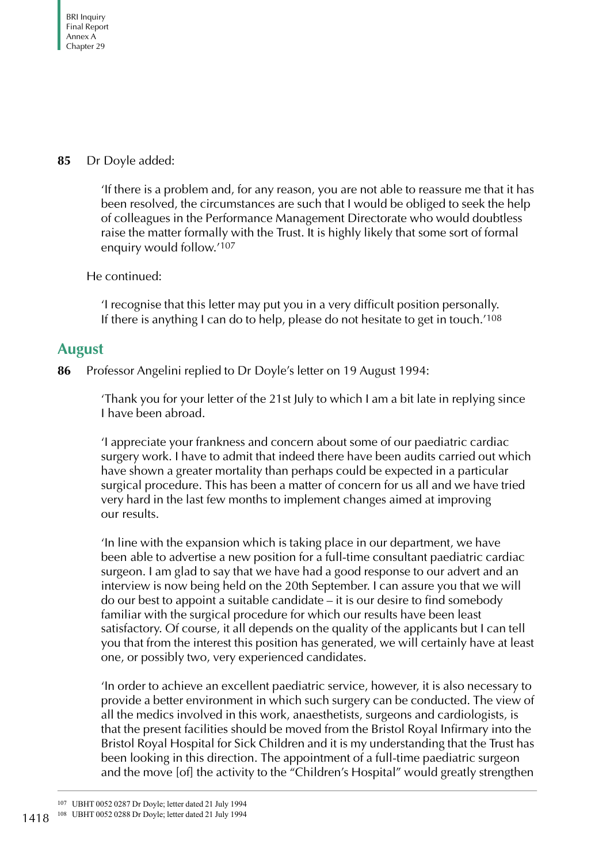#### **85** Dr Doyle added:

'If there is a problem and, for any reason, you are not able to reassure me that it has been resolved, the circumstances are such that I would be obliged to seek the help of colleagues in the Performance Management Directorate who would doubtless raise the matter formally with the Trust. It is highly likely that some sort of formal enquiry would follow.'107

#### He continued:

'I recognise that this letter may put you in a very difficult position personally. If there is anything I can do to help, please do not hesitate to get in touch.<sup>'108</sup>

## **August**

**86** Professor Angelini replied to Dr Doyle's letter on 19 August 1994:

'Thank you for your letter of the 21st July to which I am a bit late in replying since I have been abroad.

'I appreciate your frankness and concern about some of our paediatric cardiac surgery work. I have to admit that indeed there have been audits carried out which have shown a greater mortality than perhaps could be expected in a particular surgical procedure. This has been a matter of concern for us all and we have tried very hard in the last few months to implement changes aimed at improving our results.

'In line with the expansion which is taking place in our department, we have been able to advertise a new position for a full-time consultant paediatric cardiac surgeon. I am glad to say that we have had a good response to our advert and an interview is now being held on the 20th September. I can assure you that we will do our best to appoint a suitable candidate – it is our desire to find somebody familiar with the surgical procedure for which our results have been least satisfactory. Of course, it all depends on the quality of the applicants but I can tell you that from the interest this position has generated, we will certainly have at least one, or possibly two, very experienced candidates.

'In order to achieve an excellent paediatric service, however, it is also necessary to provide a better environment in which such surgery can be conducted. The view of all the medics involved in this work, anaesthetists, surgeons and cardiologists, is that the present facilities should be moved from the Bristol Royal Infirmary into the Bristol Royal Hospital for Sick Children and it is my understanding that the Trust has been looking in this direction. The appointment of a full-time paediatric surgeon and the move [of] the activity to the "Children's Hospital" would greatly strengthen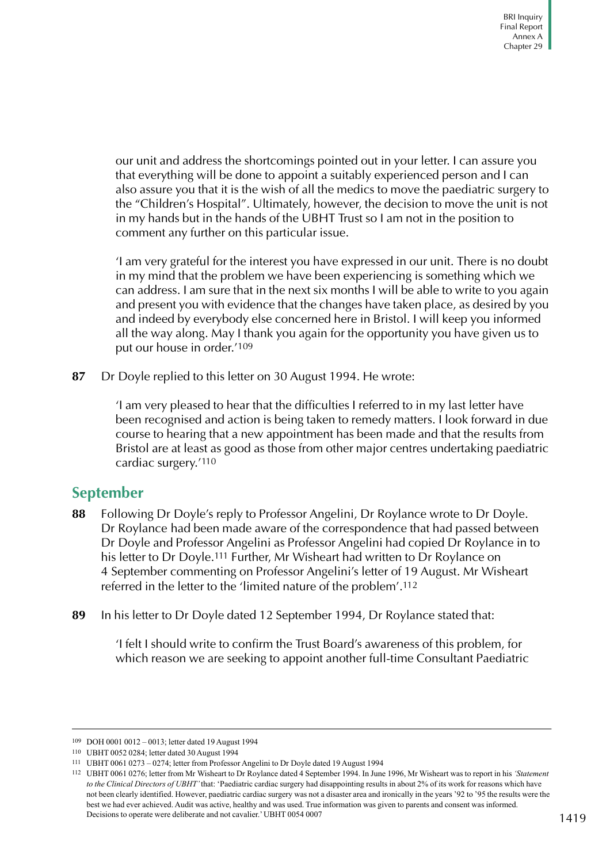our unit and address the shortcomings pointed out in your letter. I can assure you that everything will be done to appoint a suitably experienced person and I can also assure you that it is the wish of all the medics to move the paediatric surgery to the "Children's Hospital". Ultimately, however, the decision to move the unit is not in my hands but in the hands of the UBHT Trust so I am not in the position to comment any further on this particular issue.

'I am very grateful for the interest you have expressed in our unit. There is no doubt in my mind that the problem we have been experiencing is something which we can address. I am sure that in the next six months I will be able to write to you again and present you with evidence that the changes have taken place, as desired by you and indeed by everybody else concerned here in Bristol. I will keep you informed all the way along. May I thank you again for the opportunity you have given us to put our house in order.'109

**87** Dr Doyle replied to this letter on 30 August 1994. He wrote:

'I am very pleased to hear that the difficulties I referred to in my last letter have been recognised and action is being taken to remedy matters. I look forward in due course to hearing that a new appointment has been made and that the results from Bristol are at least as good as those from other major centres undertaking paediatric cardiac surgery.'110

## **September**

- **88** Following Dr Doyle's reply to Professor Angelini, Dr Roylance wrote to Dr Doyle. Dr Roylance had been made aware of the correspondence that had passed between Dr Doyle and Professor Angelini as Professor Angelini had copied Dr Roylance in to his letter to Dr Doyle.111 Further, Mr Wisheart had written to Dr Roylance on 4 September commenting on Professor Angelini's letter of 19 August. Mr Wisheart referred in the letter to the 'limited nature of the problem'.112
- **89** In his letter to Dr Doyle dated 12 September 1994, Dr Roylance stated that:

'I felt I should write to confirm the Trust Board's awareness of this problem, for which reason we are seeking to appoint another full-time Consultant Paediatric

<sup>109</sup> DOH 0001 0012 – 0013; letter dated 19 August 1994

<sup>110</sup> UBHT 0052 0284; letter dated 30 August 1994

<sup>111</sup> UBHT 0061 0273 – 0274; letter from Professor Angelini to Dr Doyle dated 19 August 1994

<sup>112</sup> UBHT 0061 0276; letter from Mr Wisheart to Dr Roylance dated 4 September 1994. In June 1996, Mr Wisheart was to report in his *'Statement to the Clinical Directors of UBHT'* that: 'Paediatric cardiac surgery had disappointing results in about 2% of its work for reasons which have not been clearly identified. However, paediatric cardiac surgery was not a disaster area and ironically in the years '92 to '95 the results were the best we had ever achieved. Audit was active, healthy and was used. True information was given to parents and consent was informed. Decisions to operate were deliberate and not cavalier.' UBHT 0054 0007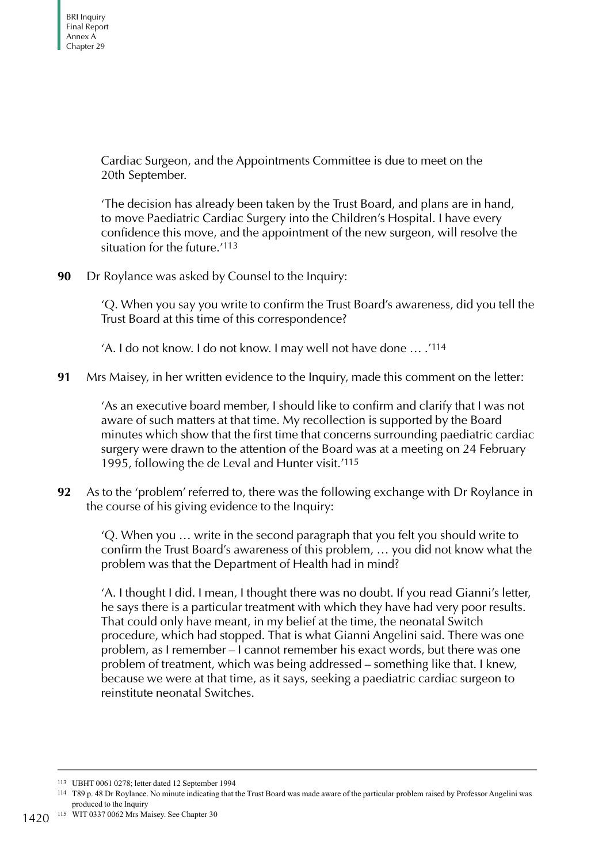Cardiac Surgeon, and the Appointments Committee is due to meet on the 20th September.

'The decision has already been taken by the Trust Board, and plans are in hand, to move Paediatric Cardiac Surgery into the Children's Hospital. I have every confidence this move, and the appointment of the new surgeon, will resolve the situation for the future.'113

**90** Dr Roylance was asked by Counsel to the Inquiry:

'Q. When you say you write to confirm the Trust Board's awareness, did you tell the Trust Board at this time of this correspondence?

'A. I do not know. I do not know. I may well not have done … .'114

**91** Mrs Maisey, in her written evidence to the Inquiry, made this comment on the letter:

'As an executive board member, I should like to confirm and clarify that I was not aware of such matters at that time. My recollection is supported by the Board minutes which show that the first time that concerns surrounding paediatric cardiac surgery were drawn to the attention of the Board was at a meeting on 24 February 1995, following the de Leval and Hunter visit.'115

**92** As to the 'problem' referred to, there was the following exchange with Dr Roylance in the course of his giving evidence to the Inquiry:

'Q. When you … write in the second paragraph that you felt you should write to confirm the Trust Board's awareness of this problem, … you did not know what the problem was that the Department of Health had in mind?

'A. I thought I did. I mean, I thought there was no doubt. If you read Gianni's letter, he says there is a particular treatment with which they have had very poor results. That could only have meant, in my belief at the time, the neonatal Switch procedure, which had stopped. That is what Gianni Angelini said. There was one problem, as I remember – I cannot remember his exact words, but there was one problem of treatment, which was being addressed – something like that. I knew, because we were at that time, as it says, seeking a paediatric cardiac surgeon to reinstitute neonatal Switches.

<sup>113</sup> UBHT 0061 0278; letter dated 12 September 1994

<sup>114</sup> T89 p. 48 Dr Roylance. No minute indicating that the Trust Board was made aware of the particular problem raised by Professor Angelini was produced to the Inquiry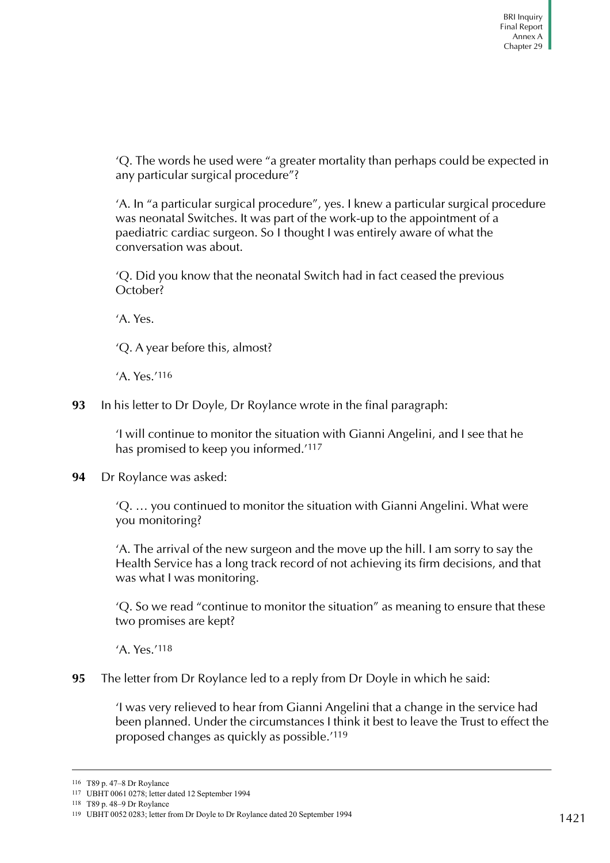'Q. The words he used were "a greater mortality than perhaps could be expected in any particular surgical procedure"?

'A. In "a particular surgical procedure", yes. I knew a particular surgical procedure was neonatal Switches. It was part of the work-up to the appointment of a paediatric cardiac surgeon. So I thought I was entirely aware of what the conversation was about.

'Q. Did you know that the neonatal Switch had in fact ceased the previous October?

'A. Yes.

'Q. A year before this, almost?

'A. Yes.'116

**93** In his letter to Dr Doyle, Dr Roylance wrote in the final paragraph:

'I will continue to monitor the situation with Gianni Angelini, and I see that he has promised to keep you informed.'117

**94** Dr Roylance was asked:

'Q. … you continued to monitor the situation with Gianni Angelini. What were you monitoring?

'A. The arrival of the new surgeon and the move up the hill. I am sorry to say the Health Service has a long track record of not achieving its firm decisions, and that was what I was monitoring.

'Q. So we read "continue to monitor the situation" as meaning to ensure that these two promises are kept?

'A. Yes.'118

**95** The letter from Dr Roylance led to a reply from Dr Doyle in which he said:

'I was very relieved to hear from Gianni Angelini that a change in the service had been planned. Under the circumstances I think it best to leave the Trust to effect the proposed changes as quickly as possible.'119

<sup>116</sup> T89 p. 47–8 Dr Roylance

<sup>117</sup> UBHT 0061 0278; letter dated 12 September 1994

<sup>118</sup> T89 p. 48–9 Dr Roylance

<sup>119</sup> UBHT 0052 0283; letter from Dr Doyle to Dr Roylance dated 20 September 1994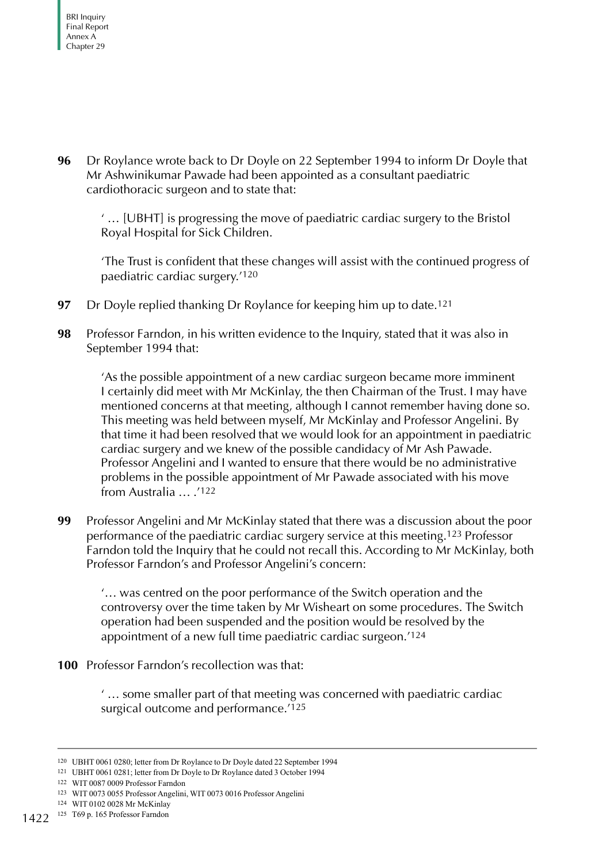**96** Dr Roylance wrote back to Dr Doyle on 22 September 1994 to inform Dr Doyle that Mr Ashwinikumar Pawade had been appointed as a consultant paediatric cardiothoracic surgeon and to state that:

' … [UBHT] is progressing the move of paediatric cardiac surgery to the Bristol Royal Hospital for Sick Children.

'The Trust is confident that these changes will assist with the continued progress of paediatric cardiac surgery.'120

- **97** Dr Doyle replied thanking Dr Roylance for keeping him up to date.<sup>121</sup>
- **98** Professor Farndon, in his written evidence to the Inquiry, stated that it was also in September 1994 that:

'As the possible appointment of a new cardiac surgeon became more imminent I certainly did meet with Mr McKinlay, the then Chairman of the Trust. I may have mentioned concerns at that meeting, although I cannot remember having done so. This meeting was held between myself, Mr McKinlay and Professor Angelini. By that time it had been resolved that we would look for an appointment in paediatric cardiac surgery and we knew of the possible candidacy of Mr Ash Pawade. Professor Angelini and I wanted to ensure that there would be no administrative problems in the possible appointment of Mr Pawade associated with his move from Australia … .'122

**99** Professor Angelini and Mr McKinlay stated that there was a discussion about the poor performance of the paediatric cardiac surgery service at this meeting.123 Professor Farndon told the Inquiry that he could not recall this. According to Mr McKinlay, both Professor Farndon's and Professor Angelini's concern:

'… was centred on the poor performance of the Switch operation and the controversy over the time taken by Mr Wisheart on some procedures. The Switch operation had been suspended and the position would be resolved by the appointment of a new full time paediatric cardiac surgeon.'124

**100** Professor Farndon's recollection was that:

' … some smaller part of that meeting was concerned with paediatric cardiac surgical outcome and performance.'125

<sup>120</sup> UBHT 0061 0280; letter from Dr Roylance to Dr Doyle dated 22 September 1994

<sup>121</sup> UBHT 0061 0281; letter from Dr Doyle to Dr Roylance dated 3 October 1994

<sup>122</sup> WIT 0087 0009 Professor Farndon

<sup>123</sup> WIT 0073 0055 Professor Angelini, WIT 0073 0016 Professor Angelini

<sup>124</sup> WIT 0102 0028 Mr McKinlay

<sup>1422</sup> 125 T69 p. 165 Professor Farndon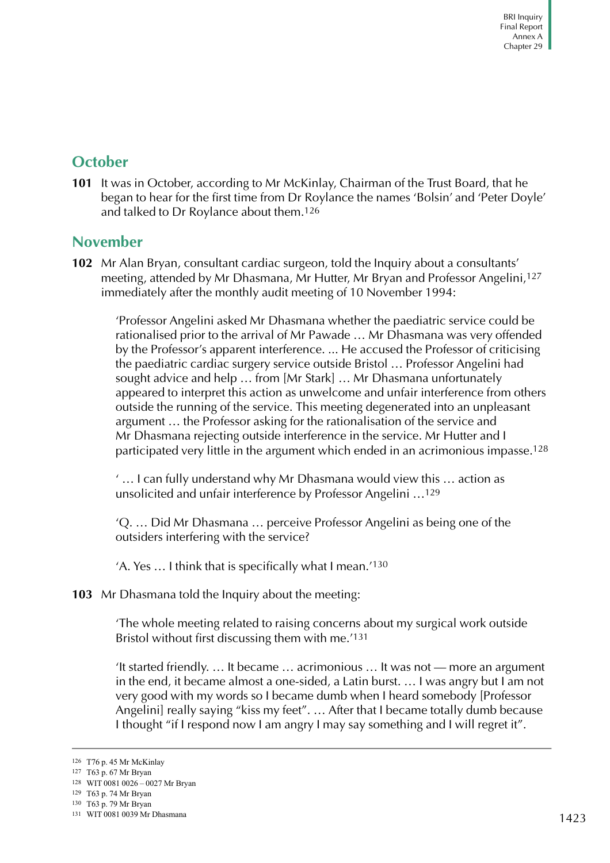## **October**

**101** It was in October, according to Mr McKinlay, Chairman of the Trust Board, that he began to hear for the first time from Dr Roylance the names 'Bolsin' and 'Peter Doyle' and talked to Dr Roylance about them.126

## **November**

**102** Mr Alan Bryan, consultant cardiac surgeon, told the Inquiry about a consultants' meeting, attended by Mr Dhasmana, Mr Hutter, Mr Bryan and Professor Angelini,127 immediately after the monthly audit meeting of 10 November 1994:

'Professor Angelini asked Mr Dhasmana whether the paediatric service could be rationalised prior to the arrival of Mr Pawade … Mr Dhasmana was very offended by the Professor's apparent interference. ... He accused the Professor of criticising the paediatric cardiac surgery service outside Bristol … Professor Angelini had sought advice and help … from [Mr Stark] … Mr Dhasmana unfortunately appeared to interpret this action as unwelcome and unfair interference from others outside the running of the service. This meeting degenerated into an unpleasant argument … the Professor asking for the rationalisation of the service and Mr Dhasmana rejecting outside interference in the service. Mr Hutter and I participated very little in the argument which ended in an acrimonious impasse.128

' … I can fully understand why Mr Dhasmana would view this … action as unsolicited and unfair interference by Professor Angelini …129

'Q. … Did Mr Dhasmana … perceive Professor Angelini as being one of the outsiders interfering with the service?

'A. Yes … I think that is specifically what I mean.'130

#### **103** Mr Dhasmana told the Inquiry about the meeting:

'The whole meeting related to raising concerns about my surgical work outside Bristol without first discussing them with me.'131

'It started friendly. … It became … acrimonious … It was not — more an argument in the end, it became almost a one-sided, a Latin burst. … I was angry but I am not very good with my words so I became dumb when I heard somebody [Professor Angelini] really saying "kiss my feet". … After that I became totally dumb because I thought "if I respond now I am angry I may say something and I will regret it".

<sup>126</sup> T76 p. 45 Mr McKinlay

<sup>127</sup> T63 p. 67 Mr Bryan

<sup>128</sup> WIT 0081 0026 – 0027 Mr Bryan

<sup>129</sup> T63 p. 74 Mr Bryan

<sup>130</sup> T63 p. 79 Mr Bryan

<sup>131</sup> WIT 0081 0039 Mr Dhasmana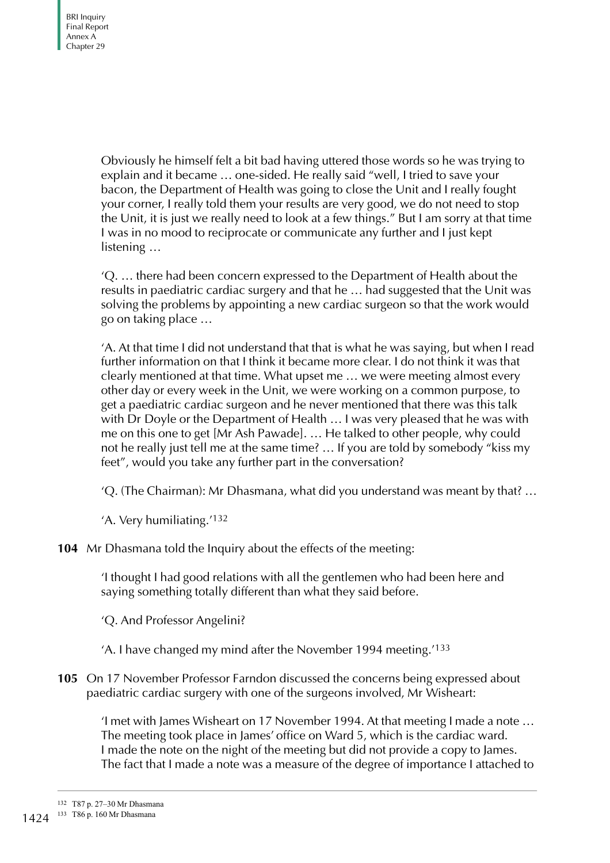Obviously he himself felt a bit bad having uttered those words so he was trying to explain and it became … one-sided. He really said "well, I tried to save your bacon, the Department of Health was going to close the Unit and I really fought your corner, I really told them your results are very good, we do not need to stop the Unit, it is just we really need to look at a few things." But I am sorry at that time I was in no mood to reciprocate or communicate any further and I just kept listening …

'Q. … there had been concern expressed to the Department of Health about the results in paediatric cardiac surgery and that he … had suggested that the Unit was solving the problems by appointing a new cardiac surgeon so that the work would go on taking place …

'A. At that time I did not understand that that is what he was saying, but when I read further information on that I think it became more clear. I do not think it was that clearly mentioned at that time. What upset me … we were meeting almost every other day or every week in the Unit, we were working on a common purpose, to get a paediatric cardiac surgeon and he never mentioned that there was this talk with Dr Doyle or the Department of Health … I was very pleased that he was with me on this one to get [Mr Ash Pawade]. … He talked to other people, why could not he really just tell me at the same time? … If you are told by somebody "kiss my feet", would you take any further part in the conversation?

'Q. (The Chairman): Mr Dhasmana, what did you understand was meant by that? …

'A. Very humiliating.'132

**104** Mr Dhasmana told the Inquiry about the effects of the meeting:

'I thought I had good relations with all the gentlemen who had been here and saying something totally different than what they said before.

'Q. And Professor Angelini?

'A. I have changed my mind after the November 1994 meeting.'133

**105** On 17 November Professor Farndon discussed the concerns being expressed about paediatric cardiac surgery with one of the surgeons involved, Mr Wisheart:

'I met with James Wisheart on 17 November 1994. At that meeting I made a note … The meeting took place in James' office on Ward 5, which is the cardiac ward. I made the note on the night of the meeting but did not provide a copy to James. The fact that I made a note was a measure of the degree of importance I attached to

<sup>132</sup> T87 p. 27–30 Mr Dhasmana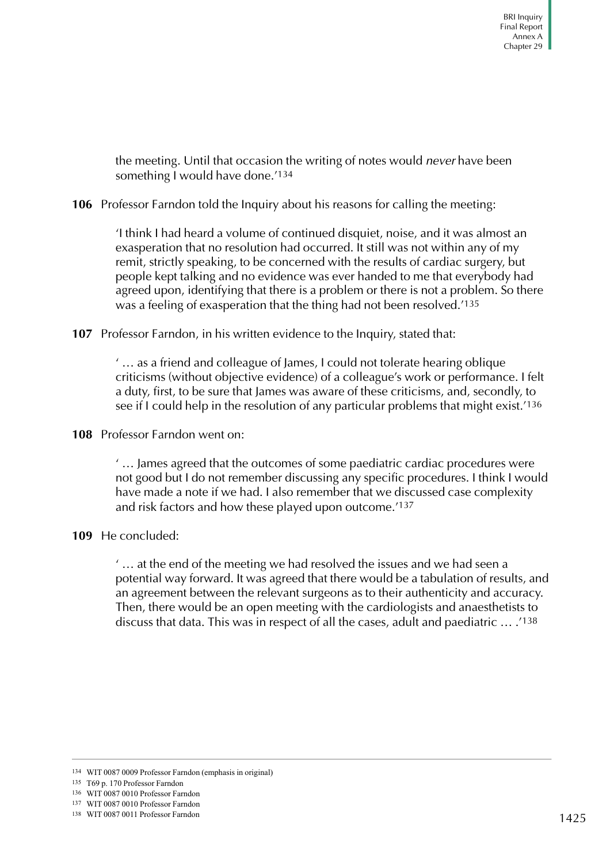the meeting. Until that occasion the writing of notes would never have been something I would have done.'134

#### **106** Professor Farndon told the Inquiry about his reasons for calling the meeting:

'I think I had heard a volume of continued disquiet, noise, and it was almost an exasperation that no resolution had occurred. It still was not within any of my remit, strictly speaking, to be concerned with the results of cardiac surgery, but people kept talking and no evidence was ever handed to me that everybody had agreed upon, identifying that there is a problem or there is not a problem. So there was a feeling of exasperation that the thing had not been resolved.'135

**107** Professor Farndon, in his written evidence to the Inquiry, stated that:

' … as a friend and colleague of James, I could not tolerate hearing oblique criticisms (without objective evidence) of a colleague's work or performance. I felt a duty, first, to be sure that James was aware of these criticisms, and, secondly, to see if I could help in the resolution of any particular problems that might exist.'136

**108** Professor Farndon went on:

' … James agreed that the outcomes of some paediatric cardiac procedures were not good but I do not remember discussing any specific procedures. I think I would have made a note if we had. I also remember that we discussed case complexity and risk factors and how these played upon outcome.'137

#### **109** He concluded:

' … at the end of the meeting we had resolved the issues and we had seen a potential way forward. It was agreed that there would be a tabulation of results, and an agreement between the relevant surgeons as to their authenticity and accuracy. Then, there would be an open meeting with the cardiologists and anaesthetists to discuss that data. This was in respect of all the cases, adult and paediatric … .'138

<sup>134</sup> WIT 0087 0009 Professor Farndon (emphasis in original)

<sup>135</sup> T69 p. 170 Professor Farndon

<sup>136</sup> WIT 0087 0010 Professor Farndon

<sup>137</sup> WIT 0087 0010 Professor Farndon

<sup>138</sup> WIT 0087 0011 Professor Farndon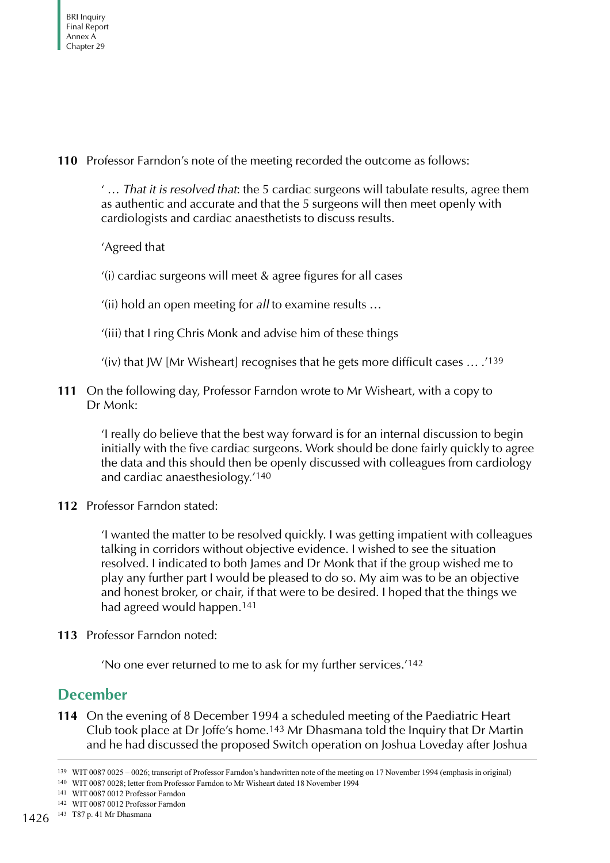**110** Professor Farndon's note of the meeting recorded the outcome as follows:

' … That it is resolved that: the 5 cardiac surgeons will tabulate results, agree them as authentic and accurate and that the 5 surgeons will then meet openly with cardiologists and cardiac anaesthetists to discuss results.

'Agreed that

- '(i) cardiac surgeons will meet & agree figures for all cases
- '(ii) hold an open meeting for all to examine results …
- '(iii) that I ring Chris Monk and advise him of these things
- '(iv) that JW [Mr Wisheart] recognises that he gets more difficult cases  $\ldots$  .'139
- **111** On the following day, Professor Farndon wrote to Mr Wisheart, with a copy to Dr Monk:

'I really do believe that the best way forward is for an internal discussion to begin initially with the five cardiac surgeons. Work should be done fairly quickly to agree the data and this should then be openly discussed with colleagues from cardiology and cardiac anaesthesiology.'140

**112** Professor Farndon stated:

'I wanted the matter to be resolved quickly. I was getting impatient with colleagues talking in corridors without objective evidence. I wished to see the situation resolved. I indicated to both James and Dr Monk that if the group wished me to play any further part I would be pleased to do so. My aim was to be an objective and honest broker, or chair, if that were to be desired. I hoped that the things we had agreed would happen.141

**113** Professor Farndon noted:

'No one ever returned to me to ask for my further services.'142

## **December**

**114** On the evening of 8 December 1994 a scheduled meeting of the Paediatric Heart Club took place at Dr Joffe's home.143 Mr Dhasmana told the Inquiry that Dr Martin and he had discussed the proposed Switch operation on Joshua Loveday after Joshua

<sup>139</sup> WIT 0087 0025 – 0026; transcript of Professor Farndon's handwritten note of the meeting on 17 November 1994 (emphasis in original)

<sup>140</sup> WIT 0087 0028; letter from Professor Farndon to Mr Wisheart dated 18 November 1994

<sup>141</sup> WIT 0087 0012 Professor Farndon

<sup>142</sup> WIT 0087 0012 Professor Farndon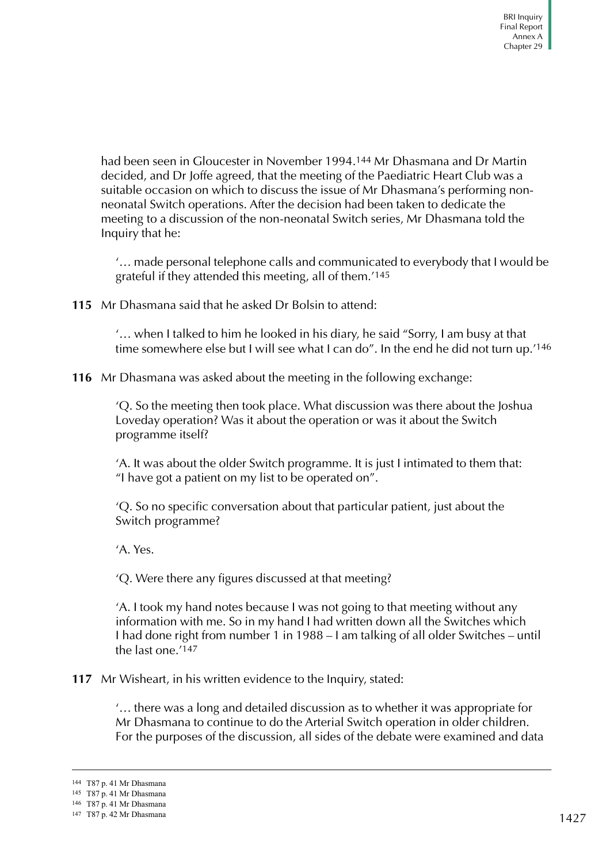had been seen in Gloucester in November 1994.144 Mr Dhasmana and Dr Martin decided, and Dr Joffe agreed, that the meeting of the Paediatric Heart Club was a suitable occasion on which to discuss the issue of Mr Dhasmana's performing nonneonatal Switch operations. After the decision had been taken to dedicate the meeting to a discussion of the non-neonatal Switch series, Mr Dhasmana told the Inquiry that he:

'… made personal telephone calls and communicated to everybody that I would be grateful if they attended this meeting, all of them.'145

**115** Mr Dhasmana said that he asked Dr Bolsin to attend:

'… when I talked to him he looked in his diary, he said "Sorry, I am busy at that time somewhere else but I will see what I can do". In the end he did not turn up.'146

**116** Mr Dhasmana was asked about the meeting in the following exchange:

'Q. So the meeting then took place. What discussion was there about the Joshua Loveday operation? Was it about the operation or was it about the Switch programme itself?

'A. It was about the older Switch programme. It is just I intimated to them that: "I have got a patient on my list to be operated on".

'Q. So no specific conversation about that particular patient, just about the Switch programme?

'A. Yes.

'Q. Were there any figures discussed at that meeting?

'A. I took my hand notes because I was not going to that meeting without any information with me. So in my hand I had written down all the Switches which I had done right from number 1 in 1988 – I am talking of all older Switches – until the last one.<sup>'147</sup>

**117** Mr Wisheart, in his written evidence to the Inquiry, stated:

'… there was a long and detailed discussion as to whether it was appropriate for Mr Dhasmana to continue to do the Arterial Switch operation in older children. For the purposes of the discussion, all sides of the debate were examined and data

<sup>144</sup> T87 p. 41 Mr Dhasmana

<sup>145</sup> T87 p. 41 Mr Dhasmana

<sup>146</sup> T87 p. 41 Mr Dhasmana

<sup>147</sup> T87 p. 42 Mr Dhasmana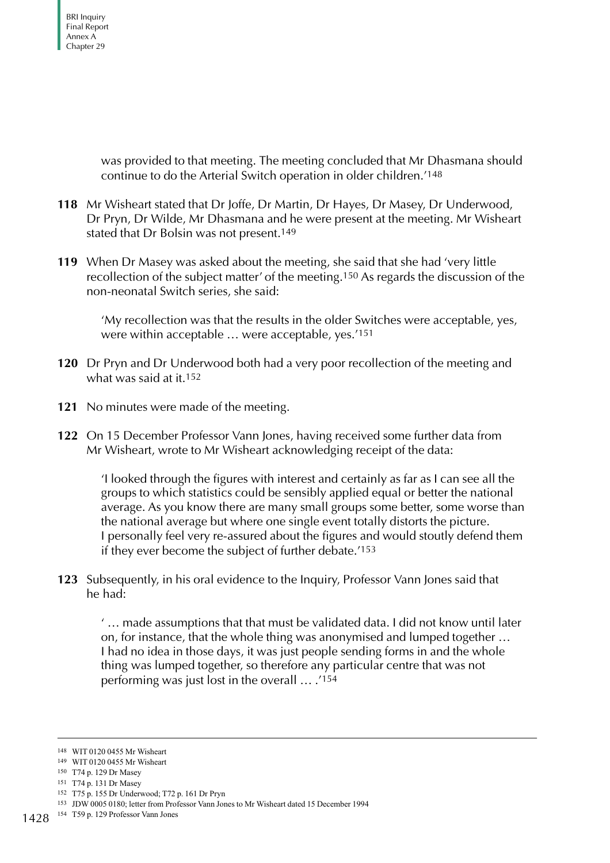was provided to that meeting. The meeting concluded that Mr Dhasmana should continue to do the Arterial Switch operation in older children.'148

- **118** Mr Wisheart stated that Dr Joffe, Dr Martin, Dr Hayes, Dr Masey, Dr Underwood, Dr Pryn, Dr Wilde, Mr Dhasmana and he were present at the meeting. Mr Wisheart stated that Dr Bolsin was not present.149
- **119** When Dr Masey was asked about the meeting, she said that she had 'very little recollection of the subject matter' of the meeting.150 As regards the discussion of the non-neonatal Switch series, she said:

'My recollection was that the results in the older Switches were acceptable, yes, were within acceptable … were acceptable, yes.'151

- **120** Dr Pryn and Dr Underwood both had a very poor recollection of the meeting and what was said at it.152
- **121** No minutes were made of the meeting.
- **122** On 15 December Professor Vann Jones, having received some further data from Mr Wisheart, wrote to Mr Wisheart acknowledging receipt of the data:

'I looked through the figures with interest and certainly as far as I can see all the groups to which statistics could be sensibly applied equal or better the national average. As you know there are many small groups some better, some worse than the national average but where one single event totally distorts the picture. I personally feel very re-assured about the figures and would stoutly defend them if they ever become the subject of further debate.'153

**123** Subsequently, in his oral evidence to the Inquiry, Professor Vann Jones said that he had:

' … made assumptions that that must be validated data. I did not know until later on, for instance, that the whole thing was anonymised and lumped together … I had no idea in those days, it was just people sending forms in and the whole thing was lumped together, so therefore any particular centre that was not performing was just lost in the overall … .'154

- 151 T74 p. 131 Dr Masey
- 152 T75 p. 155 Dr Underwood; T72 p. 161 Dr Pryn

<sup>148</sup> WIT 0120 0455 Mr Wisheart

<sup>149</sup> WIT 0120 0455 Mr Wisheart

<sup>150</sup> T74 p. 129 Dr Masey

<sup>153</sup> JDW 0005 0180; letter from Professor Vann Jones to Mr Wisheart dated 15 December 1994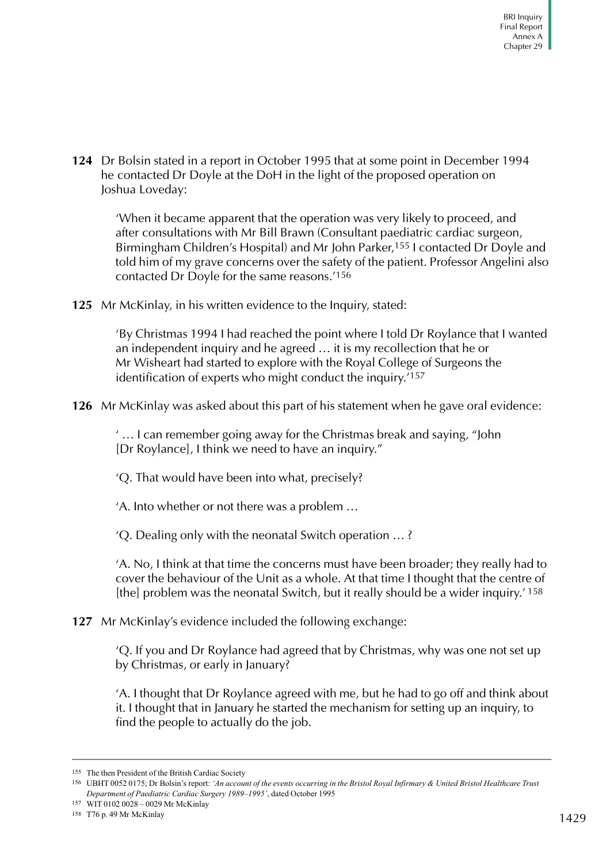**124** Dr Bolsin stated in a report in October 1995 that at some point in December 1994 he contacted Dr Doyle at the DoH in the light of the proposed operation on Joshua Loveday:

'When it became apparent that the operation was very likely to proceed, and after consultations with Mr Bill Brawn (Consultant paediatric cardiac surgeon, Birmingham Children's Hospital) and Mr John Parker,155 I contacted Dr Doyle and told him of my grave concerns over the safety of the patient. Professor Angelini also contacted Dr Doyle for the same reasons.'156

**125** Mr McKinlay, in his written evidence to the Inquiry, stated:

'By Christmas 1994 I had reached the point where I told Dr Roylance that I wanted an independent inquiry and he agreed … it is my recollection that he or Mr Wisheart had started to explore with the Royal College of Surgeons the identification of experts who might conduct the inquiry.'157

**126** Mr McKinlay was asked about this part of his statement when he gave oral evidence:

' … I can remember going away for the Christmas break and saying, "John [Dr Roylance], I think we need to have an inquiry."

'Q. That would have been into what, precisely?

'A. Into whether or not there was a problem …

'Q. Dealing only with the neonatal Switch operation … ?

'A. No, I think at that time the concerns must have been broader; they really had to cover the behaviour of the Unit as a whole. At that time I thought that the centre of [the] problem was the neonatal Switch, but it really should be a wider inquiry.' 158

#### **127** Mr McKinlay's evidence included the following exchange:

'Q. If you and Dr Roylance had agreed that by Christmas, why was one not set up by Christmas, or early in January?

'A. I thought that Dr Roylance agreed with me, but he had to go off and think about it. I thought that in January he started the mechanism for setting up an inquiry, to find the people to actually do the job.

<sup>155</sup> The then President of the British Cardiac Society

<sup>156</sup> UBHT 0052 0175; Dr Bolsin's report: *'An account of the events occurring in the Bristol Royal Infirmary & United Bristol Healthcare Trust Department of Paediatric Cardiac Surgery 1989–1995'*, dated October 1995

<sup>157</sup> WIT 0102 0028 – 0029 Mr McKinlay

<sup>158</sup> T76 p. 49 Mr McKinlay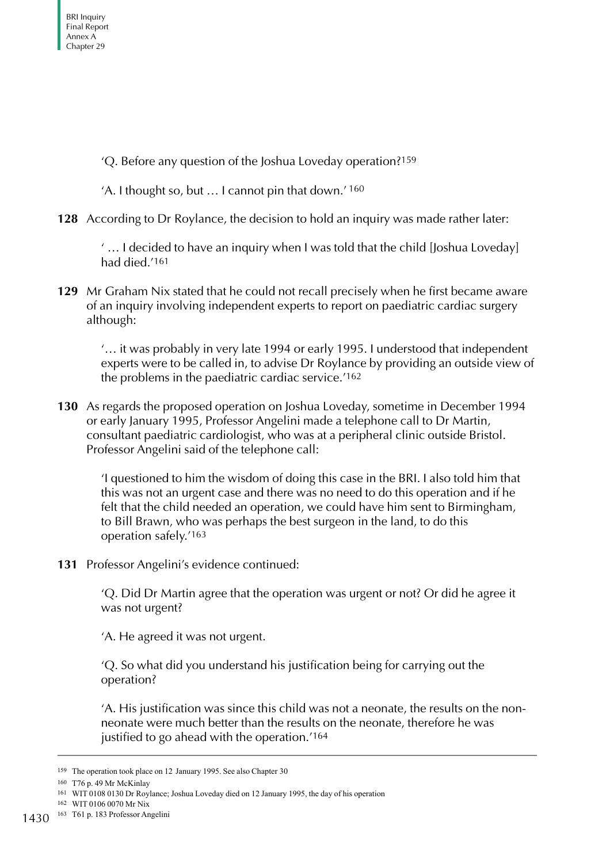'Q. Before any question of the Joshua Loveday operation?159

'A. I thought so, but … I cannot pin that down.' 160

**128** According to Dr Roylance, the decision to hold an inquiry was made rather later:

' … I decided to have an inquiry when I was told that the child [Joshua Loveday] had died.'161

**129** Mr Graham Nix stated that he could not recall precisely when he first became aware of an inquiry involving independent experts to report on paediatric cardiac surgery although:

'… it was probably in very late 1994 or early 1995. I understood that independent experts were to be called in, to advise Dr Roylance by providing an outside view of the problems in the paediatric cardiac service.'162

**130** As regards the proposed operation on Joshua Loveday, sometime in December 1994 or early January 1995, Professor Angelini made a telephone call to Dr Martin, consultant paediatric cardiologist, who was at a peripheral clinic outside Bristol. Professor Angelini said of the telephone call:

'I questioned to him the wisdom of doing this case in the BRI. I also told him that this was not an urgent case and there was no need to do this operation and if he felt that the child needed an operation, we could have him sent to Birmingham, to Bill Brawn, who was perhaps the best surgeon in the land, to do this operation safely.'163

**131** Professor Angelini's evidence continued:

'Q. Did Dr Martin agree that the operation was urgent or not? Or did he agree it was not urgent?

'A. He agreed it was not urgent.

'Q. So what did you understand his justification being for carrying out the operation?

'A. His justification was since this child was not a neonate, the results on the nonneonate were much better than the results on the neonate, therefore he was justified to go ahead with the operation.'164

<sup>159</sup> The operation took place on 12 January 1995. See also [Chapter 30](#page-98-0)

<sup>160</sup> T76 p. 49 Mr McKinlay

<sup>161</sup> WIT 0108 0130 Dr Roylance; Joshua Loveday died on 12 January 1995, the day of his operation

<sup>162</sup> WIT 0106 0070 Mr Nix

<sup>1430</sup> 163 T61 p. 183 Professor Angelini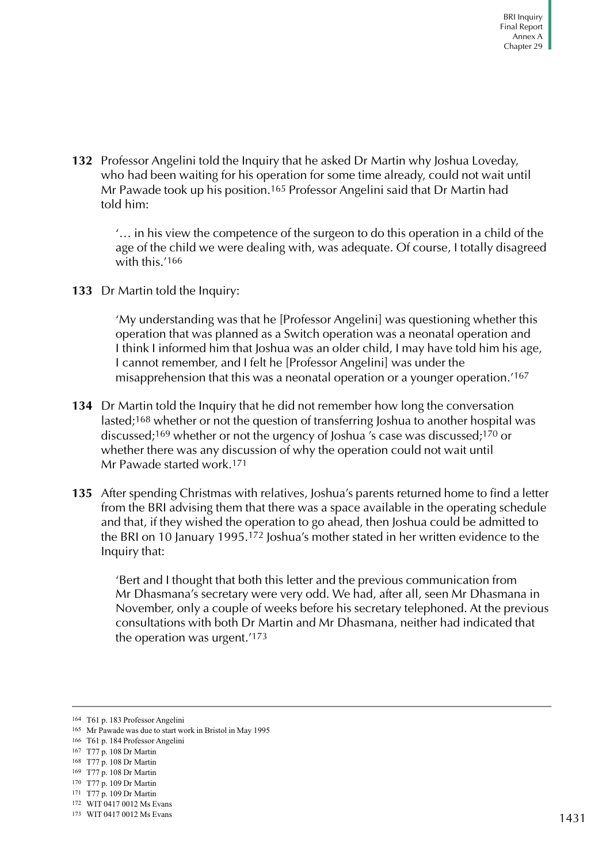**132** Professor Angelini told the Inquiry that he asked Dr Martin why Joshua Loveday, who had been waiting for his operation for some time already, could not wait until Mr Pawade took up his position.165 Professor Angelini said that Dr Martin had told him:

'… in his view the competence of the surgeon to do this operation in a child of the age of the child we were dealing with, was adequate. Of course, I totally disagreed with this.'166

**133** Dr Martin told the Inquiry:

'My understanding was that he [Professor Angelini] was questioning whether this operation that was planned as a Switch operation was a neonatal operation and I think I informed him that Joshua was an older child, I may have told him his age, I cannot remember, and I felt he [Professor Angelini] was under the misapprehension that this was a neonatal operation or a younger operation.'167

- **134** Dr Martin told the Inquiry that he did not remember how long the conversation lasted;168 whether or not the question of transferring Joshua to another hospital was discussed;169 whether or not the urgency of Joshua 's case was discussed;170 or whether there was any discussion of why the operation could not wait until Mr Pawade started work.171
- **135** After spending Christmas with relatives, Joshua's parents returned home to find a letter from the BRI advising them that there was a space available in the operating schedule and that, if they wished the operation to go ahead, then Joshua could be admitted to the BRI on 10 January 1995.172 Joshua's mother stated in her written evidence to the Inquiry that:

'Bert and I thought that both this letter and the previous communication from Mr Dhasmana's secretary were very odd. We had, after all, seen Mr Dhasmana in November, only a couple of weeks before his secretary telephoned. At the previous consultations with both Dr Martin and Mr Dhasmana, neither had indicated that the operation was urgent.'173

- 167 T77 p. 108 Dr Martin
- 168 T77 p. 108 Dr Martin

171 T77 p. 109 Dr Martin

<sup>164</sup> T61 p. 183 Professor Angelini

<sup>165</sup> Mr Pawade was due to start work in Bristol in May 1995

<sup>166</sup> T61 p. 184 Professor Angelini

<sup>169</sup> T77 p. 108 Dr Martin

<sup>170</sup> T77 p. 109 Dr Martin

<sup>172</sup> WIT 0417 0012 Ms Evans

<sup>173</sup> WIT 0417 0012 Ms Evans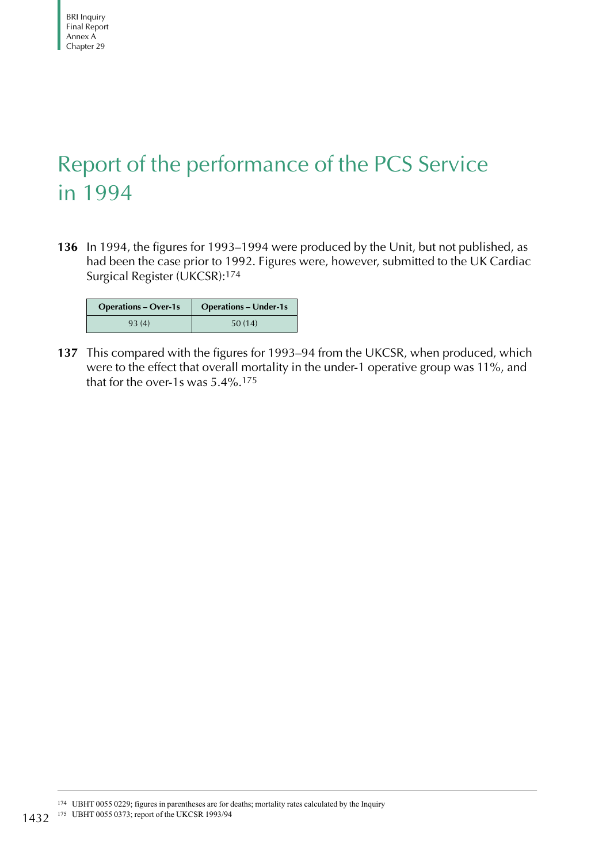# Report of the performance of the PCS Service in 1994

**136** In 1994, the figures for 1993–1994 were produced by the Unit, but not published, as had been the case prior to 1992. Figures were, however, submitted to the UK Cardiac Surgical Register (UKCSR):174

| <b>Operations - Over-1s</b> | <b>Operations - Under-1s</b> |
|-----------------------------|------------------------------|
| 93(4)                       | 50(14)                       |

**137** This compared with the figures for 1993–94 from the UKCSR, when produced, which were to the effect that overall mortality in the under-1 operative group was 11%, and that for the over-1s was 5.4%.175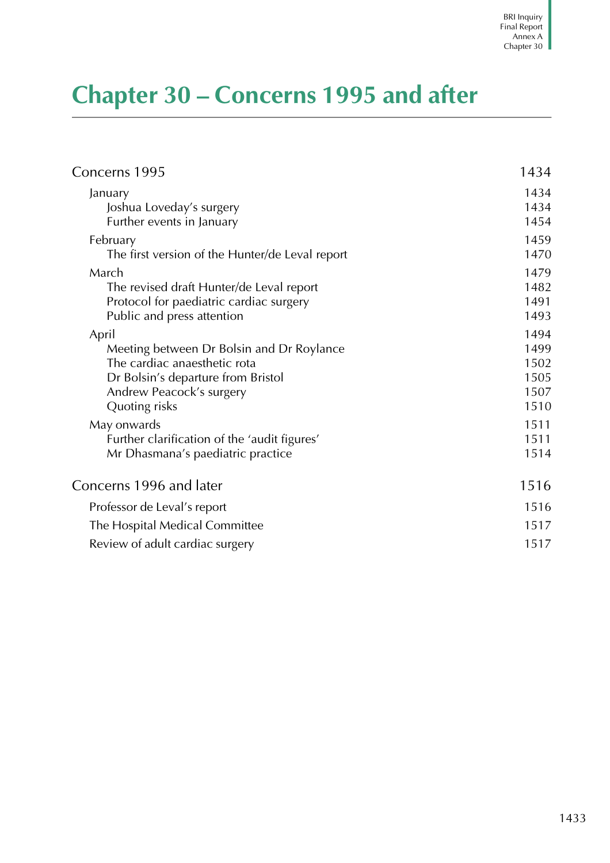# <span id="page-98-0"></span>**Chapter 30 – Concerns 1995 and after**

| Concerns 1995                                   | 1434 |
|-------------------------------------------------|------|
| January                                         | 1434 |
| Joshua Loveday's surgery                        | 1434 |
| Further events in January                       | 1454 |
| February                                        | 1459 |
| The first version of the Hunter/de Leval report | 1470 |
| March                                           | 1479 |
| The revised draft Hunter/de Leval report        | 1482 |
| Protocol for paediatric cardiac surgery         | 1491 |
| Public and press attention                      | 1493 |
| April                                           | 1494 |
| Meeting between Dr Bolsin and Dr Roylance       | 1499 |
| The cardiac anaesthetic rota                    | 1502 |
| Dr Bolsin's departure from Bristol              | 1505 |
| Andrew Peacock's surgery                        | 1507 |
| Quoting risks                                   | 1510 |
| May onwards                                     | 1511 |
| Further clarification of the 'audit figures'    | 1511 |
| Mr Dhasmana's paediatric practice               | 1514 |
| Concerns 1996 and later                         | 1516 |
| Professor de Leval's report                     | 1516 |
| The Hospital Medical Committee                  | 1517 |
| Review of adult cardiac surgery                 | 1517 |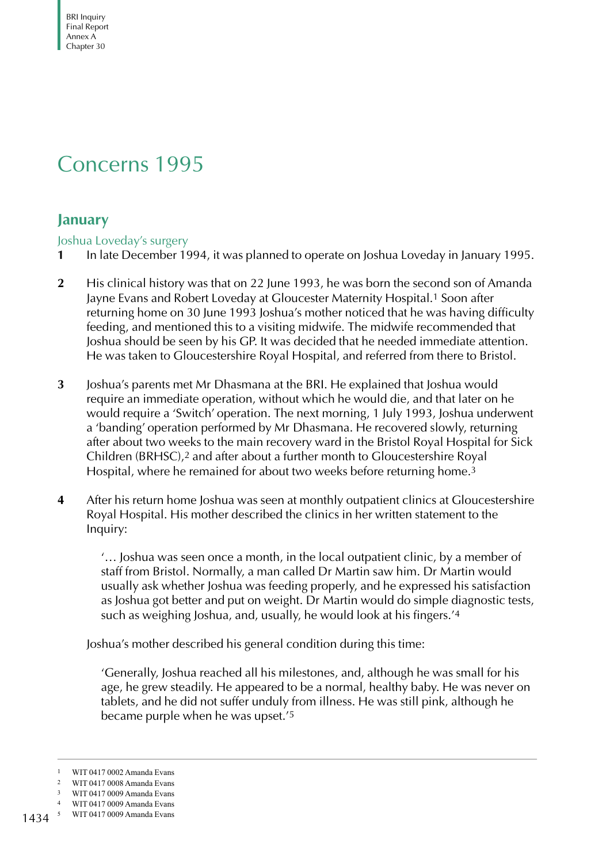## <span id="page-99-0"></span>Concerns 1995

## <span id="page-99-1"></span>**January**

<span id="page-99-2"></span>Joshua Loveday's surgery

- **1** In late December 1994, it was planned to operate on Joshua Loveday in January 1995.
- **2** His clinical history was that on 22 June 1993, he was born the second son of Amanda Jayne Evans and Robert Loveday at Gloucester Maternity Hospital.1 Soon after returning home on 30 June 1993 Joshua's mother noticed that he was having difficulty feeding, and mentioned this to a visiting midwife. The midwife recommended that Joshua should be seen by his GP. It was decided that he needed immediate attention. He was taken to Gloucestershire Royal Hospital, and referred from there to Bristol.
- **3** Joshua's parents met Mr Dhasmana at the BRI. He explained that Joshua would require an immediate operation, without which he would die, and that later on he would require a 'Switch' operation. The next morning, 1 July 1993, Joshua underwent a 'banding' operation performed by Mr Dhasmana. He recovered slowly, returning after about two weeks to the main recovery ward in the Bristol Royal Hospital for Sick Children (BRHSC),2 and after about a further month to Gloucestershire Royal Hospital, where he remained for about two weeks before returning home.3
- **4** After his return home Joshua was seen at monthly outpatient clinics at Gloucestershire Royal Hospital. His mother described the clinics in her written statement to the Inquiry:

'… Joshua was seen once a month, in the local outpatient clinic, by a member of staff from Bristol. Normally, a man called Dr Martin saw him. Dr Martin would usually ask whether Joshua was feeding properly, and he expressed his satisfaction as Joshua got better and put on weight. Dr Martin would do simple diagnostic tests, such as weighing Joshua, and, usually, he would look at his fingers.<sup>'4</sup>

Joshua's mother described his general condition during this time:

'Generally, Joshua reached all his milestones, and, although he was small for his age, he grew steadily. He appeared to be a normal, healthy baby. He was never on tablets, and he did not suffer unduly from illness. He was still pink, although he became purple when he was upset.'5

<sup>1</sup> WIT 0417 0002 Amanda Evans

<sup>2</sup> WIT 0417 0008 Amanda Evans

<sup>3</sup> WIT 0417 0009 Amanda Evans

<sup>4</sup> WIT 0417 0009 Amanda Evans

<sup>1434</sup> 5 WIT 0417 0009 Amanda Evans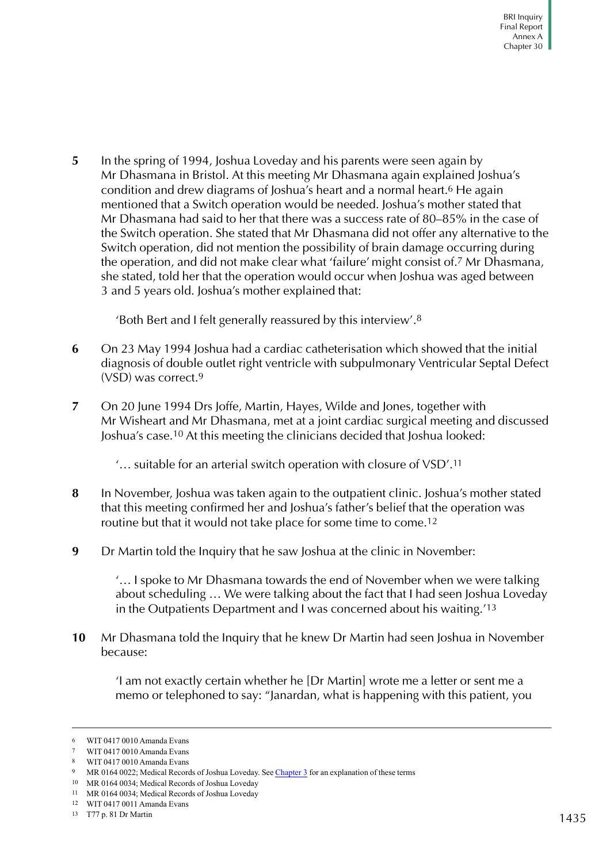**5** In the spring of 1994, Joshua Loveday and his parents were seen again by Mr Dhasmana in Bristol. At this meeting Mr Dhasmana again explained Joshua's condition and drew diagrams of Joshua's heart and a normal heart.6 He again mentioned that a Switch operation would be needed. Joshua's mother stated that Mr Dhasmana had said to her that there was a success rate of 80–85% in the case of the Switch operation. She stated that Mr Dhasmana did not offer any alternative to the Switch operation, did not mention the possibility of brain damage occurring during the operation, and did not make clear what 'failure' might consist of.7 Mr Dhasmana, she stated, told her that the operation would occur when Joshua was aged between 3 and 5 years old. Joshua's mother explained that:

'Both Bert and I felt generally reassured by this interview'.8

- **6** On 23 May 1994 Joshua had a cardiac catheterisation which showed that the initial diagnosis of double outlet right ventricle with subpulmonary Ventricular Septal Defect (VSD) was correct.9
- **7** On 20 June 1994 Drs Joffe, Martin, Hayes, Wilde and Jones, together with Mr Wisheart and Mr Dhasmana, met at a joint cardiac surgical meeting and discussed Joshua's case.10 At this meeting the clinicians decided that Joshua looked:

'… suitable for an arterial switch operation with closure of VSD'.11

- **8** In November, Joshua was taken again to the outpatient clinic. Joshua's mother stated that this meeting confirmed her and Joshua's father's belief that the operation was routine but that it would not take place for some time to come.12
- **9** Dr Martin told the Inquiry that he saw Joshua at the clinic in November:

'… I spoke to Mr Dhasmana towards the end of November when we were talking about scheduling … We were talking about the fact that I had seen Joshua Loveday in the Outpatients Department and I was concerned about his waiting.'13

**10** Mr Dhasmana told the Inquiry that he knew Dr Martin had seen Joshua in November because:

'I am not exactly certain whether he [Dr Martin] wrote me a letter or sent me a memo or telephoned to say: "Janardan, what is happening with this patient, you

<sup>6</sup> WIT 0417 0010 Amanda Evans

<sup>7</sup> WIT 0417 0010 Amanda Evans

<sup>8</sup> WIT 0417 0010 Amanda Evans

<sup>9</sup> MR 0164 0022; Medical Records of Joshua Loveday. See *Chapter 3* for an explanation of these terms

<sup>10</sup> MR 0164 0034; Medical Records of Joshua Loveday

<sup>11</sup> MR 0164 0034; Medical Records of Joshua Loveday

<sup>12</sup> WIT 0417 0011 Amanda Evans

<sup>13</sup> T77 p. 81 Dr Martin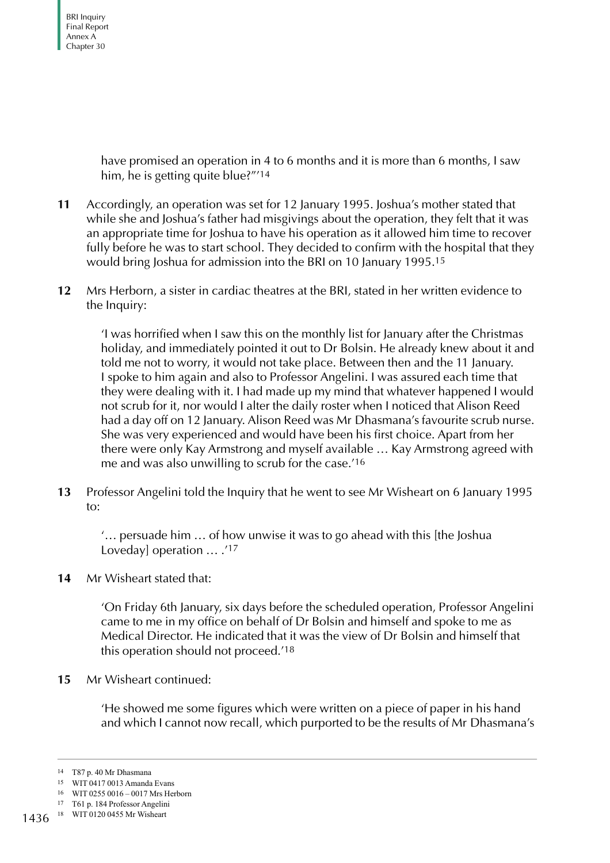have promised an operation in 4 to 6 months and it is more than 6 months, I saw him, he is getting quite blue?"'14

- **11** Accordingly, an operation was set for 12 January 1995. Joshua's mother stated that while she and Joshua's father had misgivings about the operation, they felt that it was an appropriate time for Joshua to have his operation as it allowed him time to recover fully before he was to start school. They decided to confirm with the hospital that they would bring Joshua for admission into the BRI on 10 January 1995.15
- **12** Mrs Herborn, a sister in cardiac theatres at the BRI, stated in her written evidence to the Inquiry:

'I was horrified when I saw this on the monthly list for January after the Christmas holiday, and immediately pointed it out to Dr Bolsin. He already knew about it and told me not to worry, it would not take place. Between then and the 11 January. I spoke to him again and also to Professor Angelini. I was assured each time that they were dealing with it. I had made up my mind that whatever happened I would not scrub for it, nor would I alter the daily roster when I noticed that Alison Reed had a day off on 12 January. Alison Reed was Mr Dhasmana's favourite scrub nurse. She was very experienced and would have been his first choice. Apart from her there were only Kay Armstrong and myself available … Kay Armstrong agreed with me and was also unwilling to scrub for the case.'16

**13** Professor Angelini told the Inquiry that he went to see Mr Wisheart on 6 January 1995 to:

'… persuade him … of how unwise it was to go ahead with this [the Joshua Loveday] operation … .'17

**14** Mr Wisheart stated that:

'On Friday 6th January, six days before the scheduled operation, Professor Angelini came to me in my office on behalf of Dr Bolsin and himself and spoke to me as Medical Director. He indicated that it was the view of Dr Bolsin and himself that this operation should not proceed.'18

**15** Mr Wisheart continued:

'He showed me some figures which were written on a piece of paper in his hand and which I cannot now recall, which purported to be the results of Mr Dhasmana's

<sup>14</sup> T87 p. 40 Mr Dhasmana

<sup>15</sup> WIT 0417 0013 Amanda Evans

<sup>16</sup> WIT 0255 0016 – 0017 Mrs Herborn

<sup>17</sup> T61 p. 184 Professor Angelini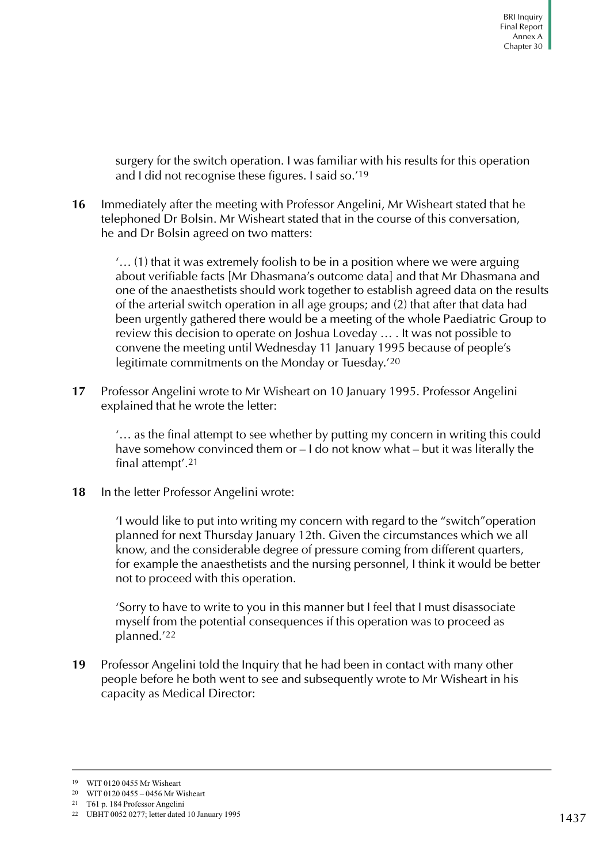surgery for the switch operation. I was familiar with his results for this operation and I did not recognise these figures. I said so.'19

**16** Immediately after the meeting with Professor Angelini, Mr Wisheart stated that he telephoned Dr Bolsin. Mr Wisheart stated that in the course of this conversation, he and Dr Bolsin agreed on two matters:

'… (1) that it was extremely foolish to be in a position where we were arguing about verifiable facts [Mr Dhasmana's outcome data] and that Mr Dhasmana and one of the anaesthetists should work together to establish agreed data on the results of the arterial switch operation in all age groups; and (2) that after that data had been urgently gathered there would be a meeting of the whole Paediatric Group to review this decision to operate on Joshua Loveday … . It was not possible to convene the meeting until Wednesday 11 January 1995 because of people's legitimate commitments on the Monday or Tuesday.'20

**17** Professor Angelini wrote to Mr Wisheart on 10 January 1995. Professor Angelini explained that he wrote the letter:

'… as the final attempt to see whether by putting my concern in writing this could have somehow convinced them or – I do not know what – but it was literally the final attempt'.21

**18** In the letter Professor Angelini wrote:

'I would like to put into writing my concern with regard to the "switch"operation planned for next Thursday January 12th. Given the circumstances which we all know, and the considerable degree of pressure coming from different quarters, for example the anaesthetists and the nursing personnel, I think it would be better not to proceed with this operation.

'Sorry to have to write to you in this manner but I feel that I must disassociate myself from the potential consequences if this operation was to proceed as planned.'22

**19** Professor Angelini told the Inquiry that he had been in contact with many other people before he both went to see and subsequently wrote to Mr Wisheart in his capacity as Medical Director:

<sup>19</sup> WIT 0120 0455 Mr Wisheart

<sup>20</sup> WIT 0120 0455 – 0456 Mr Wisheart

<sup>21</sup> T61 p. 184 Professor Angelini

<sup>22</sup> UBHT 0052 0277; letter dated 10 January 1995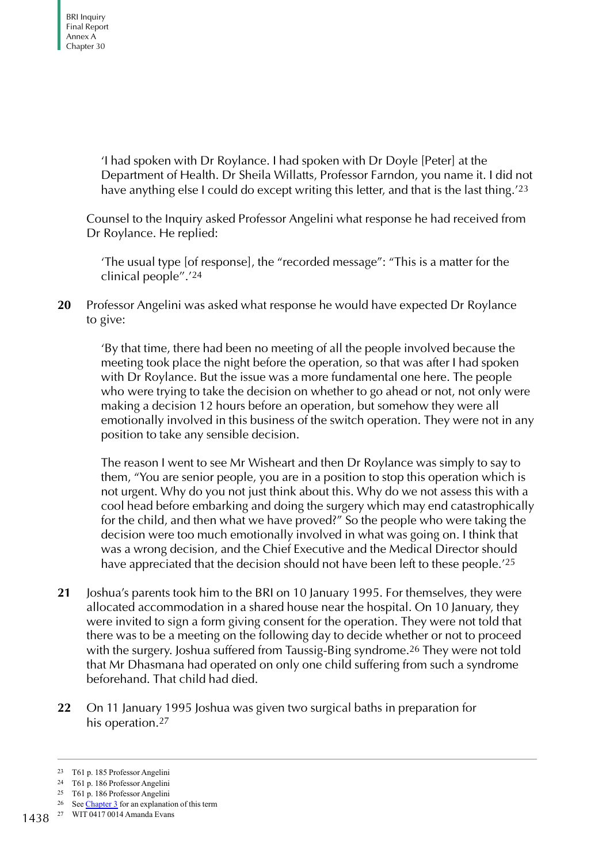'I had spoken with Dr Roylance. I had spoken with Dr Doyle [Peter] at the Department of Health. Dr Sheila Willatts, Professor Farndon, you name it. I did not have anything else I could do except writing this letter, and that is the last thing.<sup>'23</sup>

Counsel to the Inquiry asked Professor Angelini what response he had received from Dr Roylance. He replied:

'The usual type [of response], the "recorded message": "This is a matter for the clinical people''.'24

**20** Professor Angelini was asked what response he would have expected Dr Roylance to give:

'By that time, there had been no meeting of all the people involved because the meeting took place the night before the operation, so that was after I had spoken with Dr Roylance. But the issue was a more fundamental one here. The people who were trying to take the decision on whether to go ahead or not, not only were making a decision 12 hours before an operation, but somehow they were all emotionally involved in this business of the switch operation. They were not in any position to take any sensible decision.

The reason I went to see Mr Wisheart and then Dr Roylance was simply to say to them, "You are senior people, you are in a position to stop this operation which is not urgent. Why do you not just think about this. Why do we not assess this with a cool head before embarking and doing the surgery which may end catastrophically for the child, and then what we have proved?" So the people who were taking the decision were too much emotionally involved in what was going on. I think that was a wrong decision, and the Chief Executive and the Medical Director should have appreciated that the decision should not have been left to these people.'25

- **21** Joshua's parents took him to the BRI on 10 January 1995. For themselves, they were allocated accommodation in a shared house near the hospital. On 10 January, they were invited to sign a form giving consent for the operation. They were not told that there was to be a meeting on the following day to decide whether or not to proceed with the surgery. Joshua suffered from Taussig-Bing syndrome.26 They were not told that Mr Dhasmana had operated on only one child suffering from such a syndrome beforehand. That child had died.
- **22** On 11 January 1995 Joshua was given two surgical baths in preparation for his operation.27

<sup>23</sup> T61 p. 185 Professor Angelini

<sup>24</sup> T61 p. 186 Professor Angelini

<sup>25</sup> T61 p. 186 Professor Angelini

<sup>26</sup> See Chapter 3 for an explanation of this term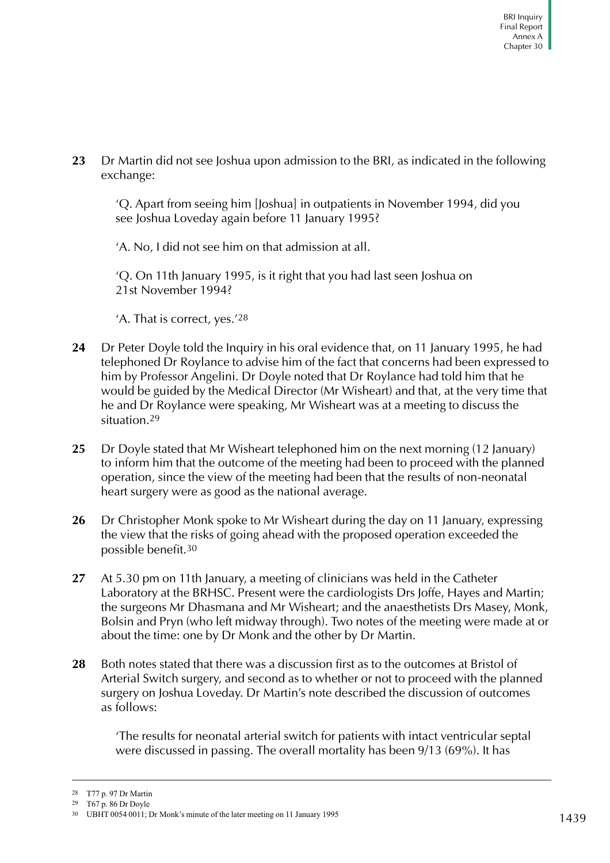**23** Dr Martin did not see Joshua upon admission to the BRI, as indicated in the following exchange:

'Q. Apart from seeing him [Joshua] in outpatients in November 1994, did you see Joshua Loveday again before 11 January 1995?

'A. No, I did not see him on that admission at all.

'Q. On 11th January 1995, is it right that you had last seen Joshua on 21st November 1994?

'A. That is correct, yes.'28

- **24** Dr Peter Doyle told the Inquiry in his oral evidence that, on 11 January 1995, he had telephoned Dr Roylance to advise him of the fact that concerns had been expressed to him by Professor Angelini. Dr Doyle noted that Dr Roylance had told him that he would be guided by the Medical Director (Mr Wisheart) and that, at the very time that he and Dr Roylance were speaking, Mr Wisheart was at a meeting to discuss the situation.29
- **25** Dr Doyle stated that Mr Wisheart telephoned him on the next morning (12 January) to inform him that the outcome of the meeting had been to proceed with the planned operation, since the view of the meeting had been that the results of non-neonatal heart surgery were as good as the national average.
- **26** Dr Christopher Monk spoke to Mr Wisheart during the day on 11 January, expressing the view that the risks of going ahead with the proposed operation exceeded the possible benefit.30
- **27** At 5.30 pm on 11th January, a meeting of clinicians was held in the Catheter Laboratory at the BRHSC. Present were the cardiologists Drs Joffe, Hayes and Martin; the surgeons Mr Dhasmana and Mr Wisheart; and the anaesthetists Drs Masey, Monk, Bolsin and Pryn (who left midway through). Two notes of the meeting were made at or about the time: one by Dr Monk and the other by Dr Martin.
- **28** Both notes stated that there was a discussion first as to the outcomes at Bristol of Arterial Switch surgery, and second as to whether or not to proceed with the planned surgery on Joshua Loveday. Dr Martin's note described the discussion of outcomes as follows:

'The results for neonatal arterial switch for patients with intact ventricular septal were discussed in passing. The overall mortality has been 9/13 (69%). It has

<sup>28</sup> T77 p. 97 Dr Martin

<sup>29</sup> T67 p. 86 Dr Doyle

<sup>30</sup> UBHT 0054 0011; Dr Monk's minute of the later meeting on 11 January 1995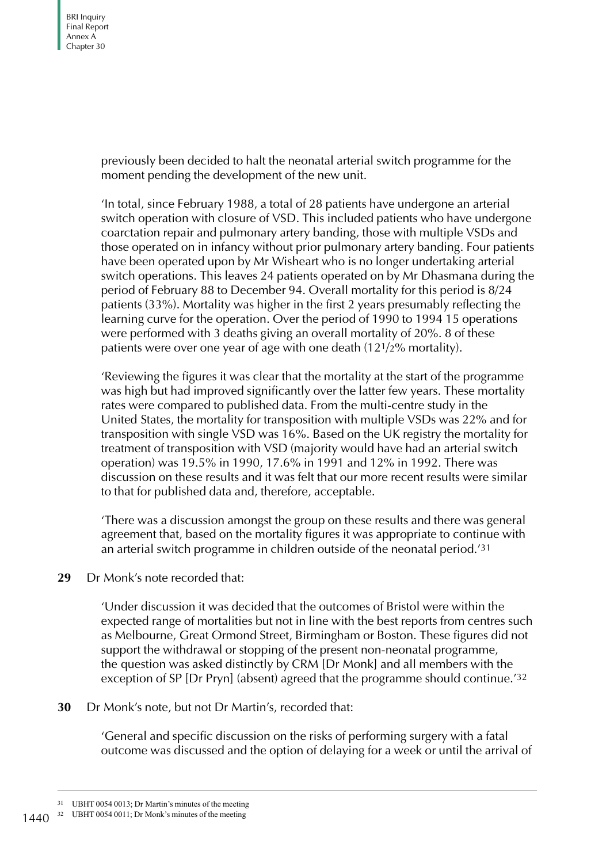previously been decided to halt the neonatal arterial switch programme for the moment pending the development of the new unit.

'In total, since February 1988, a total of 28 patients have undergone an arterial switch operation with closure of VSD. This included patients who have undergone coarctation repair and pulmonary artery banding, those with multiple VSDs and those operated on in infancy without prior pulmonary artery banding. Four patients have been operated upon by Mr Wisheart who is no longer undertaking arterial switch operations. This leaves 24 patients operated on by Mr Dhasmana during the period of February 88 to December 94. Overall mortality for this period is 8/24 patients (33%). Mortality was higher in the first 2 years presumably reflecting the learning curve for the operation. Over the period of 1990 to 1994 15 operations were performed with 3 deaths giving an overall mortality of 20%. 8 of these patients were over one year of age with one death (121/2% mortality).

'Reviewing the figures it was clear that the mortality at the start of the programme was high but had improved significantly over the latter few years. These mortality rates were compared to published data. From the multi-centre study in the United States, the mortality for transposition with multiple VSDs was 22% and for transposition with single VSD was 16%. Based on the UK registry the mortality for treatment of transposition with VSD (majority would have had an arterial switch operation) was 19.5% in 1990, 17.6% in 1991 and 12% in 1992. There was discussion on these results and it was felt that our more recent results were similar to that for published data and, therefore, acceptable.

'There was a discussion amongst the group on these results and there was general agreement that, based on the mortality figures it was appropriate to continue with an arterial switch programme in children outside of the neonatal period.'31

#### **29** Dr Monk's note recorded that:

'Under discussion it was decided that the outcomes of Bristol were within the expected range of mortalities but not in line with the best reports from centres such as Melbourne, Great Ormond Street, Birmingham or Boston. These figures did not support the withdrawal or stopping of the present non-neonatal programme, the question was asked distinctly by CRM [Dr Monk] and all members with the exception of SP [Dr Pryn] (absent) agreed that the programme should continue.'32

#### **30** Dr Monk's note, but not Dr Martin's, recorded that:

'General and specific discussion on the risks of performing surgery with a fatal outcome was discussed and the option of delaying for a week or until the arrival of

<sup>31</sup> UBHT 0054 0013; Dr Martin's minutes of the meeting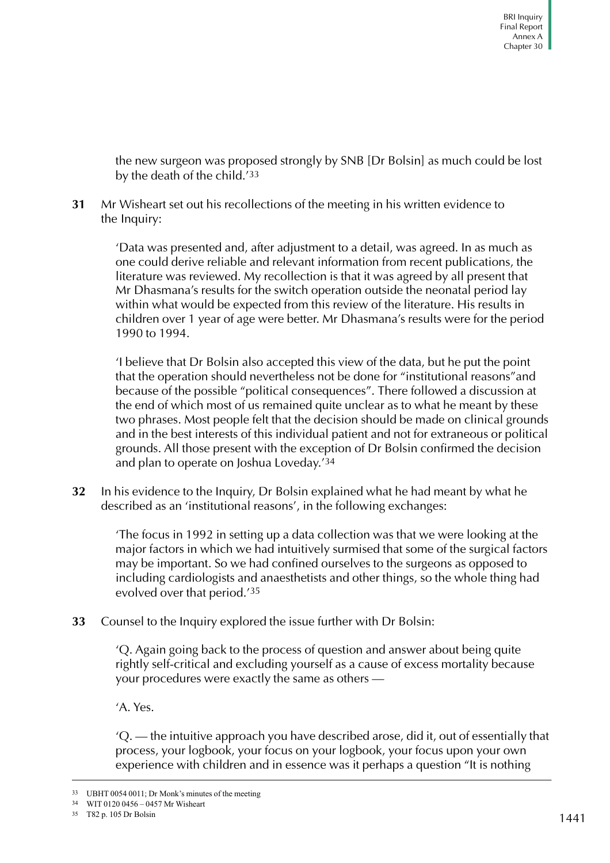the new surgeon was proposed strongly by SNB [Dr Bolsin] as much could be lost by the death of the child.'33

**31** Mr Wisheart set out his recollections of the meeting in his written evidence to the Inquiry:

> 'Data was presented and, after adjustment to a detail, was agreed. In as much as one could derive reliable and relevant information from recent publications, the literature was reviewed. My recollection is that it was agreed by all present that Mr Dhasmana's results for the switch operation outside the neonatal period lay within what would be expected from this review of the literature. His results in children over 1 year of age were better. Mr Dhasmana's results were for the period 1990 to 1994.

> 'I believe that Dr Bolsin also accepted this view of the data, but he put the point that the operation should nevertheless not be done for "institutional reasons"and because of the possible "political consequences". There followed a discussion at the end of which most of us remained quite unclear as to what he meant by these two phrases. Most people felt that the decision should be made on clinical grounds and in the best interests of this individual patient and not for extraneous or political grounds. All those present with the exception of Dr Bolsin confirmed the decision and plan to operate on Joshua Loveday.'34

**32** In his evidence to the Inquiry, Dr Bolsin explained what he had meant by what he described as an 'institutional reasons', in the following exchanges:

'The focus in 1992 in setting up a data collection was that we were looking at the major factors in which we had intuitively surmised that some of the surgical factors may be important. So we had confined ourselves to the surgeons as opposed to including cardiologists and anaesthetists and other things, so the whole thing had evolved over that period.'35

**33** Counsel to the Inquiry explored the issue further with Dr Bolsin:

'Q. Again going back to the process of question and answer about being quite rightly self-critical and excluding yourself as a cause of excess mortality because your procedures were exactly the same as others —

'A. Yes.

'Q. — the intuitive approach you have described arose, did it, out of essentially that process, your logbook, your focus on your logbook, your focus upon your own experience with children and in essence was it perhaps a question "It is nothing

<sup>33</sup> UBHT 0054 0011; Dr Monk's minutes of the meeting

<sup>34</sup> WIT 0120 0456 – 0457 Mr Wisheart

<sup>35</sup> T82 p. 105 Dr Bolsin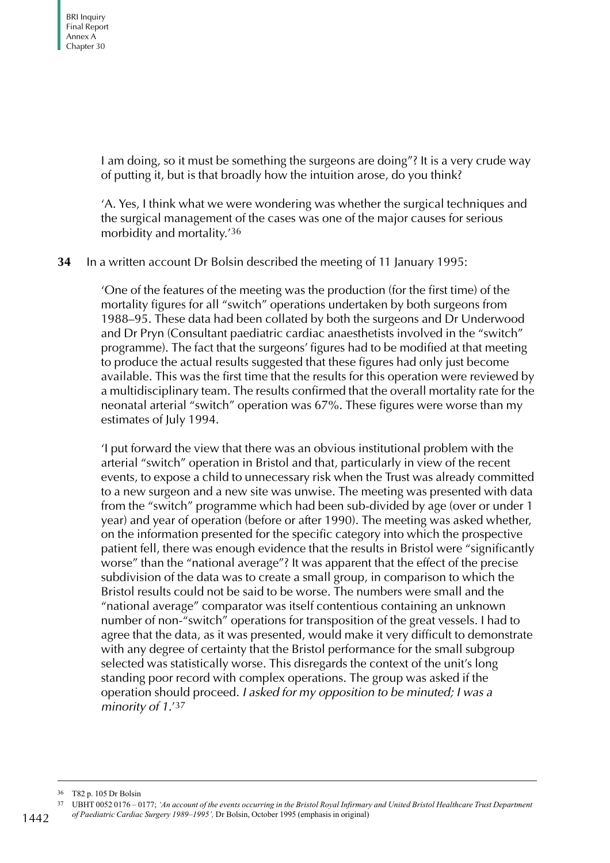I am doing, so it must be something the surgeons are doing"? It is a very crude way of putting it, but is that broadly how the intuition arose, do you think?

'A. Yes, I think what we were wondering was whether the surgical techniques and the surgical management of the cases was one of the major causes for serious morbidity and mortality.'36

#### **34** In a written account Dr Bolsin described the meeting of 11 January 1995:

'One of the features of the meeting was the production (for the first time) of the mortality figures for all "switch" operations undertaken by both surgeons from 1988–95. These data had been collated by both the surgeons and Dr Underwood and Dr Pryn (Consultant paediatric cardiac anaesthetists involved in the "switch" programme). The fact that the surgeons' figures had to be modified at that meeting to produce the actual results suggested that these figures had only just become available. This was the first time that the results for this operation were reviewed by a multidisciplinary team. The results confirmed that the overall mortality rate for the neonatal arterial "switch" operation was 67%. These figures were worse than my estimates of July 1994.

'I put forward the view that there was an obvious institutional problem with the arterial "switch" operation in Bristol and that, particularly in view of the recent events, to expose a child to unnecessary risk when the Trust was already committed to a new surgeon and a new site was unwise. The meeting was presented with data from the "switch" programme which had been sub-divided by age (over or under 1 year) and year of operation (before or after 1990). The meeting was asked whether, on the information presented for the specific category into which the prospective patient fell, there was enough evidence that the results in Bristol were "significantly worse" than the "national average"? It was apparent that the effect of the precise subdivision of the data was to create a small group, in comparison to which the Bristol results could not be said to be worse. The numbers were small and the "national average" comparator was itself contentious containing an unknown number of non-"switch" operations for transposition of the great vessels. I had to agree that the data, as it was presented, would make it very difficult to demonstrate with any degree of certainty that the Bristol performance for the small subgroup selected was statistically worse. This disregards the context of the unit's long standing poor record with complex operations. The group was asked if the operation should proceed. I asked for my opposition to be minuted; I was a minority of 1.'37

<sup>36</sup> T82 p. 105 Dr Bolsin

<sup>37</sup> UBHT 0052 0176 – 0177; *'An account of the events occurring in the Bristol Royal Infirmary and United Bristol Healthcare Trust Department* 

*of Paediatric Cardiac Surgery 1989–1995',* Dr Bolsin, October 1995 (emphasis in original)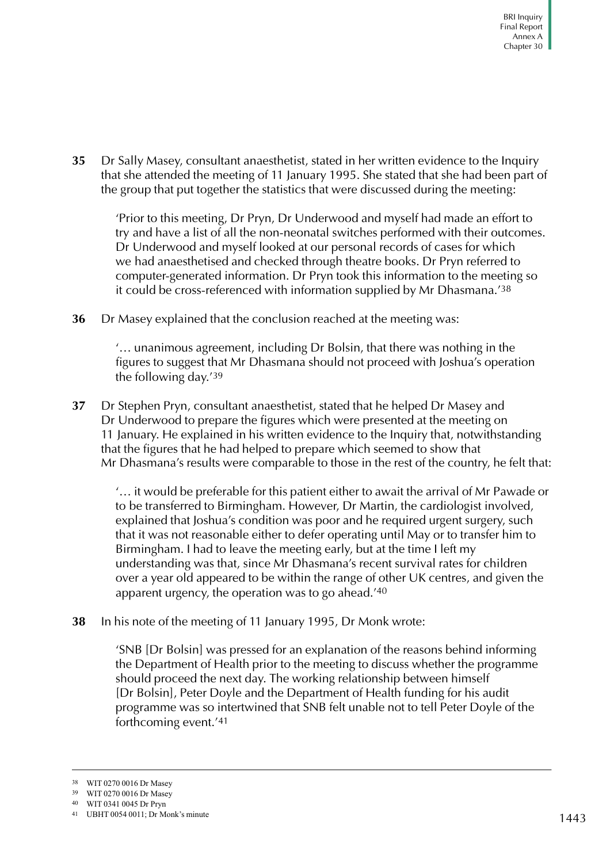**35** Dr Sally Masey, consultant anaesthetist, stated in her written evidence to the Inquiry that she attended the meeting of 11 January 1995. She stated that she had been part of the group that put together the statistics that were discussed during the meeting:

'Prior to this meeting, Dr Pryn, Dr Underwood and myself had made an effort to try and have a list of all the non-neonatal switches performed with their outcomes. Dr Underwood and myself looked at our personal records of cases for which we had anaesthetised and checked through theatre books. Dr Pryn referred to computer-generated information. Dr Pryn took this information to the meeting so it could be cross-referenced with information supplied by Mr Dhasmana.'38

**36** Dr Masey explained that the conclusion reached at the meeting was:

'… unanimous agreement, including Dr Bolsin, that there was nothing in the figures to suggest that Mr Dhasmana should not proceed with Joshua's operation the following day.'39

**37** Dr Stephen Pryn, consultant anaesthetist, stated that he helped Dr Masey and Dr Underwood to prepare the figures which were presented at the meeting on 11 January. He explained in his written evidence to the Inquiry that, notwithstanding that the figures that he had helped to prepare which seemed to show that Mr Dhasmana's results were comparable to those in the rest of the country, he felt that:

'… it would be preferable for this patient either to await the arrival of Mr Pawade or to be transferred to Birmingham. However, Dr Martin, the cardiologist involved, explained that Joshua's condition was poor and he required urgent surgery, such that it was not reasonable either to defer operating until May or to transfer him to Birmingham. I had to leave the meeting early, but at the time I left my understanding was that, since Mr Dhasmana's recent survival rates for children over a year old appeared to be within the range of other UK centres, and given the apparent urgency, the operation was to go ahead.'40

**38** In his note of the meeting of 11 January 1995, Dr Monk wrote:

'SNB [Dr Bolsin] was pressed for an explanation of the reasons behind informing the Department of Health prior to the meeting to discuss whether the programme should proceed the next day. The working relationship between himself [Dr Bolsin], Peter Doyle and the Department of Health funding for his audit programme was so intertwined that SNB felt unable not to tell Peter Doyle of the forthcoming event.'41

<sup>38</sup> WIT 0270 0016 Dr Masey

<sup>39</sup> WIT 0270 0016 Dr Masey

<sup>40</sup> WIT 0341 0045 Dr Pryn

<sup>41</sup> UBHT 0054 0011; Dr Monk's minute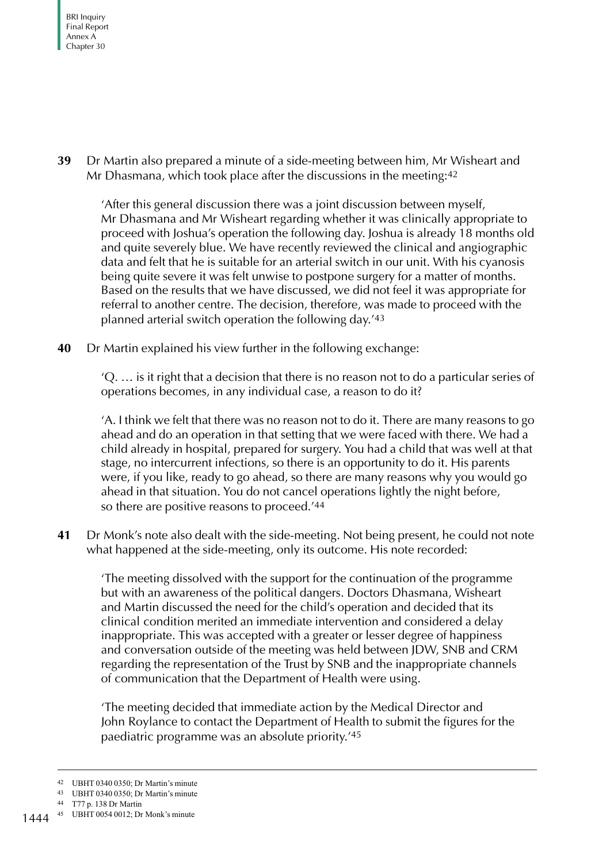**39** Dr Martin also prepared a minute of a side-meeting between him, Mr Wisheart and Mr Dhasmana, which took place after the discussions in the meeting:42

'After this general discussion there was a joint discussion between myself, Mr Dhasmana and Mr Wisheart regarding whether it was clinically appropriate to proceed with Joshua's operation the following day. Joshua is already 18 months old and quite severely blue. We have recently reviewed the clinical and angiographic data and felt that he is suitable for an arterial switch in our unit. With his cyanosis being quite severe it was felt unwise to postpone surgery for a matter of months. Based on the results that we have discussed, we did not feel it was appropriate for referral to another centre. The decision, therefore, was made to proceed with the planned arterial switch operation the following day.'43

**40** Dr Martin explained his view further in the following exchange:

'Q. … is it right that a decision that there is no reason not to do a particular series of operations becomes, in any individual case, a reason to do it?

'A. I think we felt that there was no reason not to do it. There are many reasons to go ahead and do an operation in that setting that we were faced with there. We had a child already in hospital, prepared for surgery. You had a child that was well at that stage, no intercurrent infections, so there is an opportunity to do it. His parents were, if you like, ready to go ahead, so there are many reasons why you would go ahead in that situation. You do not cancel operations lightly the night before, so there are positive reasons to proceed.'44

**41** Dr Monk's note also dealt with the side-meeting. Not being present, he could not note what happened at the side-meeting, only its outcome. His note recorded:

'The meeting dissolved with the support for the continuation of the programme but with an awareness of the political dangers. Doctors Dhasmana, Wisheart and Martin discussed the need for the child's operation and decided that its clinical condition merited an immediate intervention and considered a delay inappropriate. This was accepted with a greater or lesser degree of happiness and conversation outside of the meeting was held between JDW, SNB and CRM regarding the representation of the Trust by SNB and the inappropriate channels of communication that the Department of Health were using.

'The meeting decided that immediate action by the Medical Director and John Roylance to contact the Department of Health to submit the figures for the paediatric programme was an absolute priority.'45

<sup>42</sup> UBHT 0340 0350; Dr Martin's minute

<sup>43</sup> UBHT 0340 0350; Dr Martin's minute

<sup>44</sup> T77 p. 138 Dr Martin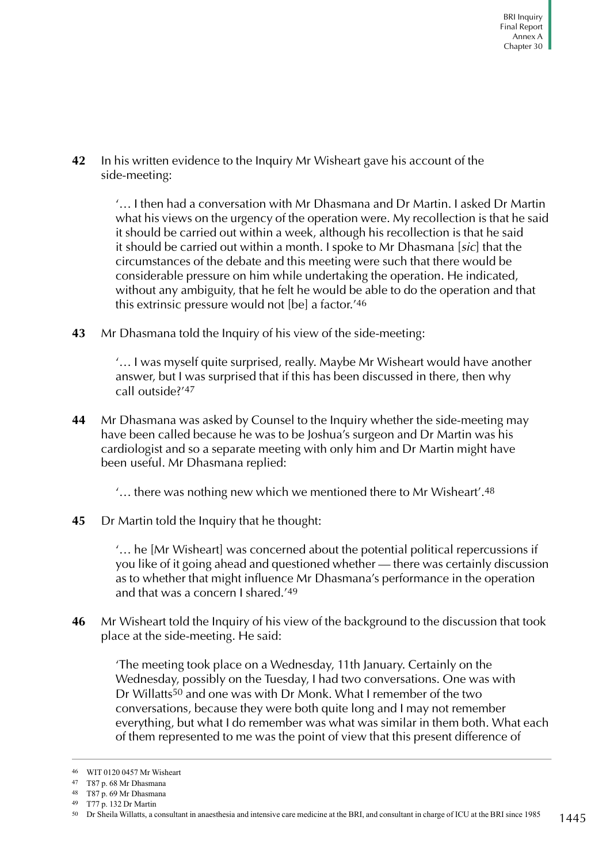**42** In his written evidence to the Inquiry Mr Wisheart gave his account of the side-meeting:

> '… I then had a conversation with Mr Dhasmana and Dr Martin. I asked Dr Martin what his views on the urgency of the operation were. My recollection is that he said it should be carried out within a week, although his recollection is that he said it should be carried out within a month. I spoke to Mr Dhasmana [sic] that the circumstances of the debate and this meeting were such that there would be considerable pressure on him while undertaking the operation. He indicated, without any ambiguity, that he felt he would be able to do the operation and that this extrinsic pressure would not [be] a factor.'46

**43** Mr Dhasmana told the Inquiry of his view of the side-meeting:

'… I was myself quite surprised, really. Maybe Mr Wisheart would have another answer, but I was surprised that if this has been discussed in there, then why call outside?'47

- **44** Mr Dhasmana was asked by Counsel to the Inquiry whether the side-meeting may have been called because he was to be Joshua's surgeon and Dr Martin was his cardiologist and so a separate meeting with only him and Dr Martin might have been useful. Mr Dhasmana replied:
	- '… there was nothing new which we mentioned there to Mr Wisheart'.48
- **45** Dr Martin told the Inquiry that he thought:

'… he [Mr Wisheart] was concerned about the potential political repercussions if you like of it going ahead and questioned whether — there was certainly discussion as to whether that might influence Mr Dhasmana's performance in the operation and that was a concern I shared.'49

**46** Mr Wisheart told the Inquiry of his view of the background to the discussion that took place at the side-meeting. He said:

'The meeting took place on a Wednesday, 11th January. Certainly on the Wednesday, possibly on the Tuesday, I had two conversations. One was with Dr Willatts50 and one was with Dr Monk. What I remember of the two conversations, because they were both quite long and I may not remember everything, but what I do remember was what was similar in them both. What each of them represented to me was the point of view that this present difference of

<sup>46</sup> WIT 0120 0457 Mr Wisheart

<sup>47</sup> T87 p. 68 Mr Dhasmana

<sup>48</sup> T87 p. 69 Mr Dhasmana

<sup>49</sup> T77 p. 132 Dr Martin

<sup>1445</sup> 50 Dr Sheila Willatts, a consultant in anaesthesia and intensive care medicine at the BRI, and consultant in charge of ICU at the BRI since 1985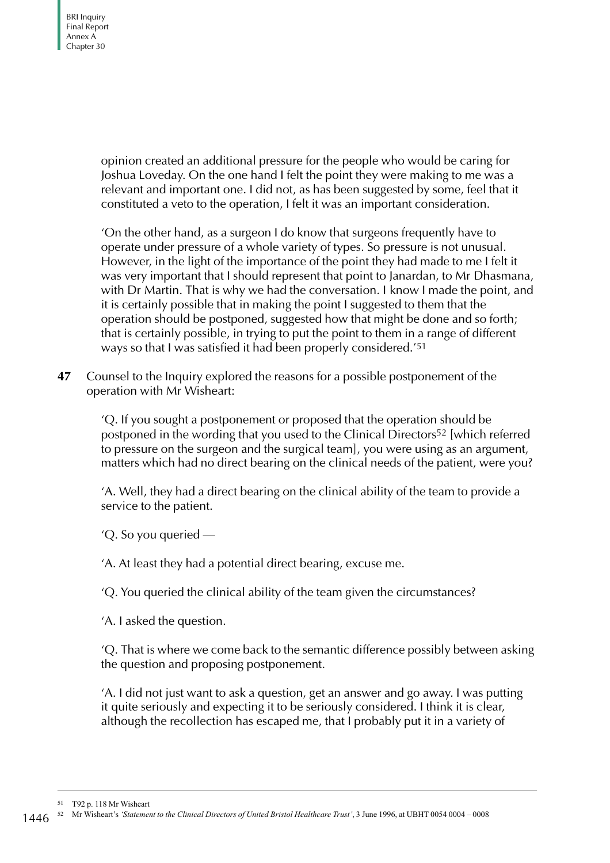opinion created an additional pressure for the people who would be caring for Joshua Loveday. On the one hand I felt the point they were making to me was a relevant and important one. I did not, as has been suggested by some, feel that it constituted a veto to the operation, I felt it was an important consideration.

'On the other hand, as a surgeon I do know that surgeons frequently have to operate under pressure of a whole variety of types. So pressure is not unusual. However, in the light of the importance of the point they had made to me I felt it was very important that I should represent that point to Janardan, to Mr Dhasmana, with Dr Martin. That is why we had the conversation. I know I made the point, and it is certainly possible that in making the point I suggested to them that the operation should be postponed, suggested how that might be done and so forth; that is certainly possible, in trying to put the point to them in a range of different ways so that I was satisfied it had been properly considered.'51

**47** Counsel to the Inquiry explored the reasons for a possible postponement of the operation with Mr Wisheart:

'Q. If you sought a postponement or proposed that the operation should be postponed in the wording that you used to the Clinical Directors52 [which referred to pressure on the surgeon and the surgical team], you were using as an argument, matters which had no direct bearing on the clinical needs of the patient, were you?

'A. Well, they had a direct bearing on the clinical ability of the team to provide a service to the patient.

'Q. So you queried —

'A. At least they had a potential direct bearing, excuse me.

'Q. You queried the clinical ability of the team given the circumstances?

'A. I asked the question.

'Q. That is where we come back to the semantic difference possibly between asking the question and proposing postponement.

'A. I did not just want to ask a question, get an answer and go away. I was putting it quite seriously and expecting it to be seriously considered. I think it is clear, although the recollection has escaped me, that I probably put it in a variety of

51 T92 p. 118 Mr Wisheart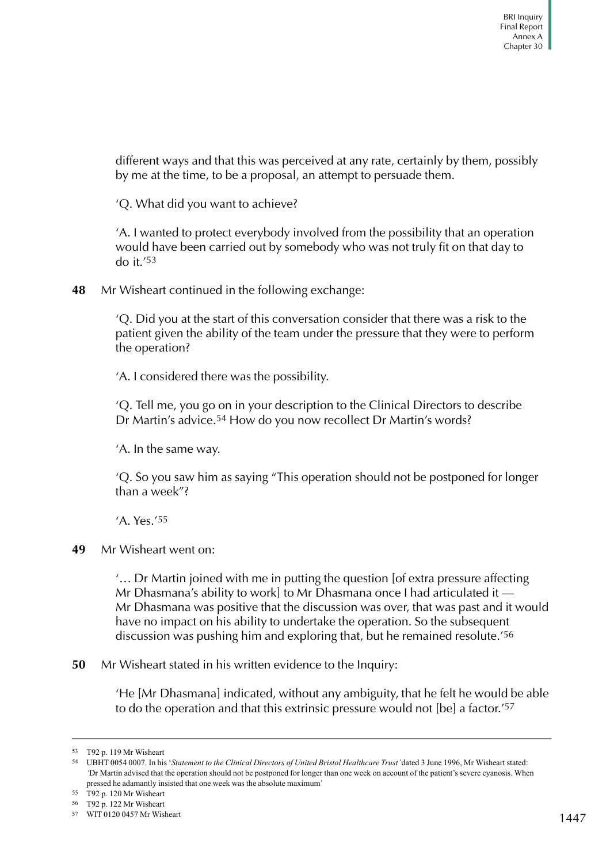different ways and that this was perceived at any rate, certainly by them, possibly by me at the time, to be a proposal, an attempt to persuade them.

'Q. What did you want to achieve?

'A. I wanted to protect everybody involved from the possibility that an operation would have been carried out by somebody who was not truly fit on that day to do it.'53

**48** Mr Wisheart continued in the following exchange:

'Q. Did you at the start of this conversation consider that there was a risk to the patient given the ability of the team under the pressure that they were to perform the operation?

'A. I considered there was the possibility.

'Q. Tell me, you go on in your description to the Clinical Directors to describe Dr Martin's advice.54 How do you now recollect Dr Martin's words?

'A. In the same way.

'Q. So you saw him as saying "This operation should not be postponed for longer than a week"?

'A. Yes.'55

# **49** Mr Wisheart went on:

'… Dr Martin joined with me in putting the question [of extra pressure affecting Mr Dhasmana's ability to work] to Mr Dhasmana once I had articulated it — Mr Dhasmana was positive that the discussion was over, that was past and it would have no impact on his ability to undertake the operation. So the subsequent discussion was pushing him and exploring that, but he remained resolute.'56

**50** Mr Wisheart stated in his written evidence to the Inquiry:

'He [Mr Dhasmana] indicated, without any ambiguity, that he felt he would be able to do the operation and that this extrinsic pressure would not [be] a factor.'57

<sup>53</sup> T92 p. 119 Mr Wisheart

<sup>54</sup> UBHT 0054 0007. In his '*Statement to the Clinical Directors of United Bristol Healthcare Trust'* dated 3 June 1996, Mr Wisheart stated: *'*Dr Martin advised that the operation should not be postponed for longer than one week on account of the patient's severe cyanosis. When pressed he adamantly insisted that one week was the absolute maximum'

<sup>55</sup> T92 p. 120 Mr Wisheart

<sup>56</sup> T92 p. 122 Mr Wisheart

<sup>57</sup> WIT 0120 0457 Mr Wisheart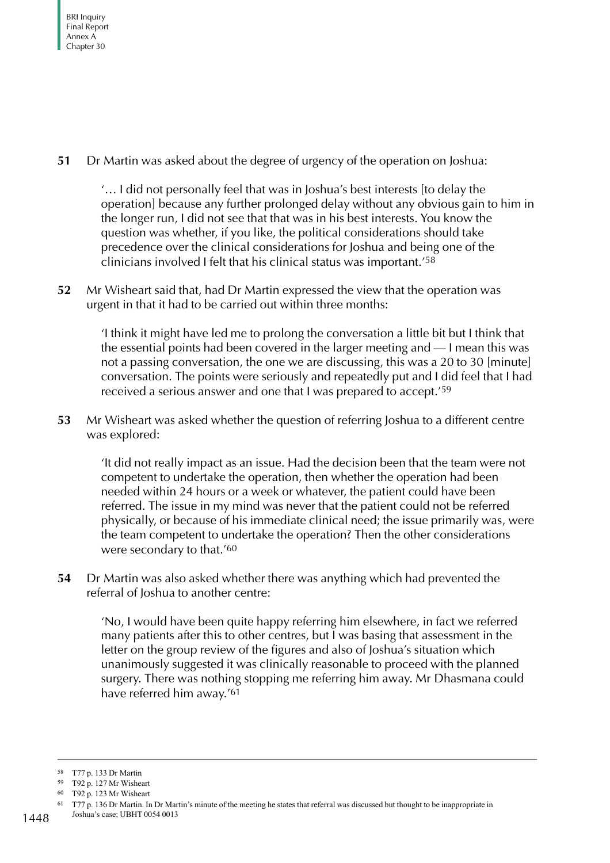**51** Dr Martin was asked about the degree of urgency of the operation on Joshua:

'… I did not personally feel that was in Joshua's best interests [to delay the operation] because any further prolonged delay without any obvious gain to him in the longer run, I did not see that that was in his best interests. You know the question was whether, if you like, the political considerations should take precedence over the clinical considerations for Joshua and being one of the clinicians involved I felt that his clinical status was important.'58

**52** Mr Wisheart said that, had Dr Martin expressed the view that the operation was urgent in that it had to be carried out within three months:

'I think it might have led me to prolong the conversation a little bit but I think that the essential points had been covered in the larger meeting and — I mean this was not a passing conversation, the one we are discussing, this was a 20 to 30 [minute] conversation. The points were seriously and repeatedly put and I did feel that I had received a serious answer and one that I was prepared to accept.'59

**53** Mr Wisheart was asked whether the question of referring Joshua to a different centre was explored:

'It did not really impact as an issue. Had the decision been that the team were not competent to undertake the operation, then whether the operation had been needed within 24 hours or a week or whatever, the patient could have been referred. The issue in my mind was never that the patient could not be referred physically, or because of his immediate clinical need; the issue primarily was, were the team competent to undertake the operation? Then the other considerations were secondary to that.'60

**54** Dr Martin was also asked whether there was anything which had prevented the referral of Joshua to another centre:

'No, I would have been quite happy referring him elsewhere, in fact we referred many patients after this to other centres, but I was basing that assessment in the letter on the group review of the figures and also of Joshua's situation which unanimously suggested it was clinically reasonable to proceed with the planned surgery. There was nothing stopping me referring him away. Mr Dhasmana could have referred him away.'61

61 T77 p. 136 Dr Martin. In Dr Martin's minute of the meeting he states that referral was discussed but thought to be inappropriate in Joshua's case; UBHT 0054 0013

<sup>58</sup> T77 p. 133 Dr Martin

<sup>59</sup> T92 p. 127 Mr Wisheart

<sup>60</sup> T92 p. 123 Mr Wisheart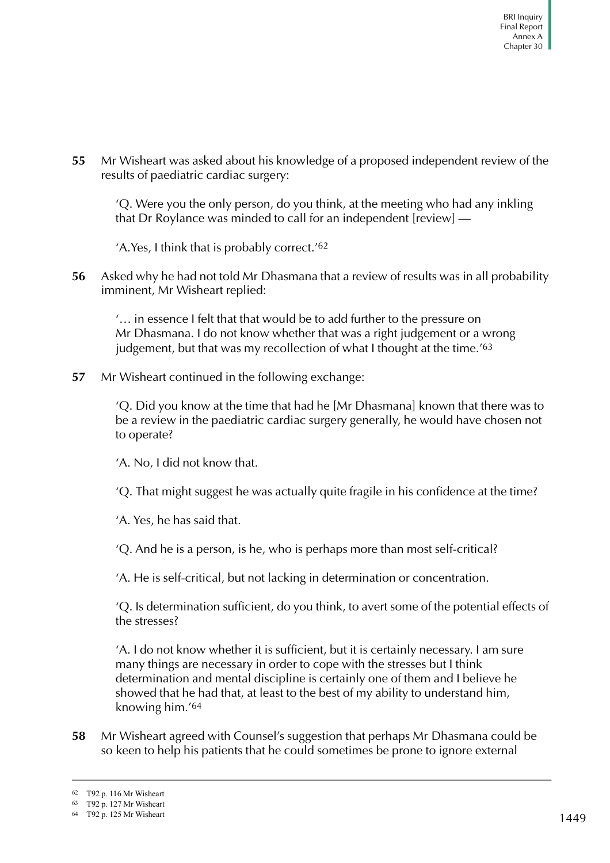**55** Mr Wisheart was asked about his knowledge of a proposed independent review of the results of paediatric cardiac surgery:

'Q. Were you the only person, do you think, at the meeting who had any inkling that Dr Roylance was minded to call for an independent [review] —

'A.Yes, I think that is probably correct.'62

**56** Asked why he had not told Mr Dhasmana that a review of results was in all probability imminent, Mr Wisheart replied:

'… in essence I felt that that would be to add further to the pressure on Mr Dhasmana. I do not know whether that was a right judgement or a wrong judgement, but that was my recollection of what I thought at the time.<sup>'63</sup>

#### **57** Mr Wisheart continued in the following exchange:

'Q. Did you know at the time that had he [Mr Dhasmana] known that there was to be a review in the paediatric cardiac surgery generally, he would have chosen not to operate?

'A. No, I did not know that.

'Q. That might suggest he was actually quite fragile in his confidence at the time?

'A. Yes, he has said that.

'Q. And he is a person, is he, who is perhaps more than most self-critical?

'A. He is self-critical, but not lacking in determination or concentration.

'Q. Is determination sufficient, do you think, to avert some of the potential effects of the stresses?

'A. I do not know whether it is sufficient, but it is certainly necessary. I am sure many things are necessary in order to cope with the stresses but I think determination and mental discipline is certainly one of them and I believe he showed that he had that, at least to the best of my ability to understand him, knowing him.'64

**58** Mr Wisheart agreed with Counsel's suggestion that perhaps Mr Dhasmana could be so keen to help his patients that he could sometimes be prone to ignore external

<sup>62</sup> T92 p. 116 Mr Wisheart

<sup>63</sup> T92 p. 127 Mr Wisheart

<sup>64</sup> T92 p. 125 Mr Wisheart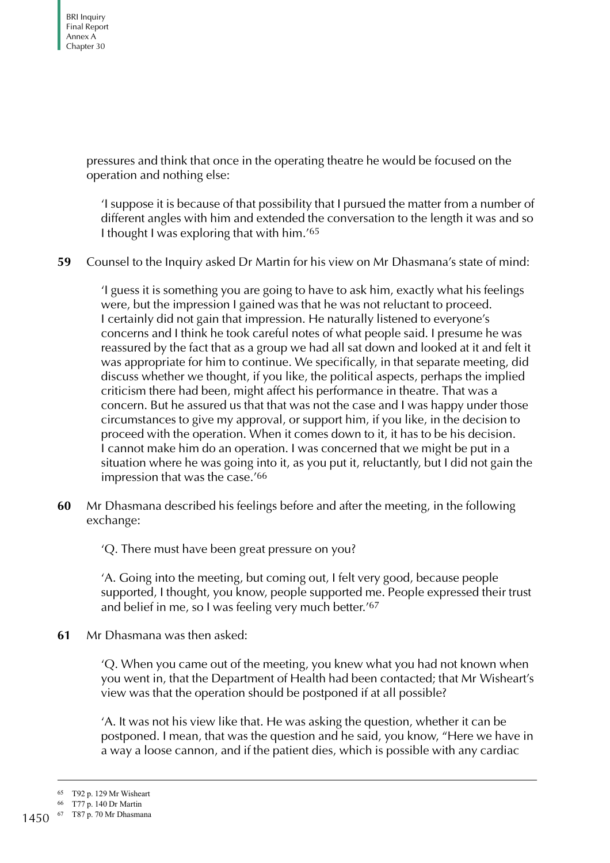pressures and think that once in the operating theatre he would be focused on the operation and nothing else:

'I suppose it is because of that possibility that I pursued the matter from a number of different angles with him and extended the conversation to the length it was and so I thought I was exploring that with him.'65

**59** Counsel to the Inquiry asked Dr Martin for his view on Mr Dhasmana's state of mind:

'I guess it is something you are going to have to ask him, exactly what his feelings were, but the impression I gained was that he was not reluctant to proceed. I certainly did not gain that impression. He naturally listened to everyone's concerns and I think he took careful notes of what people said. I presume he was reassured by the fact that as a group we had all sat down and looked at it and felt it was appropriate for him to continue. We specifically, in that separate meeting, did discuss whether we thought, if you like, the political aspects, perhaps the implied criticism there had been, might affect his performance in theatre. That was a concern. But he assured us that that was not the case and I was happy under those circumstances to give my approval, or support him, if you like, in the decision to proceed with the operation. When it comes down to it, it has to be his decision. I cannot make him do an operation. I was concerned that we might be put in a situation where he was going into it, as you put it, reluctantly, but I did not gain the impression that was the case.'66

**60** Mr Dhasmana described his feelings before and after the meeting, in the following exchange:

'Q. There must have been great pressure on you?

'A. Going into the meeting, but coming out, I felt very good, because people supported, I thought, you know, people supported me. People expressed their trust and belief in me, so I was feeling very much better.'67

**61** Mr Dhasmana was then asked:

'Q. When you came out of the meeting, you knew what you had not known when you went in, that the Department of Health had been contacted; that Mr Wisheart's view was that the operation should be postponed if at all possible?

'A. It was not his view like that. He was asking the question, whether it can be postponed. I mean, that was the question and he said, you know, "Here we have in a way a loose cannon, and if the patient dies, which is possible with any cardiac

<sup>65</sup> T92 p. 129 Mr Wisheart

<sup>66</sup> T77 p. 140 Dr Martin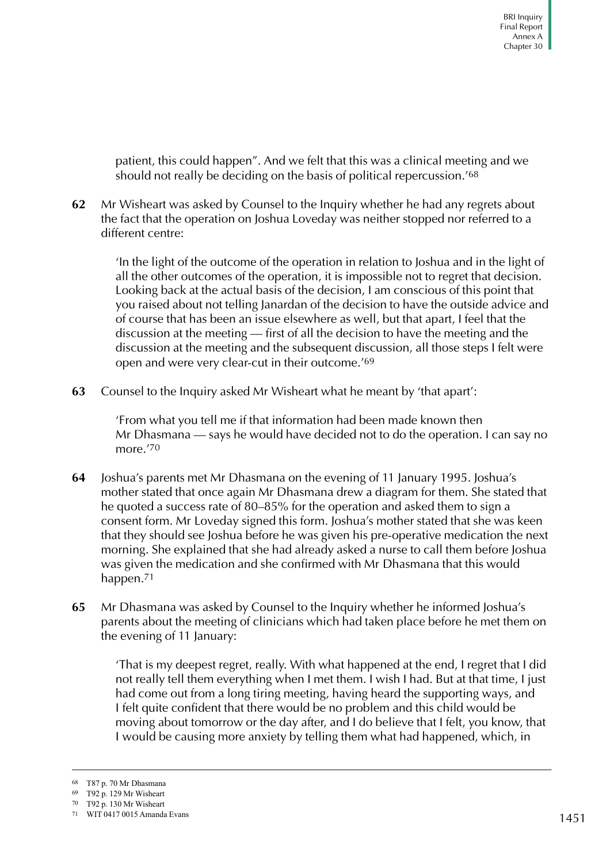patient, this could happen". And we felt that this was a clinical meeting and we should not really be deciding on the basis of political repercussion.'68

**62** Mr Wisheart was asked by Counsel to the Inquiry whether he had any regrets about the fact that the operation on Joshua Loveday was neither stopped nor referred to a different centre:

'In the light of the outcome of the operation in relation to Joshua and in the light of all the other outcomes of the operation, it is impossible not to regret that decision. Looking back at the actual basis of the decision, I am conscious of this point that you raised about not telling Janardan of the decision to have the outside advice and of course that has been an issue elsewhere as well, but that apart, I feel that the discussion at the meeting — first of all the decision to have the meeting and the discussion at the meeting and the subsequent discussion, all those steps I felt were open and were very clear-cut in their outcome.'69

**63** Counsel to the Inquiry asked Mr Wisheart what he meant by 'that apart':

'From what you tell me if that information had been made known then Mr Dhasmana — says he would have decided not to do the operation. I can say no more.'70

- **64** Joshua's parents met Mr Dhasmana on the evening of 11 January 1995. Joshua's mother stated that once again Mr Dhasmana drew a diagram for them. She stated that he quoted a success rate of 80–85% for the operation and asked them to sign a consent form. Mr Loveday signed this form. Joshua's mother stated that she was keen that they should see Joshua before he was given his pre-operative medication the next morning. She explained that she had already asked a nurse to call them before Joshua was given the medication and she confirmed with Mr Dhasmana that this would happen.71
- **65** Mr Dhasmana was asked by Counsel to the Inquiry whether he informed Joshua's parents about the meeting of clinicians which had taken place before he met them on the evening of 11 January:

'That is my deepest regret, really. With what happened at the end, I regret that I did not really tell them everything when I met them. I wish I had. But at that time, I just had come out from a long tiring meeting, having heard the supporting ways, and I felt quite confident that there would be no problem and this child would be moving about tomorrow or the day after, and I do believe that I felt, you know, that I would be causing more anxiety by telling them what had happened, which, in

<sup>68</sup> T87 p. 70 Mr Dhasmana

<sup>69</sup> T92 p. 129 Mr Wisheart

<sup>70</sup> T92 p. 130 Mr Wisheart

<sup>71</sup> WIT 0417 0015 Amanda Evans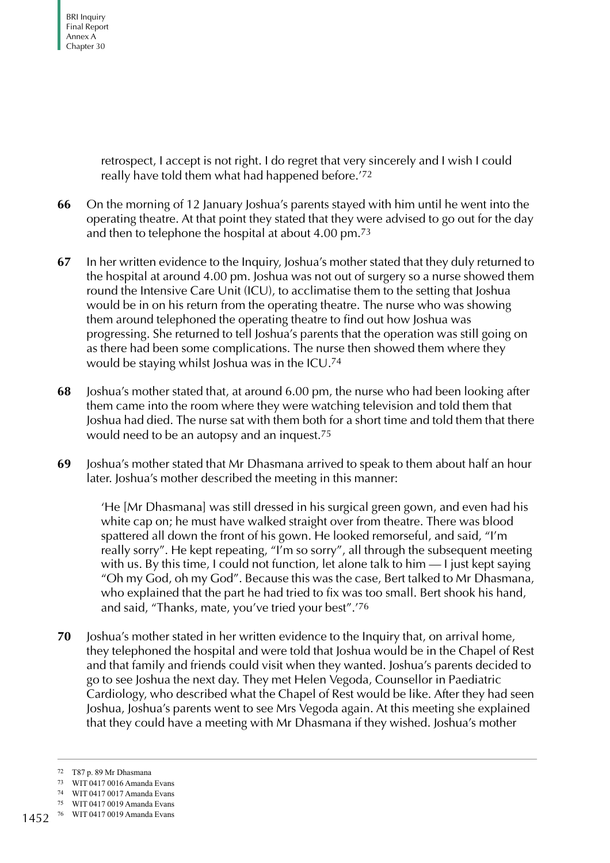retrospect, I accept is not right. I do regret that very sincerely and I wish I could really have told them what had happened before.'72

- **66** On the morning of 12 January Joshua's parents stayed with him until he went into the operating theatre. At that point they stated that they were advised to go out for the day and then to telephone the hospital at about 4.00 pm.73
- **67** In her written evidence to the Inquiry, Joshua's mother stated that they duly returned to the hospital at around 4.00 pm. Joshua was not out of surgery so a nurse showed them round the Intensive Care Unit (ICU), to acclimatise them to the setting that Joshua would be in on his return from the operating theatre. The nurse who was showing them around telephoned the operating theatre to find out how Joshua was progressing. She returned to tell Joshua's parents that the operation was still going on as there had been some complications. The nurse then showed them where they would be staying whilst Joshua was in the ICU.74
- **68** Joshua's mother stated that, at around 6.00 pm, the nurse who had been looking after them came into the room where they were watching television and told them that Joshua had died. The nurse sat with them both for a short time and told them that there would need to be an autopsy and an inquest.75
- **69** Joshua's mother stated that Mr Dhasmana arrived to speak to them about half an hour later. Joshua's mother described the meeting in this manner:

'He [Mr Dhasmana] was still dressed in his surgical green gown, and even had his white cap on; he must have walked straight over from theatre. There was blood spattered all down the front of his gown. He looked remorseful, and said, "I'm really sorry". He kept repeating, "I'm so sorry", all through the subsequent meeting with us. By this time, I could not function, let alone talk to him — I just kept saying "Oh my God, oh my God". Because this was the case, Bert talked to Mr Dhasmana, who explained that the part he had tried to fix was too small. Bert shook his hand, and said, "Thanks, mate, you've tried your best".'76

**70** Joshua's mother stated in her written evidence to the Inquiry that, on arrival home, they telephoned the hospital and were told that Joshua would be in the Chapel of Rest and that family and friends could visit when they wanted. Joshua's parents decided to go to see Joshua the next day. They met Helen Vegoda, Counsellor in Paediatric Cardiology, who described what the Chapel of Rest would be like. After they had seen Joshua, Joshua's parents went to see Mrs Vegoda again. At this meeting she explained that they could have a meeting with Mr Dhasmana if they wished. Joshua's mother

<sup>72</sup> T87 p. 89 Mr Dhasmana

<sup>73</sup> WIT 0417 0016 Amanda Evans

<sup>74</sup> WIT 0417 0017 Amanda Evans

<sup>75</sup> WIT 0417 0019 Amanda Evans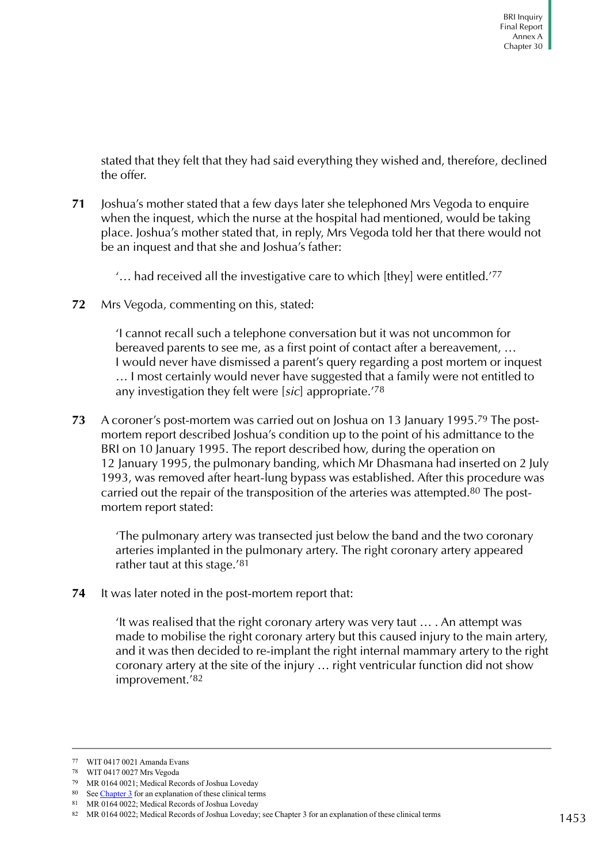stated that they felt that they had said everything they wished and, therefore, declined the offer.

- **71** Joshua's mother stated that a few days later she telephoned Mrs Vegoda to enquire when the inquest, which the nurse at the hospital had mentioned, would be taking place. Joshua's mother stated that, in reply, Mrs Vegoda told her that there would not be an inquest and that she and Joshua's father:
	- '… had received all the investigative care to which [they] were entitled.'77
- **72** Mrs Vegoda, commenting on this, stated:

'I cannot recall such a telephone conversation but it was not uncommon for bereaved parents to see me, as a first point of contact after a bereavement, … I would never have dismissed a parent's query regarding a post mortem or inquest … I most certainly would never have suggested that a family were not entitled to any investigation they felt were [sic] appropriate.<sup>'78</sup>

**73** A coroner's post-mortem was carried out on Joshua on 13 January 1995.79 The postmortem report described Joshua's condition up to the point of his admittance to the BRI on 10 January 1995. The report described how, during the operation on 12 January 1995, the pulmonary banding, which Mr Dhasmana had inserted on 2 July 1993, was removed after heart-lung bypass was established. After this procedure was carried out the repair of the transposition of the arteries was attempted.80 The postmortem report stated:

'The pulmonary artery was transected just below the band and the two coronary arteries implanted in the pulmonary artery. The right coronary artery appeared rather taut at this stage.'81

**74** It was later noted in the post-mortem report that:

'It was realised that the right coronary artery was very taut … . An attempt was made to mobilise the right coronary artery but this caused injury to the main artery, and it was then decided to re-implant the right internal mammary artery to the right coronary artery at the site of the injury … right ventricular function did not show improvement.'82

<sup>77</sup> WIT 0417 0021 Amanda Evans

<sup>78</sup> WIT 0417 0027 Mrs Vegoda

<sup>79</sup> MR 0164 0021; Medical Records of Joshua Loveday

<sup>80</sup> See Chapter 3 for an explanation of these clinical terms

<sup>81</sup> MR 0164 0022; Medical Records of Joshua Loveday

<sup>82</sup> MR 0164 0022; Medical Records of Joshua Loveday; see Chapter 3 for an explanation of these clinical terms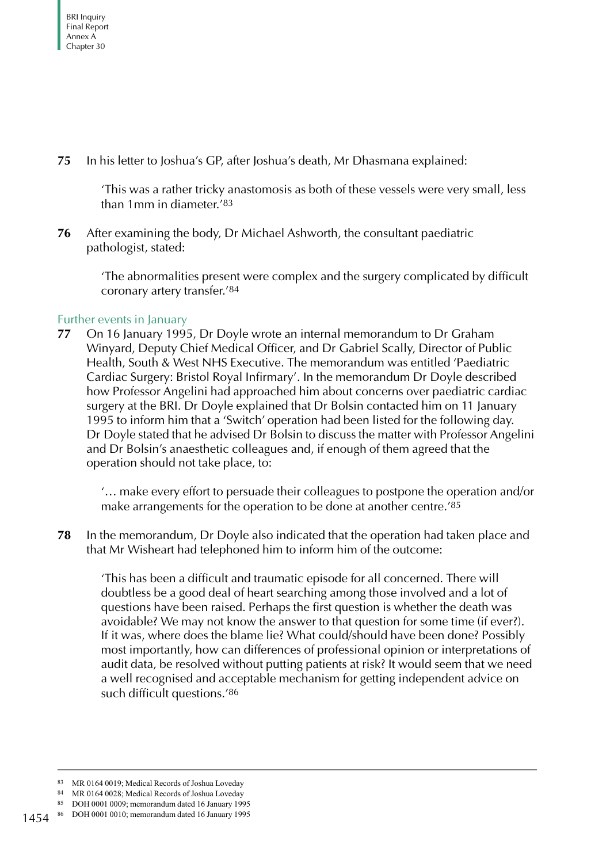**75** In his letter to Joshua's GP, after Joshua's death, Mr Dhasmana explained:

'This was a rather tricky anastomosis as both of these vessels were very small, less than 1mm in diameter.'83

**76** After examining the body, Dr Michael Ashworth, the consultant paediatric pathologist, stated:

> 'The abnormalities present were complex and the surgery complicated by difficult coronary artery transfer.'84

# Further events in January

**77** On 16 January 1995, Dr Doyle wrote an internal memorandum to Dr Graham Winyard, Deputy Chief Medical Officer, and Dr Gabriel Scally, Director of Public Health, South & West NHS Executive. The memorandum was entitled 'Paediatric Cardiac Surgery: Bristol Royal Infirmary'. In the memorandum Dr Doyle described how Professor Angelini had approached him about concerns over paediatric cardiac surgery at the BRI. Dr Doyle explained that Dr Bolsin contacted him on 11 January 1995 to inform him that a 'Switch' operation had been listed for the following day. Dr Doyle stated that he advised Dr Bolsin to discuss the matter with Professor Angelini and Dr Bolsin's anaesthetic colleagues and, if enough of them agreed that the operation should not take place, to:

'… make every effort to persuade their colleagues to postpone the operation and/or make arrangements for the operation to be done at another centre.'85

**78** In the memorandum, Dr Doyle also indicated that the operation had taken place and that Mr Wisheart had telephoned him to inform him of the outcome:

'This has been a difficult and traumatic episode for all concerned. There will doubtless be a good deal of heart searching among those involved and a lot of questions have been raised. Perhaps the first question is whether the death was avoidable? We may not know the answer to that question for some time (if ever?). If it was, where does the blame lie? What could/should have been done? Possibly most importantly, how can differences of professional opinion or interpretations of audit data, be resolved without putting patients at risk? It would seem that we need a well recognised and acceptable mechanism for getting independent advice on such difficult questions.'86

<sup>83</sup> MR 0164 0019; Medical Records of Joshua Loveday

<sup>84</sup> MR 0164 0028; Medical Records of Joshua Loveday

<sup>85</sup> DOH 0001 0009; memorandum dated 16 January 1995 86 DOH 0001 0010; memorandum dated 16 January 1995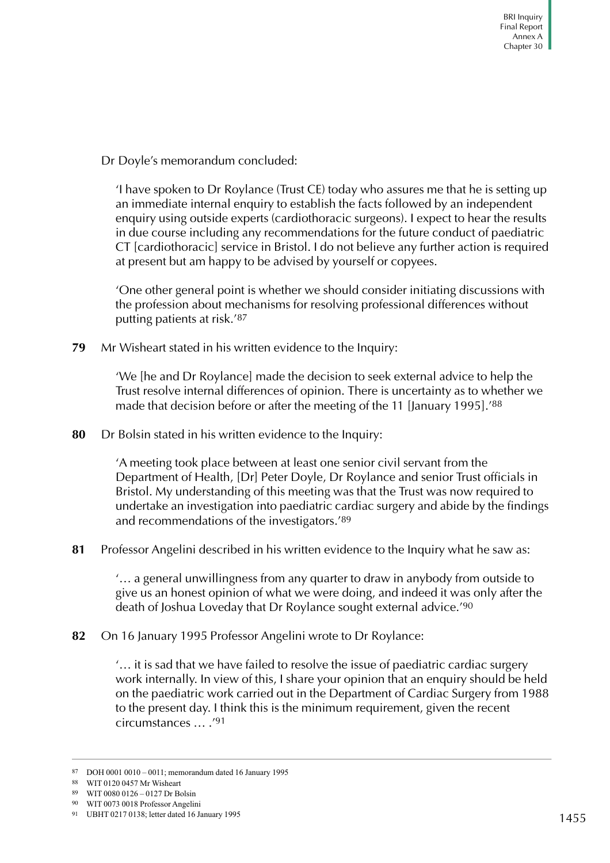Dr Doyle's memorandum concluded:

'I have spoken to Dr Roylance (Trust CE) today who assures me that he is setting up an immediate internal enquiry to establish the facts followed by an independent enquiry using outside experts (cardiothoracic surgeons). I expect to hear the results in due course including any recommendations for the future conduct of paediatric CT [cardiothoracic] service in Bristol. I do not believe any further action is required at present but am happy to be advised by yourself or copyees.

'One other general point is whether we should consider initiating discussions with the profession about mechanisms for resolving professional differences without putting patients at risk.'87

**79** Mr Wisheart stated in his written evidence to the Inquiry:

'We [he and Dr Roylance] made the decision to seek external advice to help the Trust resolve internal differences of opinion. There is uncertainty as to whether we made that decision before or after the meeting of the 11 [January 1995].'88

**80** Dr Bolsin stated in his written evidence to the Inquiry:

'A meeting took place between at least one senior civil servant from the Department of Health, [Dr] Peter Doyle, Dr Roylance and senior Trust officials in Bristol. My understanding of this meeting was that the Trust was now required to undertake an investigation into paediatric cardiac surgery and abide by the findings and recommendations of the investigators.'89

**81** Professor Angelini described in his written evidence to the Inquiry what he saw as:

'… a general unwillingness from any quarter to draw in anybody from outside to give us an honest opinion of what we were doing, and indeed it was only after the death of Joshua Loveday that Dr Roylance sought external advice.'90

**82** On 16 January 1995 Professor Angelini wrote to Dr Roylance:

'… it is sad that we have failed to resolve the issue of paediatric cardiac surgery work internally. In view of this, I share your opinion that an enquiry should be held on the paediatric work carried out in the Department of Cardiac Surgery from 1988 to the present day. I think this is the minimum requirement, given the recent circumstances … .'91

<sup>87</sup> DOH 0001 0010 – 0011; memorandum dated 16 January 1995

<sup>88</sup> WIT 0120 0457 Mr Wisheart

<sup>89</sup> WIT 0080 0126 – 0127 Dr Bolsin

<sup>90</sup> WIT 0073 0018 Professor Angelini

<sup>91</sup> UBHT 0217 0138; letter dated 16 January 1995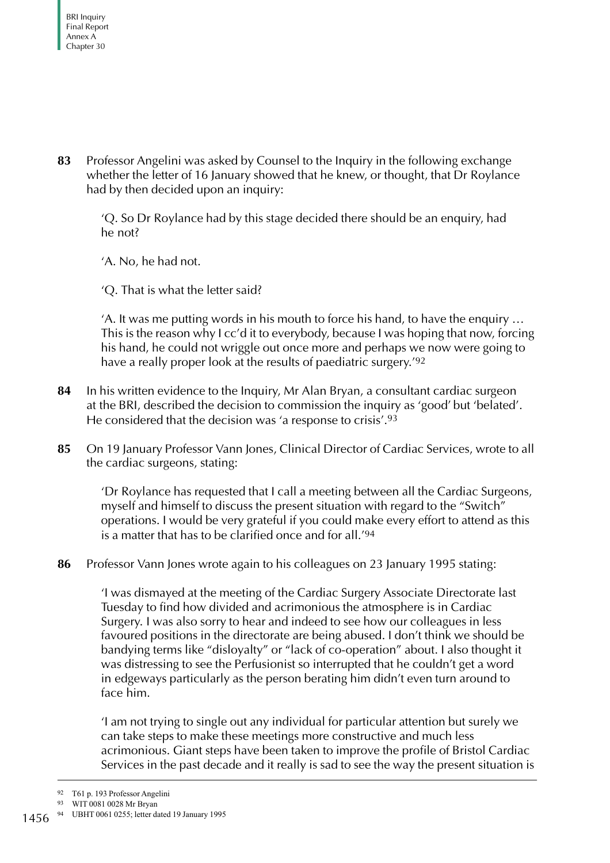**83** Professor Angelini was asked by Counsel to the Inquiry in the following exchange whether the letter of 16 January showed that he knew, or thought, that Dr Roylance had by then decided upon an inquiry:

'Q. So Dr Roylance had by this stage decided there should be an enquiry, had he not?

'A. No, he had not.

'Q. That is what the letter said?

'A. It was me putting words in his mouth to force his hand, to have the enquiry … This is the reason why I cc'd it to everybody, because I was hoping that now, forcing his hand, he could not wriggle out once more and perhaps we now were going to have a really proper look at the results of paediatric surgery.'92

- **84** In his written evidence to the Inquiry, Mr Alan Bryan, a consultant cardiac surgeon at the BRI, described the decision to commission the inquiry as 'good' but 'belated'. He considered that the decision was 'a response to crisis'.93
- **85** On 19 January Professor Vann Jones, Clinical Director of Cardiac Services, wrote to all the cardiac surgeons, stating:

'Dr Roylance has requested that I call a meeting between all the Cardiac Surgeons, myself and himself to discuss the present situation with regard to the "Switch" operations. I would be very grateful if you could make every effort to attend as this is a matter that has to be clarified once and for all.'94

**86** Professor Vann Jones wrote again to his colleagues on 23 January 1995 stating:

'I was dismayed at the meeting of the Cardiac Surgery Associate Directorate last Tuesday to find how divided and acrimonious the atmosphere is in Cardiac Surgery. I was also sorry to hear and indeed to see how our colleagues in less favoured positions in the directorate are being abused. I don't think we should be bandying terms like "disloyalty" or "lack of co-operation" about. I also thought it was distressing to see the Perfusionist so interrupted that he couldn't get a word in edgeways particularly as the person berating him didn't even turn around to face him.

'I am not trying to single out any individual for particular attention but surely we can take steps to make these meetings more constructive and much less acrimonious. Giant steps have been taken to improve the profile of Bristol Cardiac Services in the past decade and it really is sad to see the way the present situation is

<sup>92</sup> T61 p. 193 Professor Angelini

<sup>93</sup> WIT 0081 0028 Mr Bryan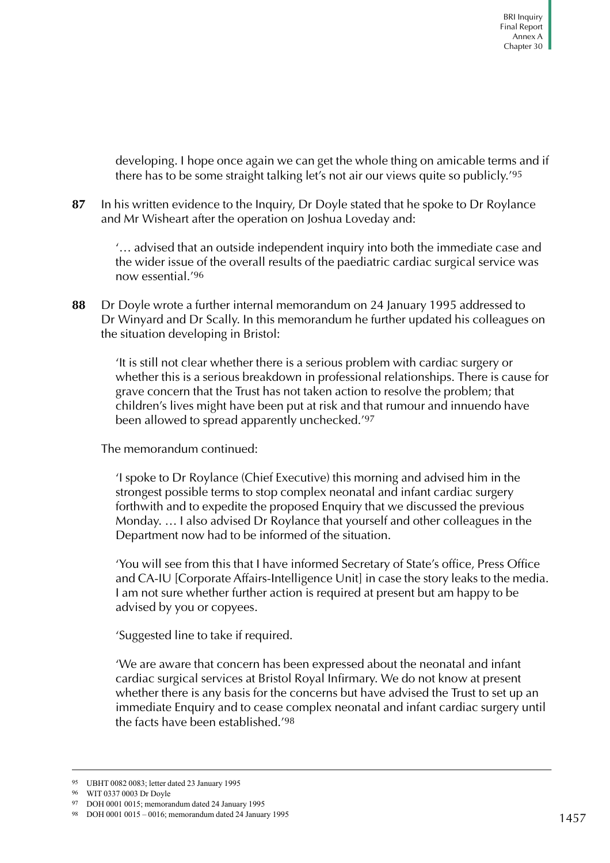developing. I hope once again we can get the whole thing on amicable terms and if there has to be some straight talking let's not air our views quite so publicly.'95

**87** In his written evidence to the Inquiry, Dr Doyle stated that he spoke to Dr Roylance and Mr Wisheart after the operation on Joshua Loveday and:

'… advised that an outside independent inquiry into both the immediate case and the wider issue of the overall results of the paediatric cardiac surgical service was now essential.'96

**88** Dr Doyle wrote a further internal memorandum on 24 January 1995 addressed to Dr Winyard and Dr Scally. In this memorandum he further updated his colleagues on the situation developing in Bristol:

'It is still not clear whether there is a serious problem with cardiac surgery or whether this is a serious breakdown in professional relationships. There is cause for grave concern that the Trust has not taken action to resolve the problem; that children's lives might have been put at risk and that rumour and innuendo have been allowed to spread apparently unchecked.'97

The memorandum continued:

'I spoke to Dr Roylance (Chief Executive) this morning and advised him in the strongest possible terms to stop complex neonatal and infant cardiac surgery forthwith and to expedite the proposed Enquiry that we discussed the previous Monday. … I also advised Dr Roylance that yourself and other colleagues in the Department now had to be informed of the situation.

'You will see from this that I have informed Secretary of State's office, Press Office and CA-IU [Corporate Affairs-Intelligence Unit] in case the story leaks to the media. I am not sure whether further action is required at present but am happy to be advised by you or copyees.

'Suggested line to take if required.

'We are aware that concern has been expressed about the neonatal and infant cardiac surgical services at Bristol Royal Infirmary. We do not know at present whether there is any basis for the concerns but have advised the Trust to set up an immediate Enquiry and to cease complex neonatal and infant cardiac surgery until the facts have been established.'98

<sup>95</sup> UBHT 0082 0083; letter dated 23 January 1995

<sup>96</sup> WIT 0337 0003 Dr Doyle

<sup>97</sup> DOH 0001 0015; memorandum dated 24 January 1995

<sup>98</sup> DOH 0001 0015 – 0016; memorandum dated 24 January 1995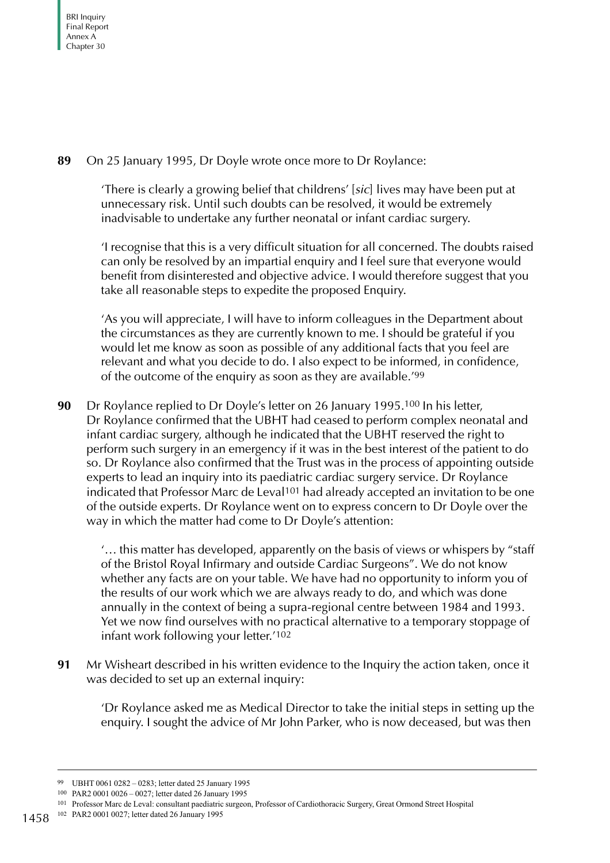# **89** On 25 January 1995, Dr Doyle wrote once more to Dr Roylance:

'There is clearly a growing belief that childrens' [sic] lives may have been put at unnecessary risk. Until such doubts can be resolved, it would be extremely inadvisable to undertake any further neonatal or infant cardiac surgery.

'I recognise that this is a very difficult situation for all concerned. The doubts raised can only be resolved by an impartial enquiry and I feel sure that everyone would benefit from disinterested and objective advice. I would therefore suggest that you take all reasonable steps to expedite the proposed Enquiry.

'As you will appreciate, I will have to inform colleagues in the Department about the circumstances as they are currently known to me. I should be grateful if you would let me know as soon as possible of any additional facts that you feel are relevant and what you decide to do. I also expect to be informed, in confidence, of the outcome of the enquiry as soon as they are available.<sup>199</sup>

**90** Dr Roylance replied to Dr Doyle's letter on 26 January 1995.100 In his letter, Dr Roylance confirmed that the UBHT had ceased to perform complex neonatal and infant cardiac surgery, although he indicated that the UBHT reserved the right to perform such surgery in an emergency if it was in the best interest of the patient to do so. Dr Roylance also confirmed that the Trust was in the process of appointing outside experts to lead an inquiry into its paediatric cardiac surgery service. Dr Roylance indicated that Professor Marc de Leval<sup>101</sup> had already accepted an invitation to be one of the outside experts. Dr Roylance went on to express concern to Dr Doyle over the way in which the matter had come to Dr Doyle's attention:

'… this matter has developed, apparently on the basis of views or whispers by "staff of the Bristol Royal Infirmary and outside Cardiac Surgeons". We do not know whether any facts are on your table. We have had no opportunity to inform you of the results of our work which we are always ready to do, and which was done annually in the context of being a supra-regional centre between 1984 and 1993. Yet we now find ourselves with no practical alternative to a temporary stoppage of infant work following your letter.'102

**91** Mr Wisheart described in his written evidence to the Inquiry the action taken, once it was decided to set up an external inquiry:

'Dr Roylance asked me as Medical Director to take the initial steps in setting up the enquiry. I sought the advice of Mr John Parker, who is now deceased, but was then

<sup>99</sup> UBHT 0061 0282 – 0283; letter dated 25 January 1995

<sup>100</sup> PAR2 0001 0026 – 0027; letter dated 26 January 1995

<sup>101</sup> Professor Marc de Leval: consultant paediatric surgeon, Professor of Cardiothoracic Surgery, Great Ormond Street Hospital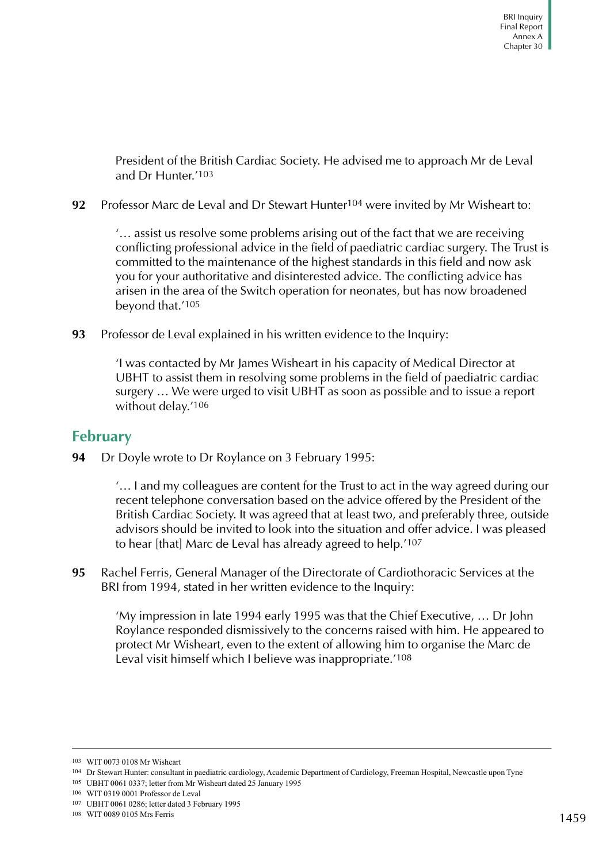President of the British Cardiac Society. He advised me to approach Mr de Leval and Dr Hunter.'103

# **92** Professor Marc de Leval and Dr Stewart Hunter104 were invited by Mr Wisheart to:

'… assist us resolve some problems arising out of the fact that we are receiving conflicting professional advice in the field of paediatric cardiac surgery. The Trust is committed to the maintenance of the highest standards in this field and now ask you for your authoritative and disinterested advice. The conflicting advice has arisen in the area of the Switch operation for neonates, but has now broadened beyond that.'105

**93** Professor de Leval explained in his written evidence to the Inquiry:

'I was contacted by Mr James Wisheart in his capacity of Medical Director at UBHT to assist them in resolving some problems in the field of paediatric cardiac surgery … We were urged to visit UBHT as soon as possible and to issue a report without delay.'106

# **February**

**94** Dr Doyle wrote to Dr Roylance on 3 February 1995:

'… I and my colleagues are content for the Trust to act in the way agreed during our recent telephone conversation based on the advice offered by the President of the British Cardiac Society. It was agreed that at least two, and preferably three, outside advisors should be invited to look into the situation and offer advice. I was pleased to hear [that] Marc de Leval has already agreed to help.'107

**95** Rachel Ferris, General Manager of the Directorate of Cardiothoracic Services at the BRI from 1994, stated in her written evidence to the Inquiry:

'My impression in late 1994 early 1995 was that the Chief Executive, … Dr John Roylance responded dismissively to the concerns raised with him. He appeared to protect Mr Wisheart, even to the extent of allowing him to organise the Marc de Leval visit himself which I believe was inappropriate.'108

<sup>103</sup> WIT 0073 0108 Mr Wisheart

<sup>104</sup> Dr Stewart Hunter: consultant in paediatric cardiology, Academic Department of Cardiology, Freeman Hospital, Newcastle upon Tyne

<sup>105</sup> UBHT 0061 0337; letter from Mr Wisheart dated 25 January 1995

<sup>106</sup> WIT 0319 0001 Professor de Leval

<sup>107</sup> UBHT 0061 0286; letter dated 3 February 1995

<sup>108</sup> WIT 0089 0105 Mrs Ferris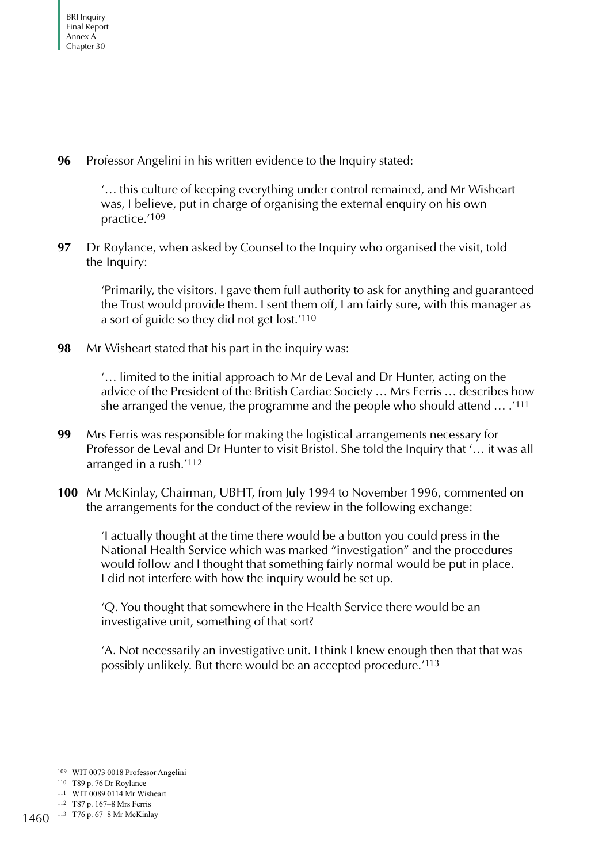**96** Professor Angelini in his written evidence to the Inquiry stated:

'… this culture of keeping everything under control remained, and Mr Wisheart was, I believe, put in charge of organising the external enquiry on his own practice.'109

**97** Dr Roylance, when asked by Counsel to the Inquiry who organised the visit, told the Inquiry:

'Primarily, the visitors. I gave them full authority to ask for anything and guaranteed the Trust would provide them. I sent them off, I am fairly sure, with this manager as a sort of guide so they did not get lost.'110

**98** Mr Wisheart stated that his part in the inquiry was:

'… limited to the initial approach to Mr de Leval and Dr Hunter, acting on the advice of the President of the British Cardiac Society … Mrs Ferris … describes how she arranged the venue, the programme and the people who should attend … .'111

- **99** Mrs Ferris was responsible for making the logistical arrangements necessary for Professor de Leval and Dr Hunter to visit Bristol. She told the Inquiry that '… it was all arranged in a rush.'112
- **100** Mr McKinlay, Chairman, UBHT, from July 1994 to November 1996, commented on the arrangements for the conduct of the review in the following exchange:

'I actually thought at the time there would be a button you could press in the National Health Service which was marked "investigation" and the procedures would follow and I thought that something fairly normal would be put in place. I did not interfere with how the inquiry would be set up.

'Q. You thought that somewhere in the Health Service there would be an investigative unit, something of that sort?

'A. Not necessarily an investigative unit. I think I knew enough then that that was possibly unlikely. But there would be an accepted procedure.'113

<sup>109</sup> WIT 0073 0018 Professor Angelini

<sup>110</sup> T89 p. 76 Dr Roylance

<sup>111</sup> WIT 0089 0114 Mr Wisheart

<sup>112</sup> T87 p. 167–8 Mrs Ferris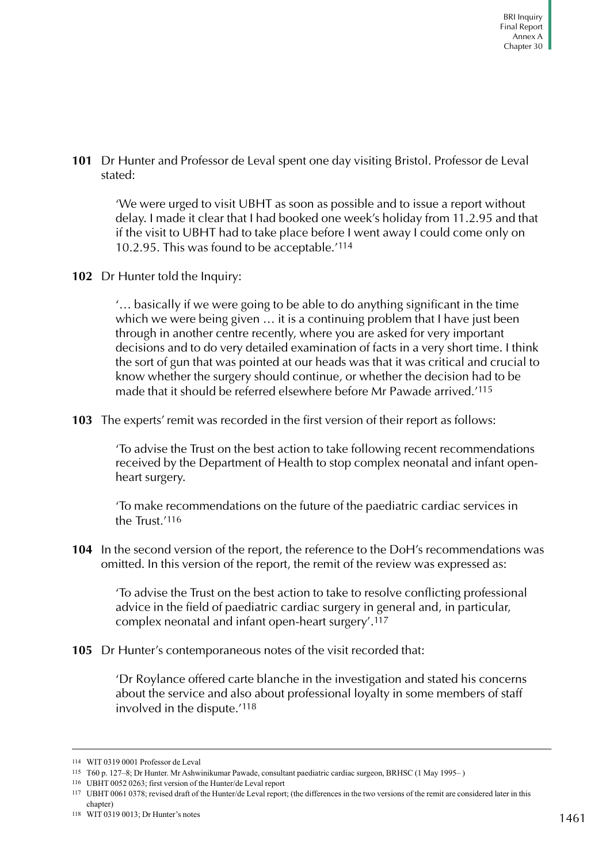**101** Dr Hunter and Professor de Leval spent one day visiting Bristol. Professor de Leval stated:

'We were urged to visit UBHT as soon as possible and to issue a report without delay. I made it clear that I had booked one week's holiday from 11.2.95 and that if the visit to UBHT had to take place before I went away I could come only on 10.2.95. This was found to be acceptable.'114

**102** Dr Hunter told the Inquiry:

'… basically if we were going to be able to do anything significant in the time which we were being given ... it is a continuing problem that I have just been through in another centre recently, where you are asked for very important decisions and to do very detailed examination of facts in a very short time. I think the sort of gun that was pointed at our heads was that it was critical and crucial to know whether the surgery should continue, or whether the decision had to be made that it should be referred elsewhere before Mr Pawade arrived.'115

**103** The experts' remit was recorded in the first version of their report as follows:

'To advise the Trust on the best action to take following recent recommendations received by the Department of Health to stop complex neonatal and infant openheart surgery.

'To make recommendations on the future of the paediatric cardiac services in the Trust.'116

**104** In the second version of the report, the reference to the DoH's recommendations was omitted. In this version of the report, the remit of the review was expressed as:

'To advise the Trust on the best action to take to resolve conflicting professional advice in the field of paediatric cardiac surgery in general and, in particular, complex neonatal and infant open-heart surgery'.117

**105** Dr Hunter's contemporaneous notes of the visit recorded that:

'Dr Roylance offered carte blanche in the investigation and stated his concerns about the service and also about professional loyalty in some members of staff involved in the dispute.'118

<sup>114</sup> WIT 0319 0001 Professor de Leval

<sup>115</sup> T60 p. 127–8; Dr Hunter. Mr Ashwinikumar Pawade, consultant paediatric cardiac surgeon, BRHSC (1 May 1995– )

<sup>116</sup> UBHT 0052 0263; first version of the Hunter/de Leval report

<sup>117</sup> UBHT 0061 0378; revised draft of the Hunter/de Leval report; (the differences in the two versions of the remit are considered later in this chapter)

<sup>118</sup> WIT 0319 0013; Dr Hunter's notes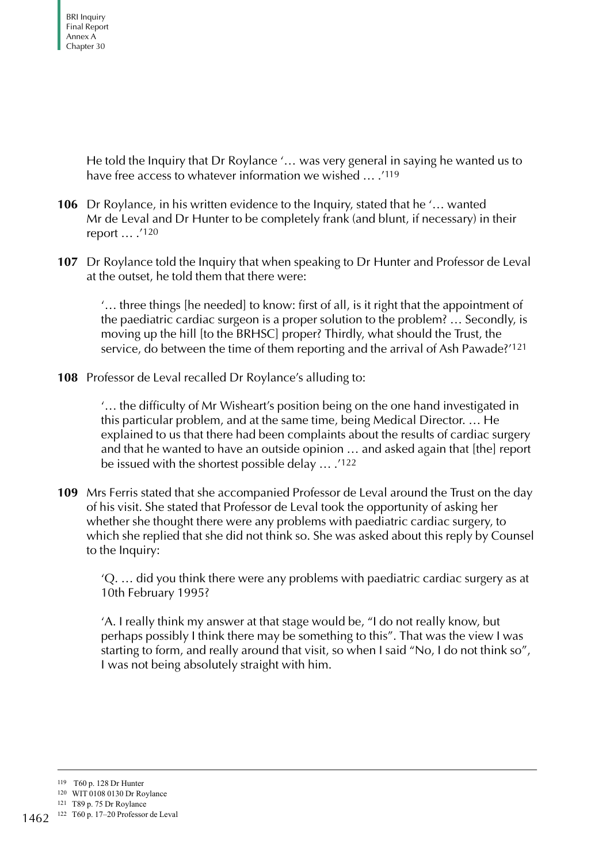He told the Inquiry that Dr Roylance '… was very general in saying he wanted us to have free access to whatever information we wished … .'119

- **106** Dr Roylance, in his written evidence to the Inquiry, stated that he '… wanted Mr de Leval and Dr Hunter to be completely frank (and blunt, if necessary) in their report … .'120
- **107** Dr Roylance told the Inquiry that when speaking to Dr Hunter and Professor de Leval at the outset, he told them that there were:

'… three things [he needed] to know: first of all, is it right that the appointment of the paediatric cardiac surgeon is a proper solution to the problem? … Secondly, is moving up the hill [to the BRHSC] proper? Thirdly, what should the Trust, the service, do between the time of them reporting and the arrival of Ash Pawade?'121

**108** Professor de Leval recalled Dr Roylance's alluding to:

'… the difficulty of Mr Wisheart's position being on the one hand investigated in this particular problem, and at the same time, being Medical Director. … He explained to us that there had been complaints about the results of cardiac surgery and that he wanted to have an outside opinion … and asked again that [the] report be issued with the shortest possible delay … .'122

**109** Mrs Ferris stated that she accompanied Professor de Leval around the Trust on the day of his visit. She stated that Professor de Leval took the opportunity of asking her whether she thought there were any problems with paediatric cardiac surgery, to which she replied that she did not think so. She was asked about this reply by Counsel to the Inquiry:

'Q. … did you think there were any problems with paediatric cardiac surgery as at 10th February 1995?

'A. I really think my answer at that stage would be, "I do not really know, but perhaps possibly I think there may be something to this". That was the view I was starting to form, and really around that visit, so when I said "No, I do not think so", I was not being absolutely straight with him.

<sup>119</sup> T60 p. 128 Dr Hunter

<sup>120</sup> WIT 0108 0130 Dr Roylance

<sup>121</sup> T89 p. 75 Dr Roylance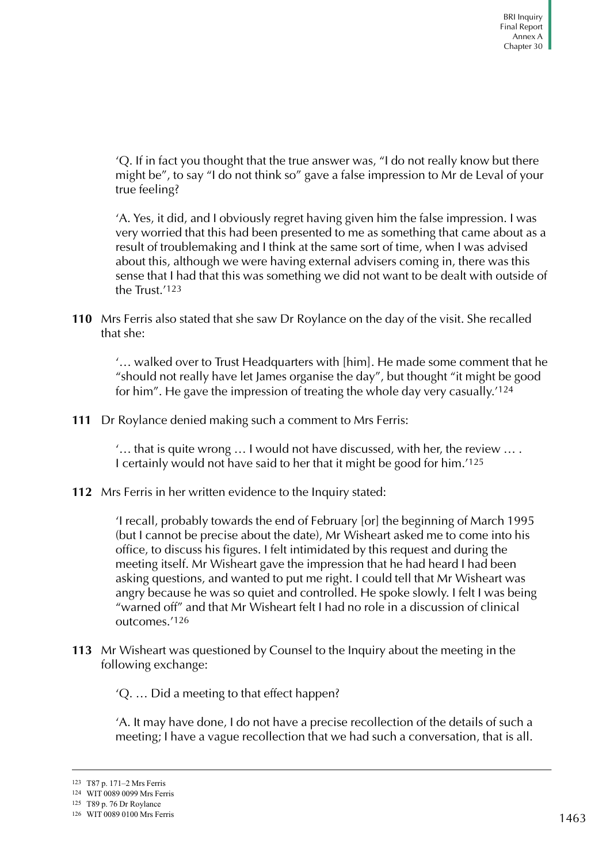'Q. If in fact you thought that the true answer was, "I do not really know but there might be", to say "I do not think so" gave a false impression to Mr de Leval of your true feeling?

'A. Yes, it did, and I obviously regret having given him the false impression. I was very worried that this had been presented to me as something that came about as a result of troublemaking and I think at the same sort of time, when I was advised about this, although we were having external advisers coming in, there was this sense that I had that this was something we did not want to be dealt with outside of the Trust.'123

**110** Mrs Ferris also stated that she saw Dr Roylance on the day of the visit. She recalled that she:

'… walked over to Trust Headquarters with [him]. He made some comment that he "should not really have let James organise the day", but thought "it might be good for him". He gave the impression of treating the whole day very casually.'124

**111** Dr Roylance denied making such a comment to Mrs Ferris:

'… that is quite wrong … I would not have discussed, with her, the review … . I certainly would not have said to her that it might be good for him.'125

**112** Mrs Ferris in her written evidence to the Inquiry stated:

'I recall, probably towards the end of February [or] the beginning of March 1995 (but I cannot be precise about the date), Mr Wisheart asked me to come into his office, to discuss his figures. I felt intimidated by this request and during the meeting itself. Mr Wisheart gave the impression that he had heard I had been asking questions, and wanted to put me right. I could tell that Mr Wisheart was angry because he was so quiet and controlled. He spoke slowly. I felt I was being "warned off" and that Mr Wisheart felt I had no role in a discussion of clinical outcomes.'126

**113** Mr Wisheart was questioned by Counsel to the Inquiry about the meeting in the following exchange:

'Q. … Did a meeting to that effect happen?

'A. It may have done, I do not have a precise recollection of the details of such a meeting; I have a vague recollection that we had such a conversation, that is all.

<sup>123</sup> T87 p. 171–2 Mrs Ferris

<sup>124</sup> WIT 0089 0099 Mrs Ferris

<sup>125</sup> T89 p. 76 Dr Roylance

<sup>126</sup> WIT 0089 0100 Mrs Ferris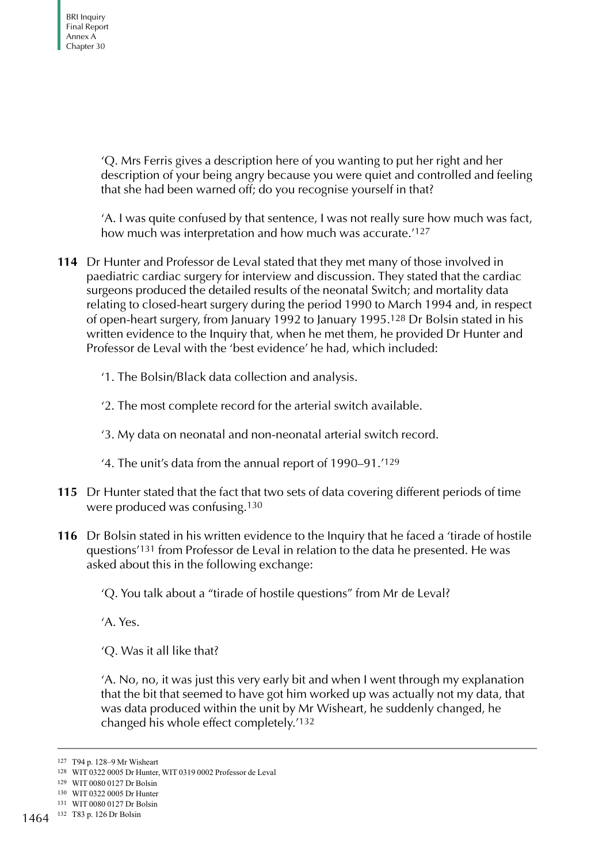'Q. Mrs Ferris gives a description here of you wanting to put her right and her description of your being angry because you were quiet and controlled and feeling that she had been warned off; do you recognise yourself in that?

'A. I was quite confused by that sentence, I was not really sure how much was fact, how much was interpretation and how much was accurate.'127

- **114** Dr Hunter and Professor de Leval stated that they met many of those involved in paediatric cardiac surgery for interview and discussion. They stated that the cardiac surgeons produced the detailed results of the neonatal Switch; and mortality data relating to closed-heart surgery during the period 1990 to March 1994 and, in respect of open-heart surgery, from January 1992 to January 1995.128 Dr Bolsin stated in his written evidence to the Inquiry that, when he met them, he provided Dr Hunter and Professor de Leval with the 'best evidence' he had, which included:
	- '1. The Bolsin/Black data collection and analysis.
	- '2. The most complete record for the arterial switch available.
	- '3. My data on neonatal and non-neonatal arterial switch record.
	- '4. The unit's data from the annual report of 1990–91.'129
- **115** Dr Hunter stated that the fact that two sets of data covering different periods of time were produced was confusing.130
- **116** Dr Bolsin stated in his written evidence to the Inquiry that he faced a 'tirade of hostile questions'131 from Professor de Leval in relation to the data he presented. He was asked about this in the following exchange:

'Q. You talk about a "tirade of hostile questions" from Mr de Leval?

'A. Yes.

'Q. Was it all like that?

'A. No, no, it was just this very early bit and when I went through my explanation that the bit that seemed to have got him worked up was actually not my data, that was data produced within the unit by Mr Wisheart, he suddenly changed, he changed his whole effect completely.'132

<sup>127</sup> T94 p. 128–9 Mr Wisheart

<sup>128</sup> WIT 0322 0005 Dr Hunter, WIT 0319 0002 Professor de Leval

<sup>129</sup> WIT 0080 0127 Dr Bolsin

<sup>130</sup> WIT 0322 0005 Dr Hunter

<sup>131</sup> WIT 0080 0127 Dr Bolsin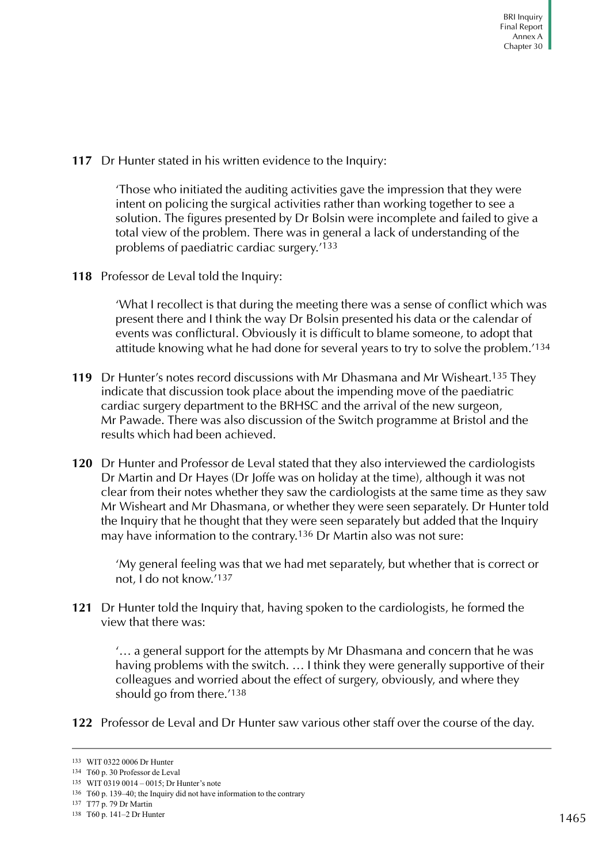**117** Dr Hunter stated in his written evidence to the Inquiry:

'Those who initiated the auditing activities gave the impression that they were intent on policing the surgical activities rather than working together to see a solution. The figures presented by Dr Bolsin were incomplete and failed to give a total view of the problem. There was in general a lack of understanding of the problems of paediatric cardiac surgery.'133

**118** Professor de Leval told the Inquiry:

'What I recollect is that during the meeting there was a sense of conflict which was present there and I think the way Dr Bolsin presented his data or the calendar of events was conflictural. Obviously it is difficult to blame someone, to adopt that attitude knowing what he had done for several years to try to solve the problem.'134

- **119** Dr Hunter's notes record discussions with Mr Dhasmana and Mr Wisheart.135 They indicate that discussion took place about the impending move of the paediatric cardiac surgery department to the BRHSC and the arrival of the new surgeon, Mr Pawade. There was also discussion of the Switch programme at Bristol and the results which had been achieved.
- **120** Dr Hunter and Professor de Leval stated that they also interviewed the cardiologists Dr Martin and Dr Hayes (Dr Joffe was on holiday at the time), although it was not clear from their notes whether they saw the cardiologists at the same time as they saw Mr Wisheart and Mr Dhasmana, or whether they were seen separately. Dr Hunter told the Inquiry that he thought that they were seen separately but added that the Inquiry may have information to the contrary.136 Dr Martin also was not sure:

'My general feeling was that we had met separately, but whether that is correct or not, I do not know.'137

**121** Dr Hunter told the Inquiry that, having spoken to the cardiologists, he formed the view that there was:

'… a general support for the attempts by Mr Dhasmana and concern that he was having problems with the switch. … I think they were generally supportive of their colleagues and worried about the effect of surgery, obviously, and where they should go from there.'138

**122** Professor de Leval and Dr Hunter saw various other staff over the course of the day.

<sup>133</sup> WIT 0322 0006 Dr Hunter

<sup>134</sup> T60 p. 30 Professor de Leval

<sup>135</sup> WIT 0319 0014 – 0015; Dr Hunter's note

<sup>136</sup> T60 p. 139–40; the Inquiry did not have information to the contrary

<sup>137</sup> T77 p. 79 Dr Martin

<sup>138</sup> T60 p. 141–2 Dr Hunter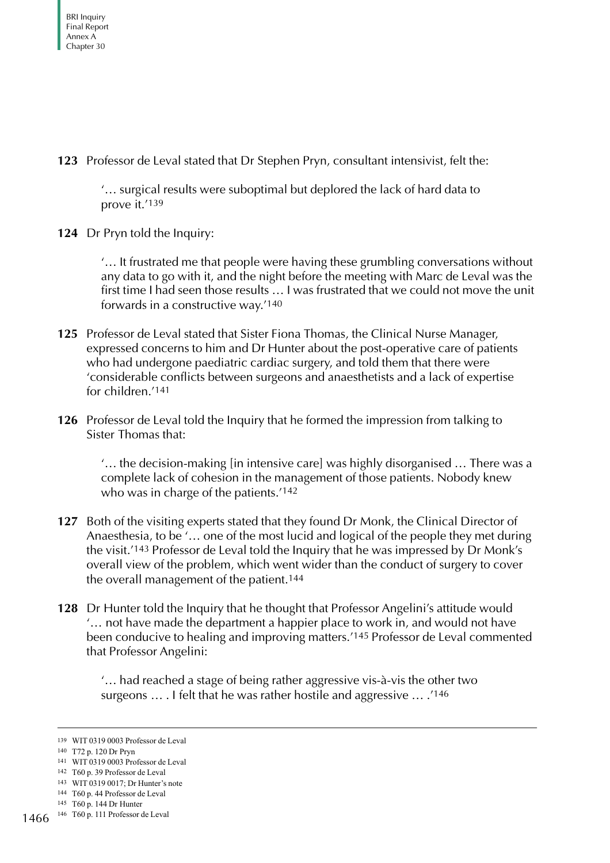**123** Professor de Leval stated that Dr Stephen Pryn, consultant intensivist, felt the:

'… surgical results were suboptimal but deplored the lack of hard data to prove it.'139

**124** Dr Pryn told the Inquiry:

'… It frustrated me that people were having these grumbling conversations without any data to go with it, and the night before the meeting with Marc de Leval was the first time I had seen those results … I was frustrated that we could not move the unit forwards in a constructive way.'140

- **125** Professor de Leval stated that Sister Fiona Thomas, the Clinical Nurse Manager, expressed concerns to him and Dr Hunter about the post-operative care of patients who had undergone paediatric cardiac surgery, and told them that there were 'considerable conflicts between surgeons and anaesthetists and a lack of expertise for children.'141
- **126** Professor de Leval told the Inquiry that he formed the impression from talking to Sister Thomas that:

'… the decision-making [in intensive care] was highly disorganised … There was a complete lack of cohesion in the management of those patients. Nobody knew who was in charge of the patients.<sup>'142</sup>

- **127** Both of the visiting experts stated that they found Dr Monk, the Clinical Director of Anaesthesia, to be '… one of the most lucid and logical of the people they met during the visit.'143 Professor de Leval told the Inquiry that he was impressed by Dr Monk's overall view of the problem, which went wider than the conduct of surgery to cover the overall management of the patient.144
- **128** Dr Hunter told the Inquiry that he thought that Professor Angelini's attitude would '… not have made the department a happier place to work in, and would not have been conducive to healing and improving matters.'145 Professor de Leval commented that Professor Angelini:

'… had reached a stage of being rather aggressive vis-à-vis the other two surgeons … . I felt that he was rather hostile and aggressive … .'146

<sup>139</sup> WIT 0319 0003 Professor de Leval

<sup>140</sup> T72 p. 120 Dr Pryn

<sup>141</sup> WIT 0319 0003 Professor de Leval

<sup>142</sup> T60 p. 39 Professor de Leval

<sup>143</sup> WIT 0319 0017; Dr Hunter's note

<sup>144</sup> T60 p. 44 Professor de Leval

<sup>145</sup> T60 p. 144 Dr Hunter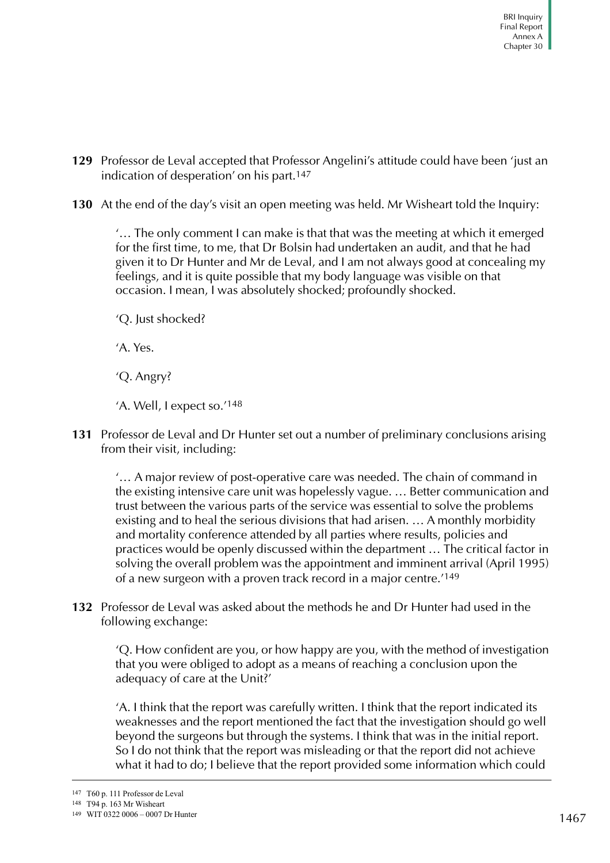- **129** Professor de Leval accepted that Professor Angelini's attitude could have been 'just an indication of desperation' on his part.147
- **130** At the end of the day's visit an open meeting was held. Mr Wisheart told the Inquiry:

'… The only comment I can make is that that was the meeting at which it emerged for the first time, to me, that Dr Bolsin had undertaken an audit, and that he had given it to Dr Hunter and Mr de Leval, and I am not always good at concealing my feelings, and it is quite possible that my body language was visible on that occasion. I mean, I was absolutely shocked; profoundly shocked.

'Q. Just shocked?

'A. Yes.

'Q. Angry?

- 'A. Well, I expect so.'148
- **131** Professor de Leval and Dr Hunter set out a number of preliminary conclusions arising from their visit, including:

'… A major review of post-operative care was needed. The chain of command in the existing intensive care unit was hopelessly vague. … Better communication and trust between the various parts of the service was essential to solve the problems existing and to heal the serious divisions that had arisen. … A monthly morbidity and mortality conference attended by all parties where results, policies and practices would be openly discussed within the department … The critical factor in solving the overall problem was the appointment and imminent arrival (April 1995) of a new surgeon with a proven track record in a major centre.'149

**132** Professor de Leval was asked about the methods he and Dr Hunter had used in the following exchange:

'Q. How confident are you, or how happy are you, with the method of investigation that you were obliged to adopt as a means of reaching a conclusion upon the adequacy of care at the Unit?'

'A. I think that the report was carefully written. I think that the report indicated its weaknesses and the report mentioned the fact that the investigation should go well beyond the surgeons but through the systems. I think that was in the initial report. So I do not think that the report was misleading or that the report did not achieve what it had to do; I believe that the report provided some information which could

<sup>147</sup> T60 p. 111 Professor de Leval

<sup>148</sup> T94 p. 163 Mr Wisheart

<sup>149</sup> WIT 0322 0006 – 0007 Dr Hunter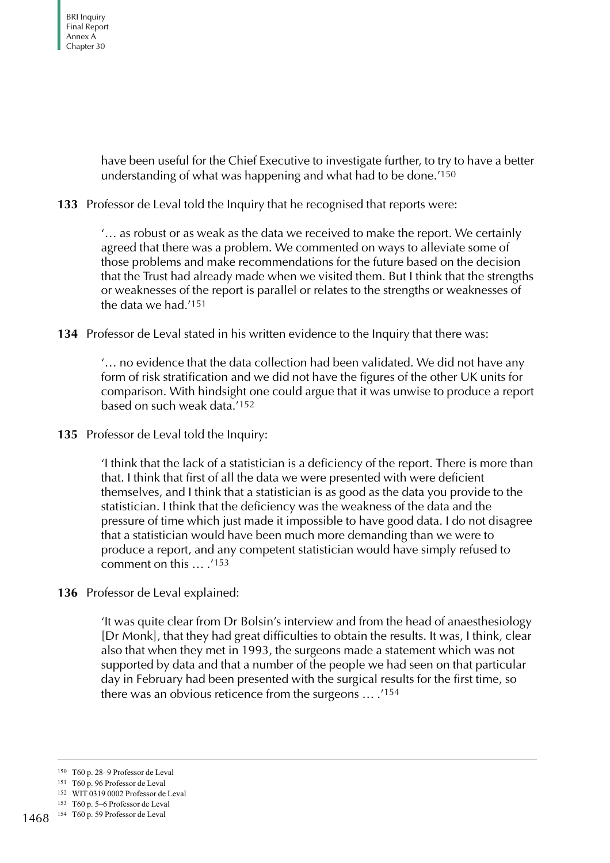have been useful for the Chief Executive to investigate further, to try to have a better understanding of what was happening and what had to be done.'150

# **133** Professor de Leval told the Inquiry that he recognised that reports were:

'… as robust or as weak as the data we received to make the report. We certainly agreed that there was a problem. We commented on ways to alleviate some of those problems and make recommendations for the future based on the decision that the Trust had already made when we visited them. But I think that the strengths or weaknesses of the report is parallel or relates to the strengths or weaknesses of the data we had.'151

**134** Professor de Leval stated in his written evidence to the Inquiry that there was:

'… no evidence that the data collection had been validated. We did not have any form of risk stratification and we did not have the figures of the other UK units for comparison. With hindsight one could argue that it was unwise to produce a report based on such weak data.'152

**135** Professor de Leval told the Inquiry:

'I think that the lack of a statistician is a deficiency of the report. There is more than that. I think that first of all the data we were presented with were deficient themselves, and I think that a statistician is as good as the data you provide to the statistician. I think that the deficiency was the weakness of the data and the pressure of time which just made it impossible to have good data. I do not disagree that a statistician would have been much more demanding than we were to produce a report, and any competent statistician would have simply refused to comment on this … .'153

**136** Professor de Leval explained:

'It was quite clear from Dr Bolsin's interview and from the head of anaesthesiology [Dr Monk], that they had great difficulties to obtain the results. It was, I think, clear also that when they met in 1993, the surgeons made a statement which was not supported by data and that a number of the people we had seen on that particular day in February had been presented with the surgical results for the first time, so there was an obvious reticence from the surgeons … .'154

<sup>150</sup> T60 p. 28–9 Professor de Leval

<sup>151</sup> T60 p. 96 Professor de Leval

<sup>152</sup> WIT 0319 0002 Professor de Leval

<sup>153</sup> T60 p. 5–6 Professor de Leval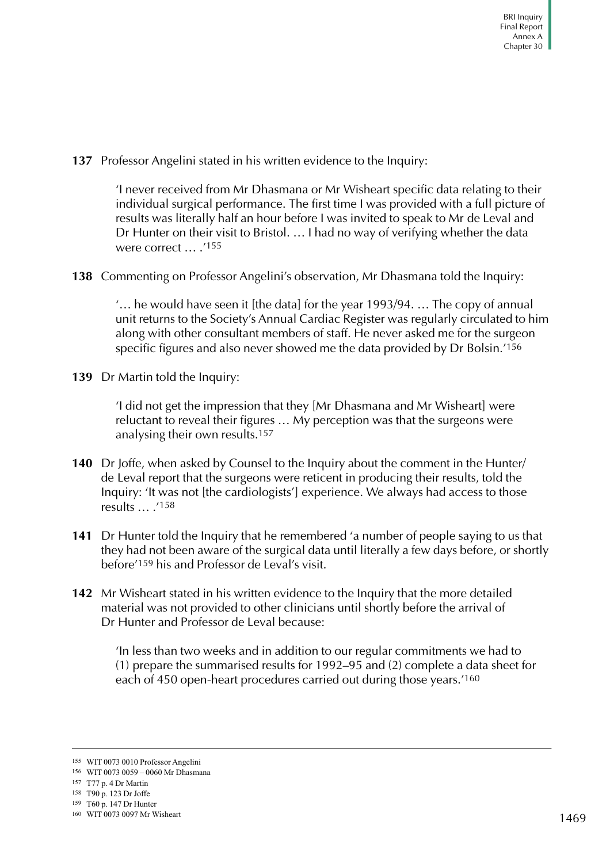**137** Professor Angelini stated in his written evidence to the Inquiry:

'I never received from Mr Dhasmana or Mr Wisheart specific data relating to their individual surgical performance. The first time I was provided with a full picture of results was literally half an hour before I was invited to speak to Mr de Leval and Dr Hunter on their visit to Bristol. … I had no way of verifying whether the data were correct ... .<sup>'155</sup>

**138** Commenting on Professor Angelini's observation, Mr Dhasmana told the Inquiry:

'… he would have seen it [the data] for the year 1993/94. … The copy of annual unit returns to the Society's Annual Cardiac Register was regularly circulated to him along with other consultant members of staff. He never asked me for the surgeon specific figures and also never showed me the data provided by Dr Bolsin.'156

**139** Dr Martin told the Inquiry:

'I did not get the impression that they [Mr Dhasmana and Mr Wisheart] were reluctant to reveal their figures … My perception was that the surgeons were analysing their own results.157

- **140** Dr Joffe, when asked by Counsel to the Inquiry about the comment in the Hunter/ de Leval report that the surgeons were reticent in producing their results, told the Inquiry: 'It was not [the cardiologists'] experience. We always had access to those results … .'158
- **141** Dr Hunter told the Inquiry that he remembered 'a number of people saying to us that they had not been aware of the surgical data until literally a few days before, or shortly before'159 his and Professor de Leval's visit.
- **142** Mr Wisheart stated in his written evidence to the Inquiry that the more detailed material was not provided to other clinicians until shortly before the arrival of Dr Hunter and Professor de Leval because:

'In less than two weeks and in addition to our regular commitments we had to (1) prepare the summarised results for 1992–95 and (2) complete a data sheet for each of 450 open-heart procedures carried out during those years.'160

<sup>155</sup> WIT 0073 0010 Professor Angelini

<sup>156</sup> WIT 0073 0059 – 0060 Mr Dhasmana

<sup>157</sup> T77 p. 4 Dr Martin

<sup>158</sup> T90 p. 123 Dr Joffe

<sup>159</sup> T60 p. 147 Dr Hunter

<sup>160</sup> WIT 0073 0097 Mr Wisheart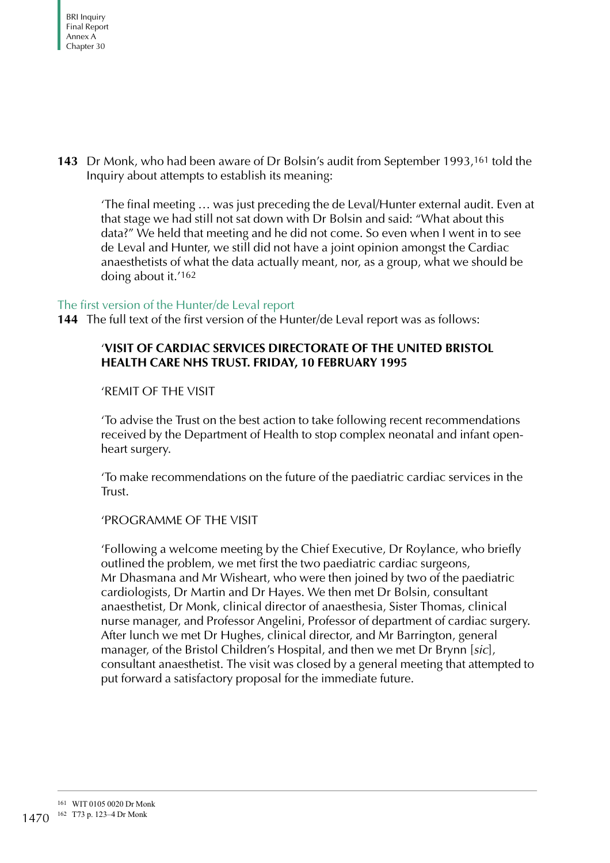**143** Dr Monk, who had been aware of Dr Bolsin's audit from September 1993,161 told the Inquiry about attempts to establish its meaning:

'The final meeting … was just preceding the de Leval/Hunter external audit. Even at that stage we had still not sat down with Dr Bolsin and said: "What about this data?" We held that meeting and he did not come. So even when I went in to see de Leval and Hunter, we still did not have a joint opinion amongst the Cardiac anaesthetists of what the data actually meant, nor, as a group, what we should be doing about it.'162

#### The first version of the Hunter/de Leval report

**144** The full text of the first version of the Hunter/de Leval report was as follows:

#### '**VISIT OF CARDIAC SERVICES DIRECTORATE OF THE UNITED BRISTOL HEALTH CARE NHS TRUST. FRIDAY, 10 FEBRUARY 1995**

#### 'REMIT OF THE VISIT

'To advise the Trust on the best action to take following recent recommendations received by the Department of Health to stop complex neonatal and infant openheart surgery.

'To make recommendations on the future of the paediatric cardiac services in the Trust.

# 'PROGRAMME OF THE VISIT

'Following a welcome meeting by the Chief Executive, Dr Roylance, who briefly outlined the problem, we met first the two paediatric cardiac surgeons, Mr Dhasmana and Mr Wisheart, who were then joined by two of the paediatric cardiologists, Dr Martin and Dr Hayes. We then met Dr Bolsin, consultant anaesthetist, Dr Monk, clinical director of anaesthesia, Sister Thomas, clinical nurse manager, and Professor Angelini, Professor of department of cardiac surgery. After lunch we met Dr Hughes, clinical director, and Mr Barrington, general manager, of the Bristol Children's Hospital, and then we met Dr Brynn [sic], consultant anaesthetist. The visit was closed by a general meeting that attempted to put forward a satisfactory proposal for the immediate future.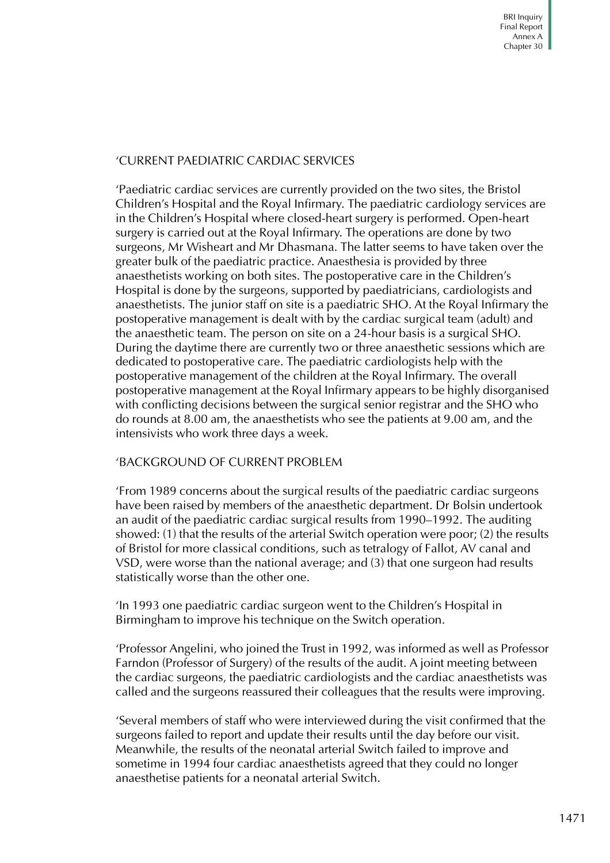# 'CURRENT PAEDIATRIC CARDIAC SERVICES

'Paediatric cardiac services are currently provided on the two sites, the Bristol Children's Hospital and the Royal Infirmary. The paediatric cardiology services are in the Children's Hospital where closed-heart surgery is performed. Open-heart surgery is carried out at the Royal Infirmary. The operations are done by two surgeons, Mr Wisheart and Mr Dhasmana. The latter seems to have taken over the greater bulk of the paediatric practice. Anaesthesia is provided by three anaesthetists working on both sites. The postoperative care in the Children's Hospital is done by the surgeons, supported by paediatricians, cardiologists and anaesthetists. The junior staff on site is a paediatric SHO. At the Royal Infirmary the postoperative management is dealt with by the cardiac surgical team (adult) and the anaesthetic team. The person on site on a 24-hour basis is a surgical SHO. During the daytime there are currently two or three anaesthetic sessions which are dedicated to postoperative care. The paediatric cardiologists help with the postoperative management of the children at the Royal Infirmary. The overall postoperative management at the Royal Infirmary appears to be highly disorganised with conflicting decisions between the surgical senior registrar and the SHO who do rounds at 8.00 am, the anaesthetists who see the patients at 9.00 am, and the intensivists who work three days a week.

# 'BACKGROUND OF CURRENT PROBLEM

'From 1989 concerns about the surgical results of the paediatric cardiac surgeons have been raised by members of the anaesthetic department. Dr Bolsin undertook an audit of the paediatric cardiac surgical results from 1990–1992. The auditing showed: (1) that the results of the arterial Switch operation were poor; (2) the results of Bristol for more classical conditions, such as tetralogy of Fallot, AV canal and VSD, were worse than the national average; and (3) that one surgeon had results statistically worse than the other one.

'In 1993 one paediatric cardiac surgeon went to the Children's Hospital in Birmingham to improve his technique on the Switch operation.

'Professor Angelini, who joined the Trust in 1992, was informed as well as Professor Farndon (Professor of Surgery) of the results of the audit. A joint meeting between the cardiac surgeons, the paediatric cardiologists and the cardiac anaesthetists was called and the surgeons reassured their colleagues that the results were improving.

'Several members of staff who were interviewed during the visit confirmed that the surgeons failed to report and update their results until the day before our visit. Meanwhile, the results of the neonatal arterial Switch failed to improve and sometime in 1994 four cardiac anaesthetists agreed that they could no longer anaesthetise patients for a neonatal arterial Switch.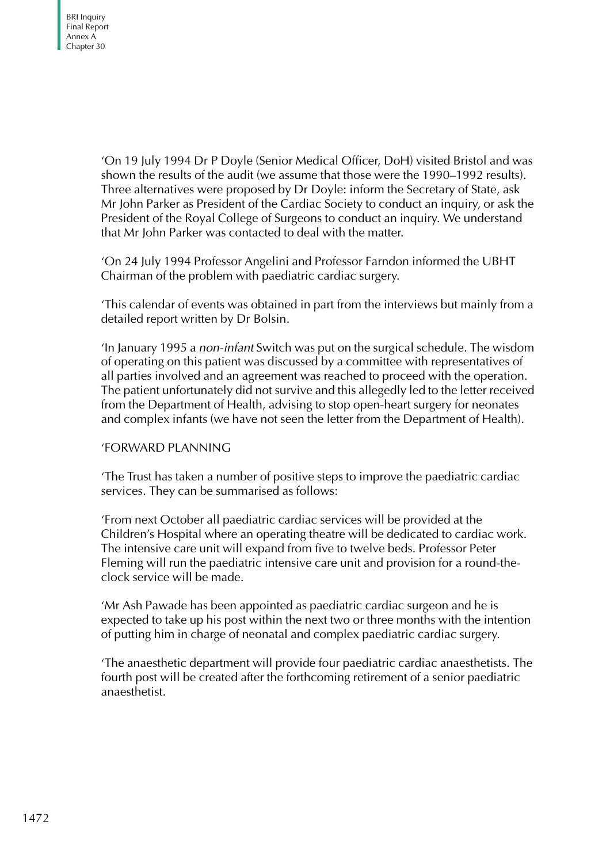'On 19 July 1994 Dr P Doyle (Senior Medical Officer, DoH) visited Bristol and was shown the results of the audit (we assume that those were the 1990–1992 results). Three alternatives were proposed by Dr Doyle: inform the Secretary of State, ask Mr John Parker as President of the Cardiac Society to conduct an inquiry, or ask the President of the Royal College of Surgeons to conduct an inquiry. We understand that Mr John Parker was contacted to deal with the matter.

'On 24 July 1994 Professor Angelini and Professor Farndon informed the UBHT Chairman of the problem with paediatric cardiac surgery.

'This calendar of events was obtained in part from the interviews but mainly from a detailed report written by Dr Bolsin.

'In January 1995 a non-infant Switch was put on the surgical schedule. The wisdom of operating on this patient was discussed by a committee with representatives of all parties involved and an agreement was reached to proceed with the operation. The patient unfortunately did not survive and this allegedly led to the letter received from the Department of Health, advising to stop open-heart surgery for neonates and complex infants (we have not seen the letter from the Department of Health).

# 'FORWARD PLANNING

'The Trust has taken a number of positive steps to improve the paediatric cardiac services. They can be summarised as follows:

'From next October all paediatric cardiac services will be provided at the Children's Hospital where an operating theatre will be dedicated to cardiac work. The intensive care unit will expand from five to twelve beds. Professor Peter Fleming will run the paediatric intensive care unit and provision for a round-theclock service will be made.

'Mr Ash Pawade has been appointed as paediatric cardiac surgeon and he is expected to take up his post within the next two or three months with the intention of putting him in charge of neonatal and complex paediatric cardiac surgery.

'The anaesthetic department will provide four paediatric cardiac anaesthetists. The fourth post will be created after the forthcoming retirement of a senior paediatric anaesthetist.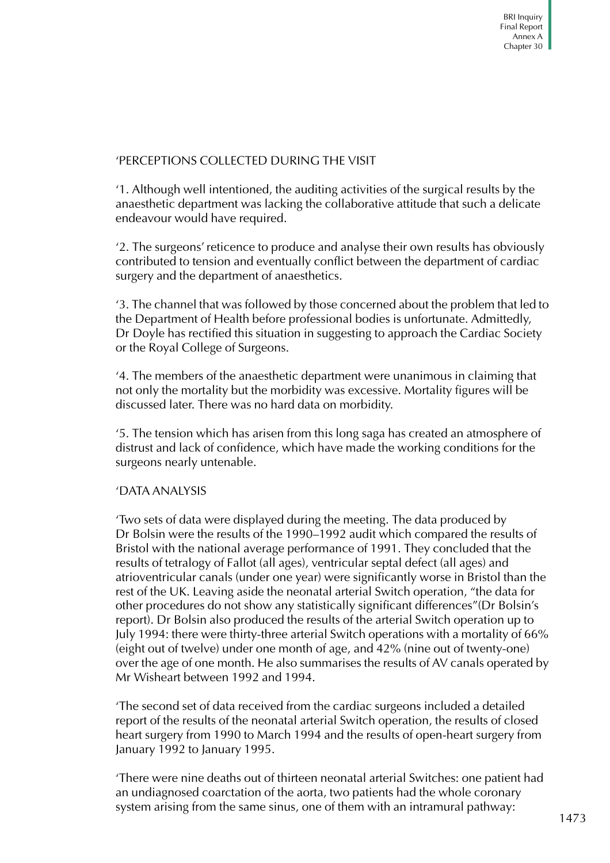# 'PERCEPTIONS COLLECTED DURING THE VISIT

'1. Although well intentioned, the auditing activities of the surgical results by the anaesthetic department was lacking the collaborative attitude that such a delicate endeavour would have required.

'2. The surgeons' reticence to produce and analyse their own results has obviously contributed to tension and eventually conflict between the department of cardiac surgery and the department of anaesthetics.

'3. The channel that was followed by those concerned about the problem that led to the Department of Health before professional bodies is unfortunate. Admittedly, Dr Doyle has rectified this situation in suggesting to approach the Cardiac Society or the Royal College of Surgeons.

'4. The members of the anaesthetic department were unanimous in claiming that not only the mortality but the morbidity was excessive. Mortality figures will be discussed later. There was no hard data on morbidity.

'5. The tension which has arisen from this long saga has created an atmosphere of distrust and lack of confidence, which have made the working conditions for the surgeons nearly untenable.

# 'DATA ANALYSIS

'Two sets of data were displayed during the meeting. The data produced by Dr Bolsin were the results of the 1990–1992 audit which compared the results of Bristol with the national average performance of 1991. They concluded that the results of tetralogy of Fallot (all ages), ventricular septal defect (all ages) and atrioventricular canals (under one year) were significantly worse in Bristol than the rest of the UK. Leaving aside the neonatal arterial Switch operation, "the data for other procedures do not show any statistically significant differences"(Dr Bolsin's report). Dr Bolsin also produced the results of the arterial Switch operation up to July 1994: there were thirty-three arterial Switch operations with a mortality of 66% (eight out of twelve) under one month of age, and 42% (nine out of twenty-one) over the age of one month. He also summarises the results of AV canals operated by Mr Wisheart between 1992 and 1994.

'The second set of data received from the cardiac surgeons included a detailed report of the results of the neonatal arterial Switch operation, the results of closed heart surgery from 1990 to March 1994 and the results of open-heart surgery from January 1992 to January 1995.

'There were nine deaths out of thirteen neonatal arterial Switches: one patient had an undiagnosed coarctation of the aorta, two patients had the whole coronary system arising from the same sinus, one of them with an intramural pathway: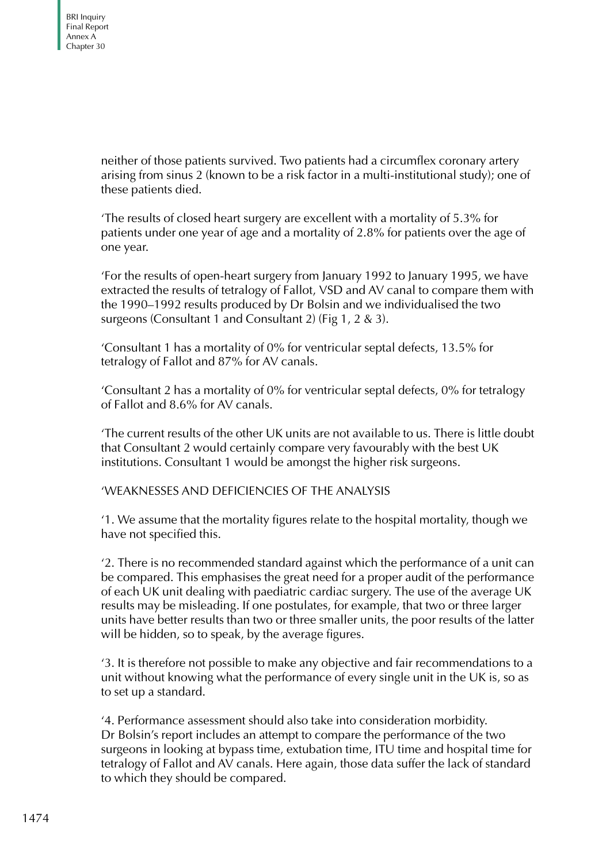neither of those patients survived. Two patients had a circumflex coronary artery arising from sinus 2 (known to be a risk factor in a multi-institutional study); one of these patients died.

'The results of closed heart surgery are excellent with a mortality of 5.3% for patients under one year of age and a mortality of 2.8% for patients over the age of one year.

'For the results of open-heart surgery from January 1992 to January 1995, we have extracted the results of tetralogy of Fallot, VSD and AV canal to compare them with the 1990–1992 results produced by Dr Bolsin and we individualised the two surgeons (Consultant 1 and Consultant 2) (Fig 1, 2 & 3).

'Consultant 1 has a mortality of 0% for ventricular septal defects, 13.5% for tetralogy of Fallot and 87% for AV canals.

'Consultant 2 has a mortality of 0% for ventricular septal defects, 0% for tetralogy of Fallot and 8.6% for AV canals.

'The current results of the other UK units are not available to us. There is little doubt that Consultant 2 would certainly compare very favourably with the best UK institutions. Consultant 1 would be amongst the higher risk surgeons.

'WEAKNESSES AND DEFICIENCIES OF THE ANALYSIS

'1. We assume that the mortality figures relate to the hospital mortality, though we have not specified this.

'2. There is no recommended standard against which the performance of a unit can be compared. This emphasises the great need for a proper audit of the performance of each UK unit dealing with paediatric cardiac surgery. The use of the average UK results may be misleading. If one postulates, for example, that two or three larger units have better results than two or three smaller units, the poor results of the latter will be hidden, so to speak, by the average figures.

'3. It is therefore not possible to make any objective and fair recommendations to a unit without knowing what the performance of every single unit in the UK is, so as to set up a standard.

'4. Performance assessment should also take into consideration morbidity. Dr Bolsin's report includes an attempt to compare the performance of the two surgeons in looking at bypass time, extubation time, ITU time and hospital time for tetralogy of Fallot and AV canals. Here again, those data suffer the lack of standard to which they should be compared.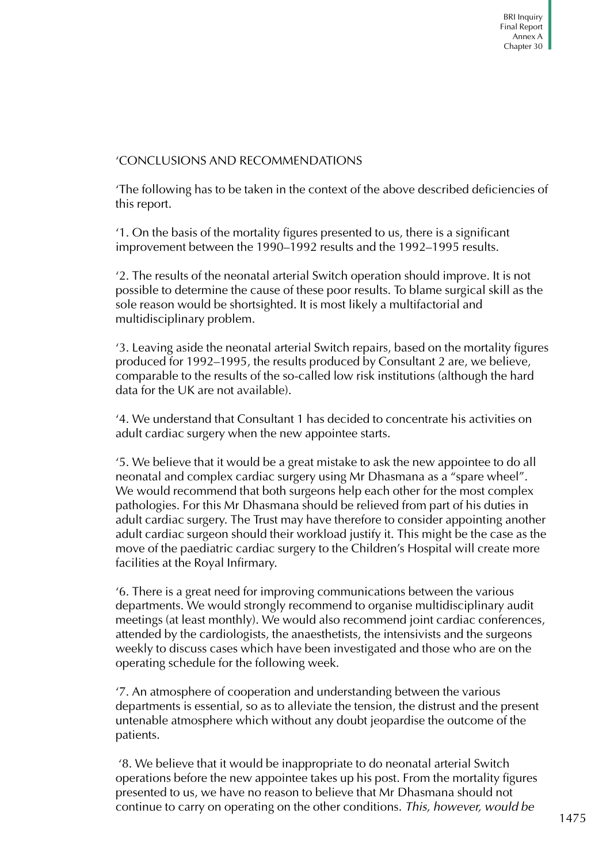# 'CONCLUSIONS AND RECOMMENDATIONS

'The following has to be taken in the context of the above described deficiencies of this report.

'1. On the basis of the mortality figures presented to us, there is a significant improvement between the 1990–1992 results and the 1992–1995 results.

'2. The results of the neonatal arterial Switch operation should improve. It is not possible to determine the cause of these poor results. To blame surgical skill as the sole reason would be shortsighted. It is most likely a multifactorial and multidisciplinary problem.

'3. Leaving aside the neonatal arterial Switch repairs, based on the mortality figures produced for 1992–1995, the results produced by Consultant 2 are, we believe, comparable to the results of the so-called low risk institutions (although the hard data for the UK are not available).

'4. We understand that Consultant 1 has decided to concentrate his activities on adult cardiac surgery when the new appointee starts.

'5. We believe that it would be a great mistake to ask the new appointee to do all neonatal and complex cardiac surgery using Mr Dhasmana as a "spare wheel". We would recommend that both surgeons help each other for the most complex pathologies. For this Mr Dhasmana should be relieved from part of his duties in adult cardiac surgery. The Trust may have therefore to consider appointing another adult cardiac surgeon should their workload justify it. This might be the case as the move of the paediatric cardiac surgery to the Children's Hospital will create more facilities at the Royal Infirmary.

'6. There is a great need for improving communications between the various departments. We would strongly recommend to organise multidisciplinary audit meetings (at least monthly). We would also recommend joint cardiac conferences, attended by the cardiologists, the anaesthetists, the intensivists and the surgeons weekly to discuss cases which have been investigated and those who are on the operating schedule for the following week.

'7. An atmosphere of cooperation and understanding between the various departments is essential, so as to alleviate the tension, the distrust and the present untenable atmosphere which without any doubt jeopardise the outcome of the patients.

 '8. We believe that it would be inappropriate to do neonatal arterial Switch operations before the new appointee takes up his post. From the mortality figures presented to us, we have no reason to believe that Mr Dhasmana should not continue to carry on operating on the other conditions. This, however, would be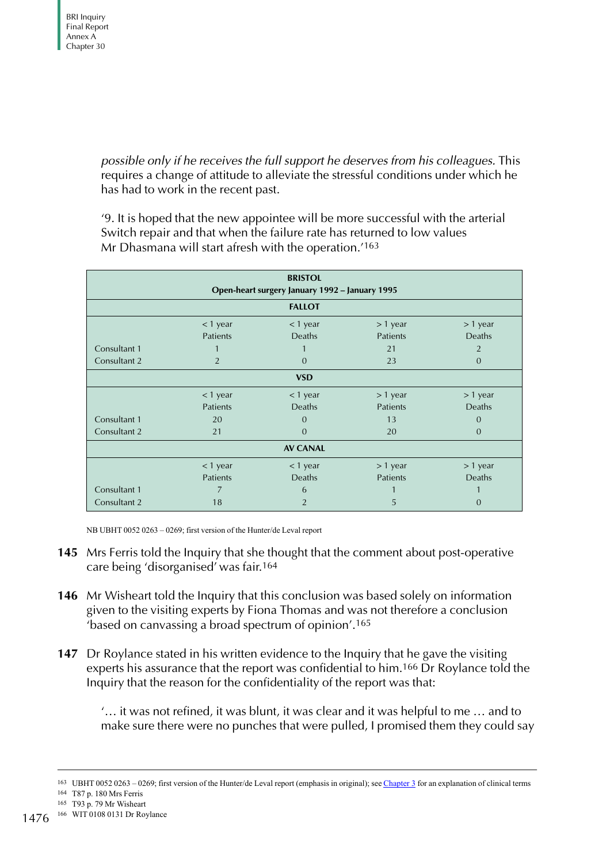possible only if he receives the full support he deserves from his colleagues. This requires a change of attitude to alleviate the stressful conditions under which he has had to work in the recent past.

'9. It is hoped that the new appointee will be more successful with the arterial Switch repair and that when the failure rate has returned to low values Mr Dhasmana will start afresh with the operation.'163

|                                                |                 | <b>BRISTOL</b> |            |               |
|------------------------------------------------|-----------------|----------------|------------|---------------|
| Open-heart surgery January 1992 - January 1995 |                 |                |            |               |
| <b>FALLOT</b>                                  |                 |                |            |               |
|                                                | $<$ 1 year      | $<$ 1 year     | $> 1$ year | > 1 year      |
|                                                | <b>Patients</b> | <b>Deaths</b>  | Patients   | <b>Deaths</b> |
| Consultant 1                                   |                 |                | 21         | 2             |
| Consultant 2                                   | $\overline{2}$  | $\Omega$       | 23         | $\Omega$      |
| <b>VSD</b>                                     |                 |                |            |               |
|                                                | $<$ 1 year      | $<$ 1 year     | $> 1$ year | $> 1$ year    |
|                                                | <b>Patients</b> | <b>Deaths</b>  | Patients   | <b>Deaths</b> |
| Consultant 1                                   | 20              | $\Omega$       | 13         | 0             |
| Consultant 2                                   | 21              | $\Omega$       | 20         | 0             |
| <b>AV CANAL</b>                                |                 |                |            |               |
|                                                | $<$ 1 year      | $<$ 1 year     | $> 1$ year | > 1 year      |
|                                                | <b>Patients</b> | <b>Deaths</b>  | Patients   | <b>Deaths</b> |
| Consultant 1                                   | 7               | 6              |            |               |
| Consultant 2                                   | 18              | $\overline{2}$ | 5          | 0             |

NB UBHT 0052 0263 – 0269; first version of the Hunter/de Leval report

- **145** Mrs Ferris told the Inquiry that she thought that the comment about post-operative care being 'disorganised' was fair.164
- **146** Mr Wisheart told the Inquiry that this conclusion was based solely on information given to the visiting experts by Fiona Thomas and was not therefore a conclusion 'based on canvassing a broad spectrum of opinion'.165
- **147** Dr Roylance stated in his written evidence to the Inquiry that he gave the visiting experts his assurance that the report was confidential to him.166 Dr Roylance told the Inquiry that the reason for the confidentiality of the report was that:

'… it was not refined, it was blunt, it was clear and it was helpful to me … and to make sure there were no punches that were pulled, I promised them they could say

<sup>163</sup> UBHT 0052 0263 – 0269; first version of the Hunter/de Leval report (emphasis in original); see Chapter 3 for an explanation of clinical terms

<sup>164</sup> T87 p. 180 Mrs Ferris

<sup>165</sup> T93 p. 79 Mr Wisheart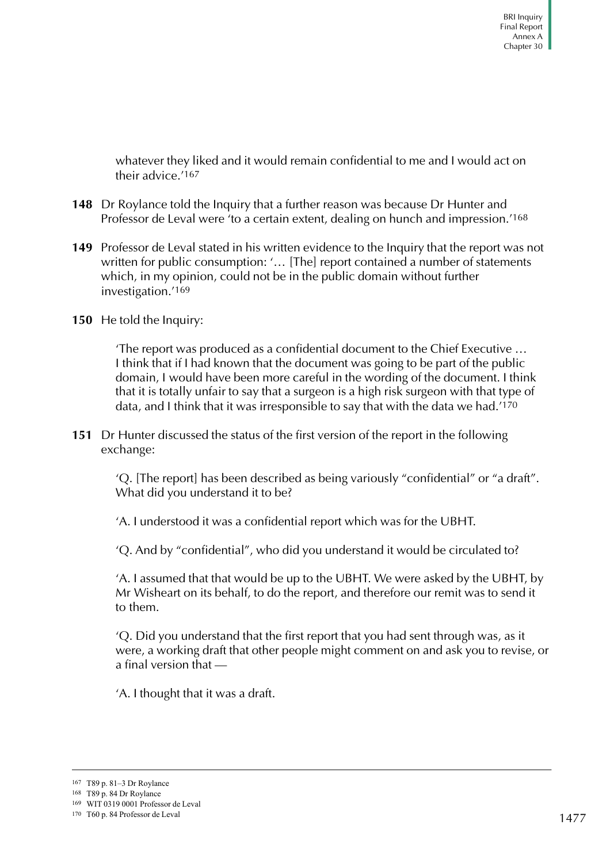whatever they liked and it would remain confidential to me and I would act on their advice.'167

- **148** Dr Roylance told the Inquiry that a further reason was because Dr Hunter and Professor de Leval were 'to a certain extent, dealing on hunch and impression.'168
- **149** Professor de Leval stated in his written evidence to the Inquiry that the report was not written for public consumption: '… [The] report contained a number of statements which, in my opinion, could not be in the public domain without further investigation.'169
- **150** He told the Inquiry:

'The report was produced as a confidential document to the Chief Executive … I think that if I had known that the document was going to be part of the public domain, I would have been more careful in the wording of the document. I think that it is totally unfair to say that a surgeon is a high risk surgeon with that type of data, and I think that it was irresponsible to say that with the data we had.'170

**151** Dr Hunter discussed the status of the first version of the report in the following exchange:

'Q. [The report] has been described as being variously "confidential" or "a draft". What did you understand it to be?

'A. I understood it was a confidential report which was for the UBHT.

'Q. And by "confidential", who did you understand it would be circulated to?

'A. I assumed that that would be up to the UBHT. We were asked by the UBHT, by Mr Wisheart on its behalf, to do the report, and therefore our remit was to send it to them.

'Q. Did you understand that the first report that you had sent through was, as it were, a working draft that other people might comment on and ask you to revise, or a final version that —

'A. I thought that it was a draft.

<sup>167</sup> T89 p. 81–3 Dr Roylance

<sup>168</sup> T89 p. 84 Dr Roylance

<sup>169</sup> WIT 0319 0001 Professor de Leval

<sup>170</sup> T60 p. 84 Professor de Leval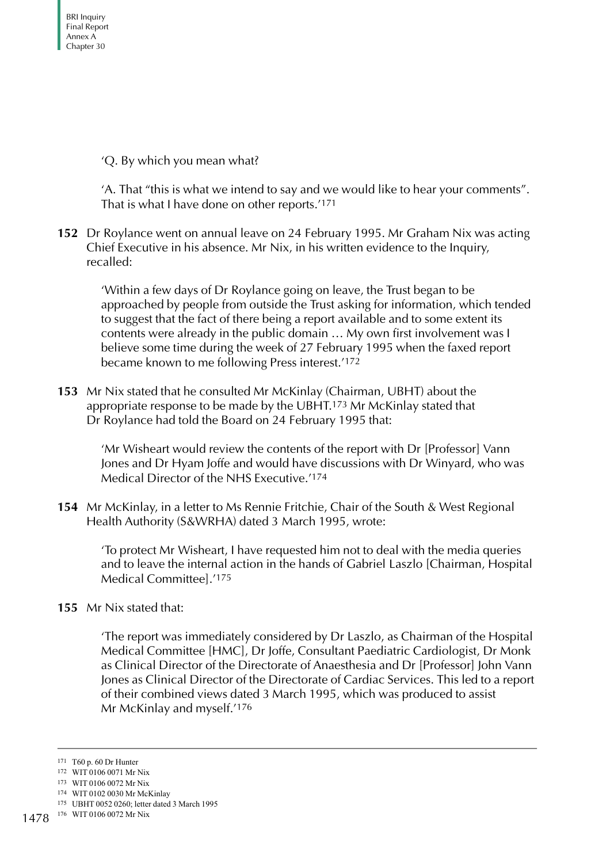'Q. By which you mean what?

'A. That "this is what we intend to say and we would like to hear your comments". That is what I have done on other reports.'171

**152** Dr Roylance went on annual leave on 24 February 1995. Mr Graham Nix was acting Chief Executive in his absence. Mr Nix, in his written evidence to the Inquiry, recalled:

'Within a few days of Dr Roylance going on leave, the Trust began to be approached by people from outside the Trust asking for information, which tended to suggest that the fact of there being a report available and to some extent its contents were already in the public domain … My own first involvement was I believe some time during the week of 27 February 1995 when the faxed report became known to me following Press interest.'172

**153** Mr Nix stated that he consulted Mr McKinlay (Chairman, UBHT) about the appropriate response to be made by the UBHT.173 Mr McKinlay stated that Dr Roylance had told the Board on 24 February 1995 that:

> 'Mr Wisheart would review the contents of the report with Dr [Professor] Vann Jones and Dr Hyam Joffe and would have discussions with Dr Winyard, who was Medical Director of the NHS Executive.'174

**154** Mr McKinlay, in a letter to Ms Rennie Fritchie, Chair of the South & West Regional Health Authority (S&WRHA) dated 3 March 1995, wrote:

'To protect Mr Wisheart, I have requested him not to deal with the media queries and to leave the internal action in the hands of Gabriel Laszlo [Chairman, Hospital Medical Committee].'175

**155** Mr Nix stated that:

'The report was immediately considered by Dr Laszlo, as Chairman of the Hospital Medical Committee [HMC], Dr Joffe, Consultant Paediatric Cardiologist, Dr Monk as Clinical Director of the Directorate of Anaesthesia and Dr [Professor] John Vann Jones as Clinical Director of the Directorate of Cardiac Services. This led to a report of their combined views dated 3 March 1995, which was produced to assist Mr McKinlay and myself.'176

<sup>171</sup> T60 p. 60 Dr Hunter

<sup>172</sup> WIT 0106 0071 Mr Nix

<sup>173</sup> WIT 0106 0072 Mr Nix

<sup>174</sup> WIT 0102 0030 Mr McKinlay

<sup>175</sup> UBHT 0052 0260; letter dated 3 March 1995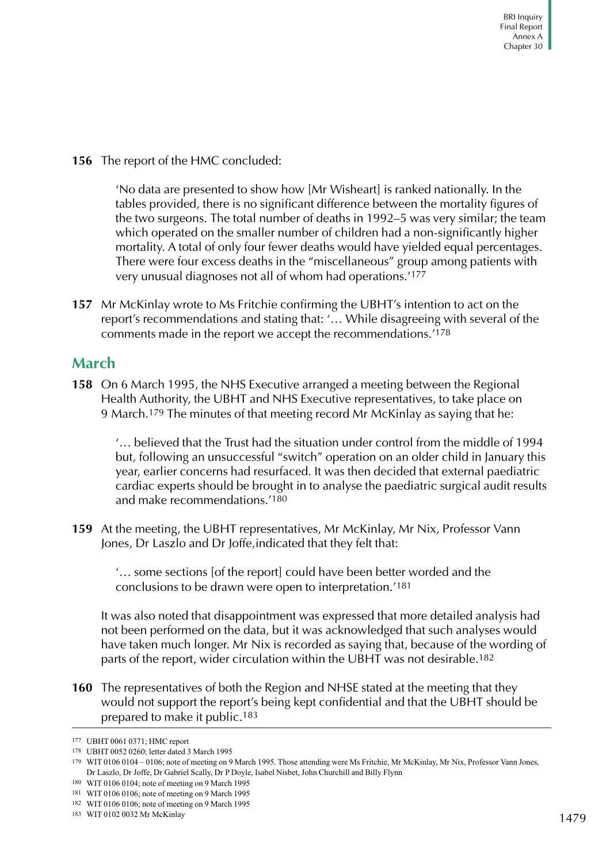**156** The report of the HMC concluded:

'No data are presented to show how [Mr Wisheart] is ranked nationally. In the tables provided, there is no significant difference between the mortality figures of the two surgeons. The total number of deaths in 1992–5 was very similar; the team which operated on the smaller number of children had a non-significantly higher mortality. A total of only four fewer deaths would have yielded equal percentages. There were four excess deaths in the "miscellaneous" group among patients with very unusual diagnoses not all of whom had operations.'177

**157** Mr McKinlay wrote to Ms Fritchie confirming the UBHT's intention to act on the report's recommendations and stating that: '… While disagreeing with several of the comments made in the report we accept the recommendations.'178

# **March**

**158** On 6 March 1995, the NHS Executive arranged a meeting between the Regional Health Authority, the UBHT and NHS Executive representatives, to take place on 9 March.179 The minutes of that meeting record Mr McKinlay as saying that he:

'… believed that the Trust had the situation under control from the middle of 1994 but, following an unsuccessful "switch" operation on an older child in January this year, earlier concerns had resurfaced. It was then decided that external paediatric cardiac experts should be brought in to analyse the paediatric surgical audit results and make recommendations.'180

**159** At the meeting, the UBHT representatives, Mr McKinlay, Mr Nix, Professor Vann Jones, Dr Laszlo and Dr Joffe,indicated that they felt that:

'… some sections [of the report] could have been better worded and the conclusions to be drawn were open to interpretation.'181

It was also noted that disappointment was expressed that more detailed analysis had not been performed on the data, but it was acknowledged that such analyses would have taken much longer. Mr Nix is recorded as saying that, because of the wording of parts of the report, wider circulation within the UBHT was not desirable.182

**160** The representatives of both the Region and NHSE stated at the meeting that they would not support the report's being kept confidential and that the UBHT should be prepared to make it public.183

<sup>177</sup> UBHT 0061 0371; HMC report

<sup>178</sup> UBHT 0052 0260; letter dated 3 March 1995

<sup>179</sup> WIT 0106 0104 – 0106; note of meeting on 9 March 1995. Those attending were Ms Fritchie, Mr McKinlay, Mr Nix, Professor Vann Jones, Dr Laszlo, Dr Joffe, Dr Gabriel Scally, Dr P Doyle, Isabel Nisbet, John Churchill and Billy Flynn

<sup>180</sup> WIT 0106 0104; note of meeting on 9 March 1995

<sup>181</sup> WIT 0106 0106; note of meeting on 9 March 1995

<sup>182</sup> WIT 0106 0106; note of meeting on 9 March 1995

<sup>183</sup> WIT 0102 0032 Mr McKinlay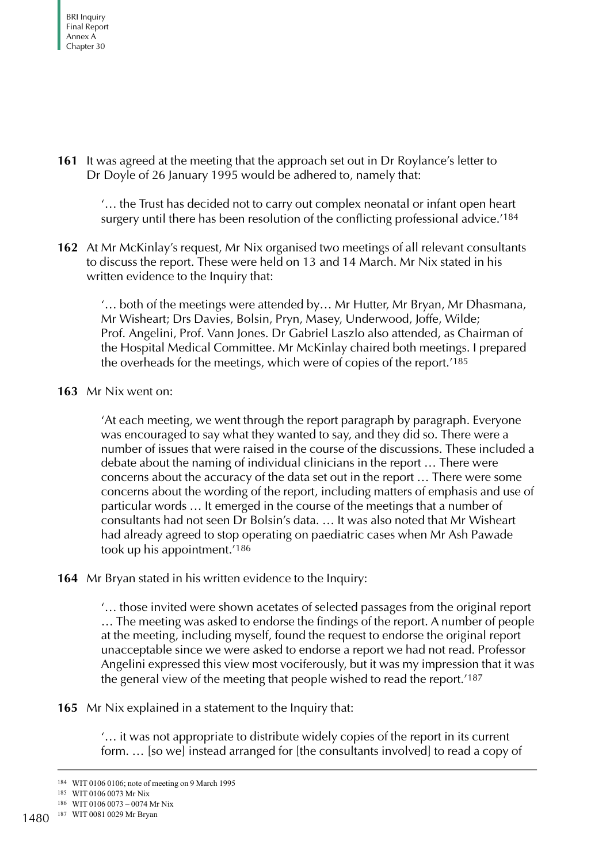**161** It was agreed at the meeting that the approach set out in Dr Roylance's letter to Dr Doyle of 26 January 1995 would be adhered to, namely that:

'… the Trust has decided not to carry out complex neonatal or infant open heart surgery until there has been resolution of the conflicting professional advice.'184

**162** At Mr McKinlay's request, Mr Nix organised two meetings of all relevant consultants to discuss the report. These were held on 13 and 14 March. Mr Nix stated in his written evidence to the Inquiry that:

'… both of the meetings were attended by… Mr Hutter, Mr Bryan, Mr Dhasmana, Mr Wisheart; Drs Davies, Bolsin, Pryn, Masey, Underwood, Joffe, Wilde; Prof. Angelini, Prof. Vann Jones. Dr Gabriel Laszlo also attended, as Chairman of the Hospital Medical Committee. Mr McKinlay chaired both meetings. I prepared the overheads for the meetings, which were of copies of the report.'185

### **163** Mr Nix went on:

'At each meeting, we went through the report paragraph by paragraph. Everyone was encouraged to say what they wanted to say, and they did so. There were a number of issues that were raised in the course of the discussions. These included a debate about the naming of individual clinicians in the report … There were concerns about the accuracy of the data set out in the report … There were some concerns about the wording of the report, including matters of emphasis and use of particular words … It emerged in the course of the meetings that a number of consultants had not seen Dr Bolsin's data. … It was also noted that Mr Wisheart had already agreed to stop operating on paediatric cases when Mr Ash Pawade took up his appointment.'186

### **164** Mr Bryan stated in his written evidence to the Inquiry:

'… those invited were shown acetates of selected passages from the original report … The meeting was asked to endorse the findings of the report. A number of people at the meeting, including myself, found the request to endorse the original report unacceptable since we were asked to endorse a report we had not read. Professor Angelini expressed this view most vociferously, but it was my impression that it was the general view of the meeting that people wished to read the report.'187

**165** Mr Nix explained in a statement to the Inquiry that:

'… it was not appropriate to distribute widely copies of the report in its current form. … [so we] instead arranged for [the consultants involved] to read a copy of

<sup>184</sup> WIT 0106 0106; note of meeting on 9 March 1995

<sup>185</sup> WIT 0106 0073 Mr Nix

<sup>186</sup> WIT 0106 0073 – 0074 Mr Nix 187 WIT 0081 0029 Mr Bryan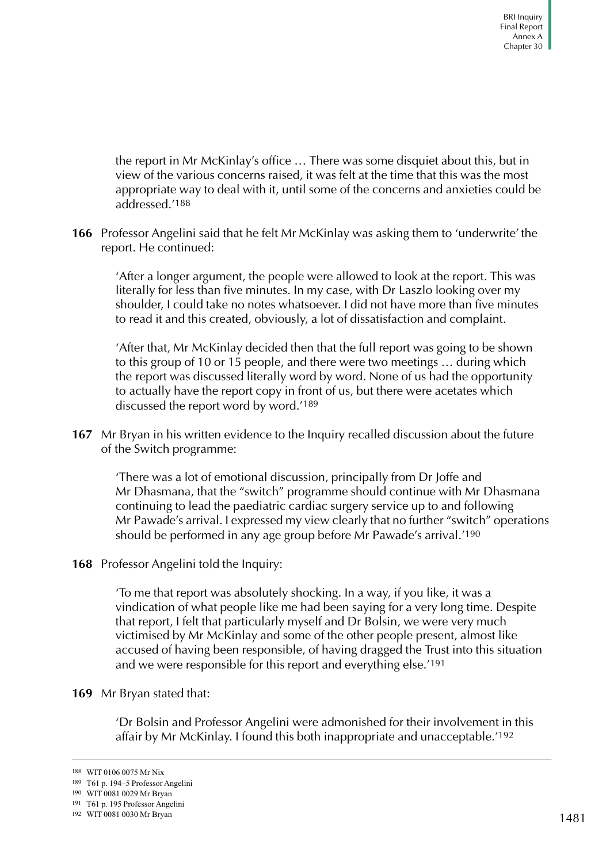the report in Mr McKinlay's office … There was some disquiet about this, but in view of the various concerns raised, it was felt at the time that this was the most appropriate way to deal with it, until some of the concerns and anxieties could be addressed.'188

**166** Professor Angelini said that he felt Mr McKinlay was asking them to 'underwrite' the report. He continued:

'After a longer argument, the people were allowed to look at the report. This was literally for less than five minutes. In my case, with Dr Laszlo looking over my shoulder, I could take no notes whatsoever. I did not have more than five minutes to read it and this created, obviously, a lot of dissatisfaction and complaint.

'After that, Mr McKinlay decided then that the full report was going to be shown to this group of 10 or 15 people, and there were two meetings … during which the report was discussed literally word by word. None of us had the opportunity to actually have the report copy in front of us, but there were acetates which discussed the report word by word.<sup>'189</sup>

**167** Mr Bryan in his written evidence to the Inquiry recalled discussion about the future of the Switch programme:

'There was a lot of emotional discussion, principally from Dr Joffe and Mr Dhasmana, that the "switch" programme should continue with Mr Dhasmana continuing to lead the paediatric cardiac surgery service up to and following Mr Pawade's arrival. I expressed my view clearly that no further "switch" operations should be performed in any age group before Mr Pawade's arrival.'190

**168** Professor Angelini told the Inquiry:

'To me that report was absolutely shocking. In a way, if you like, it was a vindication of what people like me had been saying for a very long time. Despite that report, I felt that particularly myself and Dr Bolsin, we were very much victimised by Mr McKinlay and some of the other people present, almost like accused of having been responsible, of having dragged the Trust into this situation and we were responsible for this report and everything else.'191

#### **169** Mr Bryan stated that:

'Dr Bolsin and Professor Angelini were admonished for their involvement in this affair by Mr McKinlay. I found this both inappropriate and unacceptable.'192

<sup>188</sup> WIT 0106 0075 Mr Nix

<sup>189</sup> T61 p. 194–5 Professor Angelini

<sup>190</sup> WIT 0081 0029 Mr Bryan

<sup>191</sup> T61 p. 195 Professor Angelini

<sup>192</sup> WIT 0081 0030 Mr Bryan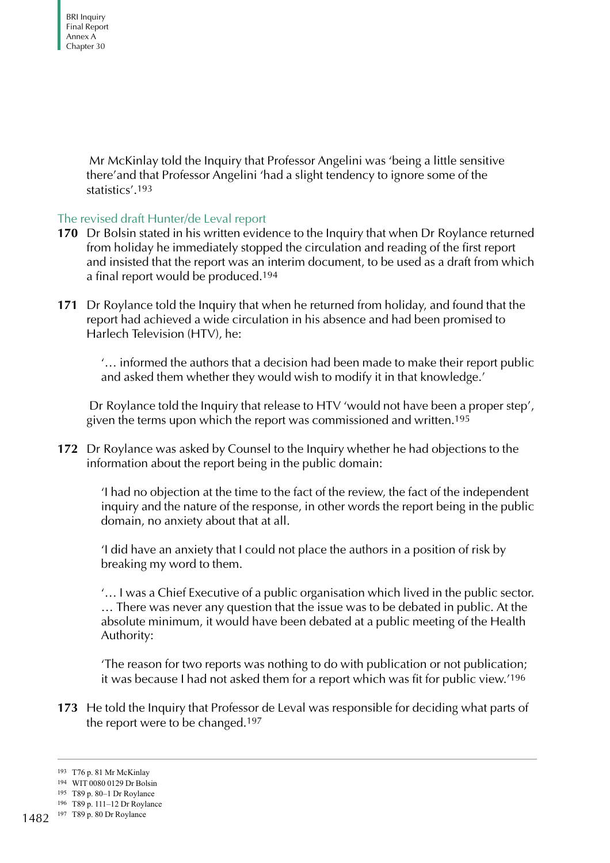Mr McKinlay told the Inquiry that Professor Angelini was 'being a little sensitive there'and that Professor Angelini 'had a slight tendency to ignore some of the statistics'.193

### The revised draft Hunter/de Leval report

- **170** Dr Bolsin stated in his written evidence to the Inquiry that when Dr Roylance returned from holiday he immediately stopped the circulation and reading of the first report and insisted that the report was an interim document, to be used as a draft from which a final report would be produced.194
- **171** Dr Roylance told the Inquiry that when he returned from holiday, and found that the report had achieved a wide circulation in his absence and had been promised to Harlech Television (HTV), he:

'… informed the authors that a decision had been made to make their report public and asked them whether they would wish to modify it in that knowledge.'

 Dr Roylance told the Inquiry that release to HTV 'would not have been a proper step', given the terms upon which the report was commissioned and written.195

**172** Dr Roylance was asked by Counsel to the Inquiry whether he had objections to the information about the report being in the public domain:

'I had no objection at the time to the fact of the review, the fact of the independent inquiry and the nature of the response, in other words the report being in the public domain, no anxiety about that at all.

'I did have an anxiety that I could not place the authors in a position of risk by breaking my word to them.

'… I was a Chief Executive of a public organisation which lived in the public sector. … There was never any question that the issue was to be debated in public. At the absolute minimum, it would have been debated at a public meeting of the Health Authority:

'The reason for two reports was nothing to do with publication or not publication; it was because I had not asked them for a report which was fit for public view.'196

**173** He told the Inquiry that Professor de Leval was responsible for deciding what parts of the report were to be changed.197

<sup>193</sup> T76 p. 81 Mr McKinlay

<sup>194</sup> WIT 0080 0129 Dr Bolsin

<sup>195</sup> T89 p. 80–1 Dr Roylance

<sup>196</sup> T89 p. 111–12 Dr Roylance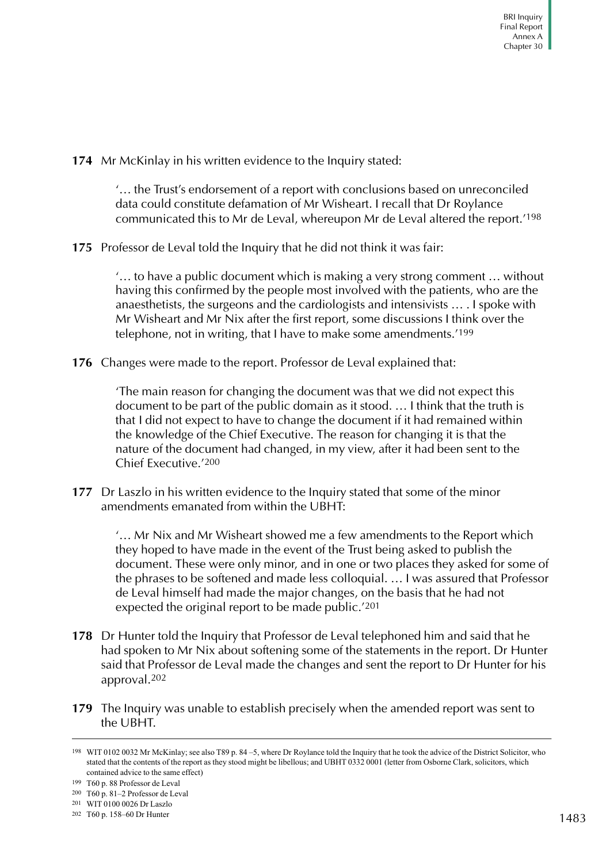**174** Mr McKinlay in his written evidence to the Inquiry stated:

'… the Trust's endorsement of a report with conclusions based on unreconciled data could constitute defamation of Mr Wisheart. I recall that Dr Roylance communicated this to Mr de Leval, whereupon Mr de Leval altered the report.'198

**175** Professor de Leval told the Inquiry that he did not think it was fair:

'… to have a public document which is making a very strong comment … without having this confirmed by the people most involved with the patients, who are the anaesthetists, the surgeons and the cardiologists and intensivists … . I spoke with Mr Wisheart and Mr Nix after the first report, some discussions I think over the telephone, not in writing, that I have to make some amendments.'199

**176** Changes were made to the report. Professor de Leval explained that:

'The main reason for changing the document was that we did not expect this document to be part of the public domain as it stood. … I think that the truth is that I did not expect to have to change the document if it had remained within the knowledge of the Chief Executive. The reason for changing it is that the nature of the document had changed, in my view, after it had been sent to the Chief Executive.'200

**177** Dr Laszlo in his written evidence to the Inquiry stated that some of the minor amendments emanated from within the UBHT:

'… Mr Nix and Mr Wisheart showed me a few amendments to the Report which they hoped to have made in the event of the Trust being asked to publish the document. These were only minor, and in one or two places they asked for some of the phrases to be softened and made less colloquial. … I was assured that Professor de Leval himself had made the major changes, on the basis that he had not expected the original report to be made public.'201

- **178** Dr Hunter told the Inquiry that Professor de Leval telephoned him and said that he had spoken to Mr Nix about softening some of the statements in the report. Dr Hunter said that Professor de Leval made the changes and sent the report to Dr Hunter for his approval.202
- **179** The Inquiry was unable to establish precisely when the amended report was sent to the UBHT.

<sup>198</sup> WIT 0102 0032 Mr McKinlay; see also T89 p. 84 –5, where Dr Roylance told the Inquiry that he took the advice of the District Solicitor, who stated that the contents of the report as they stood might be libellous; and UBHT 0332 0001 (letter from Osborne Clark, solicitors, which contained advice to the same effect)

<sup>199</sup> T60 p. 88 Professor de Leval

<sup>200</sup> T60 p. 81–2 Professor de Leval

<sup>201</sup> WIT 0100 0026 Dr Laszlo

<sup>202</sup> T60 p. 158–60 Dr Hunter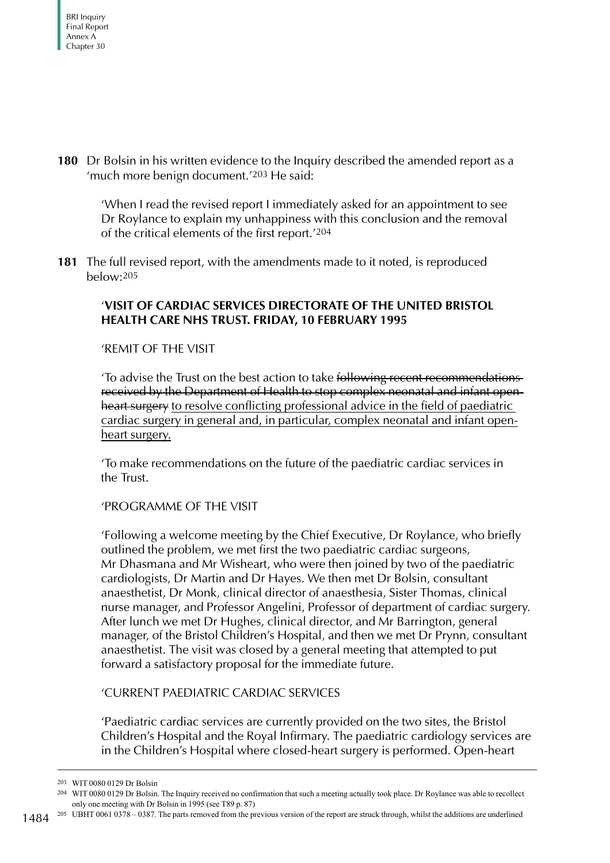**180** Dr Bolsin in his written evidence to the Inquiry described the amended report as a 'much more benign document.'203 He said:

'When I read the revised report I immediately asked for an appointment to see Dr Roylance to explain my unhappiness with this conclusion and the removal of the critical elements of the first report.'204

**181** The full revised report, with the amendments made to it noted, is reproduced below:205

### '**VISIT OF CARDIAC SERVICES DIRECTORATE OF THE UNITED BRISTOL HEALTH CARE NHS TRUST. FRIDAY, 10 FEBRUARY 1995**

'REMIT OF THE VISIT

To advise the Trust on the best action to take following recent recommendations received by the Department of Health to stop complex neonatal and infant openheart surgery to resolve conflicting professional advice in the field of paediatric cardiac surgery in general and, in particular, complex neonatal and infant openheart surgery.

'To make recommendations on the future of the paediatric cardiac services in the Trust.

'PROGRAMME OF THE VISIT

'Following a welcome meeting by the Chief Executive, Dr Roylance, who briefly outlined the problem, we met first the two paediatric cardiac surgeons, Mr Dhasmana and Mr Wisheart, who were then joined by two of the paediatric cardiologists, Dr Martin and Dr Hayes. We then met Dr Bolsin, consultant anaesthetist, Dr Monk, clinical director of anaesthesia, Sister Thomas, clinical nurse manager, and Professor Angelini, Professor of department of cardiac surgery. After lunch we met Dr Hughes, clinical director, and Mr Barrington, general manager, of the Bristol Children's Hospital, and then we met Dr Prynn, consultant anaesthetist. The visit was closed by a general meeting that attempted to put forward a satisfactory proposal for the immediate future.

'CURRENT PAEDIATRIC CARDIAC SERVICES

'Paediatric cardiac services are currently provided on the two sites, the Bristol Children's Hospital and the Royal Infirmary. The paediatric cardiology services are in the Children's Hospital where closed-heart surgery is performed. Open-heart

205 UBHT 0061 0378 – 0387. The parts removed from the previous version of the report are struck through, whilst the additions are underlined

<sup>203</sup> WIT 0080 0129 Dr Bolsin

<sup>204</sup> WIT 0080 0129 Dr Bolsin. The Inquiry received no confirmation that such a meeting actually took place. Dr Roylance was able to recollect only one meeting with Dr Bolsin in 1995 (see T89 p. 87)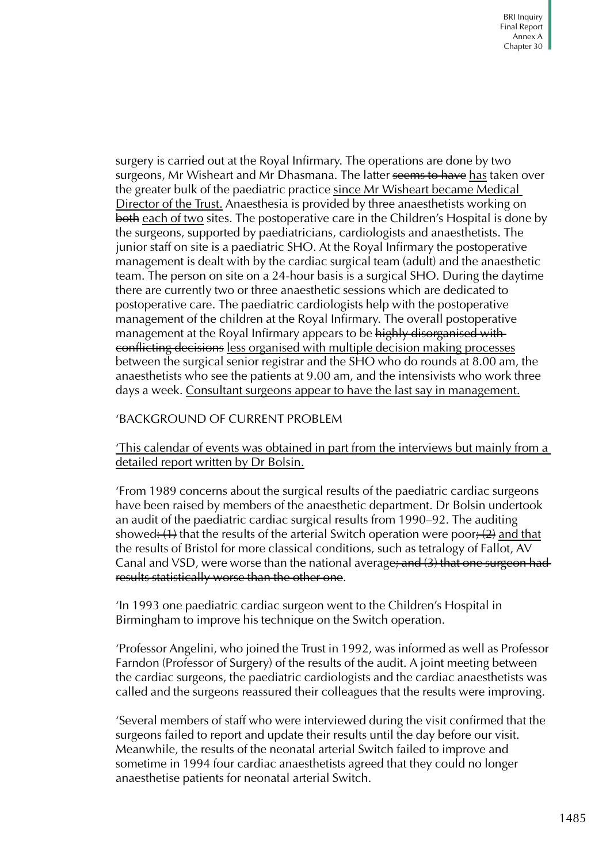surgery is carried out at the Royal Infirmary. The operations are done by two surgeons, Mr Wisheart and Mr Dhasmana. The latter <del>seems to have</del> has taken over the greater bulk of the paediatric practice since Mr Wisheart became Medical Director of the Trust. Anaesthesia is provided by three anaesthetists working on both each of two sites. The postoperative care in the Children's Hospital is done by the surgeons, supported by paediatricians, cardiologists and anaesthetists. The junior staff on site is a paediatric SHO. At the Royal Infirmary the postoperative management is dealt with by the cardiac surgical team (adult) and the anaesthetic team. The person on site on a 24-hour basis is a surgical SHO. During the daytime there are currently two or three anaesthetic sessions which are dedicated to postoperative care. The paediatric cardiologists help with the postoperative management of the children at the Royal Infirmary. The overall postoperative management at the Royal Infirmary appears to be highly disorganised withconflicting decisions less organised with multiple decision making processes between the surgical senior registrar and the SHO who do rounds at 8.00 am, the anaesthetists who see the patients at 9.00 am, and the intensivists who work three days a week. Consultant surgeons appear to have the last say in management.

### 'BACKGROUND OF CURRENT PROBLEM

'This calendar of events was obtained in part from the interviews but mainly from a detailed report written by Dr Bolsin.

'From 1989 concerns about the surgical results of the paediatric cardiac surgeons have been raised by members of the anaesthetic department. Dr Bolsin undertook an audit of the paediatric cardiac surgical results from 1990–92. The auditing showed:  $(1)$  that the results of the arterial Switch operation were poor;  $(2)$  and that the results of Bristol for more classical conditions, such as tetralogy of Fallot, AV Canal and VSD, were worse than the national average<del>; and (3) that one surgeon had</del> results statistically worse than the other one.

'In 1993 one paediatric cardiac surgeon went to the Children's Hospital in Birmingham to improve his technique on the Switch operation.

'Professor Angelini, who joined the Trust in 1992, was informed as well as Professor Farndon (Professor of Surgery) of the results of the audit. A joint meeting between the cardiac surgeons, the paediatric cardiologists and the cardiac anaesthetists was called and the surgeons reassured their colleagues that the results were improving.

'Several members of staff who were interviewed during the visit confirmed that the surgeons failed to report and update their results until the day before our visit. Meanwhile, the results of the neonatal arterial Switch failed to improve and sometime in 1994 four cardiac anaesthetists agreed that they could no longer anaesthetise patients for neonatal arterial Switch.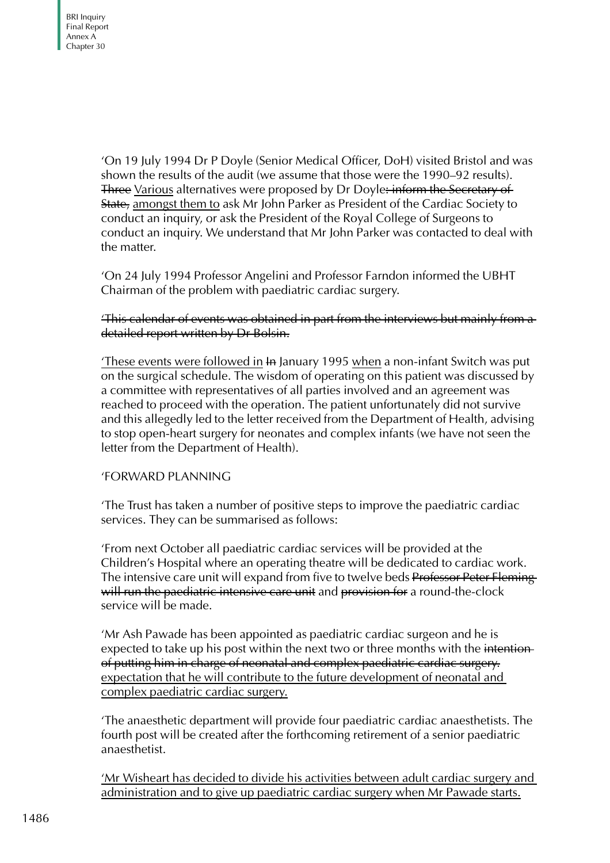'On 19 July 1994 Dr P Doyle (Senior Medical Officer, DoH) visited Bristol and was shown the results of the audit (we assume that those were the 1990–92 results). Three Various alternatives were proposed by Dr Doyle: inform the Secretary of State, amongst them to ask Mr John Parker as President of the Cardiac Society to conduct an inquiry, or ask the President of the Royal College of Surgeons to conduct an inquiry. We understand that Mr John Parker was contacted to deal with the matter.

'On 24 July 1994 Professor Angelini and Professor Farndon informed the UBHT Chairman of the problem with paediatric cardiac surgery.

### 'This calendar of events was obtained in part from the interviews but mainly from a detailed report written by Dr Bolsin.

These events were followed in <del>In</del> January 1995 when a non-infant Switch was put on the surgical schedule. The wisdom of operating on this patient was discussed by a committee with representatives of all parties involved and an agreement was reached to proceed with the operation. The patient unfortunately did not survive and this allegedly led to the letter received from the Department of Health, advising to stop open-heart surgery for neonates and complex infants (we have not seen the letter from the Department of Health).

### 'FORWARD PLANNING

'The Trust has taken a number of positive steps to improve the paediatric cardiac services. They can be summarised as follows:

'From next October all paediatric cardiac services will be provided at the Children's Hospital where an operating theatre will be dedicated to cardiac work. The intensive care unit will expand from five to twelve beds Professor Peter Fleming will run the paediatric intensive care unit and provision for a round-the-clock service will be made.

'Mr Ash Pawade has been appointed as paediatric cardiac surgeon and he is expected to take up his post within the next two or three months with the intentionof putting him in charge of neonatal and complex paediatric cardiac surgery. expectation that he will contribute to the future development of neonatal and complex paediatric cardiac surgery.

'The anaesthetic department will provide four paediatric cardiac anaesthetists. The fourth post will be created after the forthcoming retirement of a senior paediatric anaesthetist.

'Mr Wisheart has decided to divide his activities between adult cardiac surgery and administration and to give up paediatric cardiac surgery when Mr Pawade starts.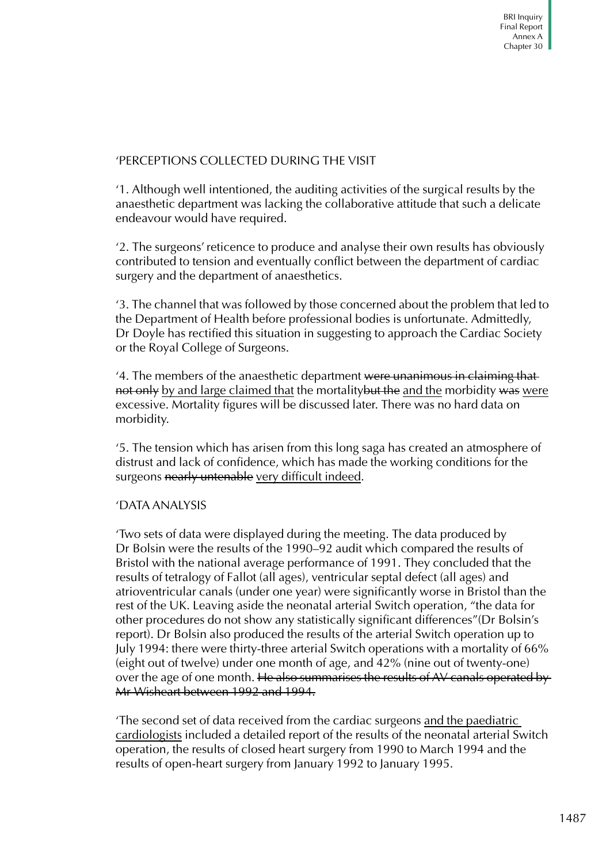### 'PERCEPTIONS COLLECTED DURING THE VISIT

'1. Although well intentioned, the auditing activities of the surgical results by the anaesthetic department was lacking the collaborative attitude that such a delicate endeavour would have required.

'2. The surgeons' reticence to produce and analyse their own results has obviously contributed to tension and eventually conflict between the department of cardiac surgery and the department of anaesthetics.

'3. The channel that was followed by those concerned about the problem that led to the Department of Health before professional bodies is unfortunate. Admittedly, Dr Doyle has rectified this situation in suggesting to approach the Cardiac Society or the Royal College of Surgeons.

<sup>4</sup>. The members of the anaesthetic department were unanimous in claiming that not only by and large claimed that the mortality but the and the morbidity was were excessive. Mortality figures will be discussed later. There was no hard data on morbidity.

'5. The tension which has arisen from this long saga has created an atmosphere of distrust and lack of confidence, which has made the working conditions for the surgeons nearly untenable very difficult indeed.

### 'DATA ANALYSIS

'Two sets of data were displayed during the meeting. The data produced by Dr Bolsin were the results of the 1990–92 audit which compared the results of Bristol with the national average performance of 1991. They concluded that the results of tetralogy of Fallot (all ages), ventricular septal defect (all ages) and atrioventricular canals (under one year) were significantly worse in Bristol than the rest of the UK. Leaving aside the neonatal arterial Switch operation, "the data for other procedures do not show any statistically significant differences"(Dr Bolsin's report). Dr Bolsin also produced the results of the arterial Switch operation up to July 1994: there were thirty-three arterial Switch operations with a mortality of 66% (eight out of twelve) under one month of age, and 42% (nine out of twenty-one) over the age of one month. He also summarises the results of AV canals operated by Mr Wisheart between 1992 and 1994.

'The second set of data received from the cardiac surgeons and the paediatric cardiologists included a detailed report of the results of the neonatal arterial Switch operation, the results of closed heart surgery from 1990 to March 1994 and the results of open-heart surgery from January 1992 to January 1995.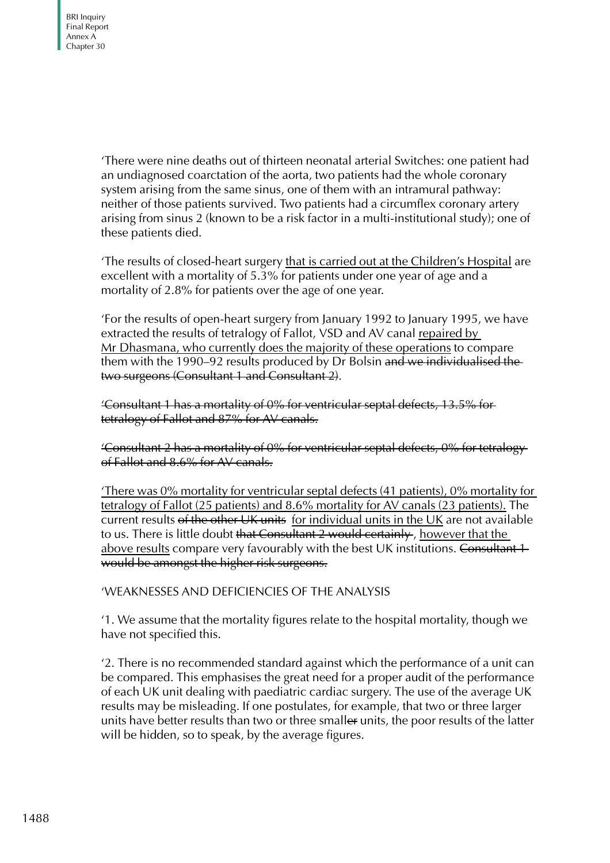'There were nine deaths out of thirteen neonatal arterial Switches: one patient had an undiagnosed coarctation of the aorta, two patients had the whole coronary system arising from the same sinus, one of them with an intramural pathway: neither of those patients survived. Two patients had a circumflex coronary artery arising from sinus 2 (known to be a risk factor in a multi-institutional study); one of these patients died.

'The results of closed-heart surgery that is carried out at the Children's Hospital are excellent with a mortality of 5.3% for patients under one year of age and a mortality of 2.8% for patients over the age of one year.

'For the results of open-heart surgery from January 1992 to January 1995, we have extracted the results of tetralogy of Fallot, VSD and AV canal repaired by Mr Dhasmana, who currently does the majority of these operations to compare them with the 1990–92 results produced by Dr Bolsin and we individualised the two surgeons (Consultant 1 and Consultant 2).

'Consultant 1 has a mortality of 0% for ventricular septal defects, 13.5% for tetralogy of Fallot and 87% for AV canals.

'Consultant 2 has a mortality of 0% for ventricular septal defects, 0% for tetralogy of Fallot and 8.6% for AV canals.

'There was 0% mortality for ventricular septal defects (41 patients), 0% mortality for tetralogy of Fallot (25 patients) and 8.6% mortality for AV canals (23 patients). The current results of the other UK units for individual units in the UK are not available to us. There is little doubt that Consultant 2 would certainly, however that the above results compare very favourably with the best UK institutions. Consultant 1would be amongst the higher risk surgeons.

'WEAKNESSES AND DEFICIENCIES OF THE ANALYSIS

'1. We assume that the mortality figures relate to the hospital mortality, though we have not specified this.

'2. There is no recommended standard against which the performance of a unit can be compared. This emphasises the great need for a proper audit of the performance of each UK unit dealing with paediatric cardiac surgery. The use of the average UK results may be misleading. If one postulates, for example, that two or three larger units have better results than two or three smaller units, the poor results of the latter will be hidden, so to speak, by the average figures.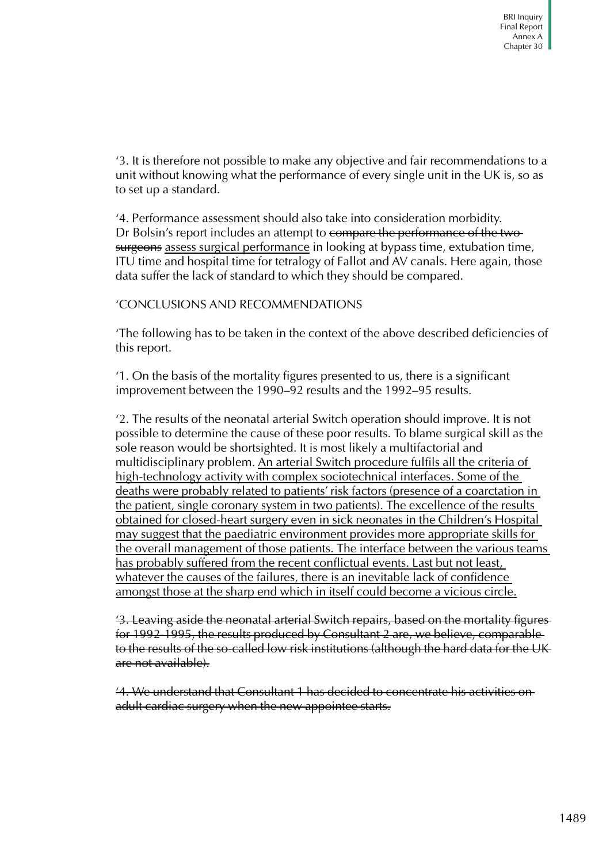'3. It is therefore not possible to make any objective and fair recommendations to a unit without knowing what the performance of every single unit in the UK is, so as to set up a standard.

'4. Performance assessment should also take into consideration morbidity. Dr Bolsin's report includes an attempt to compare the performance of the twosurgeons assess surgical performance in looking at bypass time, extubation time, ITU time and hospital time for tetralogy of Fallot and AV canals. Here again, those data suffer the lack of standard to which they should be compared.

'CONCLUSIONS AND RECOMMENDATIONS

'The following has to be taken in the context of the above described deficiencies of this report.

'1. On the basis of the mortality figures presented to us, there is a significant improvement between the 1990–92 results and the 1992–95 results.

'2. The results of the neonatal arterial Switch operation should improve. It is not possible to determine the cause of these poor results. To blame surgical skill as the sole reason would be shortsighted. It is most likely a multifactorial and multidisciplinary problem. An arterial Switch procedure fulfils all the criteria of high-technology activity with complex sociotechnical interfaces. Some of the deaths were probably related to patients' risk factors (presence of a coarctation in the patient, single coronary system in two patients). The excellence of the results obtained for closed-heart surgery even in sick neonates in the Children's Hospital may suggest that the paediatric environment provides more appropriate skills for the overall management of those patients. The interface between the various teams has probably suffered from the recent conflictual events. Last but not least, whatever the causes of the failures, there is an inevitable lack of confidence amongst those at the sharp end which in itself could become a vicious circle.

'3. Leaving aside the neonatal arterial Switch repairs, based on the mortality figures for 1992-1995, the results produced by Consultant 2 are, we believe, comparable to the results of the so-called low risk institutions (although the hard data for the UKare not available).

'4. We understand that Consultant 1 has decided to concentrate his activities on adult cardiac surgery when the new appointee starts.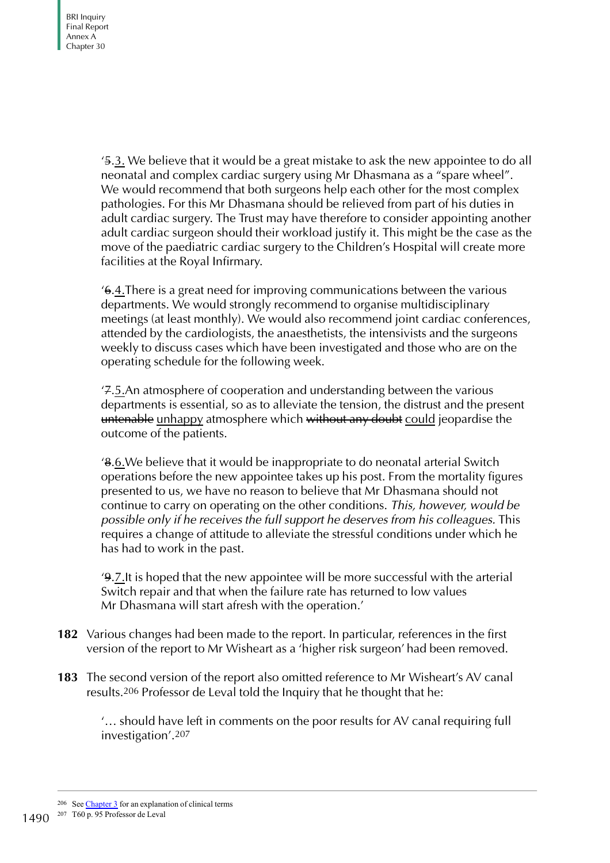'5.3. We believe that it would be a great mistake to ask the new appointee to do all neonatal and complex cardiac surgery using Mr Dhasmana as a "spare wheel". We would recommend that both surgeons help each other for the most complex pathologies. For this Mr Dhasmana should be relieved from part of his duties in adult cardiac surgery. The Trust may have therefore to consider appointing another adult cardiac surgeon should their workload justify it. This might be the case as the move of the paediatric cardiac surgery to the Children's Hospital will create more facilities at the Royal Infirmary.

'6.4.There is a great need for improving communications between the various departments. We would strongly recommend to organise multidisciplinary meetings (at least monthly). We would also recommend joint cardiac conferences, attended by the cardiologists, the anaesthetists, the intensivists and the surgeons weekly to discuss cases which have been investigated and those who are on the operating schedule for the following week.

 $\angle 7.5$ . An atmosphere of cooperation and understanding between the various departments is essential, so as to alleviate the tension, the distrust and the present untenable unhappy atmosphere which without any doubt could jeopardise the outcome of the patients.

'8.6.We believe that it would be inappropriate to do neonatal arterial Switch operations before the new appointee takes up his post. From the mortality figures presented to us, we have no reason to believe that Mr Dhasmana should not continue to carry on operating on the other conditions. This, however, would be possible only if he receives the full support he deserves from his colleagues. This requires a change of attitude to alleviate the stressful conditions under which he has had to work in the past.

'9.7.It is hoped that the new appointee will be more successful with the arterial Switch repair and that when the failure rate has returned to low values Mr Dhasmana will start afresh with the operation.'

- **182** Various changes had been made to the report. In particular, references in the first version of the report to Mr Wisheart as a 'higher risk surgeon' had been removed.
- **183** The second version of the report also omitted reference to Mr Wisheart's AV canal results.<sup>206</sup> Professor de Leval told the Inquiry that he thought that he:

'… should have left in comments on the poor results for AV canal requiring full investigation'.207

<sup>206</sup> See Chapter 3 for an explanation of clinical terms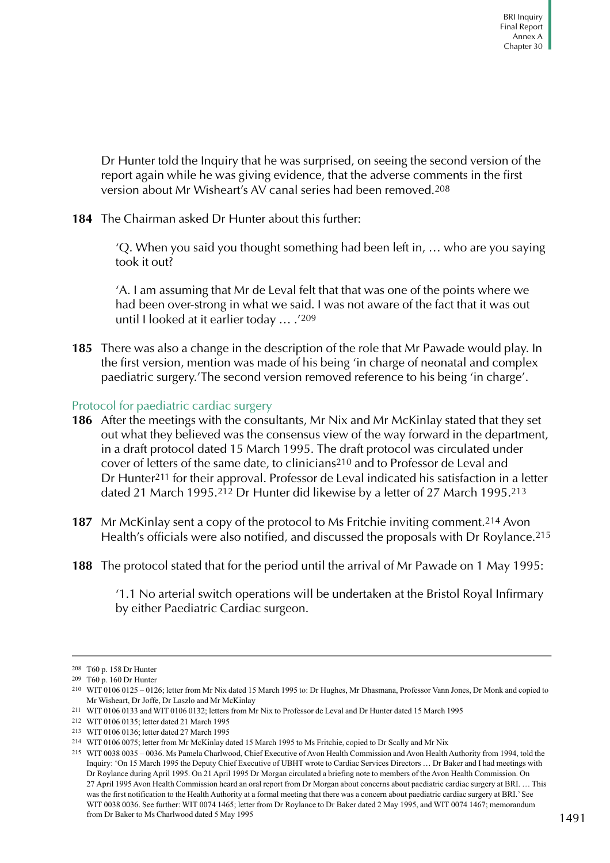Dr Hunter told the Inquiry that he was surprised, on seeing the second version of the report again while he was giving evidence, that the adverse comments in the first version about Mr Wisheart's AV canal series had been removed.208

**184** The Chairman asked Dr Hunter about this further:

'Q. When you said you thought something had been left in, … who are you saying took it out?

'A. I am assuming that Mr de Leval felt that that was one of the points where we had been over-strong in what we said. I was not aware of the fact that it was out until I looked at it earlier today … .'209

**185** There was also a change in the description of the role that Mr Pawade would play. In the first version, mention was made of his being 'in charge of neonatal and complex paediatric surgery.'The second version removed reference to his being 'in charge'.

### Protocol for paediatric cardiac surgery

- **186** After the meetings with the consultants, Mr Nix and Mr McKinlay stated that they set out what they believed was the consensus view of the way forward in the department, in a draft protocol dated 15 March 1995. The draft protocol was circulated under cover of letters of the same date, to clinicians210 and to Professor de Leval and Dr Hunter211 for their approval. Professor de Leval indicated his satisfaction in a letter dated 21 March 1995.212 Dr Hunter did likewise by a letter of 27 March 1995.213
- **187** Mr McKinlay sent a copy of the protocol to Ms Fritchie inviting comment.214 Avon Health's officials were also notified, and discussed the proposals with Dr Roylance.215
- **188** The protocol stated that for the period until the arrival of Mr Pawade on 1 May 1995:

'1.1 No arterial switch operations will be undertaken at the Bristol Royal Infirmary by either Paediatric Cardiac surgeon.

<sup>208</sup> T60 p. 158 Dr Hunter

<sup>209</sup> T60 p. 160 Dr Hunter

<sup>210</sup> WIT 0106 0125 – 0126; letter from Mr Nix dated 15 March 1995 to: Dr Hughes, Mr Dhasmana, Professor Vann Jones, Dr Monk and copied to Mr Wisheart, Dr Joffe, Dr Laszlo and Mr McKinlay

<sup>211</sup> WIT 0106 0133 and WIT 0106 0132; letters from Mr Nix to Professor de Leval and Dr Hunter dated 15 March 1995

<sup>212</sup> WIT 0106 0135; letter dated 21 March 1995

<sup>213</sup> WIT 0106 0136; letter dated 27 March 1995

<sup>214</sup> WIT 0106 0075; letter from Mr McKinlay dated 15 March 1995 to Ms Fritchie, copied to Dr Scally and Mr Nix

<sup>215</sup> WIT 0038 0035 – 0036. Ms Pamela Charlwood, Chief Executive of Avon Health Commission and Avon Health Authority from 1994, told the Inquiry: 'On 15 March 1995 the Deputy Chief Executive of UBHT wrote to Cardiac Services Directors … Dr Baker and I had meetings with Dr Roylance during April 1995. On 21 April 1995 Dr Morgan circulated a briefing note to members of the Avon Health Commission. On 27 April 1995 Avon Health Commission heard an oral report from Dr Morgan about concerns about paediatric cardiac surgery at BRI. … This was the first notification to the Health Authority at a formal meeting that there was a concern about paediatric cardiac surgery at BRI.' See WIT 0038 0036. See further: WIT 0074 1465; letter from Dr Roylance to Dr Baker dated 2 May 1995, and WIT 0074 1467; memorandum from Dr Baker to Ms Charlwood dated 5 May 1995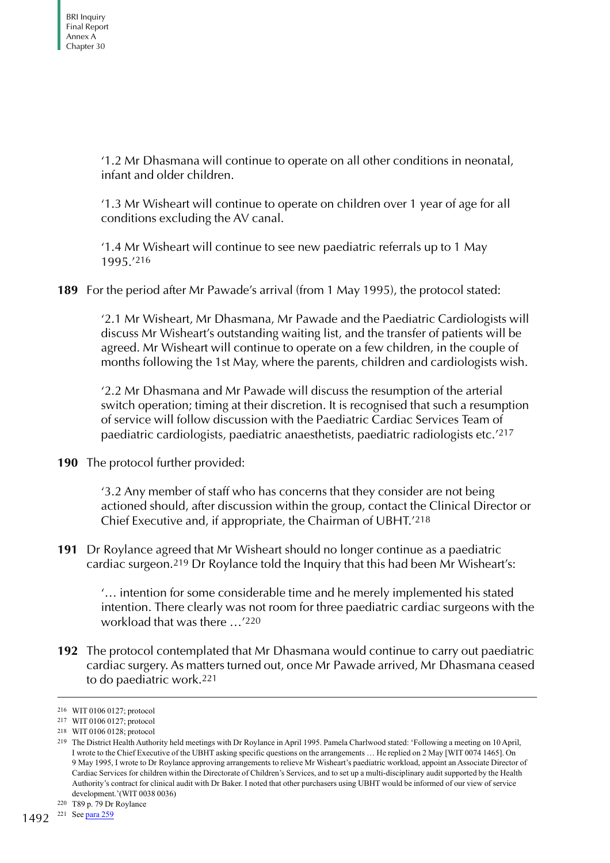'1.2 Mr Dhasmana will continue to operate on all other conditions in neonatal, infant and older children.

'1.3 Mr Wisheart will continue to operate on children over 1 year of age for all conditions excluding the AV canal.

'1.4 Mr Wisheart will continue to see new paediatric referrals up to 1 May 1995.'216

**189** For the period after Mr Pawade's arrival (from 1 May 1995), the protocol stated:

'2.1 Mr Wisheart, Mr Dhasmana, Mr Pawade and the Paediatric Cardiologists will discuss Mr Wisheart's outstanding waiting list, and the transfer of patients will be agreed. Mr Wisheart will continue to operate on a few children, in the couple of months following the 1st May, where the parents, children and cardiologists wish.

'2.2 Mr Dhasmana and Mr Pawade will discuss the resumption of the arterial switch operation; timing at their discretion. It is recognised that such a resumption of service will follow discussion with the Paediatric Cardiac Services Team of paediatric cardiologists, paediatric anaesthetists, paediatric radiologists etc.'217

**190** The protocol further provided:

'3.2 Any member of staff who has concerns that they consider are not being actioned should, after discussion within the group, contact the Clinical Director or Chief Executive and, if appropriate, the Chairman of UBHT.'218

**191** Dr Roylance agreed that Mr Wisheart should no longer continue as a paediatric cardiac surgeon.219 Dr Roylance told the Inquiry that this had been Mr Wisheart's:

'… intention for some considerable time and he merely implemented his stated intention. There clearly was not room for three paediatric cardiac surgeons with the workload that was there …'220

**192** The protocol contemplated that Mr Dhasmana would continue to carry out paediatric cardiac surgery. As matters turned out, once Mr Pawade arrived, Mr Dhasmana ceased to do paediatric work.221

<sup>216</sup> WIT 0106 0127; protocol

<sup>217</sup> WIT 0106 0127; protocol

<sup>218</sup> WIT 0106 0128; protocol

<sup>219</sup> The District Health Authority held meetings with Dr Roylance in April 1995. Pamela Charlwood stated: 'Following a meeting on 10 April, I wrote to the Chief Executive of the UBHT asking specific questions on the arrangements … He replied on 2 May [WIT 0074 1465]. On 9 May 1995, I wrote to Dr Roylance approving arrangements to relieve Mr Wisheart's paediatric workload, appoint an Associate Director of Cardiac Services for children within the Directorate of Children's Services, and to set up a multi-disciplinary audit supported by the Health Authority's contract for clinical audit with Dr Baker. I noted that other purchasers using UBHT would be informed of our view of service development.'(WIT 0038 0036)

<sup>220</sup> T89 p. 79 Dr Roylance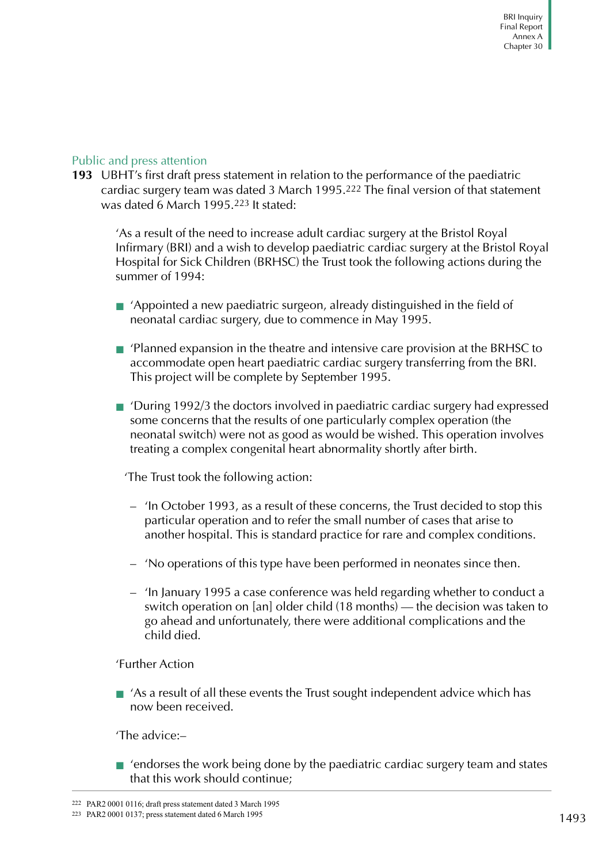### Public and press attention

**193** UBHT's first draft press statement in relation to the performance of the paediatric cardiac surgery team was dated 3 March 1995.222 The final version of that statement was dated 6 March 1995.223 It stated:

'As a result of the need to increase adult cardiac surgery at the Bristol Royal Infirmary (BRI) and a wish to develop paediatric cardiac surgery at the Bristol Royal Hospital for Sick Children (BRHSC) the Trust took the following actions during the summer of 1994:

- 'Appointed a new paediatric surgeon, already distinguished in the field of neonatal cardiac surgery, due to commence in May 1995.
- 'Planned expansion in the theatre and intensive care provision at the BRHSC to accommodate open heart paediatric cardiac surgery transferring from the BRI. This project will be complete by September 1995.
- 'During 1992/3 the doctors involved in paediatric cardiac surgery had expressed some concerns that the results of one particularly complex operation (the neonatal switch) were not as good as would be wished. This operation involves treating a complex congenital heart abnormality shortly after birth.

'The Trust took the following action:

- 'In October 1993, as a result of these concerns, the Trust decided to stop this particular operation and to refer the small number of cases that arise to another hospital. This is standard practice for rare and complex conditions.
- 'No operations of this type have been performed in neonates since then.
- 'In January 1995 a case conference was held regarding whether to conduct a switch operation on [an] older child (18 months) — the decision was taken to go ahead and unfortunately, there were additional complications and the child died.

'Further Action

■ 'As a result of all these events the Trust sought independent advice which has now been received.

'The advice:–

■ 'endorses the work being done by the paediatric cardiac surgery team and states that this work should continue;

<sup>222</sup> PAR2 0001 0116; draft press statement dated 3 March 1995

<sup>223</sup> PAR2 0001 0137; press statement dated 6 March 1995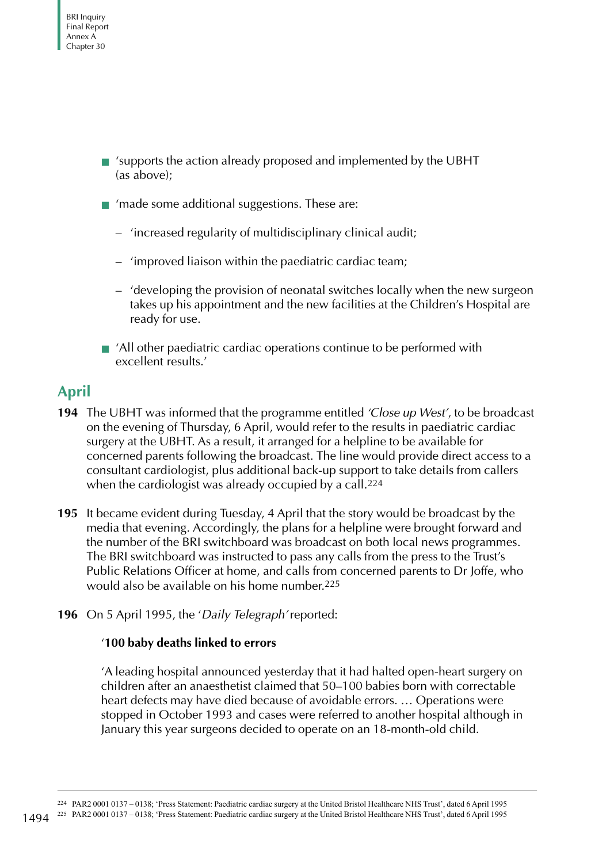- 'supports the action already proposed and implemented by the UBHT (as above);
- 'made some additional suggestions. These are:
	- 'increased regularity of multidisciplinary clinical audit;
	- 'improved liaison within the paediatric cardiac team;
	- 'developing the provision of neonatal switches locally when the new surgeon takes up his appointment and the new facilities at the Children's Hospital are ready for use.
- 'All other paediatric cardiac operations continue to be performed with excellent results.'

# **April**

- <span id="page-159-0"></span>**194** The UBHT was informed that the programme entitled 'Close up West', to be broadcast on the evening of Thursday, 6 April, would refer to the results in paediatric cardiac surgery at the UBHT. As a result, it arranged for a helpline to be available for concerned parents following the broadcast. The line would provide direct access to a consultant cardiologist, plus additional back-up support to take details from callers when the cardiologist was already occupied by a call.<sup>224</sup>
- **195** It became evident during Tuesday, 4 April that the story would be broadcast by the media that evening. Accordingly, the plans for a helpline were brought forward and the number of the BRI switchboard was broadcast on both local news programmes. The BRI switchboard was instructed to pass any calls from the press to the Trust's Public Relations Officer at home, and calls from concerned parents to Dr Joffe, who would also be available on his home number.225
- **196** On 5 April 1995, the 'Daily Telegraph' reported:

### '**100 baby deaths linked to errors**

'A leading hospital announced yesterday that it had halted open-heart surgery on children after an anaesthetist claimed that 50–100 babies born with correctable heart defects may have died because of avoidable errors. … Operations were stopped in October 1993 and cases were referred to another hospital although in January this year surgeons decided to operate on an 18-month-old child.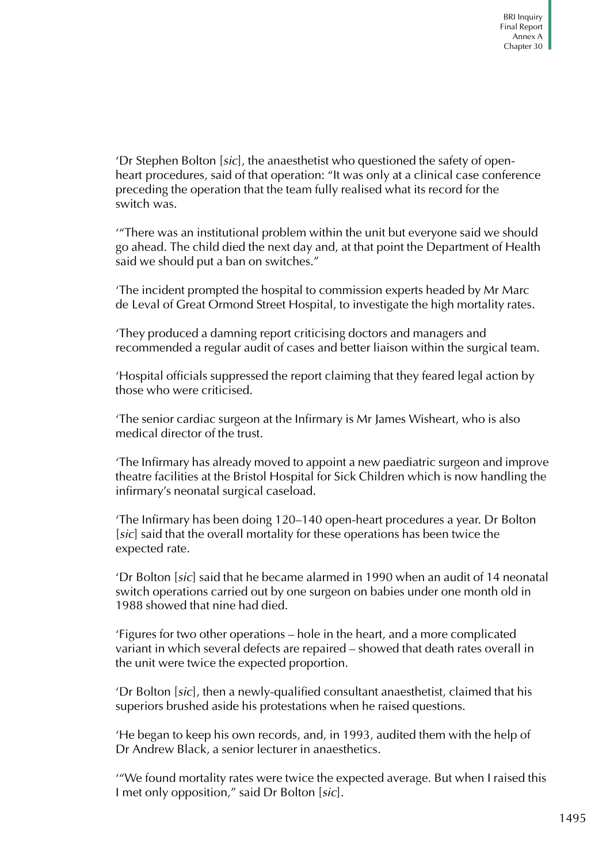'Dr Stephen Bolton [sic], the anaesthetist who questioned the safety of openheart procedures, said of that operation: "It was only at a clinical case conference preceding the operation that the team fully realised what its record for the switch was.

'"There was an institutional problem within the unit but everyone said we should go ahead. The child died the next day and, at that point the Department of Health said we should put a ban on switches."

'The incident prompted the hospital to commission experts headed by Mr Marc de Leval of Great Ormond Street Hospital, to investigate the high mortality rates.

'They produced a damning report criticising doctors and managers and recommended a regular audit of cases and better liaison within the surgical team.

'Hospital officials suppressed the report claiming that they feared legal action by those who were criticised.

'The senior cardiac surgeon at the Infirmary is Mr James Wisheart, who is also medical director of the trust.

'The Infirmary has already moved to appoint a new paediatric surgeon and improve theatre facilities at the Bristol Hospital for Sick Children which is now handling the infirmary's neonatal surgical caseload.

'The Infirmary has been doing 120–140 open-heart procedures a year. Dr Bolton [sic] said that the overall mortality for these operations has been twice the expected rate.

'Dr Bolton [sic] said that he became alarmed in 1990 when an audit of 14 neonatal switch operations carried out by one surgeon on babies under one month old in 1988 showed that nine had died.

'Figures for two other operations – hole in the heart, and a more complicated variant in which several defects are repaired – showed that death rates overall in the unit were twice the expected proportion.

'Dr Bolton [sic], then a newly-qualified consultant anaesthetist, claimed that his superiors brushed aside his protestations when he raised questions.

'He began to keep his own records, and, in 1993, audited them with the help of Dr Andrew Black, a senior lecturer in anaesthetics.

'"We found mortality rates were twice the expected average. But when I raised this I met only opposition," said Dr Bolton [sic].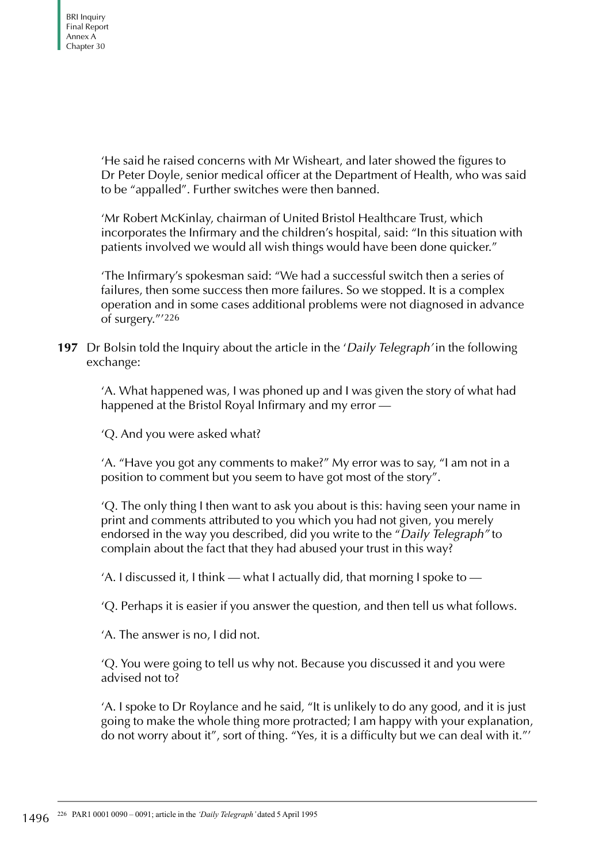'He said he raised concerns with Mr Wisheart, and later showed the figures to Dr Peter Doyle, senior medical officer at the Department of Health, who was said to be "appalled". Further switches were then banned.

'Mr Robert McKinlay, chairman of United Bristol Healthcare Trust, which incorporates the Infirmary and the children's hospital, said: "In this situation with patients involved we would all wish things would have been done quicker."

'The Infirmary's spokesman said: "We had a successful switch then a series of failures, then some success then more failures. So we stopped. It is a complex operation and in some cases additional problems were not diagnosed in advance of surgery."'226

**197** Dr Bolsin told the Inquiry about the article in the '*Daily Telegraph'* in the following exchange:

'A. What happened was, I was phoned up and I was given the story of what had happened at the Bristol Royal Infirmary and my error —

'Q. And you were asked what?

'A. "Have you got any comments to make?" My error was to say, "I am not in a position to comment but you seem to have got most of the story".

'Q. The only thing I then want to ask you about is this: having seen your name in print and comments attributed to you which you had not given, you merely endorsed in the way you described, did you write to the "Daily Telegraph" to complain about the fact that they had abused your trust in this way?

'A. I discussed it, I think — what I actually did, that morning I spoke to —

'Q. Perhaps it is easier if you answer the question, and then tell us what follows.

'A. The answer is no, I did not.

'Q. You were going to tell us why not. Because you discussed it and you were advised not to?

'A. I spoke to Dr Roylance and he said, "It is unlikely to do any good, and it is just going to make the whole thing more protracted; I am happy with your explanation, do not worry about it", sort of thing. "Yes, it is a difficulty but we can deal with it."'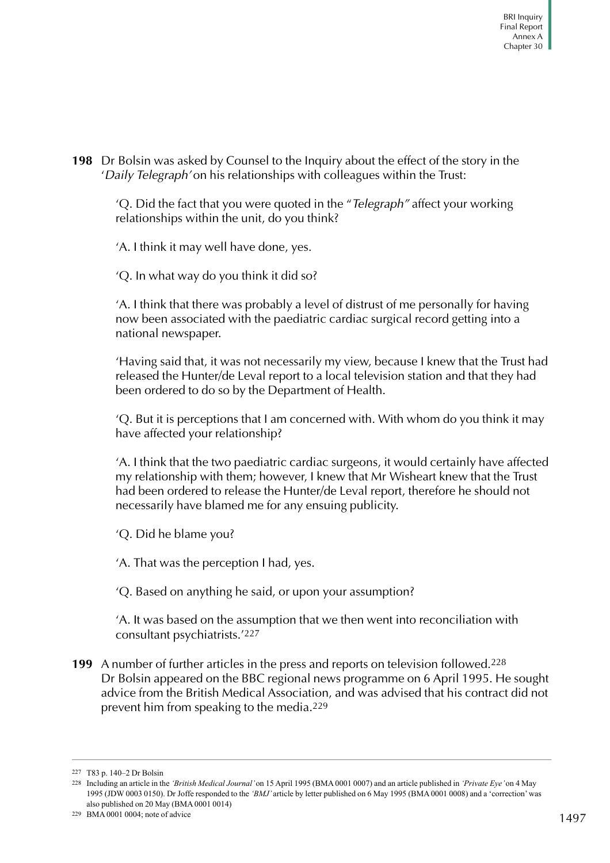**198** Dr Bolsin was asked by Counsel to the Inquiry about the effect of the story in the 'Daily Telegraph' on his relationships with colleagues within the Trust:

'Q. Did the fact that you were quoted in the "Telegraph" affect your working relationships within the unit, do you think?

'A. I think it may well have done, yes.

'Q. In what way do you think it did so?

'A. I think that there was probably a level of distrust of me personally for having now been associated with the paediatric cardiac surgical record getting into a national newspaper.

'Having said that, it was not necessarily my view, because I knew that the Trust had released the Hunter/de Leval report to a local television station and that they had been ordered to do so by the Department of Health.

'Q. But it is perceptions that I am concerned with. With whom do you think it may have affected your relationship?

'A. I think that the two paediatric cardiac surgeons, it would certainly have affected my relationship with them; however, I knew that Mr Wisheart knew that the Trust had been ordered to release the Hunter/de Leval report, therefore he should not necessarily have blamed me for any ensuing publicity.

'Q. Did he blame you?

'A. That was the perception I had, yes.

'Q. Based on anything he said, or upon your assumption?

'A. It was based on the assumption that we then went into reconciliation with consultant psychiatrists.'227

**199** A number of further articles in the press and reports on television followed.228 Dr Bolsin appeared on the BBC regional news programme on 6 April 1995. He sought advice from the British Medical Association, and was advised that his contract did not prevent him from speaking to the media.229

<sup>227</sup> T83 p. 140–2 Dr Bolsin

<span id="page-162-0"></span><sup>228</sup> Including an article in the *'British Medical Journal'* on 15 April 1995 (BMA 0001 0007) and an article published in *'Private Eye'* on 4 May 1995 (JDW 0003 0150). Dr Joffe responded to the *'BMJ'* article by letter published on 6 May 1995 (BMA 0001 0008) and a 'correction' was also published on 20 May (BMA 0001 0014)

<sup>229</sup> BMA 0001 0004; note of advice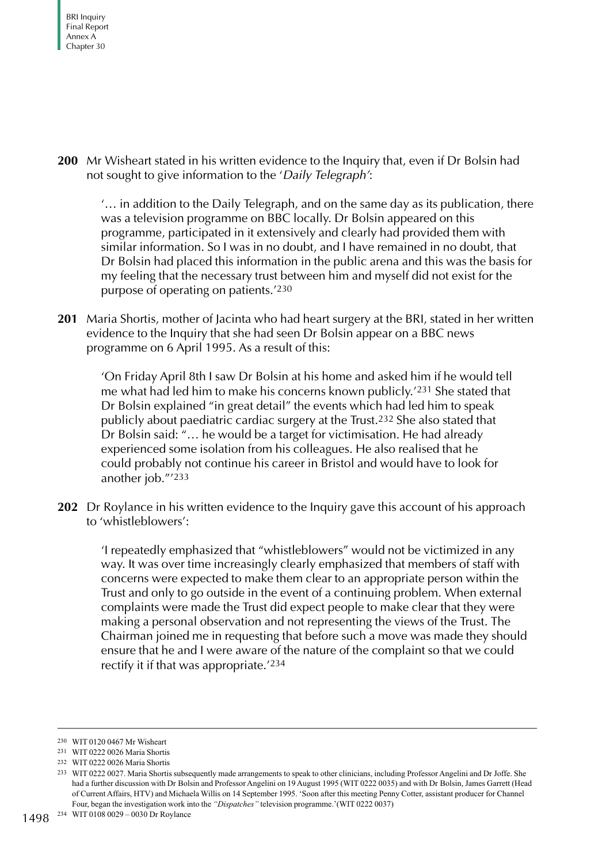**200** Mr Wisheart stated in his written evidence to the Inquiry that, even if Dr Bolsin had not sought to give information to the 'Daily Telegraph':

'… in addition to the Daily Telegraph, and on the same day as its publication, there was a television programme on BBC locally. Dr Bolsin appeared on this programme, participated in it extensively and clearly had provided them with similar information. So I was in no doubt, and I have remained in no doubt, that Dr Bolsin had placed this information in the public arena and this was the basis for my feeling that the necessary trust between him and myself did not exist for the purpose of operating on patients.'230

**201** Maria Shortis, mother of Jacinta who had heart surgery at the BRI, stated in her written evidence to the Inquiry that she had seen Dr Bolsin appear on a BBC news programme on 6 April 1995. As a result of this:

'On Friday April 8th I saw Dr Bolsin at his home and asked him if he would tell me what had led him to make his concerns known publicly.'231 She stated that Dr Bolsin explained "in great detail" the events which had led him to speak publicly about paediatric cardiac surgery at the Trust.232 She also stated that Dr Bolsin said: "… he would be a target for victimisation. He had already experienced some isolation from his colleagues. He also realised that he could probably not continue his career in Bristol and would have to look for another job."'233

**202** Dr Roylance in his written evidence to the Inquiry gave this account of his approach to 'whistleblowers':

'I repeatedly emphasized that "whistleblowers" would not be victimized in any way. It was over time increasingly clearly emphasized that members of staff with concerns were expected to make them clear to an appropriate person within the Trust and only to go outside in the event of a continuing problem. When external complaints were made the Trust did expect people to make clear that they were making a personal observation and not representing the views of the Trust. The Chairman joined me in requesting that before such a move was made they should ensure that he and I were aware of the nature of the complaint so that we could rectify it if that was appropriate.'234

<sup>230</sup> WIT 0120 0467 Mr Wisheart

<sup>231</sup> WIT 0222 0026 Maria Shortis

<sup>232</sup> WIT 0222 0026 Maria Shortis

<sup>233</sup> WIT 0222 0027. Maria Shortis subsequently made arrangements to speak to other clinicians, including Professor Angelini and Dr Joffe. She had a further discussion with Dr Bolsin and Professor Angelini on 19 August 1995 (WIT 0222 0035) and with Dr Bolsin, James Garrett (Head of Current Affairs, HTV) and Michaela Willis on 14 September 1995. 'Soon after this meeting Penny Cotter, assistant producer for Channel Four, began the investigation work into the *"Dispatches"* television programme.'(WIT 0222 0037)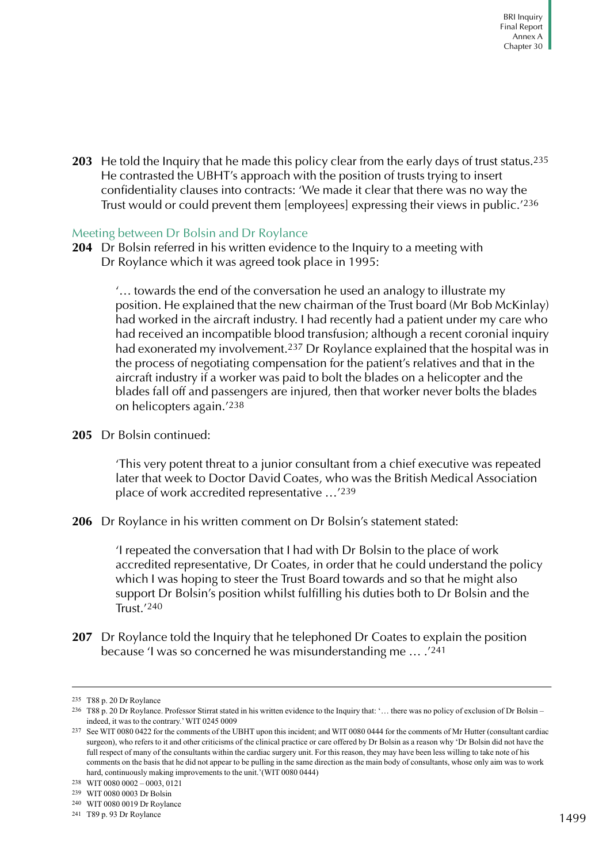**203** He told the Inquiry that he made this policy clear from the early days of trust status.235 He contrasted the UBHT's approach with the position of trusts trying to insert confidentiality clauses into contracts: 'We made it clear that there was no way the Trust would or could prevent them [employees] expressing their views in public.'236

#### Meeting between Dr Bolsin and Dr Roylance

**204** Dr Bolsin referred in his written evidence to the Inquiry to a meeting with Dr Roylance which it was agreed took place in 1995:

> '… towards the end of the conversation he used an analogy to illustrate my position. He explained that the new chairman of the Trust board (Mr Bob McKinlay) had worked in the aircraft industry. I had recently had a patient under my care who had received an incompatible blood transfusion; although a recent coronial inquiry had exonerated my involvement.237 Dr Roylance explained that the hospital was in the process of negotiating compensation for the patient's relatives and that in the aircraft industry if a worker was paid to bolt the blades on a helicopter and the blades fall off and passengers are injured, then that worker never bolts the blades on helicopters again.'238

**205** Dr Bolsin continued:

'This very potent threat to a junior consultant from a chief executive was repeated later that week to Doctor David Coates, who was the British Medical Association place of work accredited representative …'239

**206** Dr Roylance in his written comment on Dr Bolsin's statement stated:

'I repeated the conversation that I had with Dr Bolsin to the place of work accredited representative, Dr Coates, in order that he could understand the policy which I was hoping to steer the Trust Board towards and so that he might also support Dr Bolsin's position whilst fulfilling his duties both to Dr Bolsin and the Trust.'240

**207** Dr Roylance told the Inquiry that he telephoned Dr Coates to explain the position because 'I was so concerned he was misunderstanding me … .'241

<sup>235</sup> T88 p. 20 Dr Roylance

<sup>236</sup> T88 p. 20 Dr Roylance. Professor Stirrat stated in his written evidence to the Inquiry that: '… there was no policy of exclusion of Dr Bolsin – indeed, it was to the contrary.' WIT 0245 0009

<sup>237</sup> See WIT 0080 0422 for the comments of the UBHT upon this incident; and WIT 0080 0444 for the comments of Mr Hutter (consultant cardiac surgeon), who refers to it and other criticisms of the clinical practice or care offered by Dr Bolsin as a reason why 'Dr Bolsin did not have the full respect of many of the consultants within the cardiac surgery unit. For this reason, they may have been less willing to take note of his comments on the basis that he did not appear to be pulling in the same direction as the main body of consultants, whose only aim was to work hard, continuously making improvements to the unit.'(WIT 0080 0444)

<sup>238</sup> WIT 0080 0002 – 0003, 0121

<sup>239</sup> WIT 0080 0003 Dr Bolsin

<sup>240</sup> WIT 0080 0019 Dr Roylance

<sup>241</sup> T89 p. 93 Dr Roylance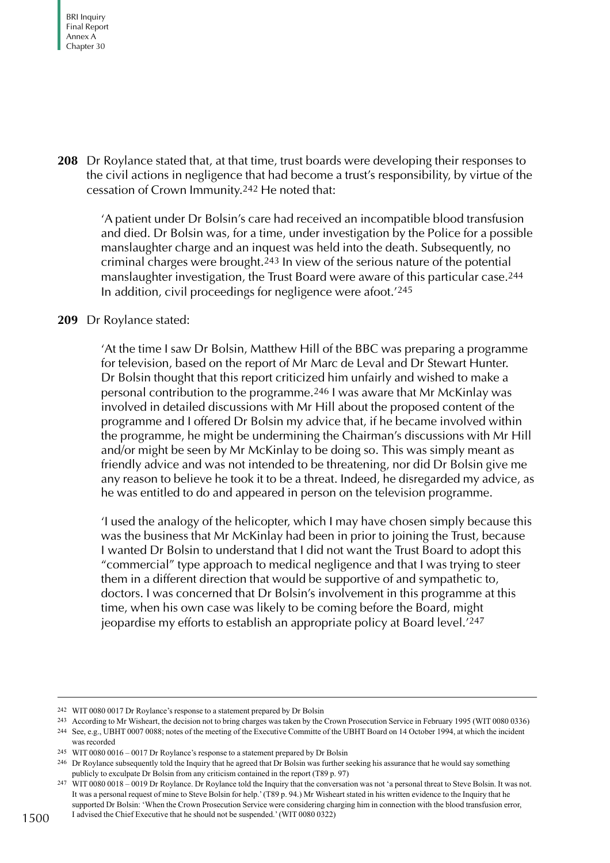BRI Inquiry Final Report Annex A Chapter 30

**208** Dr Roylance stated that, at that time, trust boards were developing their responses to the civil actions in negligence that had become a trust's responsibility, by virtue of the cessation of Crown Immunity.242 He noted that:

'A patient under Dr Bolsin's care had received an incompatible blood transfusion and died. Dr Bolsin was, for a time, under investigation by the Police for a possible manslaughter charge and an inquest was held into the death. Subsequently, no criminal charges were brought.243 In view of the serious nature of the potential manslaughter investigation, the Trust Board were aware of this particular case.244 In addition, civil proceedings for negligence were afoot.'245

### **209** Dr Roylance stated:

'At the time I saw Dr Bolsin, Matthew Hill of the BBC was preparing a programme for television, based on the report of Mr Marc de Leval and Dr Stewart Hunter. Dr Bolsin thought that this report criticized him unfairly and wished to make a personal contribution to the programme.246 I was aware that Mr McKinlay was involved in detailed discussions with Mr Hill about the proposed content of the programme and I offered Dr Bolsin my advice that, if he became involved within the programme, he might be undermining the Chairman's discussions with Mr Hill and/or might be seen by Mr McKinlay to be doing so. This was simply meant as friendly advice and was not intended to be threatening, nor did Dr Bolsin give me any reason to believe he took it to be a threat. Indeed, he disregarded my advice, as he was entitled to do and appeared in person on the television programme.

'I used the analogy of the helicopter, which I may have chosen simply because this was the business that Mr McKinlay had been in prior to joining the Trust, because I wanted Dr Bolsin to understand that I did not want the Trust Board to adopt this "commercial" type approach to medical negligence and that I was trying to steer them in a different direction that would be supportive of and sympathetic to, doctors. I was concerned that Dr Bolsin's involvement in this programme at this time, when his own case was likely to be coming before the Board, might jeopardise my efforts to establish an appropriate policy at Board level.'247

<sup>242</sup> WIT 0080 0017 Dr Roylance's response to a statement prepared by Dr Bolsin

<sup>243</sup> According to Mr Wisheart, the decision not to bring charges was taken by the Crown Prosecution Service in February 1995 (WIT 0080 0336)

<sup>244</sup> See, e.g., UBHT 0007 0088; notes of the meeting of the Executive Committe of the UBHT Board on 14 October 1994, at which the incident was recorded

<sup>245</sup> WIT 0080 0016 – 0017 Dr Roylance's response to a statement prepared by Dr Bolsin

<sup>246</sup> Dr Roylance subsequently told the Inquiry that he agreed that Dr Bolsin was further seeking his assurance that he would say something publicly to exculpate Dr Bolsin from any criticism contained in the report (T89 p. 97)

<sup>&</sup>lt;sup>247</sup> WIT 0080 0018 – 0019 Dr Roylance. Dr Roylance told the Inquiry that the conversation was not 'a personal threat to Steve Bolsin. It was not. It was a personal request of mine to Steve Bolsin for help.' (T89 p. 94.) Mr Wisheart stated in his written evidence to the Inquiry that he supported Dr Bolsin: 'When the Crown Prosecution Service were considering charging him in connection with the blood transfusion error, I advised the Chief Executive that he should not be suspended.' (WIT 0080 0322)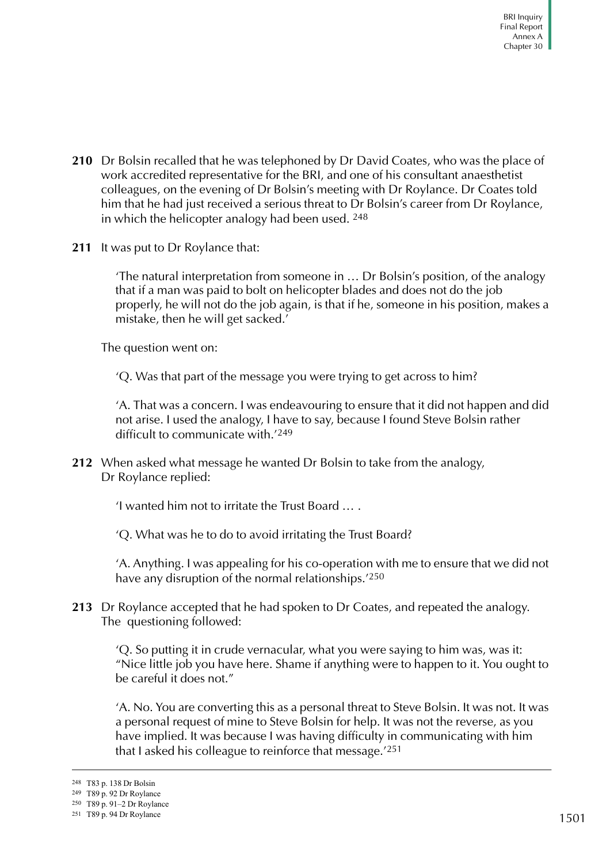- **210** Dr Bolsin recalled that he was telephoned by Dr David Coates, who was the place of work accredited representative for the BRI, and one of his consultant anaesthetist colleagues, on the evening of Dr Bolsin's meeting with Dr Roylance. Dr Coates told him that he had just received a serious threat to Dr Bolsin's career from Dr Roylance, in which the helicopter analogy had been used. 248
- **211** It was put to Dr Roylance that:

'The natural interpretation from someone in … Dr Bolsin's position, of the analogy that if a man was paid to bolt on helicopter blades and does not do the job properly, he will not do the job again, is that if he, someone in his position, makes a mistake, then he will get sacked.'

The question went on:

'Q. Was that part of the message you were trying to get across to him?

'A. That was a concern. I was endeavouring to ensure that it did not happen and did not arise. I used the analogy, I have to say, because I found Steve Bolsin rather difficult to communicate with.'249

**212** When asked what message he wanted Dr Bolsin to take from the analogy, Dr Roylance replied:

'I wanted him not to irritate the Trust Board … .

'Q. What was he to do to avoid irritating the Trust Board?

'A. Anything. I was appealing for his co-operation with me to ensure that we did not have any disruption of the normal relationships.'250

**213** Dr Roylance accepted that he had spoken to Dr Coates, and repeated the analogy. The questioning followed:

'Q. So putting it in crude vernacular, what you were saying to him was, was it: "Nice little job you have here. Shame if anything were to happen to it. You ought to be careful it does not."

'A. No. You are converting this as a personal threat to Steve Bolsin. It was not. It was a personal request of mine to Steve Bolsin for help. It was not the reverse, as you have implied. It was because I was having difficulty in communicating with him that I asked his colleague to reinforce that message.'251

<sup>248</sup> T83 p. 138 Dr Bolsin

<sup>249</sup> T89 p. 92 Dr Roylance

<sup>250</sup> T89 p. 91–2 Dr Roylance

<sup>251</sup> T89 p. 94 Dr Roylance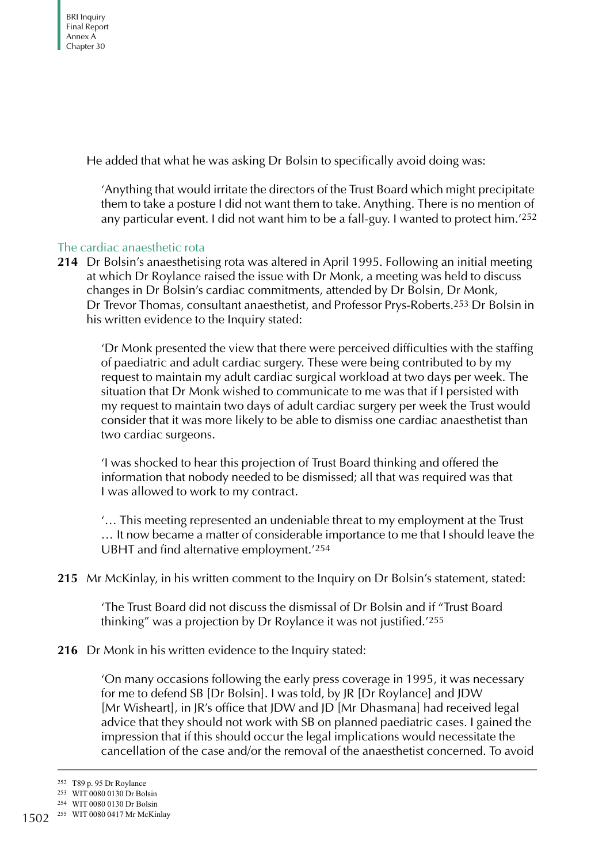He added that what he was asking Dr Bolsin to specifically avoid doing was:

'Anything that would irritate the directors of the Trust Board which might precipitate them to take a posture I did not want them to take. Anything. There is no mention of any particular event. I did not want him to be a fall-guy. I wanted to protect him.'252

### The cardiac anaesthetic rota

**214** Dr Bolsin's anaesthetising rota was altered in April 1995. Following an initial meeting at which Dr Roylance raised the issue with Dr Monk, a meeting was held to discuss changes in Dr Bolsin's cardiac commitments, attended by Dr Bolsin, Dr Monk, Dr Trevor Thomas, consultant anaesthetist, and Professor Prys-Roberts.253 Dr Bolsin in his written evidence to the Inquiry stated:

'Dr Monk presented the view that there were perceived difficulties with the staffing of paediatric and adult cardiac surgery. These were being contributed to by my request to maintain my adult cardiac surgical workload at two days per week. The situation that Dr Monk wished to communicate to me was that if I persisted with my request to maintain two days of adult cardiac surgery per week the Trust would consider that it was more likely to be able to dismiss one cardiac anaesthetist than two cardiac surgeons.

'I was shocked to hear this projection of Trust Board thinking and offered the information that nobody needed to be dismissed; all that was required was that I was allowed to work to my contract.

'… This meeting represented an undeniable threat to my employment at the Trust … It now became a matter of considerable importance to me that I should leave the UBHT and find alternative employment.'254

### **215** Mr McKinlay, in his written comment to the Inquiry on Dr Bolsin's statement, stated:

'The Trust Board did not discuss the dismissal of Dr Bolsin and if "Trust Board thinking" was a projection by Dr Roylance it was not justified.'255

**216** Dr Monk in his written evidence to the Inquiry stated:

'On many occasions following the early press coverage in 1995, it was necessary for me to defend SB [Dr Bolsin]. I was told, by JR [Dr Roylance] and JDW [Mr Wisheart], in JR's office that JDW and JD [Mr Dhasmana] had received legal advice that they should not work with SB on planned paediatric cases. I gained the impression that if this should occur the legal implications would necessitate the cancellation of the case and/or the removal of the anaesthetist concerned. To avoid

<sup>252</sup> T89 p. 95 Dr Roylance

<sup>253</sup> WIT 0080 0130 Dr Bolsin

<sup>254</sup> WIT 0080 0130 Dr Bolsin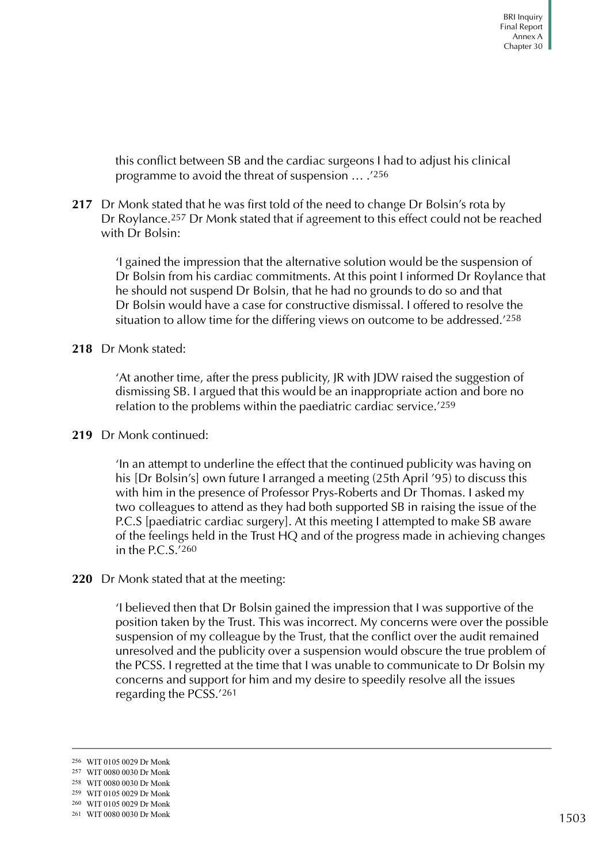this conflict between SB and the cardiac surgeons I had to adjust his clinical programme to avoid the threat of suspension … .'256

**217** Dr Monk stated that he was first told of the need to change Dr Bolsin's rota by Dr Roylance.257 Dr Monk stated that if agreement to this effect could not be reached with Dr Bolsin:

'I gained the impression that the alternative solution would be the suspension of Dr Bolsin from his cardiac commitments. At this point I informed Dr Roylance that he should not suspend Dr Bolsin, that he had no grounds to do so and that Dr Bolsin would have a case for constructive dismissal. I offered to resolve the situation to allow time for the differing views on outcome to be addressed.'258

### **218** Dr Monk stated:

'At another time, after the press publicity, JR with JDW raised the suggestion of dismissing SB. I argued that this would be an inappropriate action and bore no relation to the problems within the paediatric cardiac service.'259

#### **219** Dr Monk continued:

'In an attempt to underline the effect that the continued publicity was having on his [Dr Bolsin's] own future I arranged a meeting (25th April '95) to discuss this with him in the presence of Professor Prys-Roberts and Dr Thomas. I asked my two colleagues to attend as they had both supported SB in raising the issue of the P.C.S [paediatric cardiac surgery]. At this meeting I attempted to make SB aware of the feelings held in the Trust HQ and of the progress made in achieving changes in the P.C.S.'260

### **220** Dr Monk stated that at the meeting:

'I believed then that Dr Bolsin gained the impression that I was supportive of the position taken by the Trust. This was incorrect. My concerns were over the possible suspension of my colleague by the Trust, that the conflict over the audit remained unresolved and the publicity over a suspension would obscure the true problem of the PCSS. I regretted at the time that I was unable to communicate to Dr Bolsin my concerns and support for him and my desire to speedily resolve all the issues regarding the PCSS.'261

<sup>256</sup> WIT 0105 0029 Dr Monk

<sup>257</sup> WIT 0080 0030 Dr Monk

<sup>258</sup> WIT 0080 0030 Dr Monk

<sup>259</sup> WIT 0105 0029 Dr Monk

<sup>260</sup> WIT 0105 0029 Dr Monk

<sup>261</sup> WIT 0080 0030 Dr Monk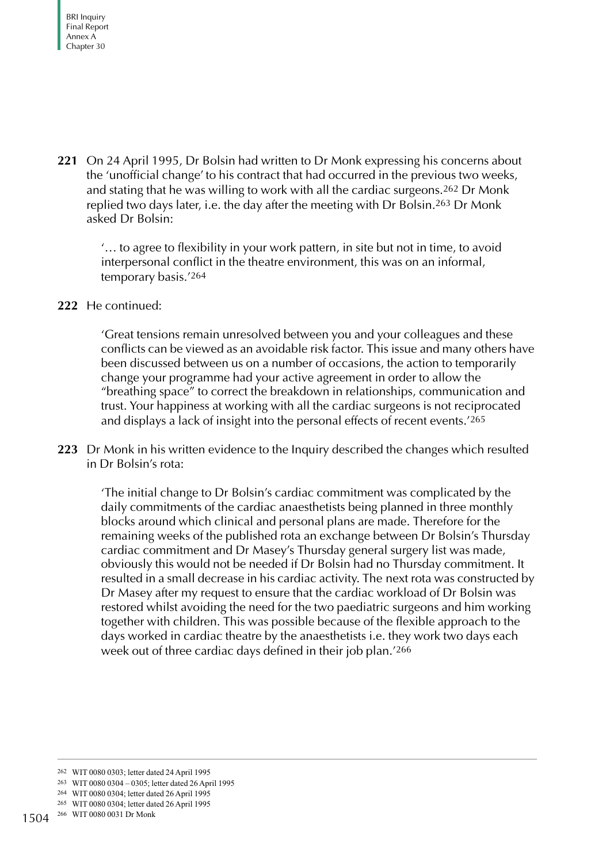**221** On 24 April 1995, Dr Bolsin had written to Dr Monk expressing his concerns about the 'unofficial change' to his contract that had occurred in the previous two weeks, and stating that he was willing to work with all the cardiac surgeons.262 Dr Monk replied two days later, i.e. the day after the meeting with Dr Bolsin.263 Dr Monk asked Dr Bolsin:

'… to agree to flexibility in your work pattern, in site but not in time, to avoid interpersonal conflict in the theatre environment, this was on an informal, temporary basis.'264

### **222** He continued:

'Great tensions remain unresolved between you and your colleagues and these conflicts can be viewed as an avoidable risk factor. This issue and many others have been discussed between us on a number of occasions, the action to temporarily change your programme had your active agreement in order to allow the "breathing space" to correct the breakdown in relationships, communication and trust. Your happiness at working with all the cardiac surgeons is not reciprocated and displays a lack of insight into the personal effects of recent events.'265

**223** Dr Monk in his written evidence to the Inquiry described the changes which resulted in Dr Bolsin's rota:

'The initial change to Dr Bolsin's cardiac commitment was complicated by the daily commitments of the cardiac anaesthetists being planned in three monthly blocks around which clinical and personal plans are made. Therefore for the remaining weeks of the published rota an exchange between Dr Bolsin's Thursday cardiac commitment and Dr Masey's Thursday general surgery list was made, obviously this would not be needed if Dr Bolsin had no Thursday commitment. It resulted in a small decrease in his cardiac activity. The next rota was constructed by Dr Masey after my request to ensure that the cardiac workload of Dr Bolsin was restored whilst avoiding the need for the two paediatric surgeons and him working together with children. This was possible because of the flexible approach to the days worked in cardiac theatre by the anaesthetists i.e. they work two days each week out of three cardiac days defined in their job plan.'266

<sup>262</sup> WIT 0080 0303; letter dated 24 April 1995

<sup>263</sup> WIT 0080 0304 – 0305; letter dated 26 April 1995

<sup>264</sup> WIT 0080 0304; letter dated 26 April 1995

<sup>265</sup> WIT 0080 0304; letter dated 26 April 1995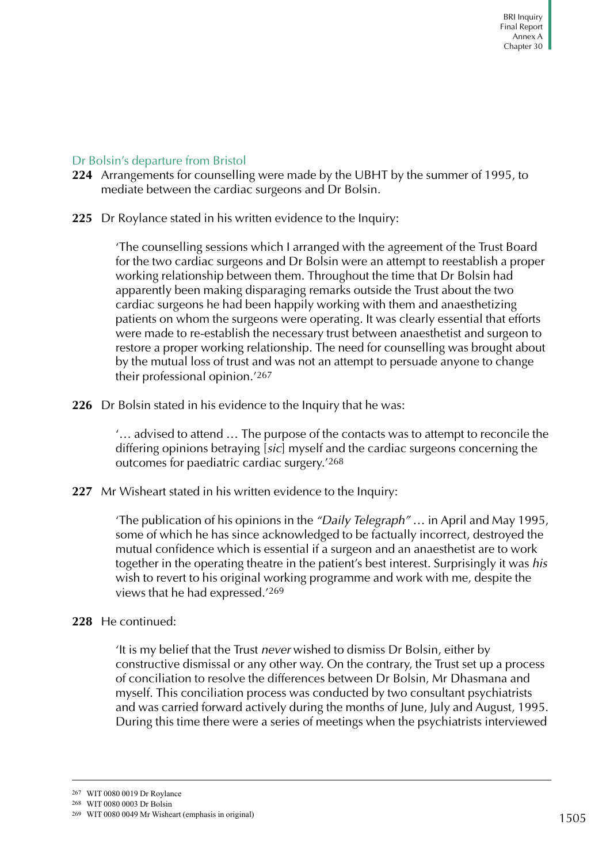### Dr Bolsin's departure from Bristol

- **224** Arrangements for counselling were made by the UBHT by the summer of 1995, to mediate between the cardiac surgeons and Dr Bolsin.
- **225** Dr Roylance stated in his written evidence to the Inquiry:

'The counselling sessions which I arranged with the agreement of the Trust Board for the two cardiac surgeons and Dr Bolsin were an attempt to reestablish a proper working relationship between them. Throughout the time that Dr Bolsin had apparently been making disparaging remarks outside the Trust about the two cardiac surgeons he had been happily working with them and anaesthetizing patients on whom the surgeons were operating. It was clearly essential that efforts were made to re-establish the necessary trust between anaesthetist and surgeon to restore a proper working relationship. The need for counselling was brought about by the mutual loss of trust and was not an attempt to persuade anyone to change their professional opinion.'267

**226** Dr Bolsin stated in his evidence to the Inquiry that he was:

'… advised to attend … The purpose of the contacts was to attempt to reconcile the differing opinions betraying [sic] myself and the cardiac surgeons concerning the outcomes for paediatric cardiac surgery.'268

**227** Mr Wisheart stated in his written evidence to the Inquiry:

'The publication of his opinions in the "Daily Telegraph" … in April and May 1995, some of which he has since acknowledged to be factually incorrect, destroyed the mutual confidence which is essential if a surgeon and an anaesthetist are to work together in the operating theatre in the patient's best interest. Surprisingly it was his wish to revert to his original working programme and work with me, despite the views that he had expressed.'269

### **228** He continued:

'It is my belief that the Trust never wished to dismiss Dr Bolsin, either by constructive dismissal or any other way. On the contrary, the Trust set up a process of conciliation to resolve the differences between Dr Bolsin, Mr Dhasmana and myself. This conciliation process was conducted by two consultant psychiatrists and was carried forward actively during the months of June, July and August, 1995. During this time there were a series of meetings when the psychiatrists interviewed

<sup>267</sup> WIT 0080 0019 Dr Roylance

<sup>268</sup> WIT 0080 0003 Dr Bolsin

<sup>269</sup> WIT 0080 0049 Mr Wisheart (emphasis in original)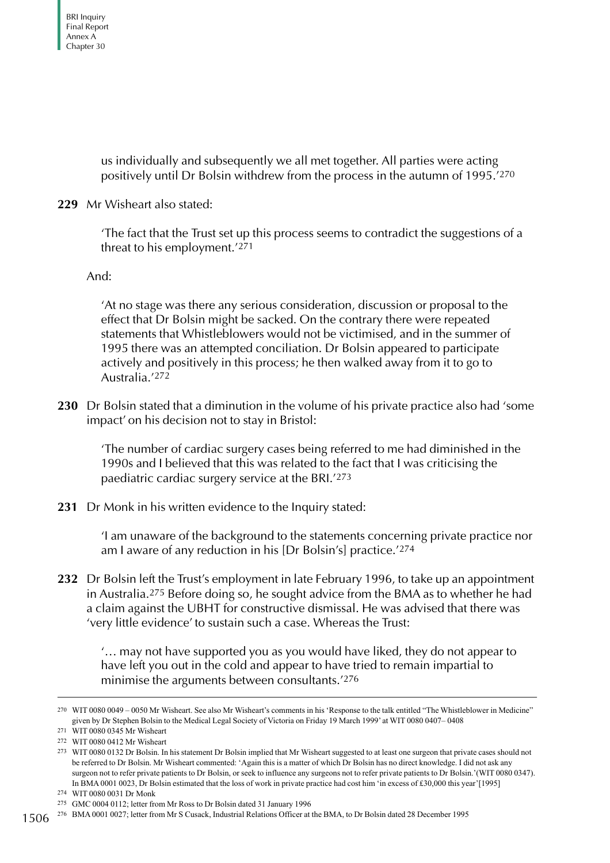us individually and subsequently we all met together. All parties were acting positively until Dr Bolsin withdrew from the process in the autumn of 1995.'270

### **229** Mr Wisheart also stated:

'The fact that the Trust set up this process seems to contradict the suggestions of a threat to his employment.'271

### And:

'At no stage was there any serious consideration, discussion or proposal to the effect that Dr Bolsin might be sacked. On the contrary there were repeated statements that Whistleblowers would not be victimised, and in the summer of 1995 there was an attempted conciliation. Dr Bolsin appeared to participate actively and positively in this process; he then walked away from it to go to Australia.'272

**230** Dr Bolsin stated that a diminution in the volume of his private practice also had 'some impact' on his decision not to stay in Bristol:

'The number of cardiac surgery cases being referred to me had diminished in the 1990s and I believed that this was related to the fact that I was criticising the paediatric cardiac surgery service at the BRI.'273

**231** Dr Monk in his written evidence to the Inquiry stated:

'I am unaware of the background to the statements concerning private practice nor am I aware of any reduction in his [Dr Bolsin's] practice.'274

**232** Dr Bolsin left the Trust's employment in late February 1996, to take up an appointment in Australia.275 Before doing so, he sought advice from the BMA as to whether he had a claim against the UBHT for constructive dismissal. He was advised that there was 'very little evidence' to sustain such a case. Whereas the Trust:

'… may not have supported you as you would have liked, they do not appear to have left you out in the cold and appear to have tried to remain impartial to minimise the arguments between consultants.'276

<sup>270</sup> WIT 0080 0049 – 0050 Mr Wisheart. See also Mr Wisheart's comments in his 'Response to the talk entitled "The Whistleblower in Medicine" given by Dr Stephen Bolsin to the Medical Legal Society of Victoria on Friday 19 March 1999' at WIT 0080 0407– 0408

<sup>271</sup> WIT 0080 0345 Mr Wisheart

<sup>272</sup> WIT 0080 0412 Mr Wisheart

<sup>273</sup> WIT 0080 0132 Dr Bolsin. In his statement Dr Bolsin implied that Mr Wisheart suggested to at least one surgeon that private cases should not be referred to Dr Bolsin. Mr Wisheart commented: 'Again this is a matter of which Dr Bolsin has no direct knowledge. I did not ask any surgeon not to refer private patients to Dr Bolsin, or seek to influence any surgeons not to refer private patients to Dr Bolsin.'(WIT 0080 0347). In BMA 0001 0023, Dr Bolsin estimated that the loss of work in private practice had cost him 'in excess of £30,000 this year'[1995]

<sup>274</sup> WIT 0080 0031 Dr Monk

<sup>275</sup> GMC 0004 0112; letter from Mr Ross to Dr Bolsin dated 31 January 1996

<sup>276</sup> BMA 0001 0027; letter from Mr S Cusack, Industrial Relations Officer at the BMA, to Dr Bolsin dated 28 December 1995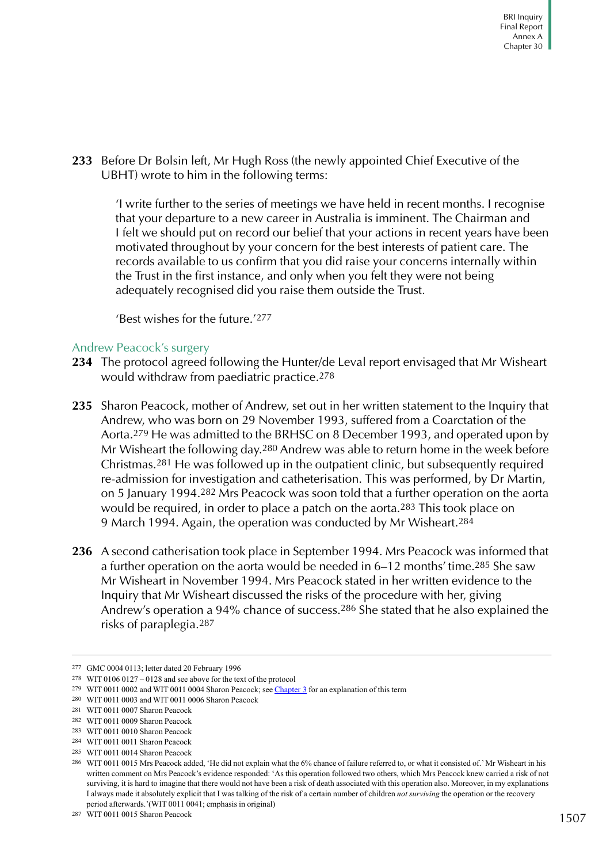**233** Before Dr Bolsin left, Mr Hugh Ross (the newly appointed Chief Executive of the UBHT) wrote to him in the following terms:

'I write further to the series of meetings we have held in recent months. I recognise that your departure to a new career in Australia is imminent. The Chairman and I felt we should put on record our belief that your actions in recent years have been motivated throughout by your concern for the best interests of patient care. The records available to us confirm that you did raise your concerns internally within the Trust in the first instance, and only when you felt they were not being adequately recognised did you raise them outside the Trust.

'Best wishes for the future.'277

#### Andrew Peacock's surgery

- **234** The protocol agreed following the Hunter/de Leval report envisaged that Mr Wisheart would withdraw from paediatric practice.<sup>278</sup>
- **235** Sharon Peacock, mother of Andrew, set out in her written statement to the Inquiry that Andrew, who was born on 29 November 1993, suffered from a Coarctation of the Aorta.279 He was admitted to the BRHSC on 8 December 1993, and operated upon by Mr Wisheart the following day.280 Andrew was able to return home in the week before Christmas.281 He was followed up in the outpatient clinic, but subsequently required re-admission for investigation and catheterisation. This was performed, by Dr Martin, on 5 January 1994.282 Mrs Peacock was soon told that a further operation on the aorta would be required, in order to place a patch on the aorta.283 This took place on 9 March 1994. Again, the operation was conducted by Mr Wisheart.284
- **236** A second catherisation took place in September 1994. Mrs Peacock was informed that a further operation on the aorta would be needed in 6–12 months' time.285 She saw Mr Wisheart in November 1994. Mrs Peacock stated in her written evidence to the Inquiry that Mr Wisheart discussed the risks of the procedure with her, giving Andrew's operation a 94% chance of success.286 She stated that he also explained the risks of paraplegia.287

284 WIT 0011 0011 Sharon Peacock

<sup>277</sup> GMC 0004 0113; letter dated 20 February 1996

<sup>278</sup> WIT 0106 0127 – 0128 and see above for the text of the protocol

<sup>&</sup>lt;sup>279</sup> WIT 0011 0002 and WIT 0011 0004 Sharon Peacock; see Chapter 3 for an explanation of this term

<sup>280</sup> WIT 0011 0003 and WIT 0011 0006 Sharon Peacock

<sup>281</sup> WIT 0011 0007 Sharon Peacock

<sup>282</sup> WIT 0011 0009 Sharon Peacock

<sup>283</sup> WIT 0011 0010 Sharon Peacock

<sup>285</sup> WIT 0011 0014 Sharon Peacock

<sup>286</sup> WIT 0011 0015 Mrs Peacock added, 'He did not explain what the 6% chance of failure referred to, or what it consisted of.' Mr Wisheart in his written comment on Mrs Peacock's evidence responded: 'As this operation followed two others, which Mrs Peacock knew carried a risk of not surviving, it is hard to imagine that there would not have been a risk of death associated with this operation also. Moreover, in my explanations I always made it absolutely explicit that I was talking of the risk of a certain number of children *not surviving* the operation or the recovery period afterwards.'(WIT 0011 0041; emphasis in original)

<sup>287</sup> WIT 0011 0015 Sharon Peacock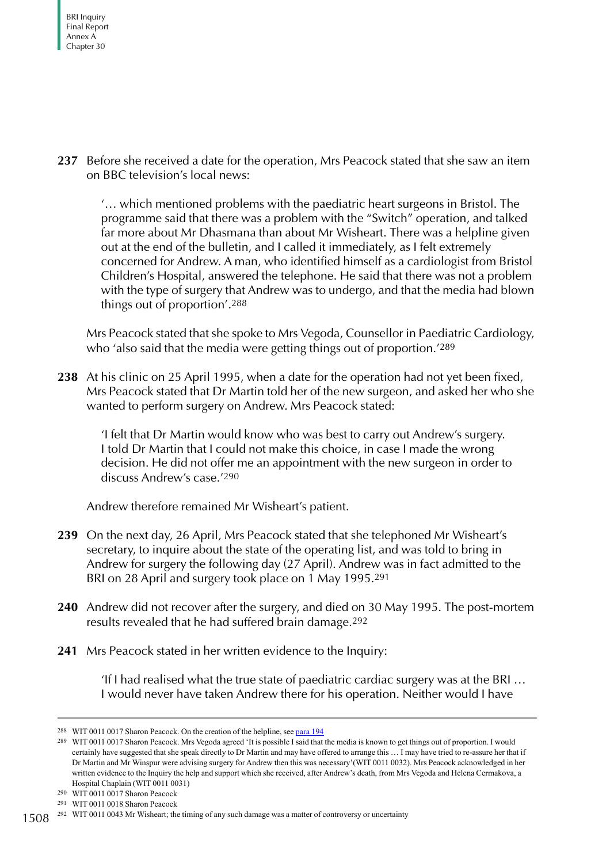**237** Before she received a date for the operation, Mrs Peacock stated that she saw an item on BBC television's local news:

'… which mentioned problems with the paediatric heart surgeons in Bristol. The programme said that there was a problem with the "Switch" operation, and talked far more about Mr Dhasmana than about Mr Wisheart. There was a helpline given out at the end of the bulletin, and I called it immediately, as I felt extremely concerned for Andrew. A man, who identified himself as a cardiologist from Bristol Children's Hospital, answered the telephone. He said that there was not a problem with the type of surgery that Andrew was to undergo, and that the media had blown things out of proportion'.288

Mrs Peacock stated that she spoke to Mrs Vegoda, Counsellor in Paediatric Cardiology, who 'also said that the media were getting things out of proportion.<sup>'289</sup>

**238** At his clinic on 25 April 1995, when a date for the operation had not yet been fixed, Mrs Peacock stated that Dr Martin told her of the new surgeon, and asked her who she wanted to perform surgery on Andrew. Mrs Peacock stated:

'I felt that Dr Martin would know who was best to carry out Andrew's surgery. I told Dr Martin that I could not make this choice, in case I made the wrong decision. He did not offer me an appointment with the new surgeon in order to discuss Andrew's case.'290

Andrew therefore remained Mr Wisheart's patient.

- **239** On the next day, 26 April, Mrs Peacock stated that she telephoned Mr Wisheart's secretary, to inquire about the state of the operating list, and was told to bring in Andrew for surgery the following day (27 April). Andrew was in fact admitted to the BRI on 28 April and surgery took place on 1 May 1995.291
- **240** Andrew did not recover after the surgery, and died on 30 May 1995. The post-mortem results revealed that he had suffered brain damage.292
- **241** Mrs Peacock stated in her written evidence to the Inquiry:

'If I had realised what the true state of paediatric cardiac surgery was at the BRI … I would never have taken Andrew there for his operation. Neither would I have

<sup>288</sup> WIT 0011 0017 Sharon Peacock. On the creation of the helpline, see [para 194](#page-159-0)

<sup>289</sup> WIT 0011 0017 Sharon Peacock. Mrs Vegoda agreed 'It is possible I said that the media is known to get things out of proportion. I would certainly have suggested that she speak directly to Dr Martin and may have offered to arrange this … I may have tried to re-assure her that if Dr Martin and Mr Winspur were advising surgery for Andrew then this was necessary'(WIT 0011 0032). Mrs Peacock acknowledged in her written evidence to the Inquiry the help and support which she received, after Andrew's death, from Mrs Vegoda and Helena Cermakova, a Hospital Chaplain (WIT 0011 0031)

<sup>290</sup> WIT 0011 0017 Sharon Peacock

<sup>291</sup> WIT 0011 0018 Sharon Peacock

<sup>1508 &</sup>lt;sup>292</sup> WIT 0011 0043 Mr Wisheart; the timing of any such damage was a matter of controversy or uncertainty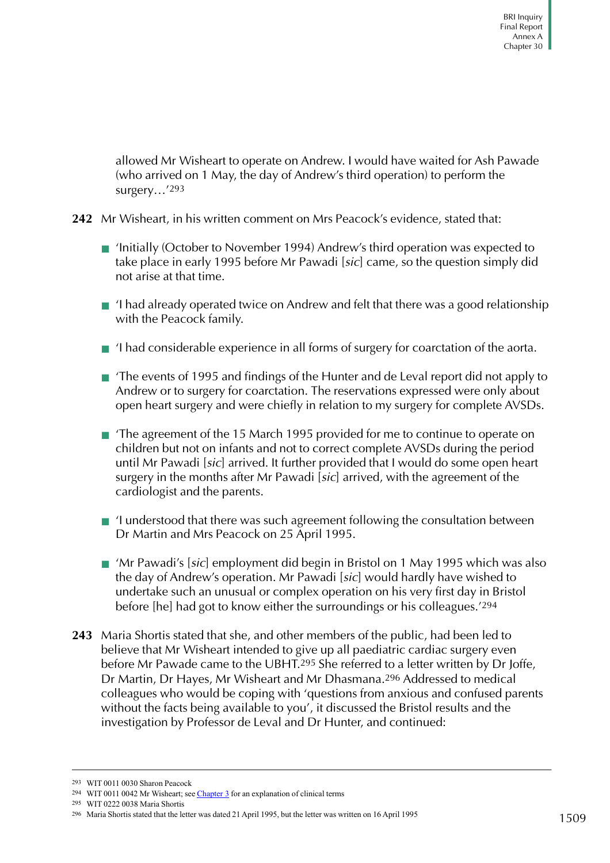allowed Mr Wisheart to operate on Andrew. I would have waited for Ash Pawade (who arrived on 1 May, the day of Andrew's third operation) to perform the surgery…'293

- **242** Mr Wisheart, in his written comment on Mrs Peacock's evidence, stated that:
	- 'Initially (October to November 1994) Andrew's third operation was expected to take place in early 1995 before Mr Pawadi [sic] came, so the question simply did not arise at that time.
	- 1 had already operated twice on Andrew and felt that there was a good relationship with the Peacock family.
	- 'I had considerable experience in all forms of surgery for coarctation of the aorta.
	- The events of 1995 and findings of the Hunter and de Leval report did not apply to Andrew or to surgery for coarctation. The reservations expressed were only about open heart surgery and were chiefly in relation to my surgery for complete AVSDs.
	- The agreement of the 15 March 1995 provided for me to continue to operate on children but not on infants and not to correct complete AVSDs during the period until Mr Pawadi [sic] arrived. It further provided that I would do some open heart surgery in the months after Mr Pawadi [sic] arrived, with the agreement of the cardiologist and the parents.
	- 'I understood that there was such agreement following the consultation between Dr Martin and Mrs Peacock on 25 April 1995.
	- 'Mr Pawadi's [sic] employment did begin in Bristol on 1 May 1995 which was also the day of Andrew's operation. Mr Pawadi [sic] would hardly have wished to undertake such an unusual or complex operation on his very first day in Bristol before [he] had got to know either the surroundings or his colleagues.'294
- **243** Maria Shortis stated that she, and other members of the public, had been led to believe that Mr Wisheart intended to give up all paediatric cardiac surgery even before Mr Pawade came to the UBHT.295 She referred to a letter written by Dr Joffe, Dr Martin, Dr Hayes, Mr Wisheart and Mr Dhasmana.296 Addressed to medical colleagues who would be coping with 'questions from anxious and confused parents without the facts being available to you', it discussed the Bristol results and the investigation by Professor de Leval and Dr Hunter, and continued:

<sup>293</sup> WIT 0011 0030 Sharon Peacock

<sup>&</sup>lt;sup>294</sup> WIT 0011 0042 Mr Wisheart; see *Chapter 3* for an explanation of clinical terms

<sup>295</sup> WIT 0222 0038 Maria Shortis

<sup>296</sup> Maria Shortis stated that the letter was dated 21 April 1995, but the letter was written on 16 April 1995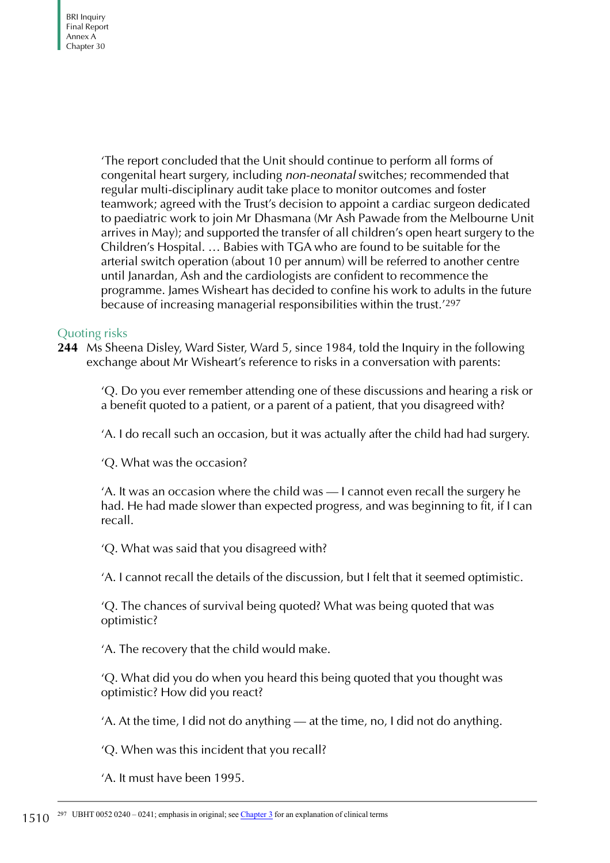BRI Inquiry Final Report Annex A Chapter 30

> 'The report concluded that the Unit should continue to perform all forms of congenital heart surgery, including non-neonatal switches; recommended that regular multi-disciplinary audit take place to monitor outcomes and foster teamwork; agreed with the Trust's decision to appoint a cardiac surgeon dedicated to paediatric work to join Mr Dhasmana (Mr Ash Pawade from the Melbourne Unit arrives in May); and supported the transfer of all children's open heart surgery to the Children's Hospital. … Babies with TGA who are found to be suitable for the arterial switch operation (about 10 per annum) will be referred to another centre until Janardan, Ash and the cardiologists are confident to recommence the programme. James Wisheart has decided to confine his work to adults in the future because of increasing managerial responsibilities within the trust.'297

### Quoting risks

**244** Ms Sheena Disley, Ward Sister, Ward 5, since 1984, told the Inquiry in the following exchange about Mr Wisheart's reference to risks in a conversation with parents:

'Q. Do you ever remember attending one of these discussions and hearing a risk or a benefit quoted to a patient, or a parent of a patient, that you disagreed with?

'A. I do recall such an occasion, but it was actually after the child had had surgery.

'Q. What was the occasion?

'A. It was an occasion where the child was — I cannot even recall the surgery he had. He had made slower than expected progress, and was beginning to fit, if I can recall.

'Q. What was said that you disagreed with?

'A. I cannot recall the details of the discussion, but I felt that it seemed optimistic.

'Q. The chances of survival being quoted? What was being quoted that was optimistic?

'A. The recovery that the child would make.

'Q. What did you do when you heard this being quoted that you thought was optimistic? How did you react?

'A. At the time, I did not do anything — at the time, no, I did not do anything.

'Q. When was this incident that you recall?

'A. It must have been 1995.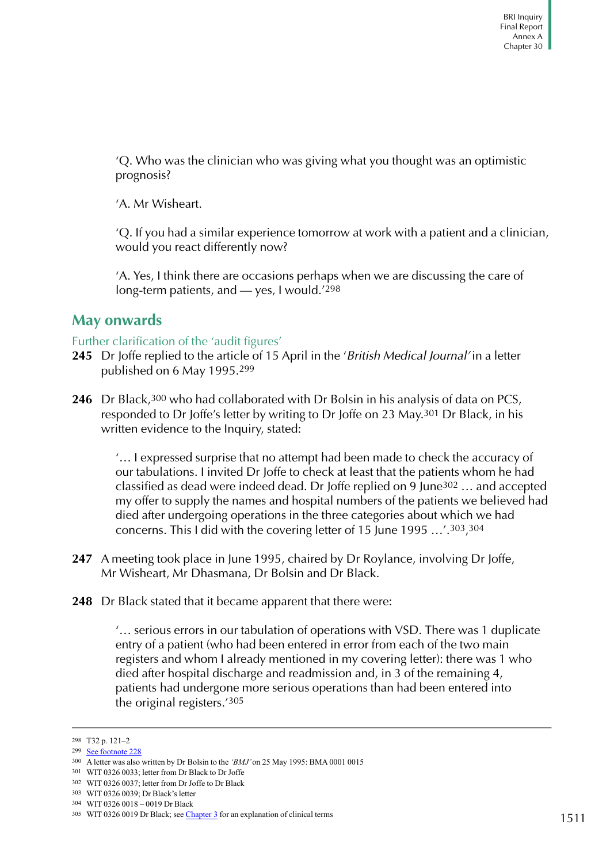'Q. Who was the clinician who was giving what you thought was an optimistic prognosis?

'A. Mr Wisheart.

'Q. If you had a similar experience tomorrow at work with a patient and a clinician, would you react differently now?

'A. Yes, I think there are occasions perhaps when we are discussing the care of long-term patients, and — yes, I would.<sup>'298</sup>

## **May onwards**

### Further clarification of the 'audit figures'

- **245** Dr Joffe replied to the article of 15 April in the 'British Medical Journal' in a letter published on 6 May 1995.299
- **246** Dr Black,300 who had collaborated with Dr Bolsin in his analysis of data on PCS, responded to Dr Joffe's letter by writing to Dr Joffe on 23 May.301 Dr Black, in his written evidence to the Inquiry, stated:

'… I expressed surprise that no attempt had been made to check the accuracy of our tabulations. I invited Dr Joffe to check at least that the patients whom he had classified as dead were indeed dead. Dr Joffe replied on 9 June302 … and accepted my offer to supply the names and hospital numbers of the patients we believed had died after undergoing operations in the three categories about which we had concerns. This I did with the covering letter of 15 June 1995 …'.303,304

- **247** A meeting took place in June 1995, chaired by Dr Roylance, involving Dr Joffe, Mr Wisheart, Mr Dhasmana, Dr Bolsin and Dr Black.
- **248** Dr Black stated that it became apparent that there were:

'… serious errors in our tabulation of operations with VSD. There was 1 duplicate entry of a patient (who had been entered in error from each of the two main registers and whom I already mentioned in my covering letter): there was 1 who died after hospital discharge and readmission and, in 3 of the remaining 4, patients had undergone more serious operations than had been entered into the original registers.'305

<sup>298</sup> T32 p. 121–2

<sup>299</sup> [See footnote 228](#page-162-0)

<sup>300</sup> A letter was also written by Dr Bolsin to the *'BMJ'* on 25 May 1995: BMA 0001 0015

<sup>301</sup> WIT 0326 0033; letter from Dr Black to Dr Joffe

<sup>302</sup> WIT 0326 0037; letter from Dr Joffe to Dr Black

<sup>303</sup> WIT 0326 0039; Dr Black's letter

<sup>304</sup> WIT 0326 0018 – 0019 Dr Black

<sup>305</sup> WIT 0326 0019 Dr Black; see Chapter 3 for an explanation of clinical terms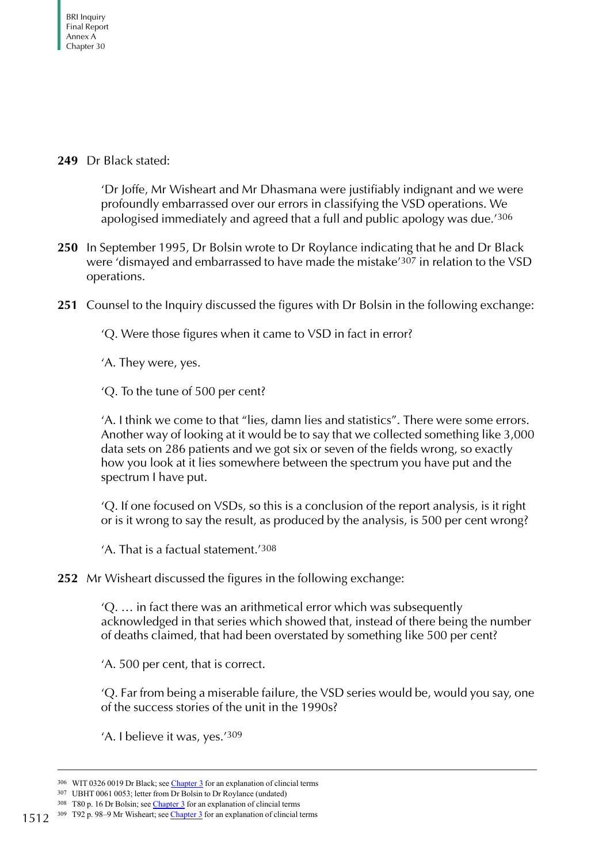### **249** Dr Black stated:

'Dr Joffe, Mr Wisheart and Mr Dhasmana were justifiably indignant and we were profoundly embarrassed over our errors in classifying the VSD operations. We apologised immediately and agreed that a full and public apology was due.'306

- **250** In September 1995, Dr Bolsin wrote to Dr Roylance indicating that he and Dr Black were 'dismayed and embarrassed to have made the mistake'307 in relation to the VSD operations.
- **251** Counsel to the Inquiry discussed the figures with Dr Bolsin in the following exchange:

'Q. Were those figures when it came to VSD in fact in error?

'A. They were, yes.

'Q. To the tune of 500 per cent?

'A. I think we come to that "lies, damn lies and statistics". There were some errors. Another way of looking at it would be to say that we collected something like 3,000 data sets on 286 patients and we got six or seven of the fields wrong, so exactly how you look at it lies somewhere between the spectrum you have put and the spectrum I have put.

'Q. If one focused on VSDs, so this is a conclusion of the report analysis, is it right or is it wrong to say the result, as produced by the analysis, is 500 per cent wrong?

'A. That is a factual statement.'308

### **252** Mr Wisheart discussed the figures in the following exchange:

'Q. … in fact there was an arithmetical error which was subsequently acknowledged in that series which showed that, instead of there being the number of deaths claimed, that had been overstated by something like 500 per cent?

'A. 500 per cent, that is correct.

'Q. Far from being a miserable failure, the VSD series would be, would you say, one of the success stories of the unit in the 1990s?

'A. I believe it was, yes.'309

<sup>306</sup> WIT 0326 0019 Dr Black; see Chapter 3 for an explanation of clincial terms

<sup>307</sup> UBHT 0061 0053; letter from Dr Bolsin to Dr Roylance (undated)

<sup>308</sup> T80 p. 16 Dr Bolsin; see Chapter 3 for an explanation of clincial terms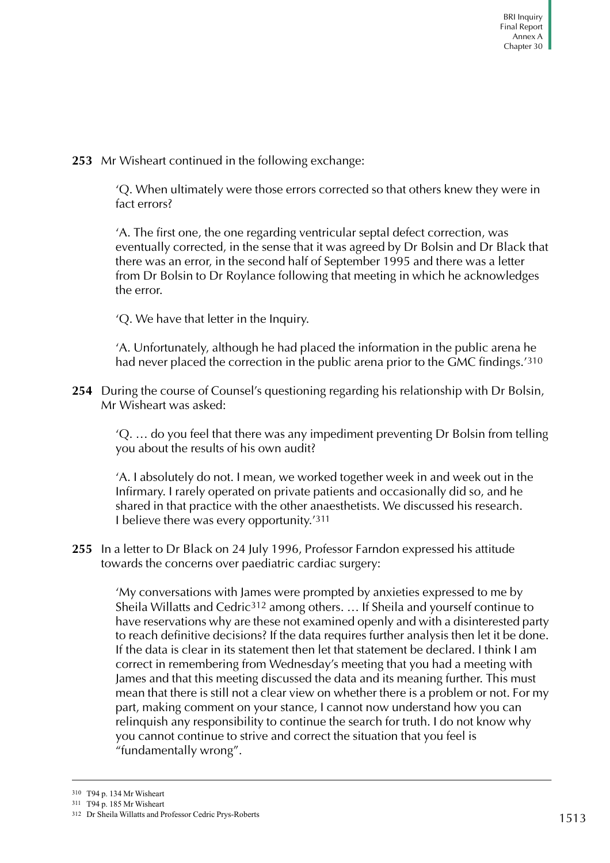**253** Mr Wisheart continued in the following exchange:

'Q. When ultimately were those errors corrected so that others knew they were in fact errors?

'A. The first one, the one regarding ventricular septal defect correction, was eventually corrected, in the sense that it was agreed by Dr Bolsin and Dr Black that there was an error, in the second half of September 1995 and there was a letter from Dr Bolsin to Dr Roylance following that meeting in which he acknowledges the error.

'Q. We have that letter in the Inquiry.

'A. Unfortunately, although he had placed the information in the public arena he had never placed the correction in the public arena prior to the GMC findings.<sup>'310</sup>

**254** During the course of Counsel's questioning regarding his relationship with Dr Bolsin, Mr Wisheart was asked:

'Q. … do you feel that there was any impediment preventing Dr Bolsin from telling you about the results of his own audit?

'A. I absolutely do not. I mean, we worked together week in and week out in the Infirmary. I rarely operated on private patients and occasionally did so, and he shared in that practice with the other anaesthetists. We discussed his research. I believe there was every opportunity.'311

**255** In a letter to Dr Black on 24 July 1996, Professor Farndon expressed his attitude towards the concerns over paediatric cardiac surgery:

'My conversations with James were prompted by anxieties expressed to me by Sheila Willatts and Cedric312 among others. … If Sheila and yourself continue to have reservations why are these not examined openly and with a disinterested party to reach definitive decisions? If the data requires further analysis then let it be done. If the data is clear in its statement then let that statement be declared. I think I am correct in remembering from Wednesday's meeting that you had a meeting with James and that this meeting discussed the data and its meaning further. This must mean that there is still not a clear view on whether there is a problem or not. For my part, making comment on your stance, I cannot now understand how you can relinquish any responsibility to continue the search for truth. I do not know why you cannot continue to strive and correct the situation that you feel is "fundamentally wrong".

<sup>310</sup> T94 p. 134 Mr Wisheart

<sup>311</sup> T94 p. 185 Mr Wisheart

<sup>312</sup> Dr Sheila Willatts and Professor Cedric Prys-Roberts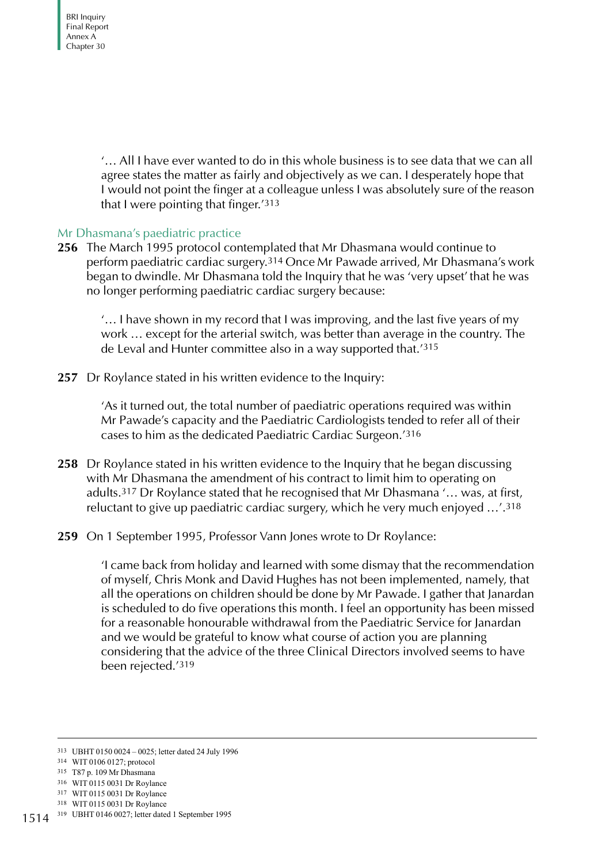'… All I have ever wanted to do in this whole business is to see data that we can all agree states the matter as fairly and objectively as we can. I desperately hope that I would not point the finger at a colleague unless I was absolutely sure of the reason that I were pointing that finger.'313

### Mr Dhasmana's paediatric practice

**256** The March 1995 protocol contemplated that Mr Dhasmana would continue to perform paediatric cardiac surgery.314 Once Mr Pawade arrived, Mr Dhasmana's work began to dwindle. Mr Dhasmana told the Inquiry that he was 'very upset' that he was no longer performing paediatric cardiac surgery because:

'… I have shown in my record that I was improving, and the last five years of my work … except for the arterial switch, was better than average in the country. The de Leval and Hunter committee also in a way supported that.'315

**257** Dr Roylance stated in his written evidence to the Inquiry:

'As it turned out, the total number of paediatric operations required was within Mr Pawade's capacity and the Paediatric Cardiologists tended to refer all of their cases to him as the dedicated Paediatric Cardiac Surgeon.'316

- **258** Dr Roylance stated in his written evidence to the Inquiry that he began discussing with Mr Dhasmana the amendment of his contract to limit him to operating on adults.317 Dr Roylance stated that he recognised that Mr Dhasmana '… was, at first, reluctant to give up paediatric cardiac surgery, which he very much enjoyed …'.318
- <span id="page-179-0"></span>**259** On 1 September 1995, Professor Vann Jones wrote to Dr Roylance:

'I came back from holiday and learned with some dismay that the recommendation of myself, Chris Monk and David Hughes has not been implemented, namely, that all the operations on children should be done by Mr Pawade. I gather that Janardan is scheduled to do five operations this month. I feel an opportunity has been missed for a reasonable honourable withdrawal from the Paediatric Service for Janardan and we would be grateful to know what course of action you are planning considering that the advice of the three Clinical Directors involved seems to have been rejected.'319

<sup>313</sup> UBHT 0150 0024 – 0025; letter dated 24 July 1996

<sup>314</sup> WIT 0106 0127; protocol

<sup>315</sup> T87 p. 109 Mr Dhasmana

<sup>316</sup> WIT 0115 0031 Dr Roylance

<sup>317</sup> WIT 0115 0031 Dr Roylance 318 WIT 0115 0031 Dr Roylance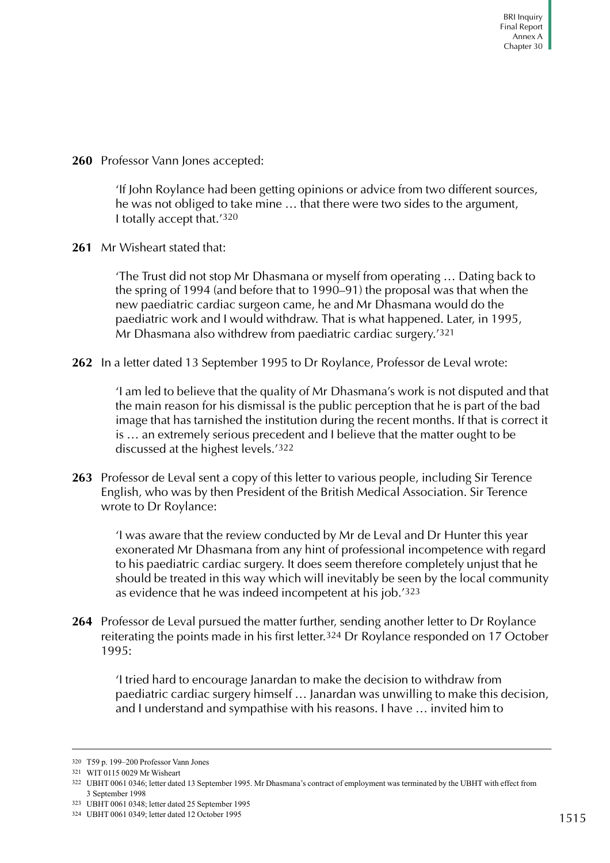**260** Professor Vann Jones accepted:

'If John Roylance had been getting opinions or advice from two different sources, he was not obliged to take mine … that there were two sides to the argument, I totally accept that.'320

**261** Mr Wisheart stated that:

'The Trust did not stop Mr Dhasmana or myself from operating … Dating back to the spring of 1994 (and before that to 1990–91) the proposal was that when the new paediatric cardiac surgeon came, he and Mr Dhasmana would do the paediatric work and I would withdraw. That is what happened. Later, in 1995, Mr Dhasmana also withdrew from paediatric cardiac surgery.'321

**262** In a letter dated 13 September 1995 to Dr Roylance, Professor de Leval wrote:

'I am led to believe that the quality of Mr Dhasmana's work is not disputed and that the main reason for his dismissal is the public perception that he is part of the bad image that has tarnished the institution during the recent months. If that is correct it is … an extremely serious precedent and I believe that the matter ought to be discussed at the highest levels.'322

**263** Professor de Leval sent a copy of this letter to various people, including Sir Terence English, who was by then President of the British Medical Association. Sir Terence wrote to Dr Roylance:

'I was aware that the review conducted by Mr de Leval and Dr Hunter this year exonerated Mr Dhasmana from any hint of professional incompetence with regard to his paediatric cardiac surgery. It does seem therefore completely unjust that he should be treated in this way which will inevitably be seen by the local community as evidence that he was indeed incompetent at his job.'323

**264** Professor de Leval pursued the matter further, sending another letter to Dr Roylance reiterating the points made in his first letter.324 Dr Roylance responded on 17 October 1995:

'I tried hard to encourage Janardan to make the decision to withdraw from paediatric cardiac surgery himself … Janardan was unwilling to make this decision, and I understand and sympathise with his reasons. I have … invited him to

<sup>320</sup> T59 p. 199–200 Professor Vann Jones

<sup>321</sup> WIT 0115 0029 Mr Wisheart

<sup>322</sup> UBHT 0061 0346; letter dated 13 September 1995. Mr Dhasmana's contract of employment was terminated by the UBHT with effect from 3 September 1998

<sup>323</sup> UBHT 0061 0348; letter dated 25 September 1995

<sup>324</sup> UBHT 0061 0349; letter dated 12 October 1995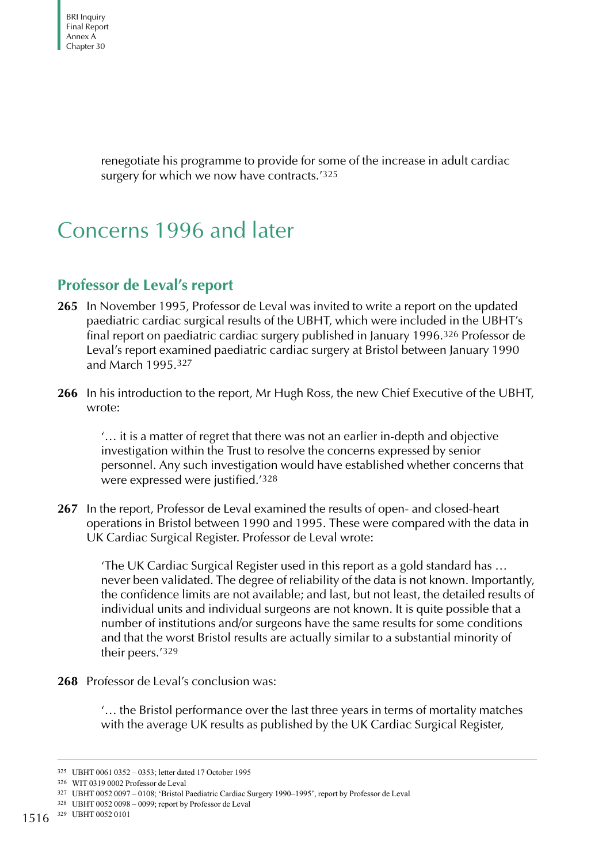renegotiate his programme to provide for some of the increase in adult cardiac surgery for which we now have contracts.'325

## Concerns 1996 and later

## **Professor de Leval's report**

- **265** In November 1995, Professor de Leval was invited to write a report on the updated paediatric cardiac surgical results of the UBHT, which were included in the UBHT's final report on paediatric cardiac surgery published in January 1996.326 Professor de Leval's report examined paediatric cardiac surgery at Bristol between January 1990 and March 1995.327
- **266** In his introduction to the report, Mr Hugh Ross, the new Chief Executive of the UBHT, wrote:

'… it is a matter of regret that there was not an earlier in-depth and objective investigation within the Trust to resolve the concerns expressed by senior personnel. Any such investigation would have established whether concerns that were expressed were justified.'328

**267** In the report, Professor de Leval examined the results of open- and closed-heart operations in Bristol between 1990 and 1995. These were compared with the data in UK Cardiac Surgical Register. Professor de Leval wrote:

'The UK Cardiac Surgical Register used in this report as a gold standard has … never been validated. The degree of reliability of the data is not known. Importantly, the confidence limits are not available; and last, but not least, the detailed results of individual units and individual surgeons are not known. It is quite possible that a number of institutions and/or surgeons have the same results for some conditions and that the worst Bristol results are actually similar to a substantial minority of their peers.'329

**268** Professor de Leval's conclusion was:

'… the Bristol performance over the last three years in terms of mortality matches with the average UK results as published by the UK Cardiac Surgical Register,

<sup>325</sup> UBHT 0061 0352 – 0353; letter dated 17 October 1995

<sup>326</sup> WIT 0319 0002 Professor de Leval

<sup>327</sup> UBHT 0052 0097 – 0108; 'Bristol Paediatric Cardiac Surgery 1990–1995', report by Professor de Leval

<sup>328</sup> UBHT 0052 0098 – 0099; report by Professor de Leval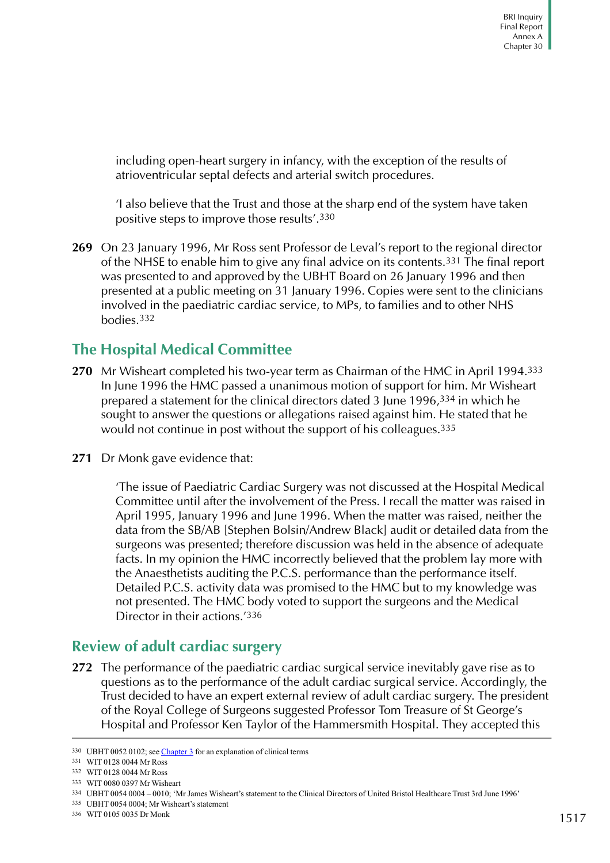including open-heart surgery in infancy, with the exception of the results of atrioventricular septal defects and arterial switch procedures.

'I also believe that the Trust and those at the sharp end of the system have taken positive steps to improve those results'.330

**269** On 23 January 1996, Mr Ross sent Professor de Leval's report to the regional director of the NHSE to enable him to give any final advice on its contents.331 The final report was presented to and approved by the UBHT Board on 26 January 1996 and then presented at a public meeting on 31 January 1996. Copies were sent to the clinicians involved in the paediatric cardiac service, to MPs, to families and to other NHS bodies.332

## **The Hospital Medical Committee**

- **270** Mr Wisheart completed his two-year term as Chairman of the HMC in April 1994.333 In June 1996 the HMC passed a unanimous motion of support for him. Mr Wisheart prepared a statement for the clinical directors dated 3 June 1996,334 in which he sought to answer the questions or allegations raised against him. He stated that he would not continue in post without the support of his colleagues.335
- **271** Dr Monk gave evidence that:

'The issue of Paediatric Cardiac Surgery was not discussed at the Hospital Medical Committee until after the involvement of the Press. I recall the matter was raised in April 1995, January 1996 and June 1996. When the matter was raised, neither the data from the SB/AB [Stephen Bolsin/Andrew Black] audit or detailed data from the surgeons was presented; therefore discussion was held in the absence of adequate facts. In my opinion the HMC incorrectly believed that the problem lay more with the Anaesthetists auditing the P.C.S. performance than the performance itself. Detailed P.C.S. activity data was promised to the HMC but to my knowledge was not presented. The HMC body voted to support the surgeons and the Medical Director in their actions.'336

## **Review of adult cardiac surgery**

**272** The performance of the paediatric cardiac surgical service inevitably gave rise as to questions as to the performance of the adult cardiac surgical service. Accordingly, the Trust decided to have an expert external review of adult cardiac surgery. The president of the Royal College of Surgeons suggested Professor Tom Treasure of St George's Hospital and Professor Ken Taylor of the Hammersmith Hospital. They accepted this

<sup>330</sup> UBHT 0052 0102; see Chapter 3 for an explanation of clinical terms

<sup>331</sup> WIT 0128 0044 Mr Ross

<sup>332</sup> WIT 0128 0044 Mr Ross

<sup>333</sup> WIT 0080 0397 Mr Wisheart

<sup>334</sup> UBHT 0054 0004 – 0010; 'Mr James Wisheart's statement to the Clinical Directors of United Bristol Healthcare Trust 3rd June 1996'

<sup>335</sup> UBHT 0054 0004; Mr Wisheart's statement

<sup>336</sup> WIT 0105 0035 Dr Monk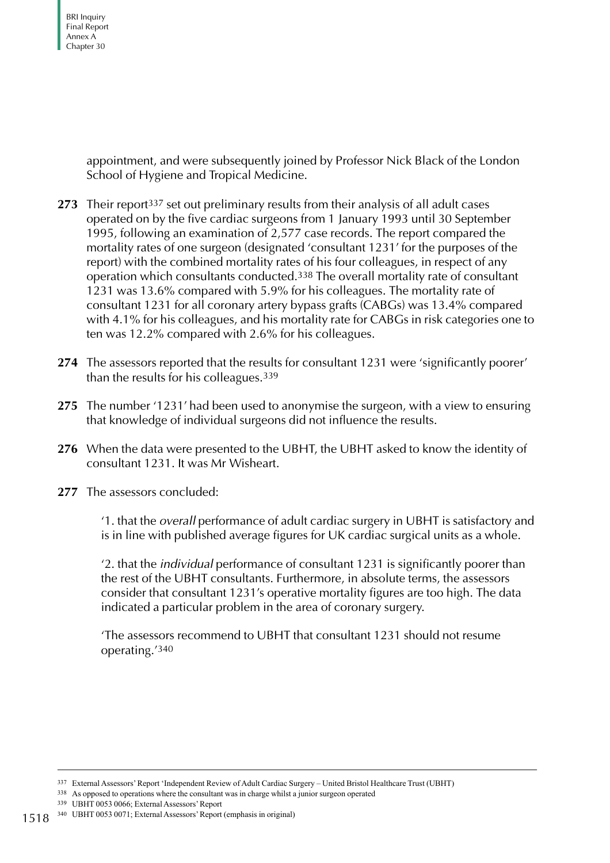appointment, and were subsequently joined by Professor Nick Black of the London School of Hygiene and Tropical Medicine.

- 273 Their report<sup>337</sup> set out preliminary results from their analysis of all adult cases operated on by the five cardiac surgeons from 1 January 1993 until 30 September 1995, following an examination of 2,577 case records. The report compared the mortality rates of one surgeon (designated 'consultant 1231' for the purposes of the report) with the combined mortality rates of his four colleagues, in respect of any operation which consultants conducted.338 The overall mortality rate of consultant 1231 was 13.6% compared with 5.9% for his colleagues. The mortality rate of consultant 1231 for all coronary artery bypass grafts (CABGs) was 13.4% compared with 4.1% for his colleagues, and his mortality rate for CABGs in risk categories one to ten was 12.2% compared with 2.6% for his colleagues.
- **274** The assessors reported that the results for consultant 1231 were 'significantly poorer' than the results for his colleagues.339
- **275** The number '1231' had been used to anonymise the surgeon, with a view to ensuring that knowledge of individual surgeons did not influence the results.
- **276** When the data were presented to the UBHT, the UBHT asked to know the identity of consultant 1231. It was Mr Wisheart.
- **277** The assessors concluded:

'1. that the overall performance of adult cardiac surgery in UBHT is satisfactory and is in line with published average figures for UK cardiac surgical units as a whole.

'2. that the individual performance of consultant 1231 is significantly poorer than the rest of the UBHT consultants. Furthermore, in absolute terms, the assessors consider that consultant 1231's operative mortality figures are too high. The data indicated a particular problem in the area of coronary surgery.

'The assessors recommend to UBHT that consultant 1231 should not resume operating.'340

<sup>337</sup> External Assessors' Report 'Independent Review of Adult Cardiac Surgery – United Bristol Healthcare Trust (UBHT)

<sup>338</sup> As opposed to operations where the consultant was in charge whilst a junior surgeon operated

<sup>339</sup> UBHT 0053 0066; External Assessors' Report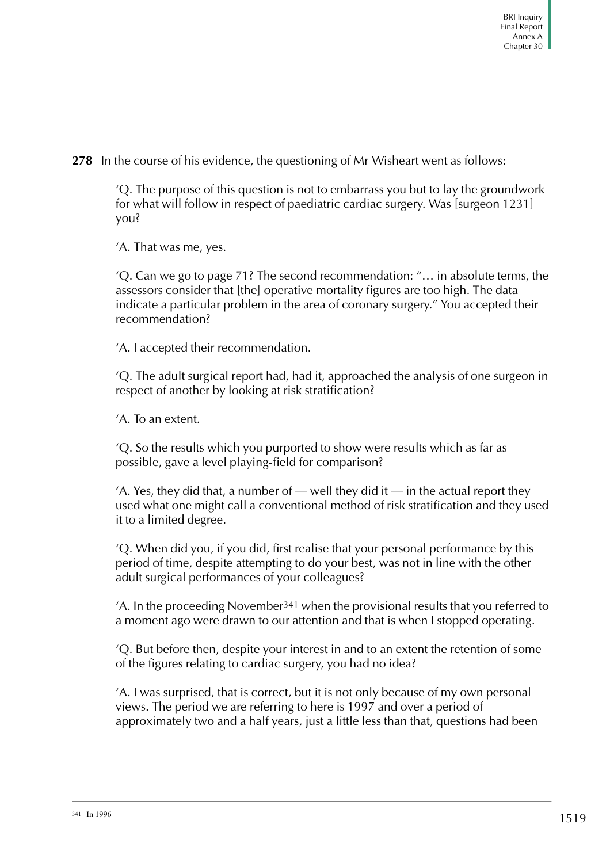**278** In the course of his evidence, the questioning of Mr Wisheart went as follows:

'Q. The purpose of this question is not to embarrass you but to lay the groundwork for what will follow in respect of paediatric cardiac surgery. Was [surgeon 1231] you?

'A. That was me, yes.

'Q. Can we go to page 71? The second recommendation: "… in absolute terms, the assessors consider that [the] operative mortality figures are too high. The data indicate a particular problem in the area of coronary surgery." You accepted their recommendation?

'A. I accepted their recommendation.

'Q. The adult surgical report had, had it, approached the analysis of one surgeon in respect of another by looking at risk stratification?

'A. To an extent.

'Q. So the results which you purported to show were results which as far as possible, gave a level playing-field for comparison?

'A. Yes, they did that, a number of — well they did it — in the actual report they used what one might call a conventional method of risk stratification and they used it to a limited degree.

'Q. When did you, if you did, first realise that your personal performance by this period of time, despite attempting to do your best, was not in line with the other adult surgical performances of your colleagues?

'A. In the proceeding November341 when the provisional results that you referred to a moment ago were drawn to our attention and that is when I stopped operating.

'Q. But before then, despite your interest in and to an extent the retention of some of the figures relating to cardiac surgery, you had no idea?

'A. I was surprised, that is correct, but it is not only because of my own personal views. The period we are referring to here is 1997 and over a period of approximately two and a half years, just a little less than that, questions had been